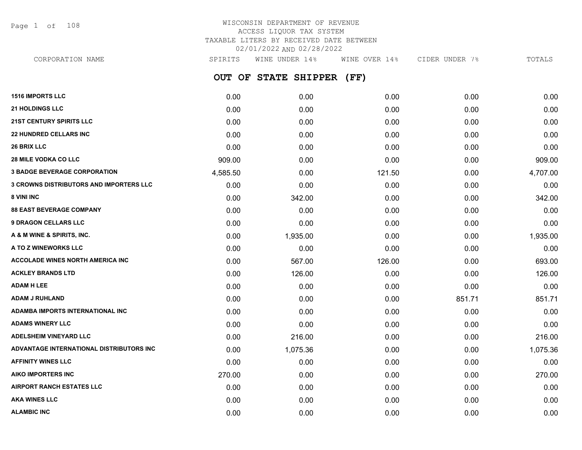Page 1 of 108

## WISCONSIN DEPARTMENT OF REVENUE ACCESS LIQUOR TAX SYSTEM TAXABLE LITERS BY RECEIVED DATE BETWEEN 02/01/2022 AND 02/28/2022

| CORPORATION NAME                               | SPIRITS  | WINE UNDER 14%       | WINE OVER 14% | CIDER UNDER 7% | TOTALS   |
|------------------------------------------------|----------|----------------------|---------------|----------------|----------|
|                                                |          | OUT OF STATE SHIPPER | (FF)          |                |          |
| <b>1516 IMPORTS LLC</b>                        | 0.00     | 0.00                 | 0.00          | 0.00           | 0.00     |
| <b>21 HOLDINGS LLC</b>                         | 0.00     | 0.00                 | 0.00          | 0.00           | 0.00     |
| <b>21ST CENTURY SPIRITS LLC</b>                | 0.00     | 0.00                 | 0.00          | 0.00           | 0.00     |
| <b>22 HUNDRED CELLARS INC</b>                  | 0.00     | 0.00                 | 0.00          | 0.00           | 0.00     |
| <b>26 BRIX LLC</b>                             | 0.00     | 0.00                 | 0.00          | 0.00           | 0.00     |
| 28 MILE VODKA CO LLC                           | 909.00   | 0.00                 | 0.00          | 0.00           | 909.00   |
| <b>3 BADGE BEVERAGE CORPORATION</b>            | 4,585.50 | 0.00                 | 121.50        | 0.00           | 4,707.00 |
| <b>3 CROWNS DISTRIBUTORS AND IMPORTERS LLC</b> | 0.00     | 0.00                 | 0.00          | 0.00           | 0.00     |
| <b>8 VINI INC</b>                              | 0.00     | 342.00               | 0.00          | 0.00           | 342.00   |
| <b>88 EAST BEVERAGE COMPANY</b>                | 0.00     | 0.00                 | 0.00          | 0.00           | 0.00     |
| <b>9 DRAGON CELLARS LLC</b>                    | 0.00     | 0.00                 | 0.00          | 0.00           | 0.00     |
| A & M WINE & SPIRITS, INC.                     | 0.00     | 1,935.00             | 0.00          | 0.00           | 1,935.00 |
| A TO Z WINEWORKS LLC                           | 0.00     | 0.00                 | 0.00          | 0.00           | 0.00     |
| <b>ACCOLADE WINES NORTH AMERICA INC</b>        | 0.00     | 567.00               | 126.00        | 0.00           | 693.00   |
| <b>ACKLEY BRANDS LTD</b>                       | 0.00     | 126.00               | 0.00          | 0.00           | 126.00   |
| <b>ADAM H LEE</b>                              | 0.00     | 0.00                 | 0.00          | 0.00           | 0.00     |
| ADAM J RUHLAND                                 | 0.00     | 0.00                 | 0.00          | 851.71         | 851.71   |
| ADAMBA IMPORTS INTERNATIONAL INC               | 0.00     | 0.00                 | 0.00          | 0.00           | 0.00     |
| ADAMS WINERY LLC                               | 0.00     | 0.00                 | 0.00          | 0.00           | 0.00     |
| <b>ADELSHEIM VINEYARD LLC</b>                  | 0.00     | 216.00               | 0.00          | 0.00           | 216.00   |
| ADVANTAGE INTERNATIONAL DISTRIBUTORS INC       | 0.00     | 1,075.36             | 0.00          | 0.00           | 1,075.36 |
| <b>AFFINITY WINES LLC</b>                      | 0.00     | 0.00                 | 0.00          | 0.00           | 0.00     |
| AIKO IMPORTERS INC                             | 270.00   | 0.00                 | 0.00          | 0.00           | 270.00   |
| AIRPORT RANCH ESTATES LLC                      | 0.00     | 0.00                 | 0.00          | 0.00           | 0.00     |
| AKA WINES LLC                                  | 0.00     | 0.00                 | 0.00          | 0.00           | 0.00     |

**ALAMBIC INC** 0.00 0.00 0.00 0.00 0.00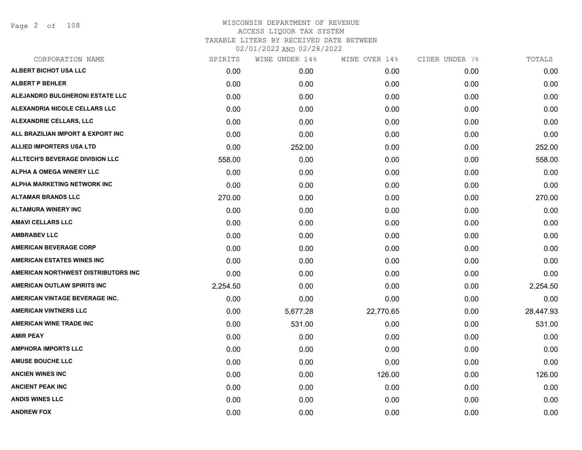Page 2 of 108

| CORPORATION NAME                       | SPIRITS  | WINE UNDER 14% | WINE OVER 14% | CIDER UNDER 7% | TOTALS    |
|----------------------------------------|----------|----------------|---------------|----------------|-----------|
| ALBERT BICHOT USA LLC                  | 0.00     | 0.00           | 0.00          | 0.00           | 0.00      |
| <b>ALBERT P BEHLER</b>                 | 0.00     | 0.00           | 0.00          | 0.00           | 0.00      |
| ALEJANDRO BULGHERONI ESTATE LLC        | 0.00     | 0.00           | 0.00          | 0.00           | 0.00      |
| ALEXANDRIA NICOLE CELLARS LLC          | 0.00     | 0.00           | 0.00          | 0.00           | 0.00      |
| <b>ALEXANDRIE CELLARS, LLC</b>         | 0.00     | 0.00           | 0.00          | 0.00           | 0.00      |
| ALL BRAZILIAN IMPORT & EXPORT INC      | 0.00     | 0.00           | 0.00          | 0.00           | 0.00      |
| <b>ALLIED IMPORTERS USA LTD</b>        | 0.00     | 252.00         | 0.00          | 0.00           | 252.00    |
| <b>ALLTECH'S BEVERAGE DIVISION LLC</b> | 558.00   | 0.00           | 0.00          | 0.00           | 558.00    |
| <b>ALPHA &amp; OMEGA WINERY LLC</b>    | 0.00     | 0.00           | 0.00          | 0.00           | 0.00      |
| ALPHA MARKETING NETWORK INC            | 0.00     | 0.00           | 0.00          | 0.00           | 0.00      |
| <b>ALTAMAR BRANDS LLC</b>              | 270.00   | 0.00           | 0.00          | 0.00           | 270.00    |
| <b>ALTAMURA WINERY INC</b>             | 0.00     | 0.00           | 0.00          | 0.00           | 0.00      |
| <b>AMAVI CELLARS LLC</b>               | 0.00     | 0.00           | 0.00          | 0.00           | 0.00      |
| <b>AMBRABEV LLC</b>                    | 0.00     | 0.00           | 0.00          | 0.00           | 0.00      |
| <b>AMERICAN BEVERAGE CORP</b>          | 0.00     | 0.00           | 0.00          | 0.00           | 0.00      |
| <b>AMERICAN ESTATES WINES INC</b>      | 0.00     | 0.00           | 0.00          | 0.00           | 0.00      |
| AMERICAN NORTHWEST DISTRIBUTORS INC    | 0.00     | 0.00           | 0.00          | 0.00           | 0.00      |
| AMERICAN OUTLAW SPIRITS INC            | 2,254.50 | 0.00           | 0.00          | 0.00           | 2,254.50  |
| AMERICAN VINTAGE BEVERAGE INC.         | 0.00     | 0.00           | 0.00          | 0.00           | 0.00      |
| <b>AMERICAN VINTNERS LLC</b>           | 0.00     | 5,677.28       | 22,770.65     | 0.00           | 28,447.93 |
| <b>AMERICAN WINE TRADE INC</b>         | 0.00     | 531.00         | 0.00          | 0.00           | 531.00    |
| <b>AMIR PEAY</b>                       | 0.00     | 0.00           | 0.00          | 0.00           | 0.00      |
| <b>AMPHORA IMPORTS LLC</b>             | 0.00     | 0.00           | 0.00          | 0.00           | 0.00      |
| <b>AMUSE BOUCHE LLC</b>                | 0.00     | 0.00           | 0.00          | 0.00           | 0.00      |
| <b>ANCIEN WINES INC</b>                | 0.00     | 0.00           | 126.00        | 0.00           | 126.00    |
| <b>ANCIENT PEAK INC</b>                | 0.00     | 0.00           | 0.00          | 0.00           | 0.00      |
| <b>ANDIS WINES LLC</b>                 | 0.00     | 0.00           | 0.00          | 0.00           | 0.00      |
| <b>ANDREW FOX</b>                      | 0.00     | 0.00           | 0.00          | 0.00           | 0.00      |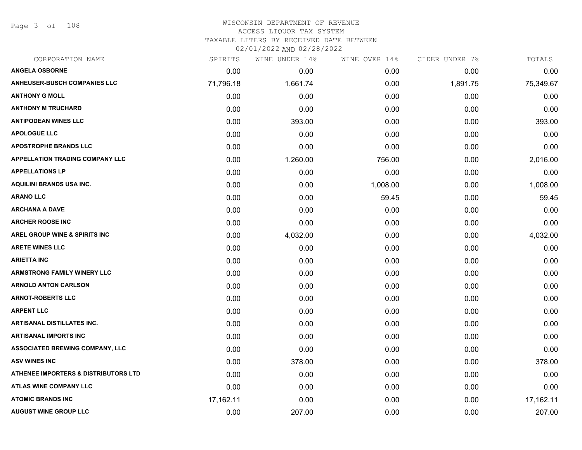Page 3 of 108

#### WISCONSIN DEPARTMENT OF REVENUE ACCESS LIQUOR TAX SYSTEM

TAXABLE LITERS BY RECEIVED DATE BETWEEN

| CORPORATION NAME                                | SPIRITS   | WINE UNDER 14% | WINE OVER 14% | CIDER UNDER 7% | TOTALS    |
|-------------------------------------------------|-----------|----------------|---------------|----------------|-----------|
| <b>ANGELA OSBORNE</b>                           | 0.00      | 0.00           | 0.00          | 0.00           | 0.00      |
| <b>ANHEUSER-BUSCH COMPANIES LLC</b>             | 71,796.18 | 1,661.74       | 0.00          | 1,891.75       | 75,349.67 |
| <b>ANTHONY G MOLL</b>                           | 0.00      | 0.00           | 0.00          | 0.00           | 0.00      |
| <b>ANTHONY M TRUCHARD</b>                       | 0.00      | 0.00           | 0.00          | 0.00           | 0.00      |
| <b>ANTIPODEAN WINES LLC</b>                     | 0.00      | 393.00         | 0.00          | 0.00           | 393.00    |
| <b>APOLOGUE LLC</b>                             | 0.00      | 0.00           | 0.00          | 0.00           | 0.00      |
| <b>APOSTROPHE BRANDS LLC</b>                    | 0.00      | 0.00           | 0.00          | 0.00           | 0.00      |
| <b>APPELLATION TRADING COMPANY LLC</b>          | 0.00      | 1,260.00       | 756.00        | 0.00           | 2,016.00  |
| <b>APPELLATIONS LP</b>                          | 0.00      | 0.00           | 0.00          | 0.00           | 0.00      |
| <b>AQUILINI BRANDS USA INC.</b>                 | 0.00      | 0.00           | 1,008.00      | 0.00           | 1,008.00  |
| <b>ARANO LLC</b>                                | 0.00      | 0.00           | 59.45         | 0.00           | 59.45     |
| <b>ARCHANA A DAVE</b>                           | 0.00      | 0.00           | 0.00          | 0.00           | 0.00      |
| <b>ARCHER ROOSE INC</b>                         | 0.00      | 0.00           | 0.00          | 0.00           | 0.00      |
| <b>AREL GROUP WINE &amp; SPIRITS INC</b>        | 0.00      | 4,032.00       | 0.00          | 0.00           | 4,032.00  |
| <b>ARETE WINES LLC</b>                          | 0.00      | 0.00           | 0.00          | 0.00           | 0.00      |
| <b>ARIETTA INC</b>                              | 0.00      | 0.00           | 0.00          | 0.00           | 0.00      |
| <b>ARMSTRONG FAMILY WINERY LLC</b>              | 0.00      | 0.00           | 0.00          | 0.00           | 0.00      |
| <b>ARNOLD ANTON CARLSON</b>                     | 0.00      | 0.00           | 0.00          | 0.00           | 0.00      |
| <b>ARNOT-ROBERTS LLC</b>                        | 0.00      | 0.00           | 0.00          | 0.00           | 0.00      |
| <b>ARPENT LLC</b>                               | 0.00      | 0.00           | 0.00          | 0.00           | 0.00      |
| <b>ARTISANAL DISTILLATES INC.</b>               | 0.00      | 0.00           | 0.00          | 0.00           | 0.00      |
| <b>ARTISANAL IMPORTS INC</b>                    | 0.00      | 0.00           | 0.00          | 0.00           | 0.00      |
| ASSOCIATED BREWING COMPANY, LLC                 | 0.00      | 0.00           | 0.00          | 0.00           | 0.00      |
| <b>ASV WINES INC</b>                            | 0.00      | 378.00         | 0.00          | 0.00           | 378.00    |
| <b>ATHENEE IMPORTERS &amp; DISTRIBUTORS LTD</b> | 0.00      | 0.00           | 0.00          | 0.00           | 0.00      |
| ATLAS WINE COMPANY LLC                          | 0.00      | 0.00           | 0.00          | 0.00           | 0.00      |
| <b>ATOMIC BRANDS INC</b>                        | 17,162.11 | 0.00           | 0.00          | 0.00           | 17,162.11 |
| <b>AUGUST WINE GROUP LLC</b>                    | 0.00      | 207.00         | 0.00          | 0.00           | 207.00    |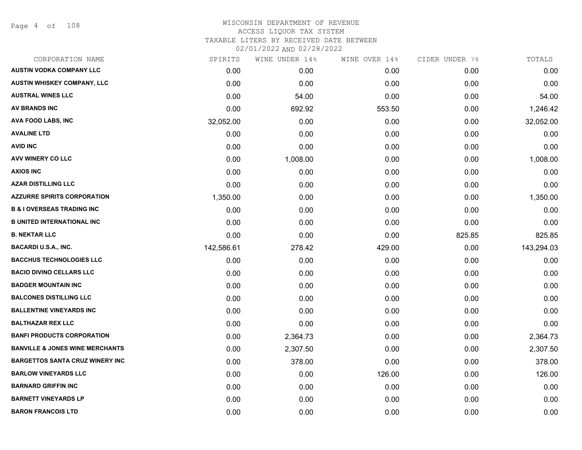| CORPORATION NAME                           | SPIRITS    | WINE UNDER 14% | WINE OVER 14% | CIDER UNDER 7% | TOTALS     |
|--------------------------------------------|------------|----------------|---------------|----------------|------------|
| <b>AUSTIN VODKA COMPANY LLC</b>            | 0.00       | 0.00           | 0.00          | 0.00           | 0.00       |
| <b>AUSTIN WHISKEY COMPANY, LLC</b>         | 0.00       | 0.00           | 0.00          | 0.00           | 0.00       |
| <b>AUSTRAL WINES LLC</b>                   | 0.00       | 54.00          | 0.00          | 0.00           | 54.00      |
| <b>AV BRANDS INC</b>                       | 0.00       | 692.92         | 553.50        | 0.00           | 1,246.42   |
| AVA FOOD LABS, INC                         | 32,052.00  | 0.00           | 0.00          | 0.00           | 32,052.00  |
| <b>AVALINE LTD</b>                         | 0.00       | 0.00           | 0.00          | 0.00           | 0.00       |
| <b>AVID INC</b>                            | 0.00       | 0.00           | 0.00          | 0.00           | 0.00       |
| <b>AVV WINERY CO LLC</b>                   | 0.00       | 1,008.00       | 0.00          | 0.00           | 1,008.00   |
| <b>AXIOS INC</b>                           | 0.00       | 0.00           | 0.00          | 0.00           | 0.00       |
| <b>AZAR DISTILLING LLC</b>                 | 0.00       | 0.00           | 0.00          | 0.00           | 0.00       |
| <b>AZZURRE SPIRITS CORPORATION</b>         | 1,350.00   | 0.00           | 0.00          | 0.00           | 1,350.00   |
| <b>B &amp; I OVERSEAS TRADING INC</b>      | 0.00       | 0.00           | 0.00          | 0.00           | 0.00       |
| <b>B UNITED INTERNATIONAL INC</b>          | 0.00       | 0.00           | 0.00          | 0.00           | 0.00       |
| <b>B. NEKTAR LLC</b>                       | 0.00       | 0.00           | 0.00          | 825.85         | 825.85     |
| <b>BACARDI U.S.A., INC.</b>                | 142,586.61 | 278.42         | 429.00        | 0.00           | 143,294.03 |
| <b>BACCHUS TECHNOLOGIES LLC</b>            | 0.00       | 0.00           | 0.00          | 0.00           | 0.00       |
| <b>BACIO DIVINO CELLARS LLC</b>            | 0.00       | 0.00           | 0.00          | 0.00           | 0.00       |
| <b>BADGER MOUNTAIN INC</b>                 | 0.00       | 0.00           | 0.00          | 0.00           | 0.00       |
| <b>BALCONES DISTILLING LLC</b>             | 0.00       | 0.00           | 0.00          | 0.00           | 0.00       |
| <b>BALLENTINE VINEYARDS INC</b>            | 0.00       | 0.00           | 0.00          | 0.00           | 0.00       |
| <b>BALTHAZAR REX LLC</b>                   | 0.00       | 0.00           | 0.00          | 0.00           | 0.00       |
| <b>BANFI PRODUCTS CORPORATION</b>          | 0.00       | 2,364.73       | 0.00          | 0.00           | 2,364.73   |
| <b>BANVILLE &amp; JONES WINE MERCHANTS</b> | 0.00       | 2,307.50       | 0.00          | 0.00           | 2,307.50   |
| <b>BARGETTOS SANTA CRUZ WINERY INC</b>     | 0.00       | 378.00         | 0.00          | 0.00           | 378.00     |
| <b>BARLOW VINEYARDS LLC</b>                | 0.00       | 0.00           | 126.00        | 0.00           | 126.00     |
| <b>BARNARD GRIFFIN INC</b>                 | 0.00       | 0.00           | 0.00          | 0.00           | 0.00       |
| <b>BARNETT VINEYARDS LP</b>                | 0.00       | 0.00           | 0.00          | 0.00           | 0.00       |
| <b>BARON FRANCOIS LTD</b>                  | 0.00       | 0.00           | 0.00          | 0.00           | 0.00       |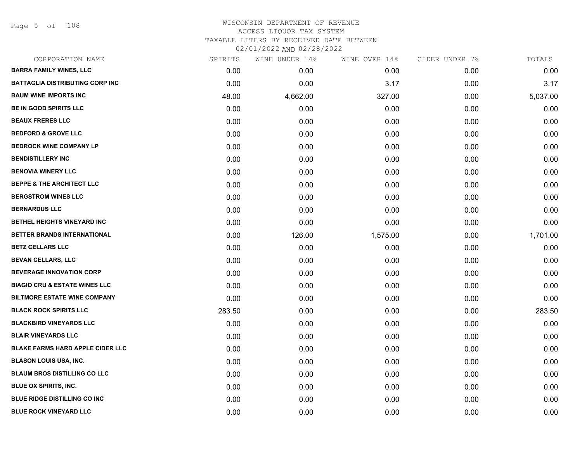Page 5 of 108

| CORPORATION NAME                         | SPIRITS | WINE UNDER 14% | WINE OVER 14% | CIDER UNDER 7% | TOTALS   |
|------------------------------------------|---------|----------------|---------------|----------------|----------|
| <b>BARRA FAMILY WINES, LLC</b>           | 0.00    | 0.00           | 0.00          | 0.00           | 0.00     |
| <b>BATTAGLIA DISTRIBUTING CORP INC</b>   | 0.00    | 0.00           | 3.17          | 0.00           | 3.17     |
| <b>BAUM WINE IMPORTS INC</b>             | 48.00   | 4,662.00       | 327.00        | 0.00           | 5,037.00 |
| <b>BE IN GOOD SPIRITS LLC</b>            | 0.00    | 0.00           | 0.00          | 0.00           | 0.00     |
| <b>BEAUX FRERES LLC</b>                  | 0.00    | 0.00           | 0.00          | 0.00           | 0.00     |
| <b>BEDFORD &amp; GROVE LLC</b>           | 0.00    | 0.00           | 0.00          | 0.00           | 0.00     |
| <b>BEDROCK WINE COMPANY LP</b>           | 0.00    | 0.00           | 0.00          | 0.00           | 0.00     |
| <b>BENDISTILLERY INC</b>                 | 0.00    | 0.00           | 0.00          | 0.00           | 0.00     |
| <b>BENOVIA WINERY LLC</b>                | 0.00    | 0.00           | 0.00          | 0.00           | 0.00     |
| <b>BEPPE &amp; THE ARCHITECT LLC</b>     | 0.00    | 0.00           | 0.00          | 0.00           | 0.00     |
| <b>BERGSTROM WINES LLC</b>               | 0.00    | 0.00           | 0.00          | 0.00           | 0.00     |
| <b>BERNARDUS LLC</b>                     | 0.00    | 0.00           | 0.00          | 0.00           | 0.00     |
| BETHEL HEIGHTS VINEYARD INC              | 0.00    | 0.00           | 0.00          | 0.00           | 0.00     |
| BETTER BRANDS INTERNATIONAL              | 0.00    | 126.00         | 1,575.00      | 0.00           | 1,701.00 |
| <b>BETZ CELLARS LLC</b>                  | 0.00    | 0.00           | 0.00          | 0.00           | 0.00     |
| <b>BEVAN CELLARS, LLC</b>                | 0.00    | 0.00           | 0.00          | 0.00           | 0.00     |
| <b>BEVERAGE INNOVATION CORP</b>          | 0.00    | 0.00           | 0.00          | 0.00           | 0.00     |
| <b>BIAGIO CRU &amp; ESTATE WINES LLC</b> | 0.00    | 0.00           | 0.00          | 0.00           | 0.00     |
| <b>BILTMORE ESTATE WINE COMPANY</b>      | 0.00    | 0.00           | 0.00          | 0.00           | 0.00     |
| <b>BLACK ROCK SPIRITS LLC</b>            | 283.50  | 0.00           | 0.00          | 0.00           | 283.50   |
| <b>BLACKBIRD VINEYARDS LLC</b>           | 0.00    | 0.00           | 0.00          | 0.00           | 0.00     |
| <b>BLAIR VINEYARDS LLC</b>               | 0.00    | 0.00           | 0.00          | 0.00           | 0.00     |
| <b>BLAKE FARMS HARD APPLE CIDER LLC</b>  | 0.00    | 0.00           | 0.00          | 0.00           | 0.00     |
| <b>BLASON LOUIS USA, INC.</b>            | 0.00    | 0.00           | 0.00          | 0.00           | 0.00     |
| <b>BLAUM BROS DISTILLING CO LLC</b>      | 0.00    | 0.00           | 0.00          | 0.00           | 0.00     |
| BLUE OX SPIRITS, INC.                    | 0.00    | 0.00           | 0.00          | 0.00           | 0.00     |
| <b>BLUE RIDGE DISTILLING CO INC</b>      | 0.00    | 0.00           | 0.00          | 0.00           | 0.00     |
| <b>BLUE ROCK VINEYARD LLC</b>            | 0.00    | 0.00           | 0.00          | 0.00           | 0.00     |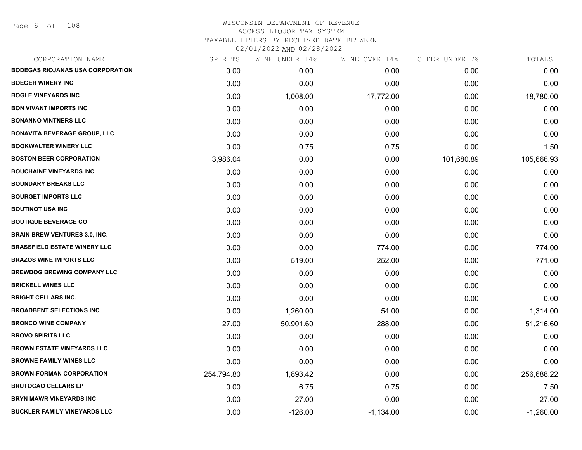Page 6 of 108

| CORPORATION NAME                        | SPIRITS    | WINE UNDER 14% | WINE OVER 14% | CIDER UNDER 7% | TOTALS      |
|-----------------------------------------|------------|----------------|---------------|----------------|-------------|
| <b>BODEGAS RIOJANAS USA CORPORATION</b> | 0.00       | 0.00           | 0.00          | 0.00           | 0.00        |
| <b>BOEGER WINERY INC</b>                | 0.00       | 0.00           | 0.00          | 0.00           | 0.00        |
| <b>BOGLE VINEYARDS INC</b>              | 0.00       | 1,008.00       | 17,772.00     | 0.00           | 18,780.00   |
| <b>BON VIVANT IMPORTS INC</b>           | 0.00       | 0.00           | 0.00          | 0.00           | 0.00        |
| <b>BONANNO VINTNERS LLC</b>             | 0.00       | 0.00           | 0.00          | 0.00           | 0.00        |
| <b>BONAVITA BEVERAGE GROUP, LLC</b>     | 0.00       | 0.00           | 0.00          | 0.00           | 0.00        |
| <b>BOOKWALTER WINERY LLC</b>            | 0.00       | 0.75           | 0.75          | 0.00           | 1.50        |
| <b>BOSTON BEER CORPORATION</b>          | 3,986.04   | 0.00           | 0.00          | 101,680.89     | 105,666.93  |
| <b>BOUCHAINE VINEYARDS INC</b>          | 0.00       | 0.00           | 0.00          | 0.00           | 0.00        |
| <b>BOUNDARY BREAKS LLC</b>              | 0.00       | 0.00           | 0.00          | 0.00           | 0.00        |
| <b>BOURGET IMPORTS LLC</b>              | 0.00       | 0.00           | 0.00          | 0.00           | 0.00        |
| <b>BOUTINOT USA INC</b>                 | 0.00       | 0.00           | 0.00          | 0.00           | 0.00        |
| <b>BOUTIQUE BEVERAGE CO</b>             | 0.00       | 0.00           | 0.00          | 0.00           | 0.00        |
| <b>BRAIN BREW VENTURES 3.0, INC.</b>    | 0.00       | 0.00           | 0.00          | 0.00           | 0.00        |
| <b>BRASSFIELD ESTATE WINERY LLC</b>     | 0.00       | 0.00           | 774.00        | 0.00           | 774.00      |
| <b>BRAZOS WINE IMPORTS LLC</b>          | 0.00       | 519.00         | 252.00        | 0.00           | 771.00      |
| <b>BREWDOG BREWING COMPANY LLC</b>      | 0.00       | 0.00           | 0.00          | 0.00           | 0.00        |
| <b>BRICKELL WINES LLC</b>               | 0.00       | 0.00           | 0.00          | 0.00           | 0.00        |
| <b>BRIGHT CELLARS INC.</b>              | 0.00       | 0.00           | 0.00          | 0.00           | 0.00        |
| <b>BROADBENT SELECTIONS INC</b>         | 0.00       | 1,260.00       | 54.00         | 0.00           | 1,314.00    |
| <b>BRONCO WINE COMPANY</b>              | 27.00      | 50,901.60      | 288.00        | 0.00           | 51,216.60   |
| <b>BROVO SPIRITS LLC</b>                | 0.00       | 0.00           | 0.00          | 0.00           | 0.00        |
| <b>BROWN ESTATE VINEYARDS LLC</b>       | 0.00       | 0.00           | 0.00          | 0.00           | 0.00        |
| <b>BROWNE FAMILY WINES LLC</b>          | 0.00       | 0.00           | 0.00          | 0.00           | 0.00        |
| <b>BROWN-FORMAN CORPORATION</b>         | 254,794.80 | 1,893.42       | 0.00          | 0.00           | 256,688.22  |
| <b>BRUTOCAO CELLARS LP</b>              | 0.00       | 6.75           | 0.75          | 0.00           | 7.50        |
| <b>BRYN MAWR VINEYARDS INC</b>          | 0.00       | 27.00          | 0.00          | 0.00           | 27.00       |
| <b>BUCKLER FAMILY VINEYARDS LLC</b>     | 0.00       | $-126.00$      | $-1,134.00$   | 0.00           | $-1,260.00$ |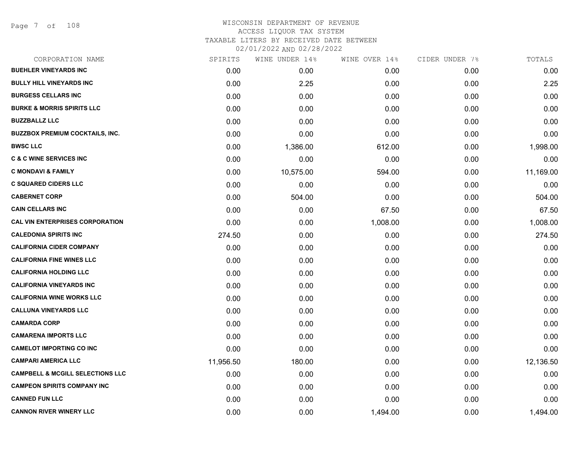| CORPORATION NAME                            | SPIRITS   | WINE UNDER 14% | WINE OVER 14% | CIDER UNDER 7% | TOTALS    |
|---------------------------------------------|-----------|----------------|---------------|----------------|-----------|
| <b>BUEHLER VINEYARDS INC</b>                | 0.00      | 0.00           | 0.00          | 0.00           | 0.00      |
| <b>BULLY HILL VINEYARDS INC</b>             | 0.00      | 2.25           | 0.00          | 0.00           | 2.25      |
| <b>BURGESS CELLARS INC</b>                  | 0.00      | 0.00           | 0.00          | 0.00           | 0.00      |
| <b>BURKE &amp; MORRIS SPIRITS LLC</b>       | 0.00      | 0.00           | 0.00          | 0.00           | 0.00      |
| <b>BUZZBALLZ LLC</b>                        | 0.00      | 0.00           | 0.00          | 0.00           | 0.00      |
| <b>BUZZBOX PREMIUM COCKTAILS, INC.</b>      | 0.00      | 0.00           | 0.00          | 0.00           | 0.00      |
| <b>BWSC LLC</b>                             | 0.00      | 1,386.00       | 612.00        | 0.00           | 1,998.00  |
| <b>C &amp; C WINE SERVICES INC</b>          | 0.00      | 0.00           | 0.00          | 0.00           | 0.00      |
| <b>C MONDAVI &amp; FAMILY</b>               | 0.00      | 10,575.00      | 594.00        | 0.00           | 11,169.00 |
| <b>C SQUARED CIDERS LLC</b>                 | 0.00      | 0.00           | 0.00          | 0.00           | 0.00      |
| <b>CABERNET CORP</b>                        | 0.00      | 504.00         | 0.00          | 0.00           | 504.00    |
| <b>CAIN CELLARS INC</b>                     | 0.00      | 0.00           | 67.50         | 0.00           | 67.50     |
| <b>CAL VIN ENTERPRISES CORPORATION</b>      | 0.00      | 0.00           | 1,008.00      | 0.00           | 1,008.00  |
| <b>CALEDONIA SPIRITS INC</b>                | 274.50    | 0.00           | 0.00          | 0.00           | 274.50    |
| <b>CALIFORNIA CIDER COMPANY</b>             | 0.00      | 0.00           | 0.00          | 0.00           | 0.00      |
| <b>CALIFORNIA FINE WINES LLC</b>            | 0.00      | 0.00           | 0.00          | 0.00           | 0.00      |
| <b>CALIFORNIA HOLDING LLC</b>               | 0.00      | 0.00           | 0.00          | 0.00           | 0.00      |
| <b>CALIFORNIA VINEYARDS INC</b>             | 0.00      | 0.00           | 0.00          | 0.00           | 0.00      |
| <b>CALIFORNIA WINE WORKS LLC</b>            | 0.00      | 0.00           | 0.00          | 0.00           | 0.00      |
| <b>CALLUNA VINEYARDS LLC</b>                | 0.00      | 0.00           | 0.00          | 0.00           | 0.00      |
| <b>CAMARDA CORP</b>                         | 0.00      | 0.00           | 0.00          | 0.00           | 0.00      |
| <b>CAMARENA IMPORTS LLC</b>                 | 0.00      | 0.00           | 0.00          | 0.00           | 0.00      |
| <b>CAMELOT IMPORTING CO INC</b>             | 0.00      | 0.00           | 0.00          | 0.00           | 0.00      |
| <b>CAMPARI AMERICA LLC</b>                  | 11,956.50 | 180.00         | 0.00          | 0.00           | 12,136.50 |
| <b>CAMPBELL &amp; MCGILL SELECTIONS LLC</b> | 0.00      | 0.00           | 0.00          | 0.00           | 0.00      |
| <b>CAMPEON SPIRITS COMPANY INC</b>          | 0.00      | 0.00           | 0.00          | 0.00           | 0.00      |
| <b>CANNED FUN LLC</b>                       | 0.00      | 0.00           | 0.00          | 0.00           | 0.00      |
| <b>CANNON RIVER WINERY LLC</b>              | 0.00      | 0.00           | 1,494.00      | 0.00           | 1,494.00  |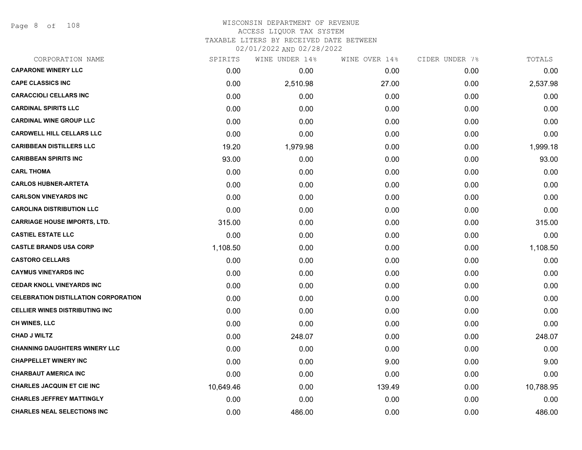Page 8 of 108

#### WISCONSIN DEPARTMENT OF REVENUE ACCESS LIQUOR TAX SYSTEM TAXABLE LITERS BY RECEIVED DATE BETWEEN

| CORPORATION NAME                            | SPIRITS   | WINE UNDER 14% | WINE OVER 14% | CIDER UNDER 7% | TOTALS    |
|---------------------------------------------|-----------|----------------|---------------|----------------|-----------|
| <b>CAPARONE WINERY LLC</b>                  | 0.00      | 0.00           | 0.00          | 0.00           | 0.00      |
| <b>CAPE CLASSICS INC</b>                    | 0.00      | 2,510.98       | 27.00         | 0.00           | 2,537.98  |
| <b>CARACCIOLI CELLARS INC</b>               | 0.00      | 0.00           | 0.00          | 0.00           | 0.00      |
| <b>CARDINAL SPIRITS LLC</b>                 | 0.00      | 0.00           | 0.00          | 0.00           | 0.00      |
| <b>CARDINAL WINE GROUP LLC</b>              | 0.00      | 0.00           | 0.00          | 0.00           | 0.00      |
| <b>CARDWELL HILL CELLARS LLC</b>            | 0.00      | 0.00           | 0.00          | 0.00           | 0.00      |
| <b>CARIBBEAN DISTILLERS LLC</b>             | 19.20     | 1,979.98       | 0.00          | 0.00           | 1,999.18  |
| <b>CARIBBEAN SPIRITS INC</b>                | 93.00     | 0.00           | 0.00          | 0.00           | 93.00     |
| <b>CARL THOMA</b>                           | 0.00      | 0.00           | 0.00          | 0.00           | 0.00      |
| <b>CARLOS HUBNER-ARTETA</b>                 | 0.00      | 0.00           | 0.00          | 0.00           | 0.00      |
| <b>CARLSON VINEYARDS INC</b>                | 0.00      | 0.00           | 0.00          | 0.00           | 0.00      |
| <b>CAROLINA DISTRIBUTION LLC</b>            | 0.00      | 0.00           | 0.00          | 0.00           | 0.00      |
| <b>CARRIAGE HOUSE IMPORTS, LTD.</b>         | 315.00    | 0.00           | 0.00          | 0.00           | 315.00    |
| <b>CASTIEL ESTATE LLC</b>                   | 0.00      | 0.00           | 0.00          | 0.00           | 0.00      |
| <b>CASTLE BRANDS USA CORP</b>               | 1,108.50  | 0.00           | 0.00          | 0.00           | 1,108.50  |
| <b>CASTORO CELLARS</b>                      | 0.00      | 0.00           | 0.00          | 0.00           | 0.00      |
| <b>CAYMUS VINEYARDS INC</b>                 | 0.00      | 0.00           | 0.00          | 0.00           | 0.00      |
| <b>CEDAR KNOLL VINEYARDS INC</b>            | 0.00      | 0.00           | 0.00          | 0.00           | 0.00      |
| <b>CELEBRATION DISTILLATION CORPORATION</b> | 0.00      | 0.00           | 0.00          | 0.00           | 0.00      |
| <b>CELLIER WINES DISTRIBUTING INC</b>       | 0.00      | 0.00           | 0.00          | 0.00           | 0.00      |
| <b>CH WINES, LLC</b>                        | 0.00      | 0.00           | 0.00          | 0.00           | 0.00      |
| <b>CHAD J WILTZ</b>                         | 0.00      | 248.07         | 0.00          | 0.00           | 248.07    |
| <b>CHANNING DAUGHTERS WINERY LLC</b>        | 0.00      | 0.00           | 0.00          | 0.00           | 0.00      |
| <b>CHAPPELLET WINERY INC</b>                | 0.00      | 0.00           | 9.00          | 0.00           | 9.00      |
| <b>CHARBAUT AMERICA INC</b>                 | 0.00      | 0.00           | 0.00          | 0.00           | 0.00      |
| <b>CHARLES JACQUIN ET CIE INC</b>           | 10,649.46 | 0.00           | 139.49        | 0.00           | 10,788.95 |
| <b>CHARLES JEFFREY MATTINGLY</b>            | 0.00      | 0.00           | 0.00          | 0.00           | 0.00      |
| <b>CHARLES NEAL SELECTIONS INC</b>          | 0.00      | 486.00         | 0.00          | 0.00           | 486.00    |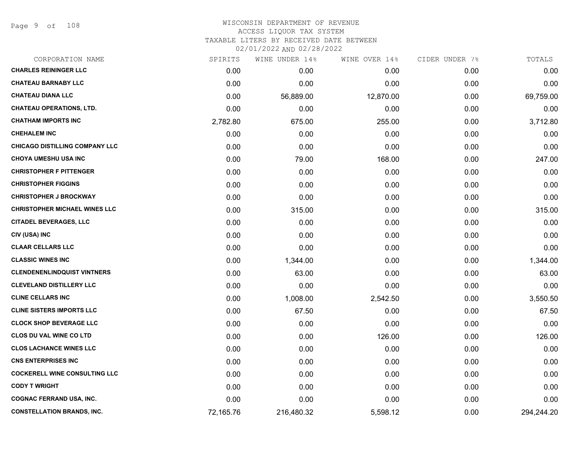Page 9 of 108

### WISCONSIN DEPARTMENT OF REVENUE ACCESS LIQUOR TAX SYSTEM TAXABLE LITERS BY RECEIVED DATE BETWEEN

| CORPORATION NAME                      | SPIRITS   | WINE UNDER 14% | WINE OVER 14% | CIDER UNDER 7% | TOTALS     |
|---------------------------------------|-----------|----------------|---------------|----------------|------------|
| <b>CHARLES REININGER LLC</b>          | 0.00      | 0.00           | 0.00          | 0.00           | 0.00       |
| <b>CHATEAU BARNABY LLC</b>            | 0.00      | 0.00           | 0.00          | 0.00           | 0.00       |
| <b>CHATEAU DIANA LLC</b>              | 0.00      | 56,889.00      | 12,870.00     | 0.00           | 69,759.00  |
| <b>CHATEAU OPERATIONS, LTD.</b>       | 0.00      | 0.00           | 0.00          | 0.00           | 0.00       |
| <b>CHATHAM IMPORTS INC</b>            | 2,782.80  | 675.00         | 255.00        | 0.00           | 3,712.80   |
| <b>CHEHALEM INC</b>                   | 0.00      | 0.00           | 0.00          | 0.00           | 0.00       |
| <b>CHICAGO DISTILLING COMPANY LLC</b> | 0.00      | 0.00           | 0.00          | 0.00           | 0.00       |
| <b>CHOYA UMESHU USA INC</b>           | 0.00      | 79.00          | 168.00        | 0.00           | 247.00     |
| <b>CHRISTOPHER F PITTENGER</b>        | 0.00      | 0.00           | 0.00          | 0.00           | 0.00       |
| <b>CHRISTOPHER FIGGINS</b>            | 0.00      | 0.00           | 0.00          | 0.00           | 0.00       |
| <b>CHRISTOPHER J BROCKWAY</b>         | 0.00      | 0.00           | 0.00          | 0.00           | 0.00       |
| <b>CHRISTOPHER MICHAEL WINES LLC</b>  | 0.00      | 315.00         | 0.00          | 0.00           | 315.00     |
| <b>CITADEL BEVERAGES, LLC</b>         | 0.00      | 0.00           | 0.00          | 0.00           | 0.00       |
| CIV (USA) INC                         | 0.00      | 0.00           | 0.00          | 0.00           | 0.00       |
| <b>CLAAR CELLARS LLC</b>              | 0.00      | 0.00           | 0.00          | 0.00           | 0.00       |
| <b>CLASSIC WINES INC</b>              | 0.00      | 1,344.00       | 0.00          | 0.00           | 1,344.00   |
| <b>CLENDENENLINDQUIST VINTNERS</b>    | 0.00      | 63.00          | 0.00          | 0.00           | 63.00      |
| <b>CLEVELAND DISTILLERY LLC</b>       | 0.00      | 0.00           | 0.00          | 0.00           | 0.00       |
| <b>CLINE CELLARS INC</b>              | 0.00      | 1,008.00       | 2,542.50      | 0.00           | 3,550.50   |
| <b>CLINE SISTERS IMPORTS LLC</b>      | 0.00      | 67.50          | 0.00          | 0.00           | 67.50      |
| <b>CLOCK SHOP BEVERAGE LLC</b>        | 0.00      | 0.00           | 0.00          | 0.00           | 0.00       |
| <b>CLOS DU VAL WINE CO LTD</b>        | 0.00      | 0.00           | 126.00        | 0.00           | 126.00     |
| <b>CLOS LACHANCE WINES LLC</b>        | 0.00      | 0.00           | 0.00          | 0.00           | 0.00       |
| <b>CNS ENTERPRISES INC</b>            | 0.00      | 0.00           | 0.00          | 0.00           | 0.00       |
| <b>COCKERELL WINE CONSULTING LLC</b>  | 0.00      | 0.00           | 0.00          | 0.00           | 0.00       |
| <b>CODY T WRIGHT</b>                  | 0.00      | 0.00           | 0.00          | 0.00           | 0.00       |
| <b>COGNAC FERRAND USA, INC.</b>       | 0.00      | 0.00           | 0.00          | 0.00           | 0.00       |
| <b>CONSTELLATION BRANDS, INC.</b>     | 72,165.76 | 216,480.32     | 5,598.12      | 0.00           | 294,244.20 |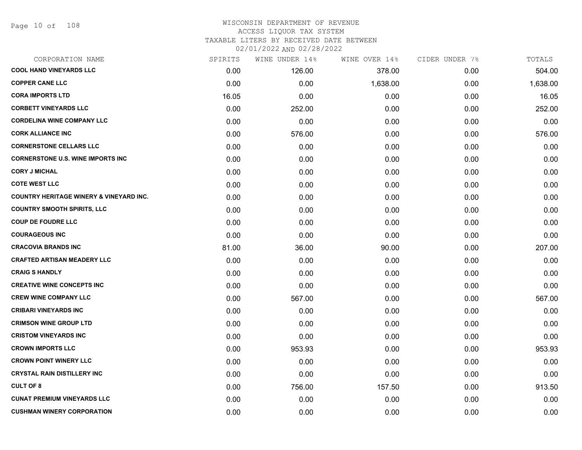| CORPORATION NAME                                   | SPIRITS | WINE UNDER 14% | WINE OVER 14% | CIDER UNDER 7% | TOTALS   |
|----------------------------------------------------|---------|----------------|---------------|----------------|----------|
| <b>COOL HAND VINEYARDS LLC</b>                     | 0.00    | 126.00         | 378.00        | 0.00           | 504.00   |
| <b>COPPER CANE LLC</b>                             | 0.00    | 0.00           | 1,638.00      | 0.00           | 1,638.00 |
| <b>CORA IMPORTS LTD</b>                            | 16.05   | 0.00           | 0.00          | 0.00           | 16.05    |
| <b>CORBETT VINEYARDS LLC</b>                       | 0.00    | 252.00         | 0.00          | 0.00           | 252.00   |
| <b>CORDELINA WINE COMPANY LLC</b>                  | 0.00    | 0.00           | 0.00          | 0.00           | 0.00     |
| <b>CORK ALLIANCE INC</b>                           | 0.00    | 576.00         | 0.00          | 0.00           | 576.00   |
| <b>CORNERSTONE CELLARS LLC</b>                     | 0.00    | 0.00           | 0.00          | 0.00           | 0.00     |
| <b>CORNERSTONE U.S. WINE IMPORTS INC</b>           | 0.00    | 0.00           | 0.00          | 0.00           | 0.00     |
| <b>CORY J MICHAL</b>                               | 0.00    | 0.00           | 0.00          | 0.00           | 0.00     |
| <b>COTE WEST LLC</b>                               | 0.00    | 0.00           | 0.00          | 0.00           | 0.00     |
| <b>COUNTRY HERITAGE WINERY &amp; VINEYARD INC.</b> | 0.00    | 0.00           | 0.00          | 0.00           | 0.00     |
| <b>COUNTRY SMOOTH SPIRITS, LLC</b>                 | 0.00    | 0.00           | 0.00          | 0.00           | 0.00     |
| <b>COUP DE FOUDRE LLC</b>                          | 0.00    | 0.00           | 0.00          | 0.00           | 0.00     |
| <b>COURAGEOUS INC</b>                              | 0.00    | 0.00           | 0.00          | 0.00           | 0.00     |
| <b>CRACOVIA BRANDS INC</b>                         | 81.00   | 36.00          | 90.00         | 0.00           | 207.00   |
| <b>CRAFTED ARTISAN MEADERY LLC</b>                 | 0.00    | 0.00           | 0.00          | 0.00           | 0.00     |
| <b>CRAIG S HANDLY</b>                              | 0.00    | 0.00           | 0.00          | 0.00           | 0.00     |
| <b>CREATIVE WINE CONCEPTS INC</b>                  | 0.00    | 0.00           | 0.00          | 0.00           | 0.00     |
| <b>CREW WINE COMPANY LLC</b>                       | 0.00    | 567.00         | 0.00          | 0.00           | 567.00   |
| <b>CRIBARI VINEYARDS INC</b>                       | 0.00    | 0.00           | 0.00          | 0.00           | 0.00     |
| <b>CRIMSON WINE GROUP LTD</b>                      | 0.00    | 0.00           | 0.00          | 0.00           | 0.00     |
| <b>CRISTOM VINEYARDS INC</b>                       | 0.00    | 0.00           | 0.00          | 0.00           | 0.00     |
| <b>CROWN IMPORTS LLC</b>                           | 0.00    | 953.93         | 0.00          | 0.00           | 953.93   |
| <b>CROWN POINT WINERY LLC</b>                      | 0.00    | 0.00           | 0.00          | 0.00           | 0.00     |
| <b>CRYSTAL RAIN DISTILLERY INC</b>                 | 0.00    | 0.00           | 0.00          | 0.00           | 0.00     |
| <b>CULT OF 8</b>                                   | 0.00    | 756.00         | 157.50        | 0.00           | 913.50   |
| <b>CUNAT PREMIUM VINEYARDS LLC</b>                 | 0.00    | 0.00           | 0.00          | 0.00           | 0.00     |
| <b>CUSHMAN WINERY CORPORATION</b>                  | 0.00    | 0.00           | 0.00          | 0.00           | 0.00     |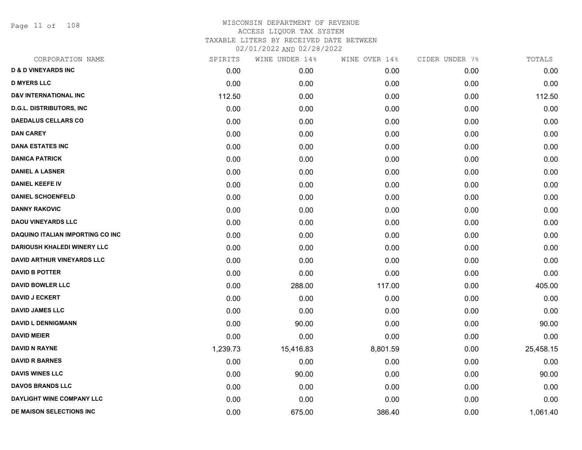Page 11 of 108

| CORPORATION NAME                   | SPIRITS  | WINE UNDER 14% | WINE OVER 14% | CIDER UNDER 7% | TOTALS    |
|------------------------------------|----------|----------------|---------------|----------------|-----------|
| <b>D &amp; D VINEYARDS INC</b>     | 0.00     | 0.00           | 0.00          | 0.00           | 0.00      |
| <b>D MYERS LLC</b>                 | 0.00     | 0.00           | 0.00          | 0.00           | 0.00      |
| <b>D&amp;V INTERNATIONAL INC</b>   | 112.50   | 0.00           | 0.00          | 0.00           | 112.50    |
| <b>D.G.L. DISTRIBUTORS, INC</b>    | 0.00     | 0.00           | 0.00          | 0.00           | 0.00      |
| <b>DAEDALUS CELLARS CO</b>         | 0.00     | 0.00           | 0.00          | 0.00           | 0.00      |
| <b>DAN CAREY</b>                   | 0.00     | 0.00           | 0.00          | 0.00           | 0.00      |
| <b>DANA ESTATES INC</b>            | 0.00     | 0.00           | 0.00          | 0.00           | 0.00      |
| <b>DANICA PATRICK</b>              | 0.00     | 0.00           | 0.00          | 0.00           | 0.00      |
| <b>DANIEL A LASNER</b>             | 0.00     | 0.00           | 0.00          | 0.00           | 0.00      |
| <b>DANIEL KEEFE IV</b>             | 0.00     | 0.00           | 0.00          | 0.00           | 0.00      |
| <b>DANIEL SCHOENFELD</b>           | 0.00     | 0.00           | 0.00          | 0.00           | 0.00      |
| <b>DANNY RAKOVIC</b>               | 0.00     | 0.00           | 0.00          | 0.00           | 0.00      |
| <b>DAOU VINEYARDS LLC</b>          | 0.00     | 0.00           | 0.00          | 0.00           | 0.00      |
| DAQUINO ITALIAN IMPORTING CO INC   | 0.00     | 0.00           | 0.00          | 0.00           | 0.00      |
| <b>DARIOUSH KHALEDI WINERY LLC</b> | 0.00     | 0.00           | 0.00          | 0.00           | 0.00      |
| DAVID ARTHUR VINEYARDS LLC         | 0.00     | 0.00           | 0.00          | 0.00           | 0.00      |
| <b>DAVID B POTTER</b>              | 0.00     | 0.00           | 0.00          | 0.00           | 0.00      |
| <b>DAVID BOWLER LLC</b>            | 0.00     | 288.00         | 117.00        | 0.00           | 405.00    |
| <b>DAVID J ECKERT</b>              | 0.00     | 0.00           | 0.00          | 0.00           | 0.00      |
| <b>DAVID JAMES LLC</b>             | 0.00     | 0.00           | 0.00          | 0.00           | 0.00      |
| <b>DAVID L DENNIGMANN</b>          | 0.00     | 90.00          | 0.00          | 0.00           | 90.00     |
| <b>DAVID MEIER</b>                 | 0.00     | 0.00           | 0.00          | 0.00           | 0.00      |
| <b>DAVID N RAYNE</b>               | 1,239.73 | 15,416.83      | 8,801.59      | 0.00           | 25,458.15 |
| <b>DAVID R BARNES</b>              | 0.00     | 0.00           | 0.00          | 0.00           | 0.00      |
| <b>DAVIS WINES LLC</b>             | 0.00     | 90.00          | 0.00          | 0.00           | 90.00     |
| <b>DAVOS BRANDS LLC</b>            | 0.00     | 0.00           | 0.00          | 0.00           | 0.00      |
| DAYLIGHT WINE COMPANY LLC          | 0.00     | 0.00           | 0.00          | 0.00           | 0.00      |
| DE MAISON SELECTIONS INC           | 0.00     | 675.00         | 386.40        | 0.00           | 1,061.40  |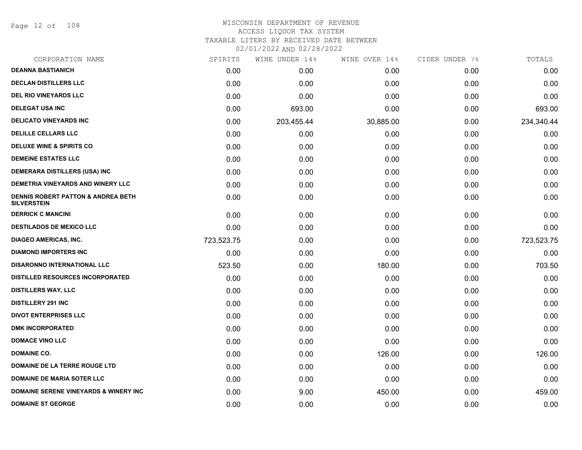Page 12 of 108

## WISCONSIN DEPARTMENT OF REVENUE ACCESS LIQUOR TAX SYSTEM TAXABLE LITERS BY RECEIVED DATE BETWEEN

| CORPORATION NAME                                                    | SPIRITS    | WINE UNDER 14% | WINE OVER 14% | CIDER UNDER 7% | TOTALS     |
|---------------------------------------------------------------------|------------|----------------|---------------|----------------|------------|
| <b>DEANNA BASTIANICH</b>                                            | 0.00       | 0.00           | 0.00          | 0.00           | 0.00       |
| <b>DECLAN DISTILLERS LLC</b>                                        | 0.00       | 0.00           | 0.00          | 0.00           | 0.00       |
| <b>DEL RIO VINEYARDS LLC</b>                                        | 0.00       | 0.00           | 0.00          | 0.00           | 0.00       |
| <b>DELEGAT USA INC</b>                                              | 0.00       | 693.00         | 0.00          | 0.00           | 693.00     |
| <b>DELICATO VINEYARDS INC</b>                                       | 0.00       | 203,455.44     | 30,885.00     | 0.00           | 234,340.44 |
| <b>DELILLE CELLARS LLC</b>                                          | 0.00       | 0.00           | 0.00          | 0.00           | 0.00       |
| <b>DELUXE WINE &amp; SPIRITS CO</b>                                 | 0.00       | 0.00           | 0.00          | 0.00           | 0.00       |
| <b>DEMEINE ESTATES LLC</b>                                          | 0.00       | 0.00           | 0.00          | 0.00           | 0.00       |
| <b>DEMERARA DISTILLERS (USA) INC</b>                                | 0.00       | 0.00           | 0.00          | 0.00           | 0.00       |
| DEMETRIA VINEYARDS AND WINERY LLC                                   | 0.00       | 0.00           | 0.00          | 0.00           | 0.00       |
| <b>DENNIS ROBERT PATTON &amp; ANDREA BETH</b><br><b>SILVERSTEIN</b> | 0.00       | 0.00           | 0.00          | 0.00           | 0.00       |
| <b>DERRICK C MANCINI</b>                                            | 0.00       | 0.00           | 0.00          | 0.00           | 0.00       |
| <b>DESTILADOS DE MEXICO LLC</b>                                     | 0.00       | 0.00           | 0.00          | 0.00           | 0.00       |
| <b>DIAGEO AMERICAS, INC.</b>                                        | 723,523.75 | 0.00           | 0.00          | 0.00           | 723,523.75 |
| <b>DIAMOND IMPORTERS INC</b>                                        | 0.00       | 0.00           | 0.00          | 0.00           | 0.00       |
| <b>DISARONNO INTERNATIONAL LLC</b>                                  | 523.50     | 0.00           | 180.00        | 0.00           | 703.50     |
| <b>DISTILLED RESOURCES INCORPORATED</b>                             | 0.00       | 0.00           | 0.00          | 0.00           | 0.00       |
| <b>DISTILLERS WAY, LLC</b>                                          | 0.00       | 0.00           | 0.00          | 0.00           | 0.00       |
| <b>DISTILLERY 291 INC</b>                                           | 0.00       | 0.00           | 0.00          | 0.00           | 0.00       |
| <b>DIVOT ENTERPRISES LLC</b>                                        | 0.00       | 0.00           | 0.00          | 0.00           | 0.00       |
| <b>DMK INCORPORATED</b>                                             | 0.00       | 0.00           | 0.00          | 0.00           | 0.00       |
| <b>DOMACE VINO LLC</b>                                              | 0.00       | 0.00           | 0.00          | 0.00           | 0.00       |
| <b>DOMAINE CO.</b>                                                  | 0.00       | 0.00           | 126.00        | 0.00           | 126.00     |
| DOMAINE DE LA TERRE ROUGE LTD                                       | 0.00       | 0.00           | 0.00          | 0.00           | 0.00       |
| <b>DOMAINE DE MARIA SOTER LLC</b>                                   | 0.00       | 0.00           | 0.00          | 0.00           | 0.00       |
| <b>DOMAINE SERENE VINEYARDS &amp; WINERY INC</b>                    | 0.00       | 9.00           | 450.00        | 0.00           | 459.00     |
| <b>DOMAINE ST GEORGE</b>                                            | 0.00       | 0.00           | 0.00          | 0.00           | 0.00       |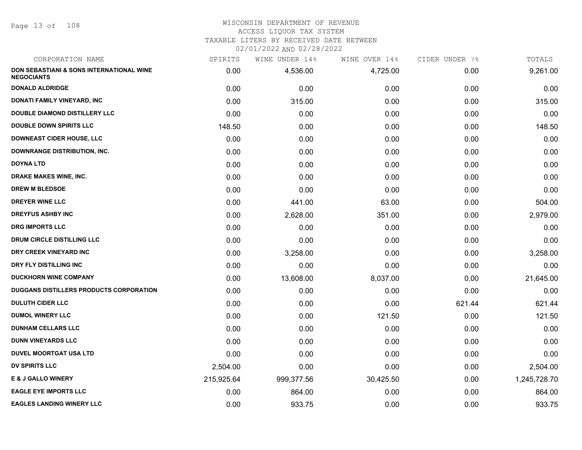Page 13 of 108

#### WISCONSIN DEPARTMENT OF REVENUE ACCESS LIQUOR TAX SYSTEM

TAXABLE LITERS BY RECEIVED DATE BETWEEN

| CORPORATION NAME                                              | SPIRITS    | WINE UNDER 14% | WINE OVER 14% | CIDER UNDER 7% | TOTALS       |
|---------------------------------------------------------------|------------|----------------|---------------|----------------|--------------|
| DON SEBASTIANI & SONS INTERNATIONAL WINE<br><b>NEGOCIANTS</b> | 0.00       | 4,536.00       | 4,725.00      | 0.00           | 9,261.00     |
| <b>DONALD ALDRIDGE</b>                                        | 0.00       | 0.00           | 0.00          | 0.00           | 0.00         |
| DONATI FAMILY VINEYARD, INC                                   | 0.00       | 315.00         | 0.00          | 0.00           | 315.00       |
| <b>DOUBLE DIAMOND DISTILLERY LLC</b>                          | 0.00       | 0.00           | 0.00          | 0.00           | 0.00         |
| <b>DOUBLE DOWN SPIRITS LLC</b>                                | 148.50     | 0.00           | 0.00          | 0.00           | 148.50       |
| <b>DOWNEAST CIDER HOUSE, LLC</b>                              | 0.00       | 0.00           | 0.00          | 0.00           | 0.00         |
| <b>DOWNRANGE DISTRIBUTION, INC.</b>                           | 0.00       | 0.00           | 0.00          | 0.00           | 0.00         |
| <b>DOYNA LTD</b>                                              | 0.00       | 0.00           | 0.00          | 0.00           | 0.00         |
| DRAKE MAKES WINE, INC.                                        | 0.00       | 0.00           | 0.00          | 0.00           | 0.00         |
| <b>DREW M BLEDSOE</b>                                         | 0.00       | 0.00           | 0.00          | 0.00           | 0.00         |
| DREYER WINE LLC                                               | 0.00       | 441.00         | 63.00         | 0.00           | 504.00       |
| <b>DREYFUS ASHBY INC</b>                                      | 0.00       | 2,628.00       | 351.00        | 0.00           | 2,979.00     |
| <b>DRG IMPORTS LLC</b>                                        | 0.00       | 0.00           | 0.00          | 0.00           | 0.00         |
| DRUM CIRCLE DISTILLING LLC                                    | 0.00       | 0.00           | 0.00          | 0.00           | 0.00         |
| DRY CREEK VINEYARD INC                                        | 0.00       | 3,258.00       | 0.00          | 0.00           | 3,258.00     |
| DRY FLY DISTILLING INC                                        | 0.00       | 0.00           | 0.00          | 0.00           | 0.00         |
| <b>DUCKHORN WINE COMPANY</b>                                  | 0.00       | 13,608.00      | 8,037.00      | 0.00           | 21,645.00    |
| DUGGANS DISTILLERS PRODUCTS CORPORATION                       | 0.00       | 0.00           | 0.00          | 0.00           | 0.00         |
| <b>DULUTH CIDER LLC</b>                                       | 0.00       | 0.00           | 0.00          | 621.44         | 621.44       |
| <b>DUMOL WINERY LLC</b>                                       | 0.00       | 0.00           | 121.50        | 0.00           | 121.50       |
| <b>DUNHAM CELLARS LLC</b>                                     | 0.00       | 0.00           | 0.00          | 0.00           | 0.00         |
| <b>DUNN VINEYARDS LLC</b>                                     | 0.00       | 0.00           | 0.00          | 0.00           | 0.00         |
| <b>DUVEL MOORTGAT USA LTD</b>                                 | 0.00       | 0.00           | 0.00          | 0.00           | 0.00         |
| <b>DV SPIRITS LLC</b>                                         | 2,504.00   | 0.00           | 0.00          | 0.00           | 2,504.00     |
| <b>E &amp; J GALLO WINERY</b>                                 | 215,925.64 | 999,377.56     | 30,425.50     | 0.00           | 1,245,728.70 |
| <b>EAGLE EYE IMPORTS LLC</b>                                  | 0.00       | 864.00         | 0.00          | 0.00           | 864.00       |
| <b>EAGLES LANDING WINERY LLC</b>                              | 0.00       | 933.75         | 0.00          | 0.00           | 933.75       |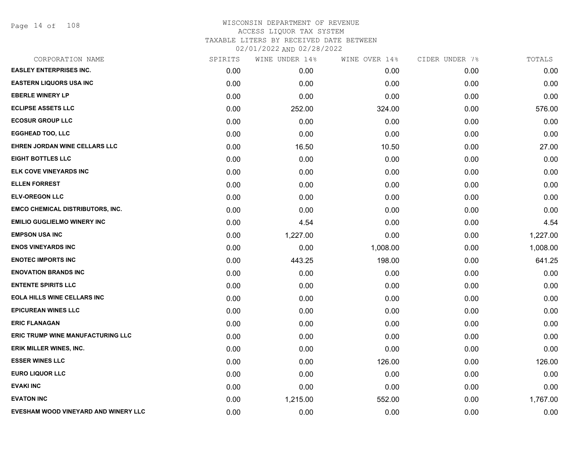Page 14 of 108

| CORPORATION NAME                        | SPIRITS | WINE UNDER 14% | WINE OVER 14% | CIDER UNDER 7% | TOTALS   |
|-----------------------------------------|---------|----------------|---------------|----------------|----------|
| <b>EASLEY ENTERPRISES INC.</b>          | 0.00    | 0.00           | 0.00          | 0.00           | 0.00     |
| <b>EASTERN LIQUORS USA INC</b>          | 0.00    | 0.00           | 0.00          | 0.00           | 0.00     |
| <b>EBERLE WINERY LP</b>                 | 0.00    | 0.00           | 0.00          | 0.00           | 0.00     |
| <b>ECLIPSE ASSETS LLC</b>               | 0.00    | 252.00         | 324.00        | 0.00           | 576.00   |
| <b>ECOSUR GROUP LLC</b>                 | 0.00    | 0.00           | 0.00          | 0.00           | 0.00     |
| <b>EGGHEAD TOO, LLC</b>                 | 0.00    | 0.00           | 0.00          | 0.00           | 0.00     |
| EHREN JORDAN WINE CELLARS LLC           | 0.00    | 16.50          | 10.50         | 0.00           | 27.00    |
| <b>EIGHT BOTTLES LLC</b>                | 0.00    | 0.00           | 0.00          | 0.00           | 0.00     |
| ELK COVE VINEYARDS INC                  | 0.00    | 0.00           | 0.00          | 0.00           | 0.00     |
| <b>ELLEN FORREST</b>                    | 0.00    | 0.00           | 0.00          | 0.00           | 0.00     |
| <b>ELV-OREGON LLC</b>                   | 0.00    | 0.00           | 0.00          | 0.00           | 0.00     |
| <b>EMCO CHEMICAL DISTRIBUTORS, INC.</b> | 0.00    | 0.00           | 0.00          | 0.00           | 0.00     |
| <b>EMILIO GUGLIELMO WINERY INC</b>      | 0.00    | 4.54           | 0.00          | 0.00           | 4.54     |
| <b>EMPSON USA INC</b>                   | 0.00    | 1,227.00       | 0.00          | 0.00           | 1,227.00 |
| <b>ENOS VINEYARDS INC</b>               | 0.00    | 0.00           | 1,008.00      | 0.00           | 1,008.00 |
| <b>ENOTEC IMPORTS INC</b>               | 0.00    | 443.25         | 198.00        | 0.00           | 641.25   |
| <b>ENOVATION BRANDS INC</b>             | 0.00    | 0.00           | 0.00          | 0.00           | 0.00     |
| <b>ENTENTE SPIRITS LLC</b>              | 0.00    | 0.00           | 0.00          | 0.00           | 0.00     |
| <b>EOLA HILLS WINE CELLARS INC</b>      | 0.00    | 0.00           | 0.00          | 0.00           | 0.00     |
| <b>EPICUREAN WINES LLC</b>              | 0.00    | 0.00           | 0.00          | 0.00           | 0.00     |
| <b>ERIC FLANAGAN</b>                    | 0.00    | 0.00           | 0.00          | 0.00           | 0.00     |
| ERIC TRUMP WINE MANUFACTURING LLC       | 0.00    | 0.00           | 0.00          | 0.00           | 0.00     |
| <b>ERIK MILLER WINES, INC.</b>          | 0.00    | 0.00           | 0.00          | 0.00           | 0.00     |
| <b>ESSER WINES LLC</b>                  | 0.00    | 0.00           | 126.00        | 0.00           | 126.00   |
| <b>EURO LIQUOR LLC</b>                  | 0.00    | 0.00           | 0.00          | 0.00           | 0.00     |
| <b>EVAKI INC</b>                        | 0.00    | 0.00           | 0.00          | 0.00           | 0.00     |
| <b>EVATON INC</b>                       | 0.00    | 1,215.00       | 552.00        | 0.00           | 1,767.00 |
| EVESHAM WOOD VINEYARD AND WINERY LLC    | 0.00    | 0.00           | 0.00          | 0.00           | 0.00     |
|                                         |         |                |               |                |          |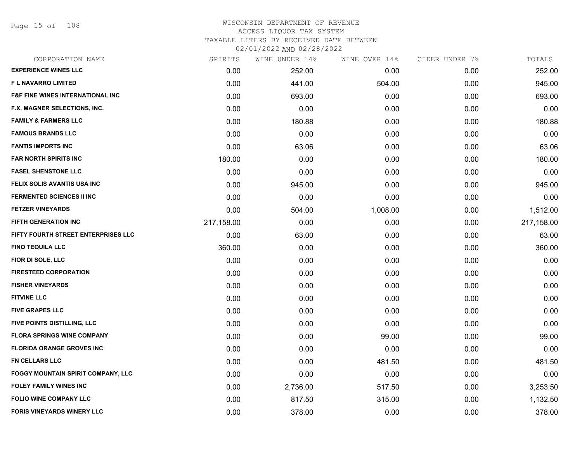Page 15 of 108

| CORPORATION NAME                            | SPIRITS    | WINE UNDER 14% | WINE OVER 14% | CIDER UNDER 7% | TOTALS     |
|---------------------------------------------|------------|----------------|---------------|----------------|------------|
| <b>EXPERIENCE WINES LLC</b>                 | 0.00       | 252.00         | 0.00          | 0.00           | 252.00     |
| F L NAVARRO LIMITED                         | 0.00       | 441.00         | 504.00        | 0.00           | 945.00     |
| <b>F&amp;F FINE WINES INTERNATIONAL INC</b> | 0.00       | 693.00         | 0.00          | 0.00           | 693.00     |
| F.X. MAGNER SELECTIONS, INC.                | 0.00       | 0.00           | 0.00          | 0.00           | 0.00       |
| <b>FAMILY &amp; FARMERS LLC</b>             | 0.00       | 180.88         | 0.00          | 0.00           | 180.88     |
| <b>FAMOUS BRANDS LLC</b>                    | 0.00       | 0.00           | 0.00          | 0.00           | 0.00       |
| <b>FANTIS IMPORTS INC</b>                   | 0.00       | 63.06          | 0.00          | 0.00           | 63.06      |
| <b>FAR NORTH SPIRITS INC</b>                | 180.00     | 0.00           | 0.00          | 0.00           | 180.00     |
| <b>FASEL SHENSTONE LLC</b>                  | 0.00       | 0.00           | 0.00          | 0.00           | 0.00       |
| FELIX SOLIS AVANTIS USA INC                 | 0.00       | 945.00         | 0.00          | 0.00           | 945.00     |
| <b>FERMENTED SCIENCES II INC</b>            | 0.00       | 0.00           | 0.00          | 0.00           | 0.00       |
| <b>FETZER VINEYARDS</b>                     | 0.00       | 504.00         | 1,008.00      | 0.00           | 1,512.00   |
| FIFTH GENERATION INC                        | 217,158.00 | 0.00           | 0.00          | 0.00           | 217,158.00 |
| FIFTY FOURTH STREET ENTERPRISES LLC         | 0.00       | 63.00          | 0.00          | 0.00           | 63.00      |
| <b>FINO TEQUILA LLC</b>                     | 360.00     | 0.00           | 0.00          | 0.00           | 360.00     |
| FIOR DI SOLE, LLC                           | 0.00       | 0.00           | 0.00          | 0.00           | 0.00       |
| <b>FIRESTEED CORPORATION</b>                | 0.00       | 0.00           | 0.00          | 0.00           | 0.00       |
| <b>FISHER VINEYARDS</b>                     | 0.00       | 0.00           | 0.00          | 0.00           | 0.00       |
| <b>FITVINE LLC</b>                          | 0.00       | 0.00           | 0.00          | 0.00           | 0.00       |
| <b>FIVE GRAPES LLC</b>                      | 0.00       | 0.00           | 0.00          | 0.00           | 0.00       |
| FIVE POINTS DISTILLING, LLC                 | 0.00       | 0.00           | 0.00          | 0.00           | 0.00       |
| <b>FLORA SPRINGS WINE COMPANY</b>           | 0.00       | 0.00           | 99.00         | 0.00           | 99.00      |
| <b>FLORIDA ORANGE GROVES INC</b>            | 0.00       | 0.00           | 0.00          | 0.00           | 0.00       |
| <b>FN CELLARS LLC</b>                       | 0.00       | 0.00           | 481.50        | 0.00           | 481.50     |
| FOGGY MOUNTAIN SPIRIT COMPANY, LLC          | 0.00       | 0.00           | 0.00          | 0.00           | 0.00       |
| <b>FOLEY FAMILY WINES INC</b>               | 0.00       | 2,736.00       | 517.50        | 0.00           | 3,253.50   |
| <b>FOLIO WINE COMPANY LLC</b>               | 0.00       | 817.50         | 315.00        | 0.00           | 1,132.50   |
| <b>FORIS VINEYARDS WINERY LLC</b>           | 0.00       | 378.00         | 0.00          | 0.00           | 378.00     |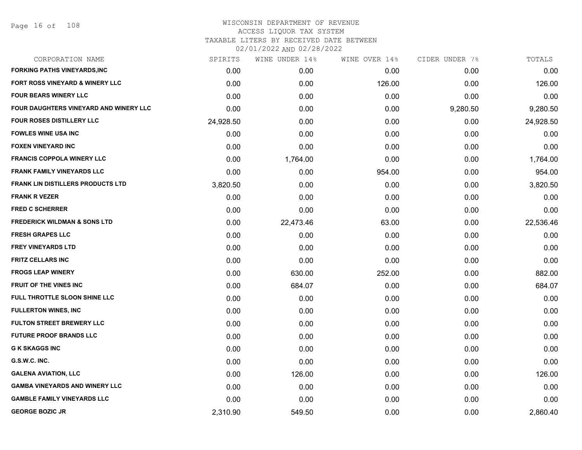| CORPORATION NAME                        | SPIRITS   | WINE UNDER 14% | WINE OVER 14% | CIDER UNDER 7% | TOTALS    |
|-----------------------------------------|-----------|----------------|---------------|----------------|-----------|
| <b>FORKING PATHS VINEYARDS,INC</b>      | 0.00      | 0.00           | 0.00          | 0.00           | 0.00      |
| FORT ROSS VINEYARD & WINERY LLC         | 0.00      | 0.00           | 126.00        | 0.00           | 126.00    |
| <b>FOUR BEARS WINERY LLC</b>            | 0.00      | 0.00           | 0.00          | 0.00           | 0.00      |
| FOUR DAUGHTERS VINEYARD AND WINERY LLC  | 0.00      | 0.00           | 0.00          | 9,280.50       | 9,280.50  |
| <b>FOUR ROSES DISTILLERY LLC</b>        | 24,928.50 | 0.00           | 0.00          | 0.00           | 24,928.50 |
| <b>FOWLES WINE USA INC</b>              | 0.00      | 0.00           | 0.00          | 0.00           | 0.00      |
| <b>FOXEN VINEYARD INC</b>               | 0.00      | 0.00           | 0.00          | 0.00           | 0.00      |
| <b>FRANCIS COPPOLA WINERY LLC</b>       | 0.00      | 1,764.00       | 0.00          | 0.00           | 1,764.00  |
| <b>FRANK FAMILY VINEYARDS LLC</b>       | 0.00      | 0.00           | 954.00        | 0.00           | 954.00    |
| FRANK LIN DISTILLERS PRODUCTS LTD       | 3,820.50  | 0.00           | 0.00          | 0.00           | 3,820.50  |
| <b>FRANK R VEZER</b>                    | 0.00      | 0.00           | 0.00          | 0.00           | 0.00      |
| <b>FRED C SCHERRER</b>                  | 0.00      | 0.00           | 0.00          | 0.00           | 0.00      |
| <b>FREDERICK WILDMAN &amp; SONS LTD</b> | 0.00      | 22,473.46      | 63.00         | 0.00           | 22,536.46 |
| <b>FRESH GRAPES LLC</b>                 | 0.00      | 0.00           | 0.00          | 0.00           | 0.00      |
| <b>FREY VINEYARDS LTD</b>               | 0.00      | 0.00           | 0.00          | 0.00           | 0.00      |
| <b>FRITZ CELLARS INC</b>                | 0.00      | 0.00           | 0.00          | 0.00           | 0.00      |
| <b>FROGS LEAP WINERY</b>                | 0.00      | 630.00         | 252.00        | 0.00           | 882.00    |
| <b>FRUIT OF THE VINES INC</b>           | 0.00      | 684.07         | 0.00          | 0.00           | 684.07    |
| FULL THROTTLE SLOON SHINE LLC           | 0.00      | 0.00           | 0.00          | 0.00           | 0.00      |
| <b>FULLERTON WINES, INC</b>             | 0.00      | 0.00           | 0.00          | 0.00           | 0.00      |
| <b>FULTON STREET BREWERY LLC</b>        | 0.00      | 0.00           | 0.00          | 0.00           | 0.00      |
| <b>FUTURE PROOF BRANDS LLC</b>          | 0.00      | 0.00           | 0.00          | 0.00           | 0.00      |
| <b>G K SKAGGS INC</b>                   | 0.00      | 0.00           | 0.00          | 0.00           | 0.00      |
| G.S.W.C. INC.                           | 0.00      | 0.00           | 0.00          | 0.00           | 0.00      |
| <b>GALENA AVIATION, LLC</b>             | 0.00      | 126.00         | 0.00          | 0.00           | 126.00    |
| <b>GAMBA VINEYARDS AND WINERY LLC</b>   | 0.00      | 0.00           | 0.00          | 0.00           | 0.00      |
| <b>GAMBLE FAMILY VINEYARDS LLC</b>      | 0.00      | 0.00           | 0.00          | 0.00           | 0.00      |
| <b>GEORGE BOZIC JR</b>                  | 2,310.90  | 549.50         | 0.00          | 0.00           | 2,860.40  |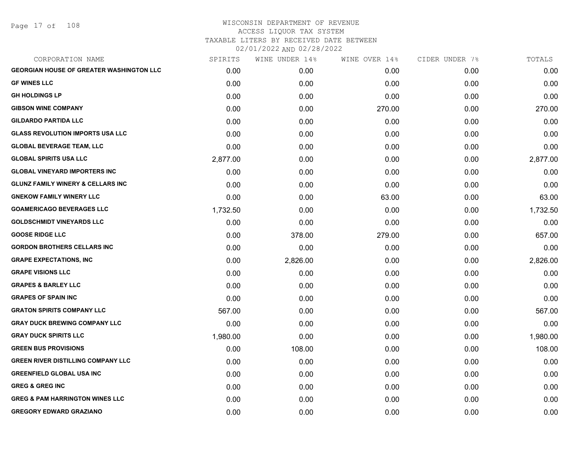Page 17 of 108

| CORPORATION NAME                                | SPIRITS  | WINE UNDER 14% | WINE OVER 14% | CIDER UNDER 7% | TOTALS   |
|-------------------------------------------------|----------|----------------|---------------|----------------|----------|
| <b>GEORGIAN HOUSE OF GREATER WASHINGTON LLC</b> | 0.00     | 0.00           | 0.00          | 0.00           | 0.00     |
| <b>GF WINES LLC</b>                             | 0.00     | 0.00           | 0.00          | 0.00           | 0.00     |
| <b>GH HOLDINGS LP</b>                           | 0.00     | 0.00           | 0.00          | 0.00           | 0.00     |
| <b>GIBSON WINE COMPANY</b>                      | 0.00     | 0.00           | 270.00        | 0.00           | 270.00   |
| <b>GILDARDO PARTIDA LLC</b>                     | 0.00     | 0.00           | 0.00          | 0.00           | 0.00     |
| <b>GLASS REVOLUTION IMPORTS USA LLC</b>         | 0.00     | 0.00           | 0.00          | 0.00           | 0.00     |
| <b>GLOBAL BEVERAGE TEAM, LLC</b>                | 0.00     | 0.00           | 0.00          | 0.00           | 0.00     |
| <b>GLOBAL SPIRITS USA LLC</b>                   | 2,877.00 | 0.00           | 0.00          | 0.00           | 2,877.00 |
| <b>GLOBAL VINEYARD IMPORTERS INC</b>            | 0.00     | 0.00           | 0.00          | 0.00           | 0.00     |
| <b>GLUNZ FAMILY WINERY &amp; CELLARS INC</b>    | 0.00     | 0.00           | 0.00          | 0.00           | 0.00     |
| <b>GNEKOW FAMILY WINERY LLC</b>                 | 0.00     | 0.00           | 63.00         | 0.00           | 63.00    |
| <b>GOAMERICAGO BEVERAGES LLC</b>                | 1,732.50 | 0.00           | 0.00          | 0.00           | 1,732.50 |
| <b>GOLDSCHMIDT VINEYARDS LLC</b>                | 0.00     | 0.00           | 0.00          | 0.00           | 0.00     |
| <b>GOOSE RIDGE LLC</b>                          | 0.00     | 378.00         | 279.00        | 0.00           | 657.00   |
| <b>GORDON BROTHERS CELLARS INC</b>              | 0.00     | 0.00           | 0.00          | 0.00           | 0.00     |
| <b>GRAPE EXPECTATIONS, INC</b>                  | 0.00     | 2,826.00       | 0.00          | 0.00           | 2,826.00 |
| <b>GRAPE VISIONS LLC</b>                        | 0.00     | 0.00           | 0.00          | 0.00           | 0.00     |
| <b>GRAPES &amp; BARLEY LLC</b>                  | 0.00     | 0.00           | 0.00          | 0.00           | 0.00     |
| <b>GRAPES OF SPAIN INC</b>                      | 0.00     | 0.00           | 0.00          | 0.00           | 0.00     |
| <b>GRATON SPIRITS COMPANY LLC</b>               | 567.00   | 0.00           | 0.00          | 0.00           | 567.00   |
| <b>GRAY DUCK BREWING COMPANY LLC</b>            | 0.00     | 0.00           | 0.00          | 0.00           | 0.00     |
| <b>GRAY DUCK SPIRITS LLC</b>                    | 1,980.00 | 0.00           | 0.00          | 0.00           | 1,980.00 |
| <b>GREEN BUS PROVISIONS</b>                     | 0.00     | 108.00         | 0.00          | 0.00           | 108.00   |
| <b>GREEN RIVER DISTILLING COMPANY LLC</b>       | 0.00     | 0.00           | 0.00          | 0.00           | 0.00     |
| <b>GREENFIELD GLOBAL USA INC</b>                | 0.00     | 0.00           | 0.00          | 0.00           | 0.00     |
| <b>GREG &amp; GREG INC</b>                      | 0.00     | 0.00           | 0.00          | 0.00           | 0.00     |
| <b>GREG &amp; PAM HARRINGTON WINES LLC</b>      | 0.00     | 0.00           | 0.00          | 0.00           | 0.00     |
| <b>GREGORY EDWARD GRAZIANO</b>                  | 0.00     | 0.00           | 0.00          | 0.00           | 0.00     |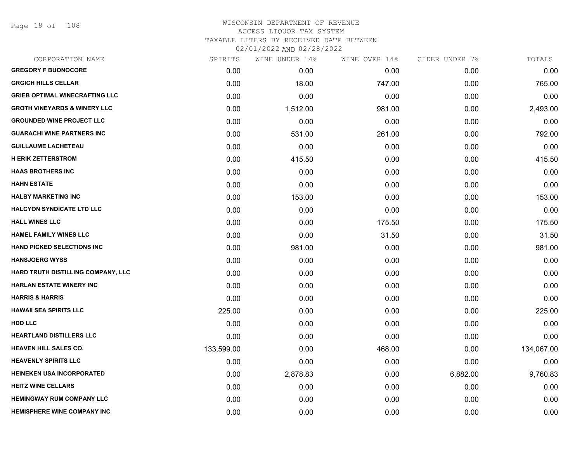Page 18 of 108

| CORPORATION NAME                        | SPIRITS    | WINE UNDER 14% | WINE OVER 14% | CIDER UNDER 7% | TOTALS     |
|-----------------------------------------|------------|----------------|---------------|----------------|------------|
| <b>GREGORY F BUONOCORE</b>              | 0.00       | 0.00           | 0.00          | 0.00           | 0.00       |
| <b>GRGICH HILLS CELLAR</b>              | 0.00       | 18.00          | 747.00        | 0.00           | 765.00     |
| <b>GRIEB OPTIMAL WINECRAFTING LLC</b>   | 0.00       | 0.00           | 0.00          | 0.00           | 0.00       |
| <b>GROTH VINEYARDS &amp; WINERY LLC</b> | 0.00       | 1,512.00       | 981.00        | 0.00           | 2,493.00   |
| <b>GROUNDED WINE PROJECT LLC</b>        | 0.00       | 0.00           | 0.00          | 0.00           | 0.00       |
| <b>GUARACHI WINE PARTNERS INC</b>       | 0.00       | 531.00         | 261.00        | 0.00           | 792.00     |
| <b>GUILLAUME LACHETEAU</b>              | 0.00       | 0.00           | 0.00          | 0.00           | 0.00       |
| <b>H ERIK ZETTERSTROM</b>               | 0.00       | 415.50         | 0.00          | 0.00           | 415.50     |
| <b>HAAS BROTHERS INC</b>                | 0.00       | 0.00           | 0.00          | 0.00           | 0.00       |
| <b>HAHN ESTATE</b>                      | 0.00       | 0.00           | 0.00          | 0.00           | 0.00       |
| <b>HALBY MARKETING INC</b>              | 0.00       | 153.00         | 0.00          | 0.00           | 153.00     |
| <b>HALCYON SYNDICATE LTD LLC</b>        | 0.00       | 0.00           | 0.00          | 0.00           | 0.00       |
| <b>HALL WINES LLC</b>                   | 0.00       | 0.00           | 175.50        | 0.00           | 175.50     |
| <b>HAMEL FAMILY WINES LLC</b>           | 0.00       | 0.00           | 31.50         | 0.00           | 31.50      |
| HAND PICKED SELECTIONS INC              | 0.00       | 981.00         | 0.00          | 0.00           | 981.00     |
| <b>HANSJOERG WYSS</b>                   | 0.00       | 0.00           | 0.00          | 0.00           | 0.00       |
| HARD TRUTH DISTILLING COMPANY, LLC      | 0.00       | 0.00           | 0.00          | 0.00           | 0.00       |
| <b>HARLAN ESTATE WINERY INC</b>         | 0.00       | 0.00           | 0.00          | 0.00           | 0.00       |
| <b>HARRIS &amp; HARRIS</b>              | 0.00       | 0.00           | 0.00          | 0.00           | 0.00       |
| <b>HAWAII SEA SPIRITS LLC</b>           | 225.00     | 0.00           | 0.00          | 0.00           | 225.00     |
| <b>HDD LLC</b>                          | 0.00       | 0.00           | 0.00          | 0.00           | 0.00       |
| <b>HEARTLAND DISTILLERS LLC</b>         | 0.00       | 0.00           | 0.00          | 0.00           | 0.00       |
| <b>HEAVEN HILL SALES CO.</b>            | 133,599.00 | 0.00           | 468.00        | 0.00           | 134,067.00 |
| <b>HEAVENLY SPIRITS LLC</b>             | 0.00       | 0.00           | 0.00          | 0.00           | 0.00       |
| <b>HEINEKEN USA INCORPORATED</b>        | 0.00       | 2,878.83       | 0.00          | 6,882.00       | 9,760.83   |
| <b>HEITZ WINE CELLARS</b>               | 0.00       | 0.00           | 0.00          | 0.00           | 0.00       |
| <b>HEMINGWAY RUM COMPANY LLC</b>        | 0.00       | 0.00           | 0.00          | 0.00           | 0.00       |
| <b>HEMISPHERE WINE COMPANY INC</b>      | 0.00       | 0.00           | 0.00          | 0.00           | 0.00       |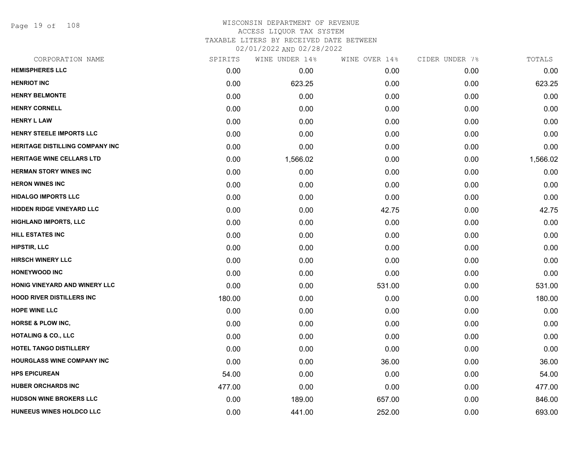Page 19 of 108

| CORPORATION NAME                       | SPIRITS | WINE UNDER 14% | WINE OVER 14% | CIDER UNDER 7% | TOTALS   |
|----------------------------------------|---------|----------------|---------------|----------------|----------|
| <b>HEMISPHERES LLC</b>                 | 0.00    | 0.00           | 0.00          | 0.00           | 0.00     |
| <b>HENRIOT INC</b>                     | 0.00    | 623.25         | 0.00          | 0.00           | 623.25   |
| <b>HENRY BELMONTE</b>                  | 0.00    | 0.00           | 0.00          | 0.00           | 0.00     |
| <b>HENRY CORNELL</b>                   | 0.00    | 0.00           | 0.00          | 0.00           | 0.00     |
| <b>HENRY L LAW</b>                     | 0.00    | 0.00           | 0.00          | 0.00           | 0.00     |
| HENRY STEELE IMPORTS LLC               | 0.00    | 0.00           | 0.00          | 0.00           | 0.00     |
| <b>HERITAGE DISTILLING COMPANY INC</b> | 0.00    | 0.00           | 0.00          | 0.00           | 0.00     |
| <b>HERITAGE WINE CELLARS LTD</b>       | 0.00    | 1,566.02       | 0.00          | 0.00           | 1,566.02 |
| <b>HERMAN STORY WINES INC</b>          | 0.00    | 0.00           | 0.00          | 0.00           | 0.00     |
| <b>HERON WINES INC</b>                 | 0.00    | 0.00           | 0.00          | 0.00           | 0.00     |
| <b>HIDALGO IMPORTS LLC</b>             | 0.00    | 0.00           | 0.00          | 0.00           | 0.00     |
| HIDDEN RIDGE VINEYARD LLC              | 0.00    | 0.00           | 42.75         | 0.00           | 42.75    |
| <b>HIGHLAND IMPORTS, LLC</b>           | 0.00    | 0.00           | 0.00          | 0.00           | 0.00     |
| <b>HILL ESTATES INC</b>                | 0.00    | 0.00           | 0.00          | 0.00           | 0.00     |
| <b>HIPSTIR, LLC</b>                    | 0.00    | 0.00           | 0.00          | 0.00           | 0.00     |
| <b>HIRSCH WINERY LLC</b>               | 0.00    | 0.00           | 0.00          | 0.00           | 0.00     |
| <b>HONEYWOOD INC</b>                   | 0.00    | 0.00           | 0.00          | 0.00           | 0.00     |
| HONIG VINEYARD AND WINERY LLC          | 0.00    | 0.00           | 531.00        | 0.00           | 531.00   |
| <b>HOOD RIVER DISTILLERS INC</b>       | 180.00  | 0.00           | 0.00          | 0.00           | 180.00   |
| <b>HOPE WINE LLC</b>                   | 0.00    | 0.00           | 0.00          | 0.00           | 0.00     |
| <b>HORSE &amp; PLOW INC,</b>           | 0.00    | 0.00           | 0.00          | 0.00           | 0.00     |
| <b>HOTALING &amp; CO., LLC</b>         | 0.00    | 0.00           | 0.00          | 0.00           | 0.00     |
| HOTEL TANGO DISTILLERY                 | 0.00    | 0.00           | 0.00          | 0.00           | 0.00     |
| HOURGLASS WINE COMPANY INC             | 0.00    | 0.00           | 36.00         | 0.00           | 36.00    |
| <b>HPS EPICUREAN</b>                   | 54.00   | 0.00           | 0.00          | 0.00           | 54.00    |
| <b>HUBER ORCHARDS INC</b>              | 477.00  | 0.00           | 0.00          | 0.00           | 477.00   |
| <b>HUDSON WINE BROKERS LLC</b>         | 0.00    | 189.00         | 657.00        | 0.00           | 846.00   |
| HUNEEUS WINES HOLDCO LLC               | 0.00    | 441.00         | 252.00        | 0.00           | 693.00   |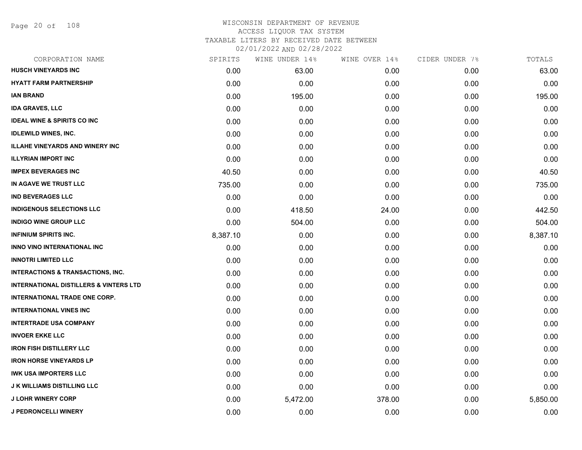Page 20 of 108

| CORPORATION NAME                                  | SPIRITS  | WINE UNDER 14% | WINE OVER 14% | CIDER UNDER 7% | TOTALS   |
|---------------------------------------------------|----------|----------------|---------------|----------------|----------|
| <b>HUSCH VINEYARDS INC</b>                        | 0.00     | 63.00          | 0.00          | 0.00           | 63.00    |
| <b>HYATT FARM PARTNERSHIP</b>                     | 0.00     | 0.00           | 0.00          | 0.00           | 0.00     |
| <b>IAN BRAND</b>                                  | 0.00     | 195.00         | 0.00          | 0.00           | 195.00   |
| <b>IDA GRAVES, LLC</b>                            | 0.00     | 0.00           | 0.00          | 0.00           | 0.00     |
| <b>IDEAL WINE &amp; SPIRITS CO INC</b>            | 0.00     | 0.00           | 0.00          | 0.00           | 0.00     |
| <b>IDLEWILD WINES, INC.</b>                       | 0.00     | 0.00           | 0.00          | 0.00           | 0.00     |
| <b>ILLAHE VINEYARDS AND WINERY INC</b>            | 0.00     | 0.00           | 0.00          | 0.00           | 0.00     |
| <b>ILLYRIAN IMPORT INC</b>                        | 0.00     | 0.00           | 0.00          | 0.00           | 0.00     |
| <b>IMPEX BEVERAGES INC</b>                        | 40.50    | 0.00           | 0.00          | 0.00           | 40.50    |
| IN AGAVE WE TRUST LLC                             | 735.00   | 0.00           | 0.00          | 0.00           | 735.00   |
| <b>IND BEVERAGES LLC</b>                          | 0.00     | 0.00           | 0.00          | 0.00           | 0.00     |
| <b>INDIGENOUS SELECTIONS LLC</b>                  | 0.00     | 418.50         | 24.00         | 0.00           | 442.50   |
| <b>INDIGO WINE GROUP LLC</b>                      | 0.00     | 504.00         | 0.00          | 0.00           | 504.00   |
| <b>INFINIUM SPIRITS INC.</b>                      | 8,387.10 | 0.00           | 0.00          | 0.00           | 8,387.10 |
| INNO VINO INTERNATIONAL INC                       | 0.00     | 0.00           | 0.00          | 0.00           | 0.00     |
| <b>INNOTRI LIMITED LLC</b>                        | 0.00     | 0.00           | 0.00          | 0.00           | 0.00     |
| <b>INTERACTIONS &amp; TRANSACTIONS, INC.</b>      | 0.00     | 0.00           | 0.00          | 0.00           | 0.00     |
| <b>INTERNATIONAL DISTILLERS &amp; VINTERS LTD</b> | 0.00     | 0.00           | 0.00          | 0.00           | 0.00     |
| INTERNATIONAL TRADE ONE CORP.                     | 0.00     | 0.00           | 0.00          | 0.00           | 0.00     |
| <b>INTERNATIONAL VINES INC</b>                    | 0.00     | 0.00           | 0.00          | 0.00           | 0.00     |
| <b>INTERTRADE USA COMPANY</b>                     | 0.00     | 0.00           | 0.00          | 0.00           | 0.00     |
| <b>INVOER EKKE LLC</b>                            | 0.00     | 0.00           | 0.00          | 0.00           | 0.00     |
| <b>IRON FISH DISTILLERY LLC</b>                   | 0.00     | 0.00           | 0.00          | 0.00           | 0.00     |
| <b>IRON HORSE VINEYARDS LP</b>                    | 0.00     | 0.00           | 0.00          | 0.00           | 0.00     |
| <b>IWK USA IMPORTERS LLC</b>                      | 0.00     | 0.00           | 0.00          | 0.00           | 0.00     |
| <b>J K WILLIAMS DISTILLING LLC</b>                | 0.00     | 0.00           | 0.00          | 0.00           | 0.00     |
| <b>J LOHR WINERY CORP</b>                         | 0.00     | 5,472.00       | 378.00        | 0.00           | 5,850.00 |
| <b>J PEDRONCELLI WINERY</b>                       | 0.00     | 0.00           | 0.00          | 0.00           | 0.00     |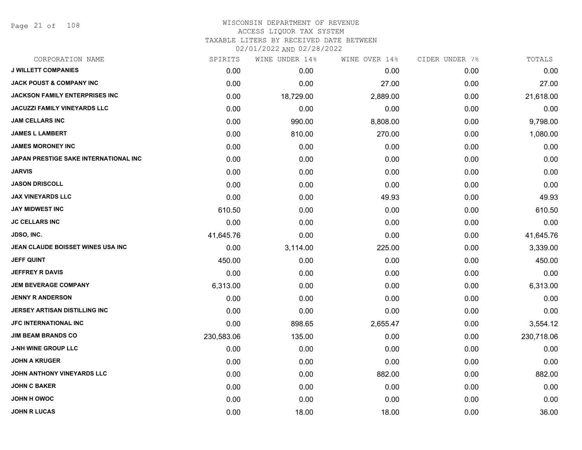Page 21 of 108

| CORPORATION NAME                      | SPIRITS    | WINE UNDER 14% | WINE OVER 14% | CIDER UNDER 7% | TOTALS     |
|---------------------------------------|------------|----------------|---------------|----------------|------------|
| <b>J WILLETT COMPANIES</b>            | 0.00       | 0.00           | 0.00          | 0.00           | 0.00       |
| <b>JACK POUST &amp; COMPANY INC</b>   | 0.00       | 0.00           | 27.00         | 0.00           | 27.00      |
| <b>JACKSON FAMILY ENTERPRISES INC</b> | 0.00       | 18,729.00      | 2,889.00      | 0.00           | 21,618.00  |
| <b>JACUZZI FAMILY VINEYARDS LLC</b>   | 0.00       | 0.00           | 0.00          | 0.00           | 0.00       |
| <b>JAM CELLARS INC</b>                | 0.00       | 990.00         | 8,808.00      | 0.00           | 9,798.00   |
| <b>JAMES L LAMBERT</b>                | 0.00       | 810.00         | 270.00        | 0.00           | 1,080.00   |
| <b>JAMES MORONEY INC</b>              | 0.00       | 0.00           | 0.00          | 0.00           | 0.00       |
| JAPAN PRESTIGE SAKE INTERNATIONAL INC | 0.00       | 0.00           | 0.00          | 0.00           | 0.00       |
| JARVIS                                | 0.00       | 0.00           | 0.00          | 0.00           | 0.00       |
| <b>JASON DRISCOLL</b>                 | 0.00       | 0.00           | 0.00          | 0.00           | 0.00       |
| <b>JAX VINEYARDS LLC</b>              | 0.00       | 0.00           | 49.93         | 0.00           | 49.93      |
| <b>JAY MIDWEST INC</b>                | 610.50     | 0.00           | 0.00          | 0.00           | 610.50     |
| <b>JC CELLARS INC</b>                 | 0.00       | 0.00           | 0.00          | 0.00           | 0.00       |
| <b>JDSO, INC.</b>                     | 41,645.76  | 0.00           | 0.00          | 0.00           | 41,645.76  |
| JEAN CLAUDE BOISSET WINES USA INC     | 0.00       | 3,114.00       | 225.00        | 0.00           | 3,339.00   |
| <b>JEFF QUINT</b>                     | 450.00     | 0.00           | 0.00          | 0.00           | 450.00     |
| <b>JEFFREY R DAVIS</b>                | 0.00       | 0.00           | 0.00          | 0.00           | 0.00       |
| <b>JEM BEVERAGE COMPANY</b>           | 6,313.00   | 0.00           | 0.00          | 0.00           | 6,313.00   |
| <b>JENNY R ANDERSON</b>               | 0.00       | 0.00           | 0.00          | 0.00           | 0.00       |
| JERSEY ARTISAN DISTILLING INC         | 0.00       | 0.00           | 0.00          | 0.00           | 0.00       |
| JFC INTERNATIONAL INC                 | 0.00       | 898.65         | 2,655.47      | 0.00           | 3,554.12   |
| <b>JIM BEAM BRANDS CO</b>             | 230,583.06 | 135.00         | 0.00          | 0.00           | 230,718.06 |
| <b>J-NH WINE GROUP LLC</b>            | 0.00       | 0.00           | 0.00          | 0.00           | 0.00       |
| <b>JOHN A KRUGER</b>                  | 0.00       | 0.00           | 0.00          | 0.00           | 0.00       |
| JOHN ANTHONY VINEYARDS LLC            | 0.00       | 0.00           | 882.00        | 0.00           | 882.00     |
| <b>JOHN C BAKER</b>                   | 0.00       | 0.00           | 0.00          | 0.00           | 0.00       |
| JOHN H OWOC                           | 0.00       | 0.00           | 0.00          | 0.00           | 0.00       |
| <b>JOHN R LUCAS</b>                   | 0.00       | 18.00          | 18.00         | 0.00           | 36.00      |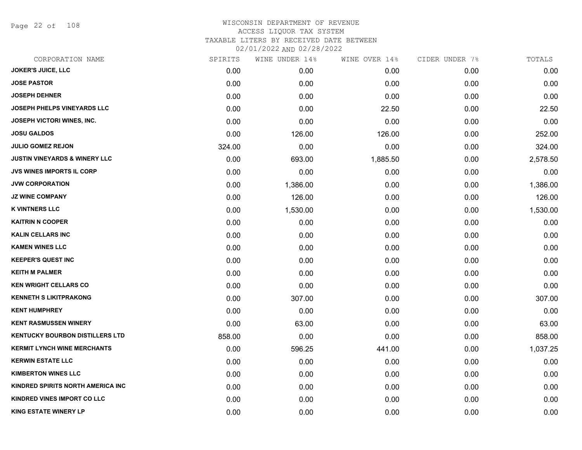Page 22 of 108

|        | WINE UNDER 14% |          |               | TOTALS         |
|--------|----------------|----------|---------------|----------------|
| 0.00   | 0.00           | 0.00     | 0.00          | 0.00           |
| 0.00   | 0.00           | 0.00     | 0.00          | 0.00           |
| 0.00   | 0.00           | 0.00     | 0.00          | 0.00           |
| 0.00   | 0.00           | 22.50    | 0.00          | 22.50          |
| 0.00   | 0.00           | 0.00     | 0.00          | 0.00           |
| 0.00   | 126.00         | 126.00   | 0.00          | 252.00         |
| 324.00 | 0.00           | 0.00     | 0.00          | 324.00         |
| 0.00   | 693.00         | 1,885.50 | 0.00          | 2,578.50       |
| 0.00   | 0.00           | 0.00     | 0.00          | 0.00           |
| 0.00   | 1,386.00       | 0.00     | 0.00          | 1,386.00       |
| 0.00   | 126.00         | 0.00     | 0.00          | 126.00         |
| 0.00   | 1,530.00       | 0.00     | 0.00          | 1,530.00       |
| 0.00   | 0.00           | 0.00     | 0.00          | 0.00           |
| 0.00   | 0.00           | 0.00     | 0.00          | 0.00           |
| 0.00   | 0.00           | 0.00     | 0.00          | 0.00           |
| 0.00   | 0.00           | 0.00     | 0.00          | 0.00           |
| 0.00   | 0.00           | 0.00     | 0.00          | 0.00           |
| 0.00   | 0.00           | 0.00     | 0.00          | 0.00           |
| 0.00   | 307.00         | 0.00     | 0.00          | 307.00         |
| 0.00   | 0.00           | 0.00     | 0.00          | 0.00           |
| 0.00   | 63.00          | 0.00     | 0.00          | 63.00          |
| 858.00 | 0.00           | 0.00     | 0.00          | 858.00         |
| 0.00   | 596.25         | 441.00   | 0.00          | 1,037.25       |
| 0.00   | 0.00           | 0.00     | 0.00          | 0.00           |
| 0.00   | 0.00           | 0.00     | 0.00          | 0.00           |
| 0.00   | 0.00           | 0.00     | 0.00          | 0.00           |
| 0.00   | 0.00           | 0.00     | 0.00          | 0.00           |
| 0.00   | 0.00           | 0.00     | 0.00          | 0.00           |
|        | SPIRITS        |          | WINE OVER 14% | CIDER UNDER 7% |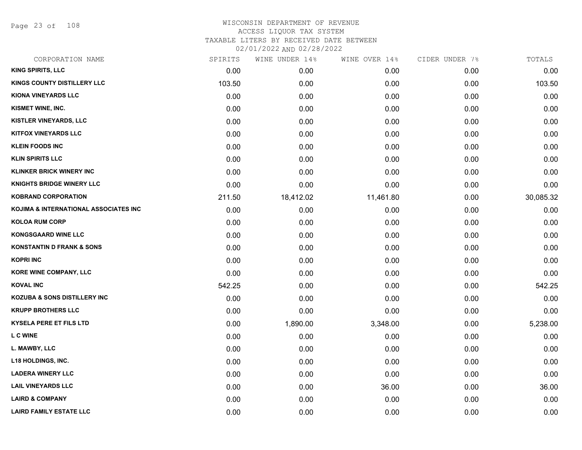Page 23 of 108

| CORPORATION NAME                      | SPIRITS | WINE UNDER 14% | WINE OVER 14% | CIDER UNDER 7% | TOTALS    |
|---------------------------------------|---------|----------------|---------------|----------------|-----------|
| <b>KING SPIRITS, LLC</b>              | 0.00    | 0.00           | 0.00          | 0.00           | 0.00      |
| KINGS COUNTY DISTILLERY LLC           | 103.50  | 0.00           | 0.00          | 0.00           | 103.50    |
| <b>KIONA VINEYARDS LLC</b>            | 0.00    | 0.00           | 0.00          | 0.00           | 0.00      |
| KISMET WINE, INC.                     | 0.00    | 0.00           | 0.00          | 0.00           | 0.00      |
| <b>KISTLER VINEYARDS, LLC</b>         | 0.00    | 0.00           | 0.00          | 0.00           | 0.00      |
| <b>KITFOX VINEYARDS LLC</b>           | 0.00    | 0.00           | 0.00          | 0.00           | 0.00      |
| <b>KLEIN FOODS INC</b>                | 0.00    | 0.00           | 0.00          | 0.00           | 0.00      |
| <b>KLIN SPIRITS LLC</b>               | 0.00    | 0.00           | 0.00          | 0.00           | 0.00      |
| <b>KLINKER BRICK WINERY INC</b>       | 0.00    | 0.00           | 0.00          | 0.00           | 0.00      |
| <b>KNIGHTS BRIDGE WINERY LLC</b>      | 0.00    | 0.00           | 0.00          | 0.00           | 0.00      |
| <b>KOBRAND CORPORATION</b>            | 211.50  | 18,412.02      | 11,461.80     | 0.00           | 30,085.32 |
| KOJIMA & INTERNATIONAL ASSOCIATES INC | 0.00    | 0.00           | 0.00          | 0.00           | 0.00      |
| <b>KOLOA RUM CORP</b>                 | 0.00    | 0.00           | 0.00          | 0.00           | 0.00      |
| <b>KONGSGAARD WINE LLC</b>            | 0.00    | 0.00           | 0.00          | 0.00           | 0.00      |
| <b>KONSTANTIN D FRANK &amp; SONS</b>  | 0.00    | 0.00           | 0.00          | 0.00           | 0.00      |
| <b>KOPRI INC</b>                      | 0.00    | 0.00           | 0.00          | 0.00           | 0.00      |
| <b>KORE WINE COMPANY, LLC</b>         | 0.00    | 0.00           | 0.00          | 0.00           | 0.00      |
| <b>KOVAL INC</b>                      | 542.25  | 0.00           | 0.00          | 0.00           | 542.25    |
| KOZUBA & SONS DISTILLERY INC          | 0.00    | 0.00           | 0.00          | 0.00           | 0.00      |
| <b>KRUPP BROTHERS LLC</b>             | 0.00    | 0.00           | 0.00          | 0.00           | 0.00      |
| <b>KYSELA PERE ET FILS LTD</b>        | 0.00    | 1,890.00       | 3,348.00      | 0.00           | 5,238.00  |
| <b>LC WINE</b>                        | 0.00    | 0.00           | 0.00          | 0.00           | 0.00      |
| L. MAWBY, LLC                         | 0.00    | 0.00           | 0.00          | 0.00           | 0.00      |
| <b>L18 HOLDINGS, INC.</b>             | 0.00    | 0.00           | 0.00          | 0.00           | 0.00      |
| <b>LADERA WINERY LLC</b>              | 0.00    | 0.00           | 0.00          | 0.00           | 0.00      |
| <b>LAIL VINEYARDS LLC</b>             | 0.00    | 0.00           | 36.00         | 0.00           | 36.00     |
| <b>LAIRD &amp; COMPANY</b>            | 0.00    | 0.00           | 0.00          | 0.00           | 0.00      |
| <b>LAIRD FAMILY ESTATE LLC</b>        | 0.00    | 0.00           | 0.00          | 0.00           | 0.00      |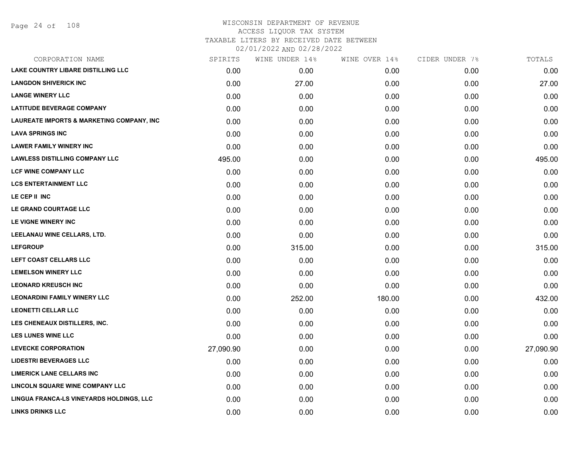| CORPORATION NAME                          | SPIRITS   | WINE UNDER 14% | WINE OVER 14% | CIDER UNDER 7% | TOTALS    |
|-------------------------------------------|-----------|----------------|---------------|----------------|-----------|
| <b>LAKE COUNTRY LIBARE DISTILLING LLC</b> | 0.00      | 0.00           | 0.00          | 0.00           | 0.00      |
| <b>LANGDON SHIVERICK INC</b>              | 0.00      | 27.00          | 0.00          | 0.00           | 27.00     |
| <b>LANGE WINERY LLC</b>                   | 0.00      | 0.00           | 0.00          | 0.00           | 0.00      |
| <b>LATITUDE BEVERAGE COMPANY</b>          | 0.00      | 0.00           | 0.00          | 0.00           | 0.00      |
| LAUREATE IMPORTS & MARKETING COMPANY, INC | 0.00      | 0.00           | 0.00          | 0.00           | 0.00      |
| <b>LAVA SPRINGS INC</b>                   | 0.00      | 0.00           | 0.00          | 0.00           | 0.00      |
| <b>LAWER FAMILY WINERY INC</b>            | 0.00      | 0.00           | 0.00          | 0.00           | 0.00      |
| <b>LAWLESS DISTILLING COMPANY LLC</b>     | 495.00    | 0.00           | 0.00          | 0.00           | 495.00    |
| LCF WINE COMPANY LLC                      | 0.00      | 0.00           | 0.00          | 0.00           | 0.00      |
| <b>LCS ENTERTAINMENT LLC</b>              | 0.00      | 0.00           | 0.00          | 0.00           | 0.00      |
| LE CEP II INC                             | 0.00      | 0.00           | 0.00          | 0.00           | 0.00      |
| LE GRAND COURTAGE LLC                     | 0.00      | 0.00           | 0.00          | 0.00           | 0.00      |
| LE VIGNE WINERY INC                       | 0.00      | 0.00           | 0.00          | 0.00           | 0.00      |
| LEELANAU WINE CELLARS, LTD.               | 0.00      | 0.00           | 0.00          | 0.00           | 0.00      |
| <b>LEFGROUP</b>                           | 0.00      | 315.00         | 0.00          | 0.00           | 315.00    |
| LEFT COAST CELLARS LLC                    | 0.00      | 0.00           | 0.00          | 0.00           | 0.00      |
| <b>LEMELSON WINERY LLC</b>                | 0.00      | 0.00           | 0.00          | 0.00           | 0.00      |
| <b>LEONARD KREUSCH INC</b>                | 0.00      | 0.00           | 0.00          | 0.00           | 0.00      |
| <b>LEONARDINI FAMILY WINERY LLC</b>       | 0.00      | 252.00         | 180.00        | 0.00           | 432.00    |
| <b>LEONETTI CELLAR LLC</b>                | 0.00      | 0.00           | 0.00          | 0.00           | 0.00      |
| LES CHENEAUX DISTILLERS, INC.             | 0.00      | 0.00           | 0.00          | 0.00           | 0.00      |
| <b>LES LUNES WINE LLC</b>                 | 0.00      | 0.00           | 0.00          | 0.00           | 0.00      |
| <b>LEVECKE CORPORATION</b>                | 27,090.90 | 0.00           | 0.00          | 0.00           | 27,090.90 |
| <b>LIDESTRI BEVERAGES LLC</b>             | 0.00      | 0.00           | 0.00          | 0.00           | 0.00      |
| <b>LIMERICK LANE CELLARS INC</b>          | 0.00      | 0.00           | 0.00          | 0.00           | 0.00      |
| LINCOLN SQUARE WINE COMPANY LLC           | 0.00      | 0.00           | 0.00          | 0.00           | 0.00      |
| LINGUA FRANCA-LS VINEYARDS HOLDINGS, LLC  | 0.00      | 0.00           | 0.00          | 0.00           | 0.00      |
| <b>LINKS DRINKS LLC</b>                   | 0.00      | 0.00           | 0.00          | 0.00           | 0.00      |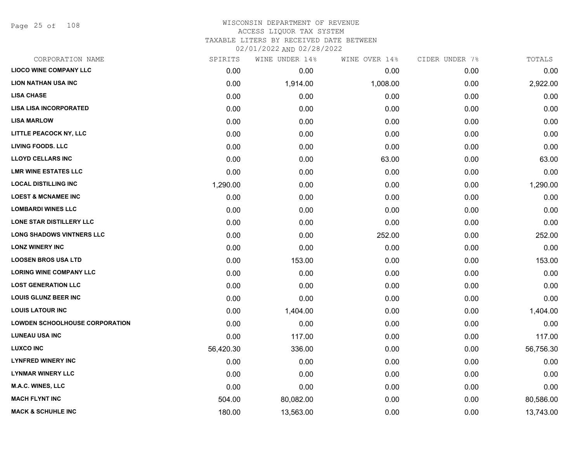Page 25 of 108

# WISCONSIN DEPARTMENT OF REVENUE ACCESS LIQUOR TAX SYSTEM TAXABLE LITERS BY RECEIVED DATE BETWEEN

| CORPORATION NAME                      | SPIRITS   | WINE UNDER 14% | WINE OVER 14% | CIDER UNDER 7% | TOTALS    |
|---------------------------------------|-----------|----------------|---------------|----------------|-----------|
| <b>LIOCO WINE COMPANY LLC</b>         | 0.00      | 0.00           | 0.00          | 0.00           | 0.00      |
| <b>LION NATHAN USA INC</b>            | 0.00      | 1,914.00       | 1,008.00      | 0.00           | 2,922.00  |
| <b>LISA CHASE</b>                     | 0.00      | 0.00           | 0.00          | 0.00           | 0.00      |
| <b>LISA LISA INCORPORATED</b>         | 0.00      | 0.00           | 0.00          | 0.00           | 0.00      |
| <b>LISA MARLOW</b>                    | 0.00      | 0.00           | 0.00          | 0.00           | 0.00      |
| LITTLE PEACOCK NY, LLC                | 0.00      | 0.00           | 0.00          | 0.00           | 0.00      |
| <b>LIVING FOODS. LLC</b>              | 0.00      | 0.00           | 0.00          | 0.00           | 0.00      |
| <b>LLOYD CELLARS INC</b>              | 0.00      | 0.00           | 63.00         | 0.00           | 63.00     |
| <b>LMR WINE ESTATES LLC</b>           | 0.00      | 0.00           | 0.00          | 0.00           | 0.00      |
| <b>LOCAL DISTILLING INC</b>           | 1,290.00  | 0.00           | 0.00          | 0.00           | 1,290.00  |
| <b>LOEST &amp; MCNAMEE INC</b>        | 0.00      | 0.00           | 0.00          | 0.00           | 0.00      |
| <b>LOMBARDI WINES LLC</b>             | 0.00      | 0.00           | 0.00          | 0.00           | 0.00      |
| <b>LONE STAR DISTILLERY LLC</b>       | 0.00      | 0.00           | 0.00          | 0.00           | 0.00      |
| <b>LONG SHADOWS VINTNERS LLC</b>      | 0.00      | 0.00           | 252.00        | 0.00           | 252.00    |
| <b>LONZ WINERY INC</b>                | 0.00      | 0.00           | 0.00          | 0.00           | 0.00      |
| <b>LOOSEN BROS USA LTD</b>            | 0.00      | 153.00         | 0.00          | 0.00           | 153.00    |
| <b>LORING WINE COMPANY LLC</b>        | 0.00      | 0.00           | 0.00          | 0.00           | 0.00      |
| <b>LOST GENERATION LLC</b>            | 0.00      | 0.00           | 0.00          | 0.00           | 0.00      |
| <b>LOUIS GLUNZ BEER INC</b>           | 0.00      | 0.00           | 0.00          | 0.00           | 0.00      |
| <b>LOUIS LATOUR INC</b>               | 0.00      | 1,404.00       | 0.00          | 0.00           | 1,404.00  |
| <b>LOWDEN SCHOOLHOUSE CORPORATION</b> | 0.00      | 0.00           | 0.00          | 0.00           | 0.00      |
| <b>LUNEAU USA INC</b>                 | 0.00      | 117.00         | 0.00          | 0.00           | 117.00    |
| <b>LUXCO INC</b>                      | 56,420.30 | 336.00         | 0.00          | 0.00           | 56,756.30 |
| <b>LYNFRED WINERY INC</b>             | 0.00      | 0.00           | 0.00          | 0.00           | 0.00      |
| <b>LYNMAR WINERY LLC</b>              | 0.00      | 0.00           | 0.00          | 0.00           | 0.00      |
| <b>M.A.C. WINES, LLC</b>              | 0.00      | 0.00           | 0.00          | 0.00           | 0.00      |
| <b>MACH FLYNT INC</b>                 | 504.00    | 80,082.00      | 0.00          | 0.00           | 80,586.00 |
| <b>MACK &amp; SCHUHLE INC</b>         | 180.00    | 13,563.00      | 0.00          | 0.00           | 13,743.00 |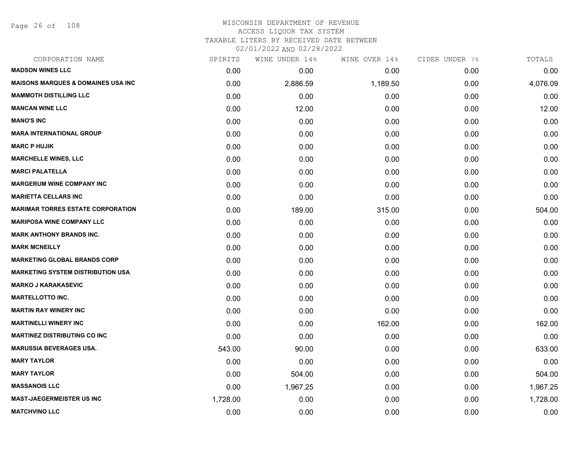Page 26 of 108

| SPIRITS  | WINE UNDER 14% | WINE OVER 14% | CIDER UNDER 7% | TOTALS   |
|----------|----------------|---------------|----------------|----------|
| 0.00     | 0.00           | 0.00          | 0.00           | 0.00     |
| 0.00     | 2,886.59       | 1,189.50      | 0.00           | 4,076.09 |
| 0.00     | 0.00           | 0.00          | 0.00           | 0.00     |
| 0.00     | 12.00          | 0.00          | 0.00           | 12.00    |
| 0.00     | 0.00           | 0.00          | 0.00           | 0.00     |
| 0.00     | 0.00           | 0.00          | 0.00           | 0.00     |
| 0.00     | 0.00           | 0.00          | 0.00           | 0.00     |
| 0.00     | 0.00           | 0.00          | 0.00           | 0.00     |
| 0.00     | 0.00           | 0.00          | 0.00           | 0.00     |
| 0.00     | 0.00           | 0.00          | 0.00           | 0.00     |
| 0.00     | 0.00           | 0.00          | 0.00           | 0.00     |
| 0.00     | 189.00         | 315.00        | 0.00           | 504.00   |
| 0.00     | 0.00           | 0.00          | 0.00           | 0.00     |
| 0.00     | 0.00           | 0.00          | 0.00           | 0.00     |
| 0.00     | 0.00           | 0.00          | 0.00           | 0.00     |
| 0.00     | 0.00           | 0.00          | 0.00           | 0.00     |
| 0.00     | 0.00           | 0.00          | 0.00           | 0.00     |
| 0.00     | 0.00           | 0.00          | 0.00           | 0.00     |
| 0.00     | 0.00           | 0.00          | 0.00           | 0.00     |
| 0.00     | 0.00           | 0.00          | 0.00           | 0.00     |
| 0.00     | 0.00           | 162.00        | 0.00           | 162.00   |
| 0.00     | 0.00           | 0.00          | 0.00           | 0.00     |
| 543.00   | 90.00          | 0.00          | 0.00           | 633.00   |
| 0.00     | 0.00           | 0.00          | 0.00           | 0.00     |
| 0.00     | 504.00         | 0.00          | 0.00           | 504.00   |
| 0.00     | 1,967.25       | 0.00          | 0.00           | 1,967.25 |
| 1,728.00 | 0.00           | 0.00          | 0.00           | 1,728.00 |
| 0.00     | 0.00           | 0.00          | 0.00           | 0.00     |
|          |                |               |                |          |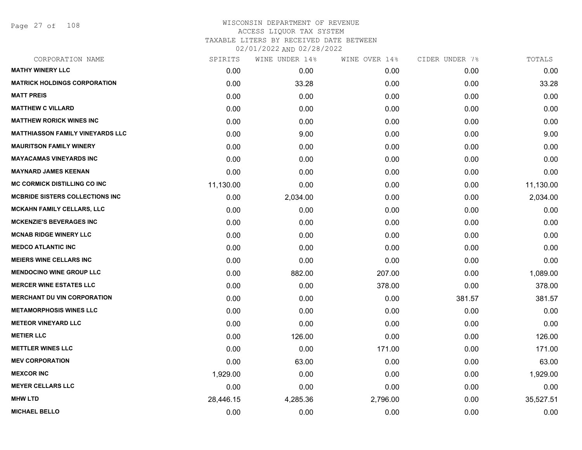Page 27 of 108

| CORPORATION NAME                        | SPIRITS   | WINE UNDER 14% | WINE OVER 14% | CIDER UNDER 7% | TOTALS    |
|-----------------------------------------|-----------|----------------|---------------|----------------|-----------|
| <b>MATHY WINERY LLC</b>                 | 0.00      | 0.00           | 0.00          | 0.00           | 0.00      |
| <b>MATRICK HOLDINGS CORPORATION</b>     | 0.00      | 33.28          | 0.00          | 0.00           | 33.28     |
| <b>MATT PREIS</b>                       | 0.00      | 0.00           | 0.00          | 0.00           | 0.00      |
| <b>MATTHEW C VILLARD</b>                | 0.00      | 0.00           | 0.00          | 0.00           | 0.00      |
| <b>MATTHEW RORICK WINES INC</b>         | 0.00      | 0.00           | 0.00          | 0.00           | 0.00      |
| <b>MATTHIASSON FAMILY VINEYARDS LLC</b> | 0.00      | 9.00           | 0.00          | 0.00           | 9.00      |
| <b>MAURITSON FAMILY WINERY</b>          | 0.00      | 0.00           | 0.00          | 0.00           | 0.00      |
| <b>MAYACAMAS VINEYARDS INC</b>          | 0.00      | 0.00           | 0.00          | 0.00           | 0.00      |
| <b>MAYNARD JAMES KEENAN</b>             | 0.00      | 0.00           | 0.00          | 0.00           | 0.00      |
| MC CORMICK DISTILLING CO INC            | 11,130.00 | 0.00           | 0.00          | 0.00           | 11,130.00 |
| <b>MCBRIDE SISTERS COLLECTIONS INC</b>  | 0.00      | 2,034.00       | 0.00          | 0.00           | 2,034.00  |
| <b>MCKAHN FAMILY CELLARS, LLC</b>       | 0.00      | 0.00           | 0.00          | 0.00           | 0.00      |
| <b>MCKENZIE'S BEVERAGES INC</b>         | 0.00      | 0.00           | 0.00          | 0.00           | 0.00      |
| <b>MCNAB RIDGE WINERY LLC</b>           | 0.00      | 0.00           | 0.00          | 0.00           | 0.00      |
| <b>MEDCO ATLANTIC INC</b>               | 0.00      | 0.00           | 0.00          | 0.00           | 0.00      |
| <b>MEIERS WINE CELLARS INC</b>          | 0.00      | 0.00           | 0.00          | 0.00           | 0.00      |
| <b>MENDOCINO WINE GROUP LLC</b>         | 0.00      | 882.00         | 207.00        | 0.00           | 1,089.00  |
| <b>MERCER WINE ESTATES LLC</b>          | 0.00      | 0.00           | 378.00        | 0.00           | 378.00    |
| <b>MERCHANT DU VIN CORPORATION</b>      | 0.00      | 0.00           | 0.00          | 381.57         | 381.57    |
| <b>METAMORPHOSIS WINES LLC</b>          | 0.00      | 0.00           | 0.00          | 0.00           | 0.00      |
| <b>METEOR VINEYARD LLC</b>              | 0.00      | 0.00           | 0.00          | 0.00           | 0.00      |
| <b>METIER LLC</b>                       | 0.00      | 126.00         | 0.00          | 0.00           | 126.00    |
| <b>METTLER WINES LLC</b>                | 0.00      | 0.00           | 171.00        | 0.00           | 171.00    |
| <b>MEV CORPORATION</b>                  | 0.00      | 63.00          | 0.00          | 0.00           | 63.00     |
| <b>MEXCOR INC</b>                       | 1,929.00  | 0.00           | 0.00          | 0.00           | 1,929.00  |
| <b>MEYER CELLARS LLC</b>                | 0.00      | 0.00           | 0.00          | 0.00           | 0.00      |
| <b>MHW LTD</b>                          | 28,446.15 | 4,285.36       | 2,796.00      | 0.00           | 35,527.51 |
| <b>MICHAEL BELLO</b>                    | 0.00      | 0.00           | 0.00          | 0.00           | 0.00      |
|                                         |           |                |               |                |           |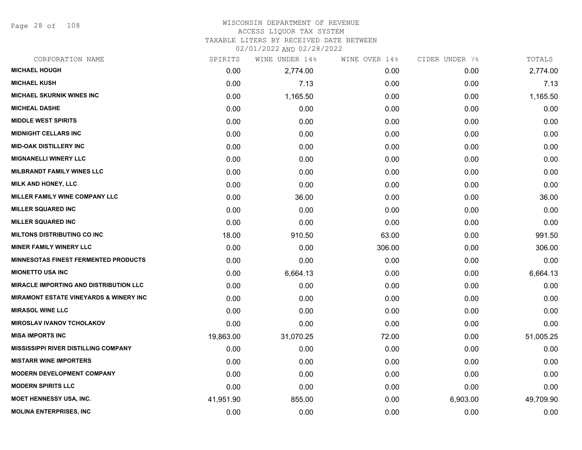Page 28 of 108

## WISCONSIN DEPARTMENT OF REVENUE ACCESS LIQUOR TAX SYSTEM TAXABLE LITERS BY RECEIVED DATE BETWEEN

| CORPORATION NAME                                  | SPIRITS   | WINE UNDER 14% | WINE OVER 14% | CIDER UNDER 7% | TOTALS    |
|---------------------------------------------------|-----------|----------------|---------------|----------------|-----------|
| <b>MICHAEL HOUGH</b>                              | 0.00      | 2,774.00       | 0.00          | 0.00           | 2,774.00  |
| <b>MICHAEL KUSH</b>                               | 0.00      | 7.13           | 0.00          | 0.00           | 7.13      |
| <b>MICHAEL SKURNIK WINES INC</b>                  | 0.00      | 1,165.50       | 0.00          | 0.00           | 1,165.50  |
| <b>MICHEAL DASHE</b>                              | 0.00      | 0.00           | 0.00          | 0.00           | 0.00      |
| <b>MIDDLE WEST SPIRITS</b>                        | 0.00      | 0.00           | 0.00          | 0.00           | 0.00      |
| <b>MIDNIGHT CELLARS INC</b>                       | 0.00      | 0.00           | 0.00          | 0.00           | 0.00      |
| <b>MID-OAK DISTILLERY INC</b>                     | 0.00      | 0.00           | 0.00          | 0.00           | 0.00      |
| <b>MIGNANELLI WINERY LLC</b>                      | 0.00      | 0.00           | 0.00          | 0.00           | 0.00      |
| <b>MILBRANDT FAMILY WINES LLC</b>                 | 0.00      | 0.00           | 0.00          | 0.00           | 0.00      |
| <b>MILK AND HONEY, LLC</b>                        | 0.00      | 0.00           | 0.00          | 0.00           | 0.00      |
| MILLER FAMILY WINE COMPANY LLC                    | 0.00      | 36.00          | 0.00          | 0.00           | 36.00     |
| <b>MILLER SQUARED INC</b>                         | 0.00      | 0.00           | 0.00          | 0.00           | 0.00      |
| <b>MILLER SQUARED INC</b>                         | 0.00      | 0.00           | 0.00          | 0.00           | 0.00      |
| <b>MILTONS DISTRIBUTING CO INC</b>                | 18.00     | 910.50         | 63.00         | 0.00           | 991.50    |
| <b>MINER FAMILY WINERY LLC</b>                    | 0.00      | 0.00           | 306.00        | 0.00           | 306.00    |
| <b>MINNESOTAS FINEST FERMENTED PRODUCTS</b>       | 0.00      | 0.00           | 0.00          | 0.00           | 0.00      |
| <b>MIONETTO USA INC</b>                           | 0.00      | 6,664.13       | 0.00          | 0.00           | 6,664.13  |
| <b>MIRACLE IMPORTING AND DISTRIBUTION LLC</b>     | 0.00      | 0.00           | 0.00          | 0.00           | 0.00      |
| <b>MIRAMONT ESTATE VINEYARDS &amp; WINERY INC</b> | 0.00      | 0.00           | 0.00          | 0.00           | 0.00      |
| <b>MIRASOL WINE LLC</b>                           | 0.00      | 0.00           | 0.00          | 0.00           | 0.00      |
| <b>MIROSLAV IVANOV TCHOLAKOV</b>                  | 0.00      | 0.00           | 0.00          | 0.00           | 0.00      |
| <b>MISA IMPORTS INC</b>                           | 19,863.00 | 31,070.25      | 72.00         | 0.00           | 51,005.25 |
| <b>MISSISSIPPI RIVER DISTILLING COMPANY</b>       | 0.00      | 0.00           | 0.00          | 0.00           | 0.00      |
| <b>MISTARR WINE IMPORTERS</b>                     | 0.00      | 0.00           | 0.00          | 0.00           | 0.00      |
| <b>MODERN DEVELOPMENT COMPANY</b>                 | 0.00      | 0.00           | 0.00          | 0.00           | 0.00      |
| <b>MODERN SPIRITS LLC</b>                         | 0.00      | 0.00           | 0.00          | 0.00           | 0.00      |
| <b>MOET HENNESSY USA, INC.</b>                    | 41,951.90 | 855.00         | 0.00          | 6,903.00       | 49,709.90 |
| <b>MOLINA ENTERPRISES, INC</b>                    | 0.00      | 0.00           | 0.00          | 0.00           | 0.00      |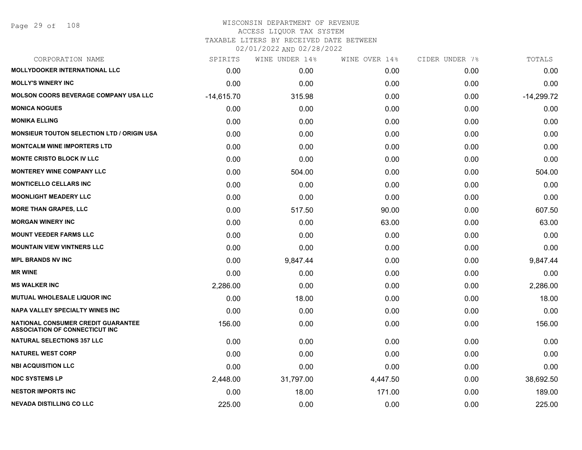# WISCONSIN DEPARTMENT OF REVENUE ACCESS LIQUOR TAX SYSTEM

TAXABLE LITERS BY RECEIVED DATE BETWEEN

| CORPORATION NAME                                                            | SPIRITS      | WINE UNDER 14% | WINE OVER 14% | CIDER UNDER 7% | TOTALS       |
|-----------------------------------------------------------------------------|--------------|----------------|---------------|----------------|--------------|
| <b>MOLLYDOOKER INTERNATIONAL LLC</b>                                        | 0.00         | 0.00           | 0.00          | 0.00           | 0.00         |
| <b>MOLLY'S WINERY INC</b>                                                   | 0.00         | 0.00           | 0.00          | 0.00           | 0.00         |
| <b>MOLSON COORS BEVERAGE COMPANY USA LLC</b>                                | $-14,615.70$ | 315.98         | 0.00          | 0.00           | $-14,299.72$ |
| <b>MONICA NOGUES</b>                                                        | 0.00         | 0.00           | 0.00          | 0.00           | 0.00         |
| <b>MONIKA ELLING</b>                                                        | 0.00         | 0.00           | 0.00          | 0.00           | 0.00         |
| <b>MONSIEUR TOUTON SELECTION LTD / ORIGIN USA</b>                           | 0.00         | 0.00           | 0.00          | 0.00           | 0.00         |
| <b>MONTCALM WINE IMPORTERS LTD</b>                                          | 0.00         | 0.00           | 0.00          | 0.00           | 0.00         |
| <b>MONTE CRISTO BLOCK IV LLC</b>                                            | 0.00         | 0.00           | 0.00          | 0.00           | 0.00         |
| <b>MONTEREY WINE COMPANY LLC</b>                                            | 0.00         | 504.00         | 0.00          | 0.00           | 504.00       |
| <b>MONTICELLO CELLARS INC</b>                                               | 0.00         | 0.00           | 0.00          | 0.00           | 0.00         |
| <b>MOONLIGHT MEADERY LLC</b>                                                | 0.00         | 0.00           | 0.00          | 0.00           | 0.00         |
| <b>MORE THAN GRAPES, LLC</b>                                                | 0.00         | 517.50         | 90.00         | 0.00           | 607.50       |
| <b>MORGAN WINERY INC</b>                                                    | 0.00         | 0.00           | 63.00         | 0.00           | 63.00        |
| <b>MOUNT VEEDER FARMS LLC</b>                                               | 0.00         | 0.00           | 0.00          | 0.00           | 0.00         |
| <b>MOUNTAIN VIEW VINTNERS LLC</b>                                           | 0.00         | 0.00           | 0.00          | 0.00           | 0.00         |
| <b>MPL BRANDS NV INC</b>                                                    | 0.00         | 9,847.44       | 0.00          | 0.00           | 9,847.44     |
| <b>MR WINE</b>                                                              | 0.00         | 0.00           | 0.00          | 0.00           | 0.00         |
| <b>MS WALKER INC</b>                                                        | 2,286.00     | 0.00           | 0.00          | 0.00           | 2,286.00     |
| MUTUAL WHOLESALE LIQUOR INC                                                 | 0.00         | 18.00          | 0.00          | 0.00           | 18.00        |
| <b>NAPA VALLEY SPECIALTY WINES INC</b>                                      | 0.00         | 0.00           | 0.00          | 0.00           | 0.00         |
| NATIONAL CONSUMER CREDIT GUARANTEE<br><b>ASSOCIATION OF CONNECTICUT INC</b> | 156.00       | 0.00           | 0.00          | 0.00           | 156.00       |
| <b>NATURAL SELECTIONS 357 LLC</b>                                           | 0.00         | 0.00           | 0.00          | 0.00           | 0.00         |
| <b>NATUREL WEST CORP</b>                                                    | 0.00         | 0.00           | 0.00          | 0.00           | 0.00         |
| <b>NBI ACQUISITION LLC</b>                                                  | 0.00         | 0.00           | 0.00          | 0.00           | 0.00         |
| <b>NDC SYSTEMS LP</b>                                                       | 2,448.00     | 31,797.00      | 4,447.50      | 0.00           | 38,692.50    |
| <b>NESTOR IMPORTS INC</b>                                                   | 0.00         | 18.00          | 171.00        | 0.00           | 189.00       |
| <b>NEVADA DISTILLING CO LLC</b>                                             | 225.00       | 0.00           | 0.00          | 0.00           | 225.00       |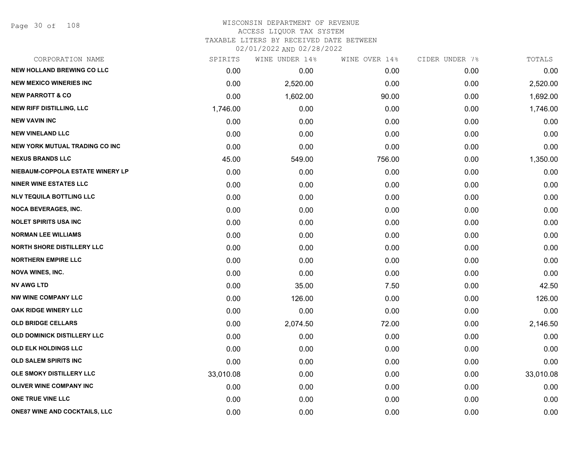Page 30 of 108

#### WISCONSIN DEPARTMENT OF REVENUE ACCESS LIQUOR TAX SYSTEM TAXABLE LITERS BY RECEIVED DATE BETWEEN

| CORPORATION NAME                      | SPIRITS   | WINE UNDER 14% | WINE OVER 14% | CIDER UNDER 7% | TOTALS    |
|---------------------------------------|-----------|----------------|---------------|----------------|-----------|
| <b>NEW HOLLAND BREWING CO LLC</b>     | 0.00      | 0.00           | 0.00          | 0.00           | 0.00      |
| <b>NEW MEXICO WINERIES INC</b>        | 0.00      | 2,520.00       | 0.00          | 0.00           | 2,520.00  |
| <b>NEW PARROTT &amp; CO</b>           | 0.00      | 1,602.00       | 90.00         | 0.00           | 1,692.00  |
| <b>NEW RIFF DISTILLING, LLC</b>       | 1,746.00  | 0.00           | 0.00          | 0.00           | 1,746.00  |
| <b>NEW VAVIN INC</b>                  | 0.00      | 0.00           | 0.00          | 0.00           | 0.00      |
| <b>NEW VINELAND LLC</b>               | 0.00      | 0.00           | 0.00          | 0.00           | 0.00      |
| <b>NEW YORK MUTUAL TRADING CO INC</b> | 0.00      | 0.00           | 0.00          | 0.00           | 0.00      |
| <b>NEXUS BRANDS LLC</b>               | 45.00     | 549.00         | 756.00        | 0.00           | 1,350.00  |
| NIEBAUM-COPPOLA ESTATE WINERY LP      | 0.00      | 0.00           | 0.00          | 0.00           | 0.00      |
| <b>NINER WINE ESTATES LLC</b>         | 0.00      | 0.00           | 0.00          | 0.00           | 0.00      |
| <b>NLV TEQUILA BOTTLING LLC</b>       | 0.00      | 0.00           | 0.00          | 0.00           | 0.00      |
| NOCA BEVERAGES, INC.                  | 0.00      | 0.00           | 0.00          | 0.00           | 0.00      |
| <b>NOLET SPIRITS USA INC</b>          | 0.00      | 0.00           | 0.00          | 0.00           | 0.00      |
| <b>NORMAN LEE WILLIAMS</b>            | 0.00      | 0.00           | 0.00          | 0.00           | 0.00      |
| <b>NORTH SHORE DISTILLERY LLC</b>     | 0.00      | 0.00           | 0.00          | 0.00           | 0.00      |
| <b>NORTHERN EMPIRE LLC</b>            | 0.00      | 0.00           | 0.00          | 0.00           | 0.00      |
| <b>NOVA WINES, INC.</b>               | 0.00      | 0.00           | 0.00          | 0.00           | 0.00      |
| <b>NV AWG LTD</b>                     | 0.00      | 35.00          | 7.50          | 0.00           | 42.50     |
| <b>NW WINE COMPANY LLC</b>            | 0.00      | 126.00         | 0.00          | 0.00           | 126.00    |
| OAK RIDGE WINERY LLC                  | 0.00      | 0.00           | 0.00          | 0.00           | 0.00      |
| <b>OLD BRIDGE CELLARS</b>             | 0.00      | 2,074.50       | 72.00         | 0.00           | 2,146.50  |
| <b>OLD DOMINICK DISTILLERY LLC</b>    | 0.00      | 0.00           | 0.00          | 0.00           | 0.00      |
| OLD ELK HOLDINGS LLC                  | 0.00      | 0.00           | 0.00          | 0.00           | 0.00      |
| <b>OLD SALEM SPIRITS INC</b>          | 0.00      | 0.00           | 0.00          | 0.00           | 0.00      |
| OLE SMOKY DISTILLERY LLC              | 33,010.08 | 0.00           | 0.00          | 0.00           | 33,010.08 |
| <b>OLIVER WINE COMPANY INC</b>        | 0.00      | 0.00           | 0.00          | 0.00           | 0.00      |
| ONE TRUE VINE LLC                     | 0.00      | 0.00           | 0.00          | 0.00           | 0.00      |
| <b>ONE87 WINE AND COCKTAILS, LLC</b>  | 0.00      | 0.00           | 0.00          | 0.00           | 0.00      |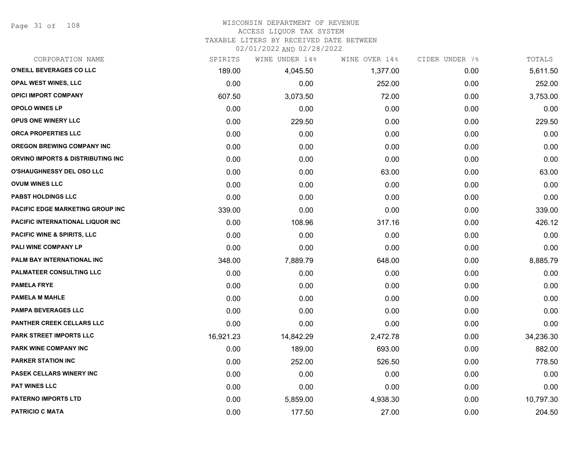Page 31 of 108

#### WISCONSIN DEPARTMENT OF REVENUE ACCESS LIQUOR TAX SYSTEM

TAXABLE LITERS BY RECEIVED DATE BETWEEN

| CORPORATION NAME                       | SPIRITS   | WINE UNDER 14% | WINE OVER 14% | CIDER UNDER 7% | TOTALS    |
|----------------------------------------|-----------|----------------|---------------|----------------|-----------|
| O'NEILL BEVERAGES CO LLC               | 189.00    | 4,045.50       | 1,377.00      | 0.00           | 5,611.50  |
| <b>OPAL WEST WINES, LLC</b>            | 0.00      | 0.00           | 252.00        | 0.00           | 252.00    |
| <b>OPICI IMPORT COMPANY</b>            | 607.50    | 3,073.50       | 72.00         | 0.00           | 3,753.00  |
| <b>OPOLO WINES LP</b>                  | 0.00      | 0.00           | 0.00          | 0.00           | 0.00      |
| OPUS ONE WINERY LLC                    | 0.00      | 229.50         | 0.00          | 0.00           | 229.50    |
| ORCA PROPERTIES LLC                    | 0.00      | 0.00           | 0.00          | 0.00           | 0.00      |
| <b>OREGON BREWING COMPANY INC</b>      | 0.00      | 0.00           | 0.00          | 0.00           | 0.00      |
| ORVINO IMPORTS & DISTRIBUTING INC      | 0.00      | 0.00           | 0.00          | 0.00           | 0.00      |
| <b>O'SHAUGHNESSY DEL OSO LLC</b>       | 0.00      | 0.00           | 63.00         | 0.00           | 63.00     |
| <b>OVUM WINES LLC</b>                  | 0.00      | 0.00           | 0.00          | 0.00           | 0.00      |
| <b>PABST HOLDINGS LLC</b>              | 0.00      | 0.00           | 0.00          | 0.00           | 0.00      |
| PACIFIC EDGE MARKETING GROUP INC       | 339.00    | 0.00           | 0.00          | 0.00           | 339.00    |
| PACIFIC INTERNATIONAL LIQUOR INC       | 0.00      | 108.96         | 317.16        | 0.00           | 426.12    |
| <b>PACIFIC WINE &amp; SPIRITS, LLC</b> | 0.00      | 0.00           | 0.00          | 0.00           | 0.00      |
| PALI WINE COMPANY LP                   | 0.00      | 0.00           | 0.00          | 0.00           | 0.00      |
| PALM BAY INTERNATIONAL INC             | 348.00    | 7,889.79       | 648.00        | 0.00           | 8,885.79  |
| PALMATEER CONSULTING LLC               | 0.00      | 0.00           | 0.00          | 0.00           | 0.00      |
| <b>PAMELA FRYE</b>                     | 0.00      | 0.00           | 0.00          | 0.00           | 0.00      |
| <b>PAMELA M MAHLE</b>                  | 0.00      | 0.00           | 0.00          | 0.00           | 0.00      |
| <b>PAMPA BEVERAGES LLC</b>             | 0.00      | 0.00           | 0.00          | 0.00           | 0.00      |
| <b>PANTHER CREEK CELLARS LLC</b>       | 0.00      | 0.00           | 0.00          | 0.00           | 0.00      |
| PARK STREET IMPORTS LLC                | 16,921.23 | 14,842.29      | 2,472.78      | 0.00           | 34,236.30 |
| PARK WINE COMPANY INC                  | 0.00      | 189.00         | 693.00        | 0.00           | 882.00    |
| <b>PARKER STATION INC</b>              | 0.00      | 252.00         | 526.50        | 0.00           | 778.50    |
| PASEK CELLARS WINERY INC               | 0.00      | 0.00           | 0.00          | 0.00           | 0.00      |
| <b>PAT WINES LLC</b>                   | 0.00      | 0.00           | 0.00          | 0.00           | 0.00      |
| <b>PATERNO IMPORTS LTD</b>             | 0.00      | 5,859.00       | 4,938.30      | 0.00           | 10,797.30 |
| <b>PATRICIO C MATA</b>                 | 0.00      | 177.50         | 27.00         | 0.00           | 204.50    |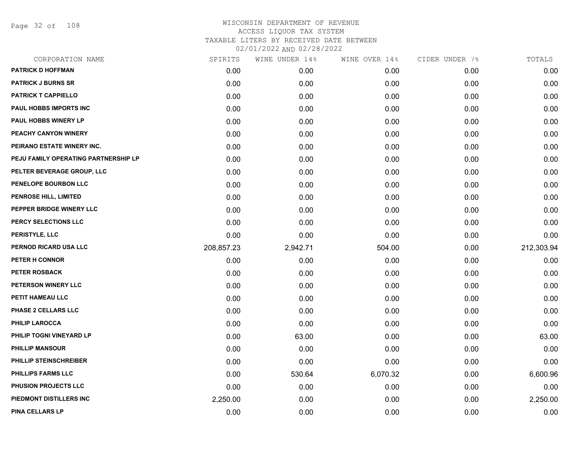Page 32 of 108

| CORPORATION NAME                     | SPIRITS    | WINE UNDER 14% | WINE OVER 14% | CIDER UNDER 7% | TOTALS     |
|--------------------------------------|------------|----------------|---------------|----------------|------------|
| <b>PATRICK D HOFFMAN</b>             | 0.00       | 0.00           | 0.00          | 0.00           | 0.00       |
| <b>PATRICK J BURNS SR</b>            | 0.00       | 0.00           | 0.00          | 0.00           | 0.00       |
| PATRICK T CAPPIELLO                  | 0.00       | 0.00           | 0.00          | 0.00           | 0.00       |
| PAUL HOBBS IMPORTS INC               | 0.00       | 0.00           | 0.00          | 0.00           | 0.00       |
| <b>PAUL HOBBS WINERY LP</b>          | 0.00       | 0.00           | 0.00          | 0.00           | 0.00       |
| PEACHY CANYON WINERY                 | 0.00       | 0.00           | 0.00          | 0.00           | 0.00       |
| PEIRANO ESTATE WINERY INC.           | 0.00       | 0.00           | 0.00          | 0.00           | 0.00       |
| PEJU FAMILY OPERATING PARTNERSHIP LP | 0.00       | 0.00           | 0.00          | 0.00           | 0.00       |
| PELTER BEVERAGE GROUP, LLC           | 0.00       | 0.00           | 0.00          | 0.00           | 0.00       |
| PENELOPE BOURBON LLC                 | 0.00       | 0.00           | 0.00          | 0.00           | 0.00       |
| <b>PENROSE HILL, LIMITED</b>         | 0.00       | 0.00           | 0.00          | 0.00           | 0.00       |
| PEPPER BRIDGE WINERY LLC             | 0.00       | 0.00           | 0.00          | 0.00           | 0.00       |
| PERCY SELECTIONS LLC                 | 0.00       | 0.00           | 0.00          | 0.00           | 0.00       |
| PERISTYLE, LLC                       | 0.00       | 0.00           | 0.00          | 0.00           | 0.00       |
| PERNOD RICARD USA LLC                | 208,857.23 | 2,942.71       | 504.00        | 0.00           | 212,303.94 |
| PETER H CONNOR                       | 0.00       | 0.00           | 0.00          | 0.00           | 0.00       |
| <b>PETER ROSBACK</b>                 | 0.00       | 0.00           | 0.00          | 0.00           | 0.00       |
| PETERSON WINERY LLC                  | 0.00       | 0.00           | 0.00          | 0.00           | 0.00       |
| PETIT HAMEAU LLC                     | 0.00       | 0.00           | 0.00          | 0.00           | 0.00       |
| PHASE 2 CELLARS LLC                  | 0.00       | 0.00           | 0.00          | 0.00           | 0.00       |
| <b>PHILIP LAROCCA</b>                | 0.00       | 0.00           | 0.00          | 0.00           | 0.00       |
| PHILIP TOGNI VINEYARD LP             | 0.00       | 63.00          | 0.00          | 0.00           | 63.00      |
| <b>PHILLIP MANSOUR</b>               | 0.00       | 0.00           | 0.00          | 0.00           | 0.00       |
| PHILLIP STEINSCHREIBER               | 0.00       | 0.00           | 0.00          | 0.00           | 0.00       |
| <b>PHILLIPS FARMS LLC</b>            | 0.00       | 530.64         | 6,070.32      | 0.00           | 6,600.96   |
| PHUSION PROJECTS LLC                 | 0.00       | 0.00           | 0.00          | 0.00           | 0.00       |
| PIEDMONT DISTILLERS INC              | 2,250.00   | 0.00           | 0.00          | 0.00           | 2,250.00   |
| PINA CELLARS LP                      | 0.00       | 0.00           | 0.00          | 0.00           | 0.00       |
|                                      |            |                |               |                |            |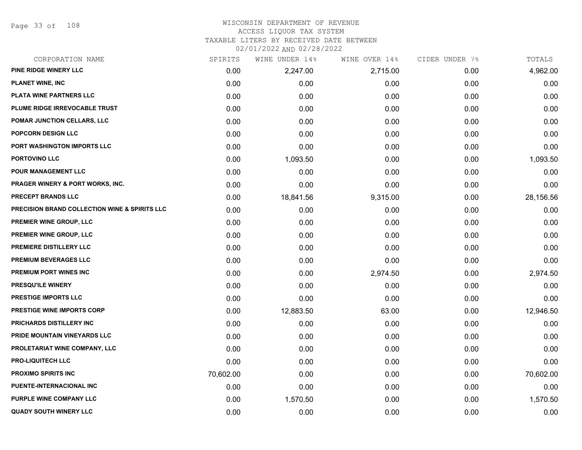Page 33 of 108

## WISCONSIN DEPARTMENT OF REVENUE ACCESS LIQUOR TAX SYSTEM TAXABLE LITERS BY RECEIVED DATE BETWEEN

| CORPORATION NAME                              | SPIRITS   | WINE UNDER 14% | WINE OVER 14% | CIDER UNDER 7% | TOTALS    |
|-----------------------------------------------|-----------|----------------|---------------|----------------|-----------|
| PINE RIDGE WINERY LLC                         | 0.00      | 2,247.00       | 2,715.00      | 0.00           | 4,962.00  |
| <b>PLANET WINE, INC</b>                       | 0.00      | 0.00           | 0.00          | 0.00           | 0.00      |
| PLATA WINE PARTNERS LLC                       | 0.00      | 0.00           | 0.00          | 0.00           | 0.00      |
| PLUME RIDGE IRREVOCABLE TRUST                 | 0.00      | 0.00           | 0.00          | 0.00           | 0.00      |
| POMAR JUNCTION CELLARS, LLC                   | 0.00      | 0.00           | 0.00          | 0.00           | 0.00      |
| POPCORN DESIGN LLC                            | 0.00      | 0.00           | 0.00          | 0.00           | 0.00      |
| PORT WASHINGTON IMPORTS LLC                   | 0.00      | 0.00           | 0.00          | 0.00           | 0.00      |
| <b>PORTOVINO LLC</b>                          | 0.00      | 1,093.50       | 0.00          | 0.00           | 1,093.50  |
| POUR MANAGEMENT LLC                           | 0.00      | 0.00           | 0.00          | 0.00           | 0.00      |
| <b>PRAGER WINERY &amp; PORT WORKS, INC.</b>   | 0.00      | 0.00           | 0.00          | 0.00           | 0.00      |
| PRECEPT BRANDS LLC                            | 0.00      | 18,841.56      | 9,315.00      | 0.00           | 28,156.56 |
| PRECISION BRAND COLLECTION WINE & SPIRITS LLC | 0.00      | 0.00           | 0.00          | 0.00           | 0.00      |
| PREMIER WINE GROUP, LLC                       | 0.00      | 0.00           | 0.00          | 0.00           | 0.00      |
| PREMIER WINE GROUP, LLC                       | 0.00      | 0.00           | 0.00          | 0.00           | 0.00      |
| PREMIERE DISTILLERY LLC                       | 0.00      | 0.00           | 0.00          | 0.00           | 0.00      |
| PREMIUM BEVERAGES LLC                         | 0.00      | 0.00           | 0.00          | 0.00           | 0.00      |
| PREMIUM PORT WINES INC                        | 0.00      | 0.00           | 2,974.50      | 0.00           | 2,974.50  |
| <b>PRESQU'ILE WINERY</b>                      | 0.00      | 0.00           | 0.00          | 0.00           | 0.00      |
| PRESTIGE IMPORTS LLC                          | 0.00      | 0.00           | 0.00          | 0.00           | 0.00      |
| <b>PRESTIGE WINE IMPORTS CORP</b>             | 0.00      | 12,883.50      | 63.00         | 0.00           | 12,946.50 |
| PRICHARDS DISTILLERY INC                      | 0.00      | 0.00           | 0.00          | 0.00           | 0.00      |
| PRIDE MOUNTAIN VINEYARDS LLC                  | 0.00      | 0.00           | 0.00          | 0.00           | 0.00      |
| PROLETARIAT WINE COMPANY, LLC                 | 0.00      | 0.00           | 0.00          | 0.00           | 0.00      |
| <b>PRO-LIQUITECH LLC</b>                      | 0.00      | 0.00           | 0.00          | 0.00           | 0.00      |
| <b>PROXIMO SPIRITS INC</b>                    | 70,602.00 | 0.00           | 0.00          | 0.00           | 70,602.00 |
| PUENTE-INTERNACIONAL INC                      | 0.00      | 0.00           | 0.00          | 0.00           | 0.00      |
| PURPLE WINE COMPANY LLC                       | 0.00      | 1,570.50       | 0.00          | 0.00           | 1,570.50  |
| <b>QUADY SOUTH WINERY LLC</b>                 | 0.00      | 0.00           | 0.00          | 0.00           | 0.00      |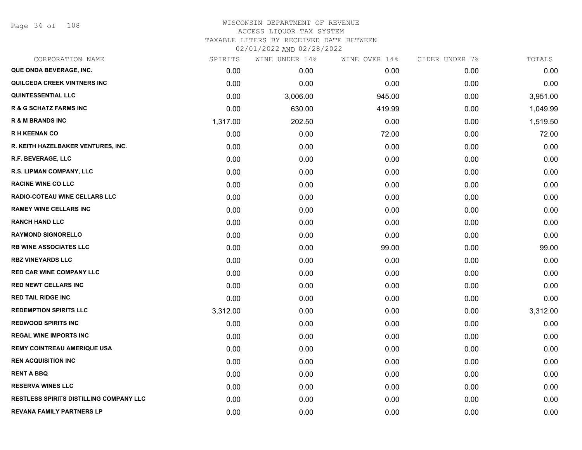| CORPORATION NAME                               | SPIRITS  | WINE UNDER 14% | WINE OVER 14% | CIDER UNDER 7% | TOTALS   |
|------------------------------------------------|----------|----------------|---------------|----------------|----------|
| QUE ONDA BEVERAGE, INC.                        | 0.00     | 0.00           | 0.00          | 0.00           | 0.00     |
| <b>QUILCEDA CREEK VINTNERS INC</b>             | 0.00     | 0.00           | 0.00          | 0.00           | 0.00     |
| <b>QUINTESSENTIAL LLC</b>                      | 0.00     | 3,006.00       | 945.00        | 0.00           | 3,951.00 |
| <b>R &amp; G SCHATZ FARMS INC</b>              | 0.00     | 630.00         | 419.99        | 0.00           | 1,049.99 |
| <b>R &amp; M BRANDS INC</b>                    | 1,317.00 | 202.50         | 0.00          | 0.00           | 1,519.50 |
| <b>RH KEENAN CO</b>                            | 0.00     | 0.00           | 72.00         | 0.00           | 72.00    |
| R. KEITH HAZELBAKER VENTURES, INC.             | 0.00     | 0.00           | 0.00          | 0.00           | 0.00     |
| <b>R.F. BEVERAGE, LLC</b>                      | 0.00     | 0.00           | 0.00          | 0.00           | 0.00     |
| R.S. LIPMAN COMPANY, LLC                       | 0.00     | 0.00           | 0.00          | 0.00           | 0.00     |
| <b>RACINE WINE CO LLC</b>                      | 0.00     | 0.00           | 0.00          | 0.00           | 0.00     |
| <b>RADIO-COTEAU WINE CELLARS LLC</b>           | 0.00     | 0.00           | 0.00          | 0.00           | 0.00     |
| <b>RAMEY WINE CELLARS INC</b>                  | 0.00     | 0.00           | 0.00          | 0.00           | 0.00     |
| <b>RANCH HAND LLC</b>                          | 0.00     | 0.00           | 0.00          | 0.00           | 0.00     |
| <b>RAYMOND SIGNORELLO</b>                      | 0.00     | 0.00           | 0.00          | 0.00           | 0.00     |
| <b>RB WINE ASSOCIATES LLC</b>                  | 0.00     | 0.00           | 99.00         | 0.00           | 99.00    |
| <b>RBZ VINEYARDS LLC</b>                       | 0.00     | 0.00           | 0.00          | 0.00           | 0.00     |
| <b>RED CAR WINE COMPANY LLC</b>                | 0.00     | 0.00           | 0.00          | 0.00           | 0.00     |
| <b>RED NEWT CELLARS INC</b>                    | 0.00     | 0.00           | 0.00          | 0.00           | 0.00     |
| <b>RED TAIL RIDGE INC</b>                      | 0.00     | 0.00           | 0.00          | 0.00           | 0.00     |
| <b>REDEMPTION SPIRITS LLC</b>                  | 3,312.00 | 0.00           | 0.00          | 0.00           | 3,312.00 |
| <b>REDWOOD SPIRITS INC</b>                     | 0.00     | 0.00           | 0.00          | 0.00           | 0.00     |
| <b>REGAL WINE IMPORTS INC</b>                  | 0.00     | 0.00           | 0.00          | 0.00           | 0.00     |
| <b>REMY COINTREAU AMERIQUE USA</b>             | 0.00     | 0.00           | 0.00          | 0.00           | 0.00     |
| <b>REN ACQUISITION INC</b>                     | 0.00     | 0.00           | 0.00          | 0.00           | 0.00     |
| <b>RENT A BBQ</b>                              | 0.00     | 0.00           | 0.00          | 0.00           | 0.00     |
| <b>RESERVA WINES LLC</b>                       | 0.00     | 0.00           | 0.00          | 0.00           | 0.00     |
| <b>RESTLESS SPIRITS DISTILLING COMPANY LLC</b> | 0.00     | 0.00           | 0.00          | 0.00           | 0.00     |
| REVANA FAMILY PARTNERS LP                      | 0.00     | 0.00           | 0.00          | 0.00           | 0.00     |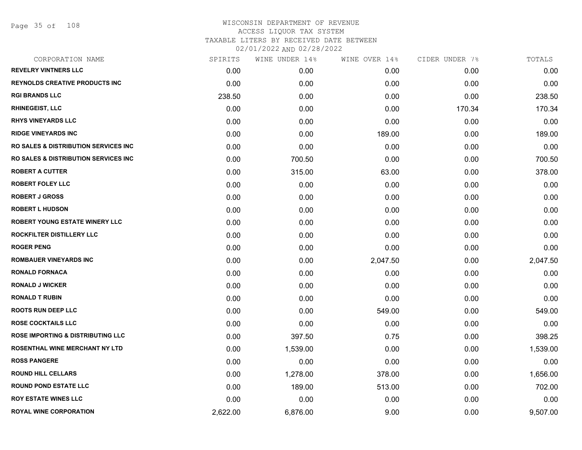Page 35 of 108

| CORPORATION NAME                                 | SPIRITS  | WINE UNDER 14% | WINE OVER 14% | CIDER UNDER 7% | TOTALS   |
|--------------------------------------------------|----------|----------------|---------------|----------------|----------|
| <b>REVELRY VINTNERS LLC</b>                      | 0.00     | 0.00           | 0.00          | 0.00           | 0.00     |
| <b>REYNOLDS CREATIVE PRODUCTS INC</b>            | 0.00     | 0.00           | 0.00          | 0.00           | 0.00     |
| <b>RGI BRANDS LLC</b>                            | 238.50   | 0.00           | 0.00          | 0.00           | 238.50   |
| <b>RHINEGEIST, LLC</b>                           | 0.00     | 0.00           | 0.00          | 170.34         | 170.34   |
| <b>RHYS VINEYARDS LLC</b>                        | 0.00     | 0.00           | 0.00          | 0.00           | 0.00     |
| <b>RIDGE VINEYARDS INC</b>                       | 0.00     | 0.00           | 189.00        | 0.00           | 189.00   |
| <b>RO SALES &amp; DISTRIBUTION SERVICES INC.</b> | 0.00     | 0.00           | 0.00          | 0.00           | 0.00     |
| <b>RO SALES &amp; DISTRIBUTION SERVICES INC.</b> | 0.00     | 700.50         | 0.00          | 0.00           | 700.50   |
| <b>ROBERT A CUTTER</b>                           | 0.00     | 315.00         | 63.00         | 0.00           | 378.00   |
| <b>ROBERT FOLEY LLC</b>                          | 0.00     | 0.00           | 0.00          | 0.00           | 0.00     |
| <b>ROBERT J GROSS</b>                            | 0.00     | 0.00           | 0.00          | 0.00           | 0.00     |
| <b>ROBERT L HUDSON</b>                           | 0.00     | 0.00           | 0.00          | 0.00           | 0.00     |
| <b>ROBERT YOUNG ESTATE WINERY LLC</b>            | 0.00     | 0.00           | 0.00          | 0.00           | 0.00     |
| ROCKFILTER DISTILLERY LLC                        | 0.00     | 0.00           | 0.00          | 0.00           | 0.00     |
| <b>ROGER PENG</b>                                | 0.00     | 0.00           | 0.00          | 0.00           | 0.00     |
| <b>ROMBAUER VINEYARDS INC</b>                    | 0.00     | 0.00           | 2,047.50      | 0.00           | 2,047.50 |
| <b>RONALD FORNACA</b>                            | 0.00     | 0.00           | 0.00          | 0.00           | 0.00     |
| <b>RONALD J WICKER</b>                           | 0.00     | 0.00           | 0.00          | 0.00           | 0.00     |
| <b>RONALD T RUBIN</b>                            | 0.00     | 0.00           | 0.00          | 0.00           | 0.00     |
| <b>ROOTS RUN DEEP LLC</b>                        | 0.00     | 0.00           | 549.00        | 0.00           | 549.00   |
| <b>ROSE COCKTAILS LLC</b>                        | 0.00     | 0.00           | 0.00          | 0.00           | 0.00     |
| <b>ROSE IMPORTING &amp; DISTRIBUTING LLC</b>     | 0.00     | 397.50         | 0.75          | 0.00           | 398.25   |
| ROSENTHAL WINE MERCHANT NY LTD                   | 0.00     | 1,539.00       | 0.00          | 0.00           | 1,539.00 |
| <b>ROSS PANGERE</b>                              | 0.00     | 0.00           | 0.00          | 0.00           | 0.00     |
| <b>ROUND HILL CELLARS</b>                        | 0.00     | 1,278.00       | 378.00        | 0.00           | 1,656.00 |
| <b>ROUND POND ESTATE LLC</b>                     | 0.00     | 189.00         | 513.00        | 0.00           | 702.00   |
| <b>ROY ESTATE WINES LLC</b>                      | 0.00     | 0.00           | 0.00          | 0.00           | 0.00     |
| <b>ROYAL WINE CORPORATION</b>                    | 2,622.00 | 6,876.00       | 9.00          | 0.00           | 9,507.00 |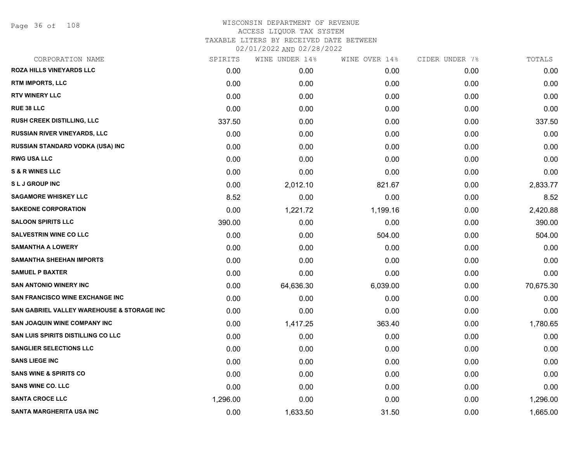# WISCONSIN DEPARTMENT OF REVENUE ACCESS LIQUOR TAX SYSTEM TAXABLE LITERS BY RECEIVED DATE BETWEEN

| CORPORATION NAME                           | SPIRITS  | WINE UNDER 14% | WINE OVER 14% | CIDER UNDER 7% | TOTALS    |
|--------------------------------------------|----------|----------------|---------------|----------------|-----------|
| ROZA HILLS VINEYARDS LLC                   | 0.00     | 0.00           | 0.00          | 0.00           | 0.00      |
| <b>RTM IMPORTS, LLC</b>                    | 0.00     | 0.00           | 0.00          | 0.00           | 0.00      |
| <b>RTV WINERY LLC</b>                      | 0.00     | 0.00           | 0.00          | 0.00           | 0.00      |
| <b>RUE 38 LLC</b>                          | 0.00     | 0.00           | 0.00          | 0.00           | 0.00      |
| <b>RUSH CREEK DISTILLING, LLC</b>          | 337.50   | 0.00           | 0.00          | 0.00           | 337.50    |
| RUSSIAN RIVER VINEYARDS, LLC               | 0.00     | 0.00           | 0.00          | 0.00           | 0.00      |
| RUSSIAN STANDARD VODKA (USA) INC           | 0.00     | 0.00           | 0.00          | 0.00           | 0.00      |
| <b>RWG USA LLC</b>                         | 0.00     | 0.00           | 0.00          | 0.00           | 0.00      |
| <b>S &amp; R WINES LLC</b>                 | 0.00     | 0.00           | 0.00          | 0.00           | 0.00      |
| <b>SLJ GROUP INC</b>                       | 0.00     | 2,012.10       | 821.67        | 0.00           | 2,833.77  |
| <b>SAGAMORE WHISKEY LLC</b>                | 8.52     | 0.00           | 0.00          | 0.00           | 8.52      |
| <b>SAKEONE CORPORATION</b>                 | 0.00     | 1,221.72       | 1,199.16      | 0.00           | 2,420.88  |
| <b>SALOON SPIRITS LLC</b>                  | 390.00   | 0.00           | 0.00          | 0.00           | 390.00    |
| <b>SALVESTRIN WINE CO LLC</b>              | 0.00     | 0.00           | 504.00        | 0.00           | 504.00    |
| <b>SAMANTHA A LOWERY</b>                   | 0.00     | 0.00           | 0.00          | 0.00           | 0.00      |
| <b>SAMANTHA SHEEHAN IMPORTS</b>            | 0.00     | 0.00           | 0.00          | 0.00           | 0.00      |
| <b>SAMUEL P BAXTER</b>                     | 0.00     | 0.00           | 0.00          | 0.00           | 0.00      |
| <b>SAN ANTONIO WINERY INC</b>              | 0.00     | 64,636.30      | 6,039.00      | 0.00           | 70,675.30 |
| <b>SAN FRANCISCO WINE EXCHANGE INC</b>     | 0.00     | 0.00           | 0.00          | 0.00           | 0.00      |
| SAN GABRIEL VALLEY WAREHOUSE & STORAGE INC | 0.00     | 0.00           | 0.00          | 0.00           | 0.00      |
| <b>SAN JOAQUIN WINE COMPANY INC</b>        | 0.00     | 1,417.25       | 363.40        | 0.00           | 1,780.65  |
| SAN LUIS SPIRITS DISTILLING CO LLC         | 0.00     | 0.00           | 0.00          | 0.00           | 0.00      |
| <b>SANGLIER SELECTIONS LLC</b>             | 0.00     | 0.00           | 0.00          | 0.00           | 0.00      |
| <b>SANS LIEGE INC</b>                      | 0.00     | 0.00           | 0.00          | 0.00           | 0.00      |
| <b>SANS WINE &amp; SPIRITS CO</b>          | 0.00     | 0.00           | 0.00          | 0.00           | 0.00      |
| <b>SANS WINE CO. LLC</b>                   | 0.00     | 0.00           | 0.00          | 0.00           | 0.00      |
| <b>SANTA CROCE LLC</b>                     | 1,296.00 | 0.00           | 0.00          | 0.00           | 1,296.00  |
| SANTA MARGHERITA USA INC                   | 0.00     | 1,633.50       | 31.50         | 0.00           | 1,665.00  |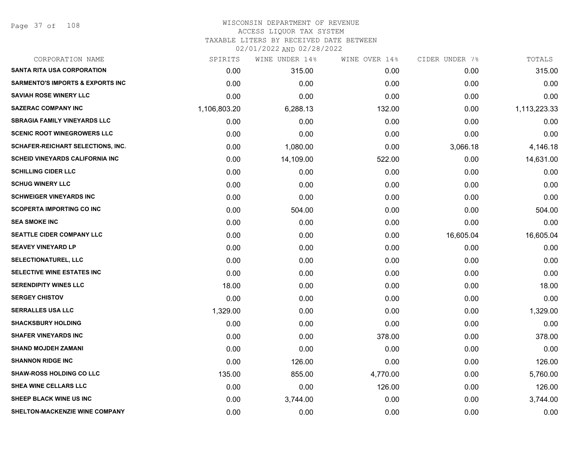Page 37 of 108

| CORPORATION NAME                             | SPIRITS      | WINE UNDER 14% | WINE OVER 14% | CIDER UNDER 7% | TOTALS       |
|----------------------------------------------|--------------|----------------|---------------|----------------|--------------|
| <b>SANTA RITA USA CORPORATION</b>            | 0.00         | 315.00         | 0.00          | 0.00           | 315.00       |
| <b>SARMENTO'S IMPORTS &amp; EXPORTS INC.</b> | 0.00         | 0.00           | 0.00          | 0.00           | 0.00         |
| <b>SAVIAH ROSE WINERY LLC</b>                | 0.00         | 0.00           | 0.00          | 0.00           | 0.00         |
| <b>SAZERAC COMPANY INC</b>                   | 1,106,803.20 | 6,288.13       | 132.00        | 0.00           | 1,113,223.33 |
| <b>SBRAGIA FAMILY VINEYARDS LLC</b>          | 0.00         | 0.00           | 0.00          | 0.00           | 0.00         |
| <b>SCENIC ROOT WINEGROWERS LLC</b>           | 0.00         | 0.00           | 0.00          | 0.00           | 0.00         |
| <b>SCHAFER-REICHART SELECTIONS, INC.</b>     | 0.00         | 1,080.00       | 0.00          | 3,066.18       | 4,146.18     |
| <b>SCHEID VINEYARDS CALIFORNIA INC</b>       | 0.00         | 14,109.00      | 522.00        | 0.00           | 14,631.00    |
| <b>SCHILLING CIDER LLC</b>                   | 0.00         | 0.00           | 0.00          | 0.00           | 0.00         |
| <b>SCHUG WINERY LLC</b>                      | 0.00         | 0.00           | 0.00          | 0.00           | 0.00         |
| <b>SCHWEIGER VINEYARDS INC</b>               | 0.00         | 0.00           | 0.00          | 0.00           | 0.00         |
| <b>SCOPERTA IMPORTING CO INC</b>             | 0.00         | 504.00         | 0.00          | 0.00           | 504.00       |
| <b>SEA SMOKE INC</b>                         | 0.00         | 0.00           | 0.00          | 0.00           | 0.00         |
| SEATTLE CIDER COMPANY LLC                    | 0.00         | 0.00           | 0.00          | 16,605.04      | 16,605.04    |
| <b>SEAVEY VINEYARD LP</b>                    | 0.00         | 0.00           | 0.00          | 0.00           | 0.00         |
| <b>SELECTIONATUREL, LLC</b>                  | 0.00         | 0.00           | 0.00          | 0.00           | 0.00         |
| SELECTIVE WINE ESTATES INC                   | 0.00         | 0.00           | 0.00          | 0.00           | 0.00         |
| <b>SERENDIPITY WINES LLC</b>                 | 18.00        | 0.00           | 0.00          | 0.00           | 18.00        |
| <b>SERGEY CHISTOV</b>                        | 0.00         | 0.00           | 0.00          | 0.00           | 0.00         |
| <b>SERRALLES USA LLC</b>                     | 1,329.00     | 0.00           | 0.00          | 0.00           | 1,329.00     |
| <b>SHACKSBURY HOLDING</b>                    | 0.00         | 0.00           | 0.00          | 0.00           | 0.00         |
| <b>SHAFER VINEYARDS INC</b>                  | 0.00         | 0.00           | 378.00        | 0.00           | 378.00       |
| <b>SHAND MOJDEH ZAMANI</b>                   | 0.00         | 0.00           | 0.00          | 0.00           | 0.00         |
| <b>SHANNON RIDGE INC</b>                     | 0.00         | 126.00         | 0.00          | 0.00           | 126.00       |
| <b>SHAW-ROSS HOLDING CO LLC</b>              | 135.00       | 855.00         | 4,770.00      | 0.00           | 5,760.00     |
| SHEA WINE CELLARS LLC                        | 0.00         | 0.00           | 126.00        | 0.00           | 126.00       |
| SHEEP BLACK WINE US INC                      | 0.00         | 3,744.00       | 0.00          | 0.00           | 3,744.00     |
| SHELTON-MACKENZIE WINE COMPANY               | 0.00         | 0.00           | 0.00          | 0.00           | 0.00         |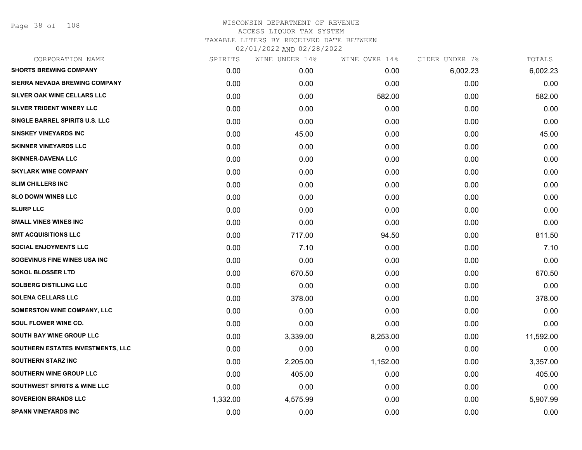Page 38 of 108

| CORPORATION NAME                        | SPIRITS  | WINE UNDER 14% | WINE OVER 14% | CIDER UNDER 7% | TOTALS    |
|-----------------------------------------|----------|----------------|---------------|----------------|-----------|
| <b>SHORTS BREWING COMPANY</b>           | 0.00     | 0.00           | 0.00          | 6,002.23       | 6,002.23  |
| SIERRA NEVADA BREWING COMPANY           | 0.00     | 0.00           | 0.00          | 0.00           | 0.00      |
| SILVER OAK WINE CELLARS LLC             | 0.00     | 0.00           | 582.00        | 0.00           | 582.00    |
| SILVER TRIDENT WINERY LLC               | 0.00     | 0.00           | 0.00          | 0.00           | 0.00      |
| SINGLE BARREL SPIRITS U.S. LLC          | 0.00     | 0.00           | 0.00          | 0.00           | 0.00      |
| <b>SINSKEY VINEYARDS INC</b>            | 0.00     | 45.00          | 0.00          | 0.00           | 45.00     |
| <b>SKINNER VINEYARDS LLC</b>            | 0.00     | 0.00           | 0.00          | 0.00           | 0.00      |
| <b>SKINNER-DAVENA LLC</b>               | 0.00     | 0.00           | 0.00          | 0.00           | 0.00      |
| <b>SKYLARK WINE COMPANY</b>             | 0.00     | 0.00           | 0.00          | 0.00           | 0.00      |
| <b>SLIM CHILLERS INC</b>                | 0.00     | 0.00           | 0.00          | 0.00           | 0.00      |
| <b>SLO DOWN WINES LLC</b>               | 0.00     | 0.00           | 0.00          | 0.00           | 0.00      |
| <b>SLURP LLC</b>                        | 0.00     | 0.00           | 0.00          | 0.00           | 0.00      |
| <b>SMALL VINES WINES INC</b>            | 0.00     | 0.00           | 0.00          | 0.00           | 0.00      |
| <b>SMT ACQUISITIONS LLC</b>             | 0.00     | 717.00         | 94.50         | 0.00           | 811.50    |
| <b>SOCIAL ENJOYMENTS LLC</b>            | 0.00     | 7.10           | 0.00          | 0.00           | 7.10      |
| SOGEVINUS FINE WINES USA INC            | 0.00     | 0.00           | 0.00          | 0.00           | 0.00      |
| <b>SOKOL BLOSSER LTD</b>                | 0.00     | 670.50         | 0.00          | 0.00           | 670.50    |
| <b>SOLBERG DISTILLING LLC</b>           | 0.00     | 0.00           | 0.00          | 0.00           | 0.00      |
| <b>SOLENA CELLARS LLC</b>               | 0.00     | 378.00         | 0.00          | 0.00           | 378.00    |
| SOMERSTON WINE COMPANY, LLC             | 0.00     | 0.00           | 0.00          | 0.00           | 0.00      |
| SOUL FLOWER WINE CO.                    | 0.00     | 0.00           | 0.00          | 0.00           | 0.00      |
| SOUTH BAY WINE GROUP LLC                | 0.00     | 3,339.00       | 8,253.00      | 0.00           | 11,592.00 |
| SOUTHERN ESTATES INVESTMENTS, LLC       | 0.00     | 0.00           | 0.00          | 0.00           | 0.00      |
| <b>SOUTHERN STARZ INC</b>               | 0.00     | 2,205.00       | 1,152.00      | 0.00           | 3,357.00  |
| SOUTHERN WINE GROUP LLC                 | 0.00     | 405.00         | 0.00          | 0.00           | 405.00    |
| <b>SOUTHWEST SPIRITS &amp; WINE LLC</b> | 0.00     | 0.00           | 0.00          | 0.00           | 0.00      |
| <b>SOVEREIGN BRANDS LLC</b>             | 1,332.00 | 4,575.99       | 0.00          | 0.00           | 5,907.99  |
| <b>SPANN VINEYARDS INC</b>              | 0.00     | 0.00           | 0.00          | 0.00           | 0.00      |
|                                         |          |                |               |                |           |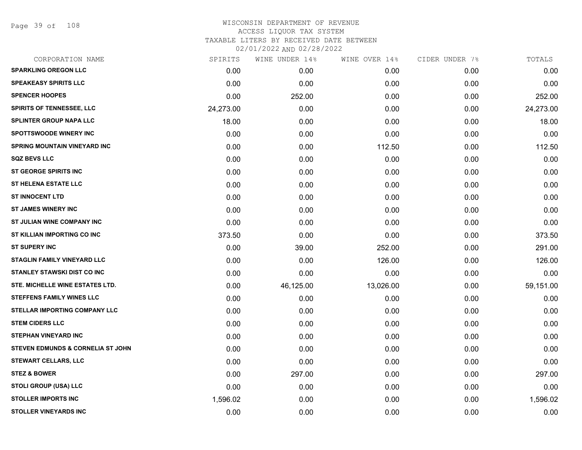Page 39 of 108

| CORPORATION NAME                             | SPIRITS   | WINE UNDER 14% | WINE OVER 14% | CIDER UNDER 7% | TOTALS    |
|----------------------------------------------|-----------|----------------|---------------|----------------|-----------|
| <b>SPARKLING OREGON LLC</b>                  | 0.00      | 0.00           | 0.00          | 0.00           | 0.00      |
| <b>SPEAKEASY SPIRITS LLC</b>                 | 0.00      | 0.00           | 0.00          | 0.00           | 0.00      |
| <b>SPENCER HOOPES</b>                        | 0.00      | 252.00         | 0.00          | 0.00           | 252.00    |
| SPIRITS OF TENNESSEE, LLC                    | 24,273.00 | 0.00           | 0.00          | 0.00           | 24,273.00 |
| <b>SPLINTER GROUP NAPA LLC</b>               | 18.00     | 0.00           | 0.00          | 0.00           | 18.00     |
| <b>SPOTTSWOODE WINERY INC</b>                | 0.00      | 0.00           | 0.00          | 0.00           | 0.00      |
| SPRING MOUNTAIN VINEYARD INC                 | 0.00      | 0.00           | 112.50        | 0.00           | 112.50    |
| <b>SQZ BEVS LLC</b>                          | 0.00      | 0.00           | 0.00          | 0.00           | 0.00      |
| <b>ST GEORGE SPIRITS INC</b>                 | 0.00      | 0.00           | 0.00          | 0.00           | 0.00      |
| <b>ST HELENA ESTATE LLC</b>                  | 0.00      | 0.00           | 0.00          | 0.00           | 0.00      |
| <b>ST INNOCENT LTD</b>                       | 0.00      | 0.00           | 0.00          | 0.00           | 0.00      |
| <b>ST JAMES WINERY INC</b>                   | 0.00      | 0.00           | 0.00          | 0.00           | 0.00      |
| ST JULIAN WINE COMPANY INC                   | 0.00      | 0.00           | 0.00          | 0.00           | 0.00      |
| ST KILLIAN IMPORTING CO INC                  | 373.50    | 0.00           | 0.00          | 0.00           | 373.50    |
| <b>ST SUPERY INC</b>                         | 0.00      | 39.00          | 252.00        | 0.00           | 291.00    |
| <b>STAGLIN FAMILY VINEYARD LLC</b>           | 0.00      | 0.00           | 126.00        | 0.00           | 126.00    |
| <b>STANLEY STAWSKI DIST CO INC</b>           | 0.00      | 0.00           | 0.00          | 0.00           | 0.00      |
| STE. MICHELLE WINE ESTATES LTD.              | 0.00      | 46,125.00      | 13,026.00     | 0.00           | 59,151.00 |
| <b>STEFFENS FAMILY WINES LLC</b>             | 0.00      | 0.00           | 0.00          | 0.00           | 0.00      |
| STELLAR IMPORTING COMPANY LLC                | 0.00      | 0.00           | 0.00          | 0.00           | 0.00      |
| <b>STEM CIDERS LLC</b>                       | 0.00      | 0.00           | 0.00          | 0.00           | 0.00      |
| <b>STEPHAN VINEYARD INC</b>                  | 0.00      | 0.00           | 0.00          | 0.00           | 0.00      |
| <b>STEVEN EDMUNDS &amp; CORNELIA ST JOHN</b> | 0.00      | 0.00           | 0.00          | 0.00           | 0.00      |
| <b>STEWART CELLARS, LLC</b>                  | 0.00      | 0.00           | 0.00          | 0.00           | 0.00      |
| <b>STEZ &amp; BOWER</b>                      | 0.00      | 297.00         | 0.00          | 0.00           | 297.00    |
| <b>STOLI GROUP (USA) LLC</b>                 | 0.00      | 0.00           | 0.00          | 0.00           | 0.00      |
| <b>STOLLER IMPORTS INC</b>                   | 1,596.02  | 0.00           | 0.00          | 0.00           | 1,596.02  |
| <b>STOLLER VINEYARDS INC</b>                 | 0.00      | 0.00           | 0.00          | 0.00           | 0.00      |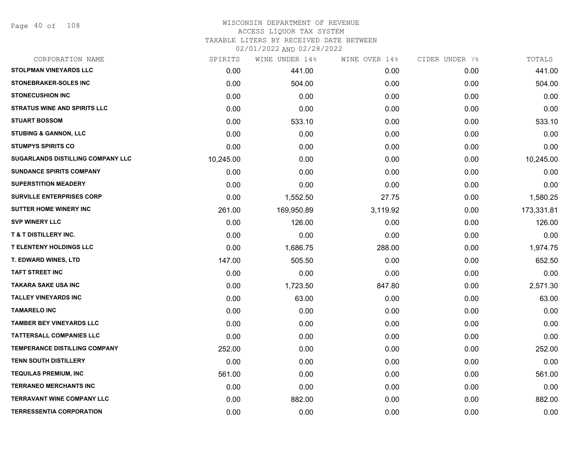Page 40 of 108

#### WISCONSIN DEPARTMENT OF REVENUE ACCESS LIQUOR TAX SYSTEM TAXABLE LITERS BY RECEIVED DATE BETWEEN

02/01/2022 AND 02/28/2022

| CORPORATION NAME                         | SPIRITS   | WINE UNDER 14% | WINE OVER 14% | CIDER UNDER 7% | TOTALS     |
|------------------------------------------|-----------|----------------|---------------|----------------|------------|
| STOLPMAN VINEYARDS LLC                   | 0.00      | 441.00         | 0.00          | 0.00           | 441.00     |
| <b>STONEBRAKER-SOLES INC</b>             | 0.00      | 504.00         | 0.00          | 0.00           | 504.00     |
| <b>STONECUSHION INC</b>                  | 0.00      | 0.00           | 0.00          | 0.00           | 0.00       |
| <b>STRATUS WINE AND SPIRITS LLC</b>      | 0.00      | 0.00           | 0.00          | 0.00           | 0.00       |
| <b>STUART BOSSOM</b>                     | 0.00      | 533.10         | 0.00          | 0.00           | 533.10     |
| <b>STUBING &amp; GANNON, LLC</b>         | 0.00      | 0.00           | 0.00          | 0.00           | 0.00       |
| <b>STUMPYS SPIRITS CO</b>                | 0.00      | 0.00           | 0.00          | 0.00           | 0.00       |
| <b>SUGARLANDS DISTILLING COMPANY LLC</b> | 10,245.00 | 0.00           | 0.00          | 0.00           | 10,245.00  |
| <b>SUNDANCE SPIRITS COMPANY</b>          | 0.00      | 0.00           | 0.00          | 0.00           | 0.00       |
| <b>SUPERSTITION MEADERY</b>              | 0.00      | 0.00           | 0.00          | 0.00           | 0.00       |
| <b>SURVILLE ENTERPRISES CORP</b>         | 0.00      | 1,552.50       | 27.75         | 0.00           | 1,580.25   |
| SUTTER HOME WINERY INC                   | 261.00    | 169,950.89     | 3,119.92      | 0.00           | 173,331.81 |
| <b>SVP WINERY LLC</b>                    | 0.00      | 126.00         | 0.00          | 0.00           | 126.00     |
| <b>T &amp; T DISTILLERY INC.</b>         | 0.00      | 0.00           | 0.00          | 0.00           | 0.00       |
| <b>T ELENTENY HOLDINGS LLC</b>           | 0.00      | 1,686.75       | 288.00        | 0.00           | 1,974.75   |
| T. EDWARD WINES, LTD                     | 147.00    | 505.50         | 0.00          | 0.00           | 652.50     |
| <b>TAFT STREET INC</b>                   | 0.00      | 0.00           | 0.00          | 0.00           | 0.00       |
| <b>TAKARA SAKE USA INC</b>               | 0.00      | 1,723.50       | 847.80        | 0.00           | 2,571.30   |
| TALLEY VINEYARDS INC                     | 0.00      | 63.00          | 0.00          | 0.00           | 63.00      |
| <b>TAMARELO INC</b>                      | 0.00      | 0.00           | 0.00          | 0.00           | 0.00       |
| <b>TAMBER BEY VINEYARDS LLC</b>          | 0.00      | 0.00           | 0.00          | 0.00           | 0.00       |
| TATTERSALL COMPANIES LLC                 | 0.00      | 0.00           | 0.00          | 0.00           | 0.00       |
| TEMPERANCE DISTILLING COMPANY            | 252.00    | 0.00           | 0.00          | 0.00           | 252.00     |
| <b>TENN SOUTH DISTILLERY</b>             | 0.00      | 0.00           | 0.00          | 0.00           | 0.00       |
| <b>TEQUILAS PREMIUM, INC</b>             | 561.00    | 0.00           | 0.00          | 0.00           | 561.00     |
| <b>TERRANEO MERCHANTS INC</b>            | 0.00      | 0.00           | 0.00          | 0.00           | 0.00       |
| <b>TERRAVANT WINE COMPANY LLC</b>        | 0.00      | 882.00         | 0.00          | 0.00           | 882.00     |
| <b>TERRESSENTIA CORPORATION</b>          | 0.00      | 0.00           | 0.00          | 0.00           | 0.00       |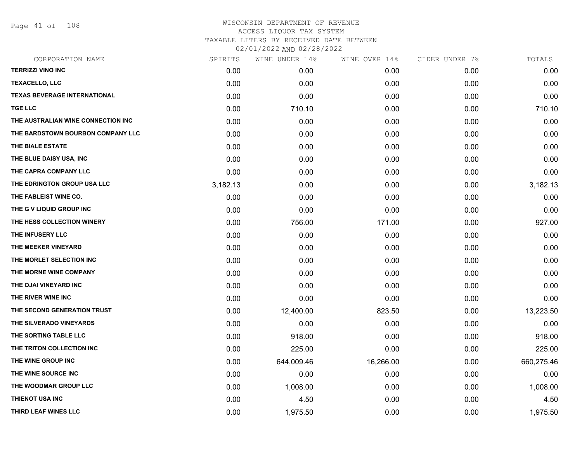Page 41 of 108

|          | WINE UNDER 14% |           |               | TOTALS         |
|----------|----------------|-----------|---------------|----------------|
| 0.00     | 0.00           | 0.00      | 0.00          | 0.00           |
| 0.00     | 0.00           | 0.00      | 0.00          | 0.00           |
| 0.00     | 0.00           | 0.00      | 0.00          | 0.00           |
| 0.00     | 710.10         | 0.00      | 0.00          | 710.10         |
| 0.00     | 0.00           | 0.00      | 0.00          | 0.00           |
| 0.00     | 0.00           | 0.00      | 0.00          | 0.00           |
| 0.00     | 0.00           | 0.00      | 0.00          | 0.00           |
| 0.00     | 0.00           | 0.00      | 0.00          | 0.00           |
| 0.00     | 0.00           | 0.00      | 0.00          | 0.00           |
| 3,182.13 | 0.00           | 0.00      | 0.00          | 3,182.13       |
| 0.00     | 0.00           | 0.00      | 0.00          | 0.00           |
| 0.00     | 0.00           | 0.00      | 0.00          | 0.00           |
| 0.00     | 756.00         | 171.00    | 0.00          | 927.00         |
| 0.00     | 0.00           | 0.00      | 0.00          | 0.00           |
| 0.00     | 0.00           | 0.00      | 0.00          | 0.00           |
| 0.00     | 0.00           | 0.00      | 0.00          | 0.00           |
| 0.00     | 0.00           | 0.00      | 0.00          | 0.00           |
| 0.00     | 0.00           | 0.00      | 0.00          | 0.00           |
| 0.00     | 0.00           | 0.00      | 0.00          | 0.00           |
| 0.00     | 12,400.00      | 823.50    | 0.00          | 13,223.50      |
| 0.00     | 0.00           | 0.00      | 0.00          | 0.00           |
| 0.00     | 918.00         | 0.00      | 0.00          | 918.00         |
| 0.00     | 225.00         | 0.00      | 0.00          | 225.00         |
| 0.00     | 644,009.46     | 16,266.00 | 0.00          | 660,275.46     |
| 0.00     | 0.00           | 0.00      | 0.00          | 0.00           |
| 0.00     | 1,008.00       | 0.00      | 0.00          | 1,008.00       |
| 0.00     | 4.50           | 0.00      | 0.00          | 4.50           |
| 0.00     | 1,975.50       | 0.00      | 0.00          | 1,975.50       |
|          | SPIRITS        |           | WINE OVER 14% | CIDER UNDER 7% |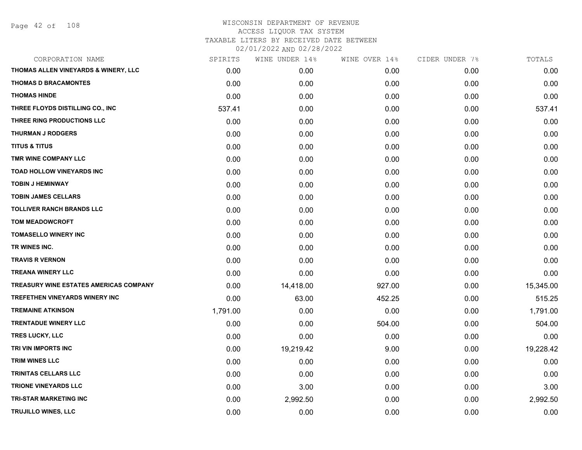Page 42 of 108

|          | WINE UNDER 14% |        |               | TOTALS         |
|----------|----------------|--------|---------------|----------------|
| 0.00     | 0.00           | 0.00   | 0.00          | 0.00           |
| 0.00     | 0.00           | 0.00   | 0.00          | 0.00           |
| 0.00     | 0.00           | 0.00   | 0.00          | 0.00           |
| 537.41   | 0.00           | 0.00   | 0.00          | 537.41         |
| 0.00     | 0.00           | 0.00   | 0.00          | 0.00           |
| 0.00     | 0.00           | 0.00   | 0.00          | 0.00           |
| 0.00     | 0.00           | 0.00   | 0.00          | 0.00           |
| 0.00     | 0.00           | 0.00   | 0.00          | 0.00           |
| 0.00     | 0.00           | 0.00   | 0.00          | 0.00           |
| 0.00     | 0.00           | 0.00   | 0.00          | 0.00           |
| 0.00     | 0.00           | 0.00   | 0.00          | 0.00           |
| 0.00     | 0.00           | 0.00   | 0.00          | 0.00           |
| 0.00     | 0.00           | 0.00   | 0.00          | 0.00           |
| 0.00     | 0.00           | 0.00   | 0.00          | 0.00           |
| 0.00     | 0.00           | 0.00   | 0.00          | 0.00           |
| 0.00     | 0.00           | 0.00   | 0.00          | 0.00           |
| 0.00     | 0.00           | 0.00   | 0.00          | 0.00           |
| 0.00     | 14,418.00      | 927.00 | 0.00          | 15,345.00      |
| 0.00     | 63.00          | 452.25 | 0.00          | 515.25         |
| 1,791.00 | 0.00           | 0.00   | 0.00          | 1,791.00       |
| 0.00     | 0.00           | 504.00 | 0.00          | 504.00         |
| 0.00     | 0.00           | 0.00   | 0.00          | 0.00           |
| 0.00     | 19,219.42      | 9.00   | 0.00          | 19,228.42      |
| 0.00     | 0.00           | 0.00   | 0.00          | 0.00           |
| 0.00     | 0.00           | 0.00   | 0.00          | 0.00           |
| 0.00     | 3.00           | 0.00   | 0.00          | 3.00           |
| 0.00     | 2,992.50       | 0.00   | 0.00          | 2,992.50       |
| 0.00     | 0.00           | 0.00   | 0.00          | 0.00           |
|          | SPIRITS        |        | WINE OVER 14% | CIDER UNDER 7% |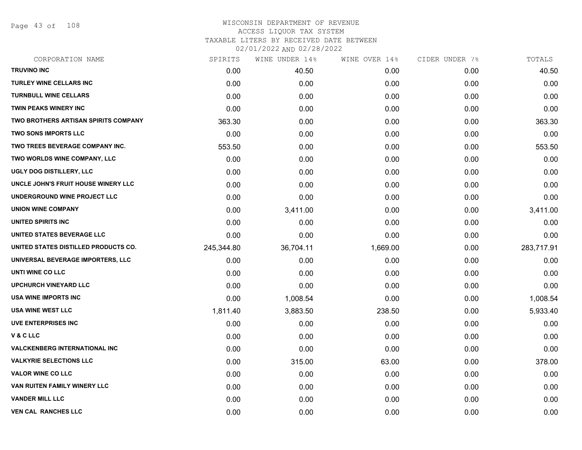Page 43 of 108

| CORPORATION NAME                     | SPIRITS    | WINE UNDER 14% | WINE OVER 14% | CIDER UNDER 7% | TOTALS     |
|--------------------------------------|------------|----------------|---------------|----------------|------------|
| <b>TRUVINO INC</b>                   | 0.00       | 40.50          | 0.00          | 0.00           | 40.50      |
| <b>TURLEY WINE CELLARS INC</b>       | 0.00       | 0.00           | 0.00          | 0.00           | 0.00       |
| <b>TURNBULL WINE CELLARS</b>         | 0.00       | 0.00           | 0.00          | 0.00           | 0.00       |
| <b>TWIN PEAKS WINERY INC</b>         | 0.00       | 0.00           | 0.00          | 0.00           | 0.00       |
| TWO BROTHERS ARTISAN SPIRITS COMPANY | 363.30     | 0.00           | 0.00          | 0.00           | 363.30     |
| <b>TWO SONS IMPORTS LLC</b>          | 0.00       | 0.00           | 0.00          | 0.00           | 0.00       |
| TWO TREES BEVERAGE COMPANY INC.      | 553.50     | 0.00           | 0.00          | 0.00           | 553.50     |
| TWO WORLDS WINE COMPANY, LLC         | 0.00       | 0.00           | 0.00          | 0.00           | 0.00       |
| UGLY DOG DISTILLERY, LLC             | 0.00       | 0.00           | 0.00          | 0.00           | 0.00       |
| UNCLE JOHN'S FRUIT HOUSE WINERY LLC  | 0.00       | 0.00           | 0.00          | 0.00           | 0.00       |
| UNDERGROUND WINE PROJECT LLC         | 0.00       | 0.00           | 0.00          | 0.00           | 0.00       |
| <b>UNION WINE COMPANY</b>            | 0.00       | 3,411.00       | 0.00          | 0.00           | 3,411.00   |
| <b>UNITED SPIRITS INC</b>            | 0.00       | 0.00           | 0.00          | 0.00           | 0.00       |
| UNITED STATES BEVERAGE LLC           | 0.00       | 0.00           | 0.00          | 0.00           | 0.00       |
| UNITED STATES DISTILLED PRODUCTS CO. | 245,344.80 | 36,704.11      | 1,669.00      | 0.00           | 283,717.91 |
| UNIVERSAL BEVERAGE IMPORTERS, LLC    | 0.00       | 0.00           | 0.00          | 0.00           | 0.00       |
| UNTI WINE CO LLC                     | 0.00       | 0.00           | 0.00          | 0.00           | 0.00       |
| <b>UPCHURCH VINEYARD LLC</b>         | 0.00       | 0.00           | 0.00          | 0.00           | 0.00       |
| USA WINE IMPORTS INC                 | 0.00       | 1,008.54       | 0.00          | 0.00           | 1,008.54   |
| <b>USA WINE WEST LLC</b>             | 1,811.40   | 3,883.50       | 238.50        | 0.00           | 5,933.40   |
| <b>UVE ENTERPRISES INC</b>           | 0.00       | 0.00           | 0.00          | 0.00           | 0.00       |
| <b>V&amp;CLLC</b>                    | 0.00       | 0.00           | 0.00          | 0.00           | 0.00       |
| <b>VALCKENBERG INTERNATIONAL INC</b> | 0.00       | 0.00           | 0.00          | 0.00           | 0.00       |
| <b>VALKYRIE SELECTIONS LLC</b>       | 0.00       | 315.00         | 63.00         | 0.00           | 378.00     |
| <b>VALOR WINE CO LLC</b>             | 0.00       | 0.00           | 0.00          | 0.00           | 0.00       |
| VAN RUITEN FAMILY WINERY LLC         | 0.00       | 0.00           | 0.00          | 0.00           | 0.00       |
| <b>VANDER MILL LLC</b>               | 0.00       | 0.00           | 0.00          | 0.00           | 0.00       |
| <b>VEN CAL RANCHES LLC</b>           | 0.00       | 0.00           | 0.00          | 0.00           | 0.00       |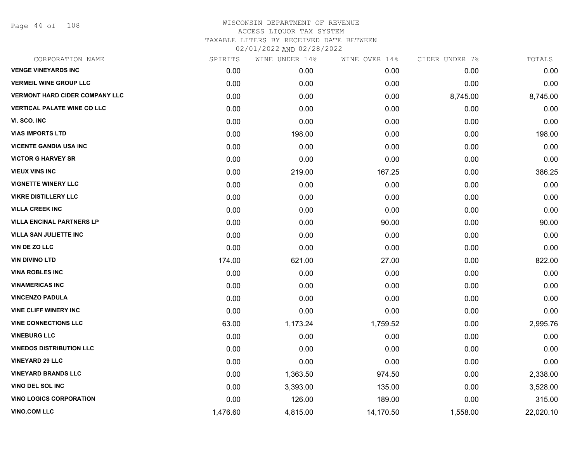Page 44 of 108

| CORPORATION NAME                      | SPIRITS  | WINE UNDER 14% | WINE OVER 14% | CIDER UNDER 7% | TOTALS    |
|---------------------------------------|----------|----------------|---------------|----------------|-----------|
| <b>VENGE VINEYARDS INC</b>            | 0.00     | 0.00           | 0.00          | 0.00           | 0.00      |
| <b>VERMEIL WINE GROUP LLC</b>         | 0.00     | 0.00           | 0.00          | 0.00           | 0.00      |
| <b>VERMONT HARD CIDER COMPANY LLC</b> | 0.00     | 0.00           | 0.00          | 8,745.00       | 8,745.00  |
| <b>VERTICAL PALATE WINE CO LLC</b>    | 0.00     | 0.00           | 0.00          | 0.00           | 0.00      |
| VI. SCO. INC                          | 0.00     | 0.00           | 0.00          | 0.00           | 0.00      |
| <b>VIAS IMPORTS LTD</b>               | 0.00     | 198.00         | 0.00          | 0.00           | 198.00    |
| <b>VICENTE GANDIA USA INC</b>         | 0.00     | 0.00           | 0.00          | 0.00           | 0.00      |
| <b>VICTOR G HARVEY SR</b>             | 0.00     | 0.00           | 0.00          | 0.00           | 0.00      |
| <b>VIEUX VINS INC</b>                 | 0.00     | 219.00         | 167.25        | 0.00           | 386.25    |
| <b>VIGNETTE WINERY LLC</b>            | 0.00     | 0.00           | 0.00          | 0.00           | 0.00      |
| <b>VIKRE DISTILLERY LLC</b>           | 0.00     | 0.00           | 0.00          | 0.00           | 0.00      |
| <b>VILLA CREEK INC</b>                | 0.00     | 0.00           | 0.00          | 0.00           | 0.00      |
| <b>VILLA ENCINAL PARTNERS LP</b>      | 0.00     | 0.00           | 90.00         | 0.00           | 90.00     |
| <b>VILLA SAN JULIETTE INC</b>         | 0.00     | 0.00           | 0.00          | 0.00           | 0.00      |
| VIN DE ZO LLC                         | 0.00     | 0.00           | 0.00          | 0.00           | 0.00      |
| <b>VIN DIVINO LTD</b>                 | 174.00   | 621.00         | 27.00         | 0.00           | 822.00    |
| <b>VINA ROBLES INC</b>                | 0.00     | 0.00           | 0.00          | 0.00           | 0.00      |
| <b>VINAMERICAS INC</b>                | 0.00     | 0.00           | 0.00          | 0.00           | 0.00      |
| <b>VINCENZO PADULA</b>                | 0.00     | 0.00           | 0.00          | 0.00           | 0.00      |
| <b>VINE CLIFF WINERY INC</b>          | 0.00     | 0.00           | 0.00          | 0.00           | 0.00      |
| <b>VINE CONNECTIONS LLC</b>           | 63.00    | 1,173.24       | 1,759.52      | 0.00           | 2,995.76  |
| <b>VINEBURG LLC</b>                   | 0.00     | 0.00           | 0.00          | 0.00           | 0.00      |
| <b>VINEDOS DISTRIBUTION LLC</b>       | 0.00     | 0.00           | 0.00          | 0.00           | 0.00      |
| <b>VINEYARD 29 LLC</b>                | 0.00     | 0.00           | 0.00          | 0.00           | 0.00      |
| <b>VINEYARD BRANDS LLC</b>            | 0.00     | 1,363.50       | 974.50        | 0.00           | 2,338.00  |
| VINO DEL SOL INC                      | 0.00     | 3,393.00       | 135.00        | 0.00           | 3,528.00  |
| <b>VINO LOGICS CORPORATION</b>        | 0.00     | 126.00         | 189.00        | 0.00           | 315.00    |
| <b>VINO.COM LLC</b>                   | 1,476.60 | 4,815.00       | 14,170.50     | 1,558.00       | 22,020.10 |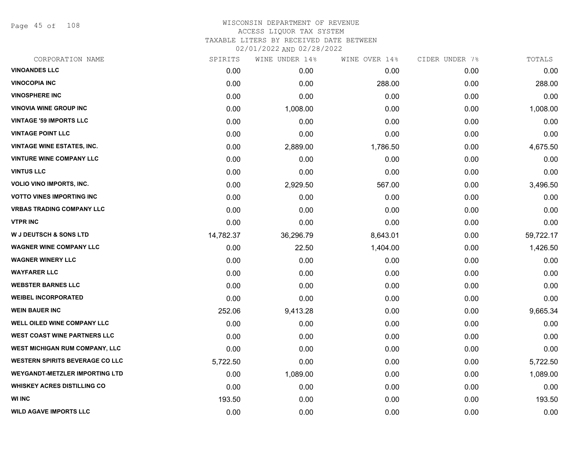Page 45 of 108

| CORPORATION NAME                       | SPIRITS   | WINE UNDER 14% | WINE OVER 14% | CIDER UNDER 7% | TOTALS    |
|----------------------------------------|-----------|----------------|---------------|----------------|-----------|
| <b>VINOANDES LLC</b>                   | 0.00      | 0.00           | 0.00          | 0.00           | 0.00      |
| <b>VINOCOPIA INC</b>                   | 0.00      | 0.00           | 288.00        | 0.00           | 288.00    |
| <b>VINOSPHERE INC</b>                  | 0.00      | 0.00           | 0.00          | 0.00           | 0.00      |
| <b>VINOVIA WINE GROUP INC</b>          | 0.00      | 1,008.00       | 0.00          | 0.00           | 1,008.00  |
| <b>VINTAGE '59 IMPORTS LLC</b>         | 0.00      | 0.00           | 0.00          | 0.00           | 0.00      |
| <b>VINTAGE POINT LLC</b>               | 0.00      | 0.00           | 0.00          | 0.00           | 0.00      |
| <b>VINTAGE WINE ESTATES, INC.</b>      | 0.00      | 2,889.00       | 1,786.50      | 0.00           | 4,675.50  |
| <b>VINTURE WINE COMPANY LLC</b>        | 0.00      | 0.00           | 0.00          | 0.00           | 0.00      |
| <b>VINTUS LLC</b>                      | 0.00      | 0.00           | 0.00          | 0.00           | 0.00      |
| <b>VOLIO VINO IMPORTS, INC.</b>        | 0.00      | 2,929.50       | 567.00        | 0.00           | 3,496.50  |
| <b>VOTTO VINES IMPORTING INC</b>       | 0.00      | 0.00           | 0.00          | 0.00           | 0.00      |
| <b>VRBAS TRADING COMPANY LLC</b>       | 0.00      | 0.00           | 0.00          | 0.00           | 0.00      |
| <b>VTPR INC</b>                        | 0.00      | 0.00           | 0.00          | 0.00           | 0.00      |
| <b>W J DEUTSCH &amp; SONS LTD</b>      | 14,782.37 | 36,296.79      | 8,643.01      | 0.00           | 59,722.17 |
| <b>WAGNER WINE COMPANY LLC</b>         | 0.00      | 22.50          | 1,404.00      | 0.00           | 1,426.50  |
| <b>WAGNER WINERY LLC</b>               | 0.00      | 0.00           | 0.00          | 0.00           | 0.00      |
| <b>WAYFARER LLC</b>                    | 0.00      | 0.00           | 0.00          | 0.00           | 0.00      |
| <b>WEBSTER BARNES LLC</b>              | 0.00      | 0.00           | 0.00          | 0.00           | 0.00      |
| <b>WEIBEL INCORPORATED</b>             | 0.00      | 0.00           | 0.00          | 0.00           | 0.00      |
| <b>WEIN BAUER INC</b>                  | 252.06    | 9,413.28       | 0.00          | 0.00           | 9,665.34  |
| WELL OILED WINE COMPANY LLC            | 0.00      | 0.00           | 0.00          | 0.00           | 0.00      |
| <b>WEST COAST WINE PARTNERS LLC</b>    | 0.00      | 0.00           | 0.00          | 0.00           | 0.00      |
| <b>WEST MICHIGAN RUM COMPANY, LLC</b>  | 0.00      | 0.00           | 0.00          | 0.00           | 0.00      |
| <b>WESTERN SPIRITS BEVERAGE CO LLC</b> | 5,722.50  | 0.00           | 0.00          | 0.00           | 5,722.50  |
| <b>WEYGANDT-METZLER IMPORTING LTD</b>  | 0.00      | 1,089.00       | 0.00          | 0.00           | 1,089.00  |
| <b>WHISKEY ACRES DISTILLING CO</b>     | 0.00      | 0.00           | 0.00          | 0.00           | 0.00      |
| <b>WI INC</b>                          | 193.50    | 0.00           | 0.00          | 0.00           | 193.50    |
| <b>WILD AGAVE IMPORTS LLC</b>          | 0.00      | 0.00           | 0.00          | 0.00           | 0.00      |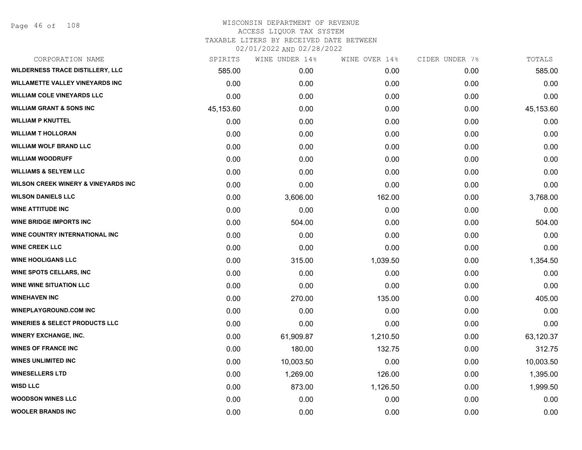Page 46 of 108

| CORPORATION NAME                               | SPIRITS   | WINE UNDER 14% | WINE OVER 14% | CIDER UNDER 7% | TOTALS    |
|------------------------------------------------|-----------|----------------|---------------|----------------|-----------|
| <b>WILDERNESS TRACE DISTILLERY, LLC</b>        | 585.00    | 0.00           | 0.00          | 0.00           | 585.00    |
| <b>WILLAMETTE VALLEY VINEYARDS INC</b>         | 0.00      | 0.00           | 0.00          | 0.00           | 0.00      |
| <b>WILLIAM COLE VINEYARDS LLC</b>              | 0.00      | 0.00           | 0.00          | 0.00           | 0.00      |
| <b>WILLIAM GRANT &amp; SONS INC</b>            | 45,153.60 | 0.00           | 0.00          | 0.00           | 45,153.60 |
| <b>WILLIAM P KNUTTEL</b>                       | 0.00      | 0.00           | 0.00          | 0.00           | 0.00      |
| <b>WILLIAM T HOLLORAN</b>                      | 0.00      | 0.00           | 0.00          | 0.00           | 0.00      |
| <b>WILLIAM WOLF BRAND LLC</b>                  | 0.00      | 0.00           | 0.00          | 0.00           | 0.00      |
| <b>WILLIAM WOODRUFF</b>                        | 0.00      | 0.00           | 0.00          | 0.00           | 0.00      |
| <b>WILLIAMS &amp; SELYEM LLC</b>               | 0.00      | 0.00           | 0.00          | 0.00           | 0.00      |
| <b>WILSON CREEK WINERY &amp; VINEYARDS INC</b> | 0.00      | 0.00           | 0.00          | 0.00           | 0.00      |
| <b>WILSON DANIELS LLC</b>                      | 0.00      | 3,606.00       | 162.00        | 0.00           | 3,768.00  |
| <b>WINE ATTITUDE INC</b>                       | 0.00      | 0.00           | 0.00          | 0.00           | 0.00      |
| <b>WINE BRIDGE IMPORTS INC</b>                 | 0.00      | 504.00         | 0.00          | 0.00           | 504.00    |
| WINE COUNTRY INTERNATIONAL INC                 | 0.00      | 0.00           | 0.00          | 0.00           | 0.00      |
| <b>WINE CREEK LLC</b>                          | 0.00      | 0.00           | 0.00          | 0.00           | 0.00      |
| <b>WINE HOOLIGANS LLC</b>                      | 0.00      | 315.00         | 1,039.50      | 0.00           | 1,354.50  |
| <b>WINE SPOTS CELLARS, INC.</b>                | 0.00      | 0.00           | 0.00          | 0.00           | 0.00      |
| <b>WINE WINE SITUATION LLC</b>                 | 0.00      | 0.00           | 0.00          | 0.00           | 0.00      |
| <b>WINEHAVEN INC</b>                           | 0.00      | 270.00         | 135.00        | 0.00           | 405.00    |
| <b>WINEPLAYGROUND.COM INC</b>                  | 0.00      | 0.00           | 0.00          | 0.00           | 0.00      |
| <b>WINERIES &amp; SELECT PRODUCTS LLC</b>      | 0.00      | 0.00           | 0.00          | 0.00           | 0.00      |
| <b>WINERY EXCHANGE, INC.</b>                   | 0.00      | 61,909.87      | 1,210.50      | 0.00           | 63,120.37 |
| <b>WINES OF FRANCE INC</b>                     | 0.00      | 180.00         | 132.75        | 0.00           | 312.75    |
| <b>WINES UNLIMITED INC</b>                     | 0.00      | 10,003.50      | 0.00          | 0.00           | 10,003.50 |
| <b>WINESELLERS LTD</b>                         | 0.00      | 1,269.00       | 126.00        | 0.00           | 1,395.00  |
| <b>WISD LLC</b>                                | 0.00      | 873.00         | 1,126.50      | 0.00           | 1,999.50  |
| <b>WOODSON WINES LLC</b>                       | 0.00      | 0.00           | 0.00          | 0.00           | 0.00      |
| <b>WOOLER BRANDS INC</b>                       | 0.00      | 0.00           | 0.00          | 0.00           | 0.00      |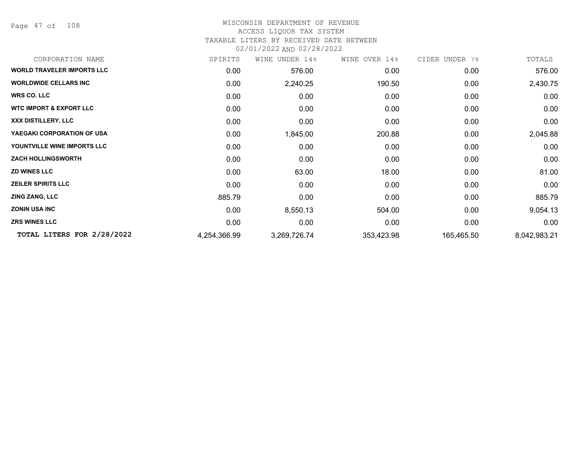Page 47 of 108

#### WISCONSIN DEPARTMENT OF REVENUE ACCESS LIQUOR TAX SYSTEM

#### TAXABLE LITERS BY RECEIVED DATE BETWEEN

02/01/2022 AND 02/28/2022

| CORPORATION NAME                   | SPIRITS      | WINE UNDER 14% | WINE OVER 14% | CIDER UNDER 7% | TOTALS       |
|------------------------------------|--------------|----------------|---------------|----------------|--------------|
| <b>WORLD TRAVELER IMPORTS LLC</b>  | 0.00         | 576.00         | 0.00          | 0.00           | 576.00       |
| <b>WORLDWIDE CELLARS INC</b>       | 0.00         | 2,240.25       | 190.50        | 0.00           | 2,430.75     |
| <b>WRS CO. LLC</b>                 | 0.00         | 0.00           | 0.00          | 0.00           | 0.00         |
| <b>WTC IMPORT &amp; EXPORT LLC</b> | 0.00         | 0.00           | 0.00          | 0.00           | 0.00         |
| XXX DISTILLERY, LLC                | 0.00         | 0.00           | 0.00          | 0.00           | 0.00         |
| YAEGAKI CORPORATION OF USA         | 0.00         | 1,845.00       | 200.88        | 0.00           | 2,045.88     |
| YOUNTVILLE WINE IMPORTS LLC        | 0.00         | 0.00           | 0.00          | 0.00           | 0.00         |
| <b>ZACH HOLLINGSWORTH</b>          | 0.00         | 0.00           | 0.00          | 0.00           | 0.00         |
| <b>ZD WINES LLC</b>                | 0.00         | 63.00          | 18.00         | 0.00           | 81.00        |
| <b>ZEILER SPIRITS LLC</b>          | 0.00         | 0.00           | 0.00          | 0.00           | 0.00         |
| <b>ZING ZANG, LLC</b>              | 885.79       | 0.00           | 0.00          | 0.00           | 885.79       |
| <b>ZONIN USA INC</b>               | 0.00         | 8,550.13       | 504.00        | 0.00           | 9,054.13     |
| <b>ZRS WINES LLC</b>               | 0.00         | 0.00           | 0.00          | 0.00           | 0.00         |
| TOTAL LITERS FOR 2/28/2022         | 4,254,366.99 | 3,269,726.74   | 353,423.98    | 165,465.50     | 8,042,983.21 |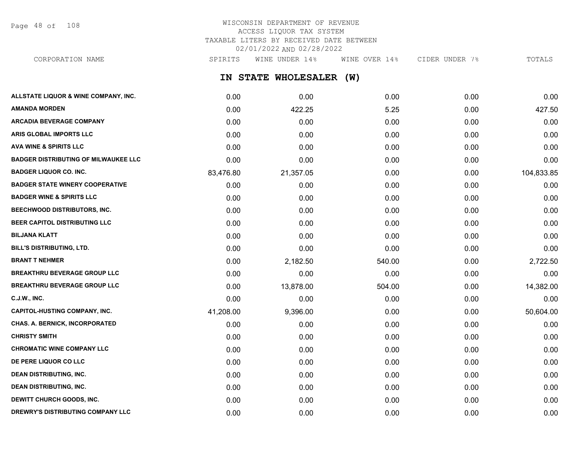Page 48 of 108

# WISCONSIN DEPARTMENT OF REVENUE ACCESS LIQUOR TAX SYSTEM TAXABLE LITERS BY RECEIVED DATE BETWEEN 02/01/2022 AND 02/28/2022

CORPORATION NAME SPIRITS WINE UNDER 14% WINE OVER 14% CIDER UNDER 7% TOTALS

**IN STATE WHOLESALER (W)**

| ALLSTATE LIQUOR & WINE COMPANY, INC.        | 0.00      | 0.00      | 0.00   | 0.00 | 0.00       |
|---------------------------------------------|-----------|-----------|--------|------|------------|
| <b>AMANDA MORDEN</b>                        | 0.00      | 422.25    | 5.25   | 0.00 | 427.50     |
| <b>ARCADIA BEVERAGE COMPANY</b>             | 0.00      | 0.00      | 0.00   | 0.00 | 0.00       |
| ARIS GLOBAL IMPORTS LLC                     | 0.00      | 0.00      | 0.00   | 0.00 | 0.00       |
| <b>AVA WINE &amp; SPIRITS LLC</b>           | 0.00      | 0.00      | 0.00   | 0.00 | 0.00       |
| <b>BADGER DISTRIBUTING OF MILWAUKEE LLC</b> | 0.00      | 0.00      | 0.00   | 0.00 | 0.00       |
| <b>BADGER LIQUOR CO. INC.</b>               | 83,476.80 | 21,357.05 | 0.00   | 0.00 | 104,833.85 |
| <b>BADGER STATE WINERY COOPERATIVE</b>      | 0.00      | 0.00      | 0.00   | 0.00 | 0.00       |
| <b>BADGER WINE &amp; SPIRITS LLC</b>        | 0.00      | 0.00      | 0.00   | 0.00 | 0.00       |
| BEECHWOOD DISTRIBUTORS, INC.                | 0.00      | 0.00      | 0.00   | 0.00 | 0.00       |
| BEER CAPITOL DISTRIBUTING LLC               | 0.00      | 0.00      | 0.00   | 0.00 | 0.00       |
| <b>BILJANA KLATT</b>                        | 0.00      | 0.00      | 0.00   | 0.00 | 0.00       |
| BILL'S DISTRIBUTING, LTD.                   | 0.00      | 0.00      | 0.00   | 0.00 | 0.00       |
| <b>BRANT T NEHMER</b>                       | 0.00      | 2,182.50  | 540.00 | 0.00 | 2,722.50   |
| <b>BREAKTHRU BEVERAGE GROUP LLC</b>         | 0.00      | 0.00      | 0.00   | 0.00 | 0.00       |
| <b>BREAKTHRU BEVERAGE GROUP LLC</b>         | 0.00      | 13,878.00 | 504.00 | 0.00 | 14,382.00  |
| <b>C.J.W., INC.</b>                         | 0.00      | 0.00      | 0.00   | 0.00 | 0.00       |
| <b>CAPITOL-HUSTING COMPANY, INC.</b>        | 41,208.00 | 9,396.00  | 0.00   | 0.00 | 50,604.00  |
| CHAS. A. BERNICK, INCORPORATED              | 0.00      | 0.00      | 0.00   | 0.00 | 0.00       |
| <b>CHRISTY SMITH</b>                        | 0.00      | 0.00      | 0.00   | 0.00 | 0.00       |
| <b>CHROMATIC WINE COMPANY LLC</b>           | 0.00      | 0.00      | 0.00   | 0.00 | 0.00       |
| DE PERE LIQUOR CO LLC                       | 0.00      | 0.00      | 0.00   | 0.00 | 0.00       |
| <b>DEAN DISTRIBUTING, INC.</b>              | 0.00      | 0.00      | 0.00   | 0.00 | 0.00       |
| <b>DEAN DISTRIBUTING, INC.</b>              | 0.00      | 0.00      | 0.00   | 0.00 | 0.00       |
| <b>DEWITT CHURCH GOODS, INC.</b>            | 0.00      | 0.00      | 0.00   | 0.00 | 0.00       |
| DREWRY'S DISTRIBUTING COMPANY LLC           | 0.00      | 0.00      | 0.00   | 0.00 | 0.00       |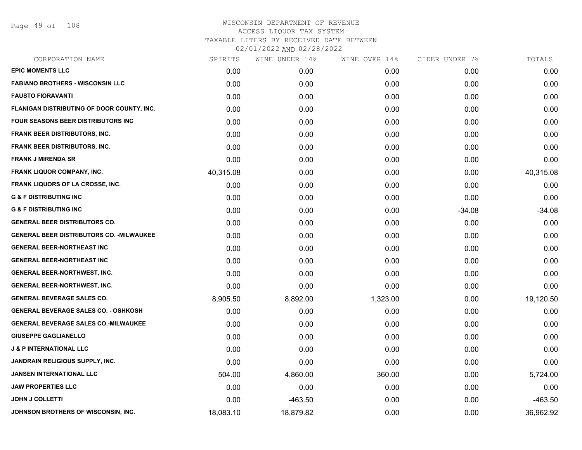Page 49 of 108

| SPIRITS   | WINE UNDER 14% | WINE OVER 14% |          | TOTALS         |
|-----------|----------------|---------------|----------|----------------|
| 0.00      | 0.00           | 0.00          | 0.00     | 0.00           |
| 0.00      | 0.00           | 0.00          | 0.00     | 0.00           |
| 0.00      | 0.00           | 0.00          | 0.00     | 0.00           |
| 0.00      | 0.00           | 0.00          | 0.00     | 0.00           |
| 0.00      | 0.00           | 0.00          | 0.00     | 0.00           |
| 0.00      | 0.00           | 0.00          | 0.00     | 0.00           |
| 0.00      | 0.00           | 0.00          | 0.00     | 0.00           |
| 0.00      | 0.00           | 0.00          | 0.00     | 0.00           |
| 40,315.08 | 0.00           | 0.00          | 0.00     | 40,315.08      |
| 0.00      | 0.00           | 0.00          | 0.00     | 0.00           |
| 0.00      | 0.00           | 0.00          | 0.00     | 0.00           |
| 0.00      | 0.00           | 0.00          | $-34.08$ | $-34.08$       |
| 0.00      | 0.00           | 0.00          | 0.00     | 0.00           |
| 0.00      | 0.00           | 0.00          | 0.00     | 0.00           |
| 0.00      | 0.00           | 0.00          | 0.00     | 0.00           |
| 0.00      | 0.00           | 0.00          | 0.00     | 0.00           |
| 0.00      | 0.00           | 0.00          | 0.00     | 0.00           |
| 0.00      | 0.00           | 0.00          | 0.00     | 0.00           |
| 8,905.50  | 8,892.00       | 1,323.00      | 0.00     | 19,120.50      |
| 0.00      | 0.00           | 0.00          | 0.00     | 0.00           |
| 0.00      | 0.00           | 0.00          | 0.00     | 0.00           |
| 0.00      | 0.00           | 0.00          | 0.00     | 0.00           |
| 0.00      | 0.00           | 0.00          | 0.00     | 0.00           |
| 0.00      | 0.00           | 0.00          | 0.00     | 0.00           |
| 504.00    | 4,860.00       | 360.00        | 0.00     | 5,724.00       |
| 0.00      | 0.00           | 0.00          | 0.00     | 0.00           |
| 0.00      | $-463.50$      | 0.00          | 0.00     | $-463.50$      |
| 18,083.10 | 18,879.82      | 0.00          | 0.00     | 36,962.92      |
|           |                |               |          | CIDER UNDER 7% |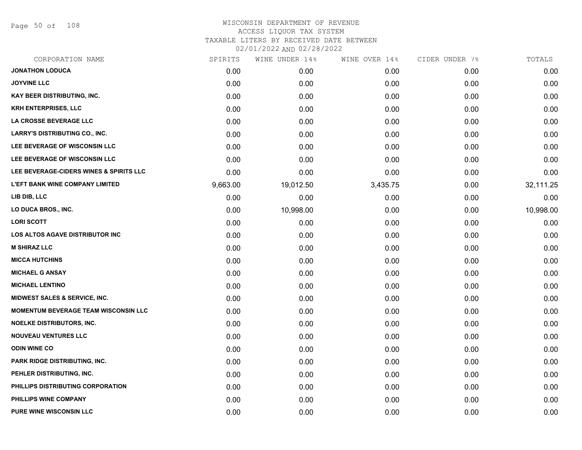Page 50 of 108

| CORPORATION NAME                            | SPIRITS  | WINE UNDER 14% | WINE OVER 14% | CIDER UNDER 7% | TOTALS    |
|---------------------------------------------|----------|----------------|---------------|----------------|-----------|
| <b>JONATHON LODUCA</b>                      | 0.00     | 0.00           | 0.00          | 0.00           | 0.00      |
| <b>JOYVINE LLC</b>                          | 0.00     | 0.00           | 0.00          | 0.00           | 0.00      |
| KAY BEER DISTRIBUTING, INC.                 | 0.00     | 0.00           | 0.00          | 0.00           | 0.00      |
| <b>KRH ENTERPRISES, LLC</b>                 | 0.00     | 0.00           | 0.00          | 0.00           | 0.00      |
| LA CROSSE BEVERAGE LLC                      | 0.00     | 0.00           | 0.00          | 0.00           | 0.00      |
| <b>LARRY'S DISTRIBUTING CO., INC.</b>       | 0.00     | 0.00           | 0.00          | 0.00           | 0.00      |
| LEE BEVERAGE OF WISCONSIN LLC               | 0.00     | 0.00           | 0.00          | 0.00           | 0.00      |
| LEE BEVERAGE OF WISCONSIN LLC               | 0.00     | 0.00           | 0.00          | 0.00           | 0.00      |
| LEE BEVERAGE-CIDERS WINES & SPIRITS LLC     | 0.00     | 0.00           | 0.00          | 0.00           | 0.00      |
| <b>L'EFT BANK WINE COMPANY LIMITED</b>      | 9,663.00 | 19,012.50      | 3,435.75      | 0.00           | 32,111.25 |
| LIB DIB, LLC                                | 0.00     | 0.00           | 0.00          | 0.00           | 0.00      |
| LO DUCA BROS., INC.                         | 0.00     | 10,998.00      | 0.00          | 0.00           | 10,998.00 |
| <b>LORI SCOTT</b>                           | 0.00     | 0.00           | 0.00          | 0.00           | 0.00      |
| <b>LOS ALTOS AGAVE DISTRIBUTOR INC</b>      | 0.00     | 0.00           | 0.00          | 0.00           | 0.00      |
| <b>M SHIRAZ LLC</b>                         | 0.00     | 0.00           | 0.00          | 0.00           | 0.00      |
| <b>MICCA HUTCHINS</b>                       | 0.00     | 0.00           | 0.00          | 0.00           | 0.00      |
| <b>MICHAEL G ANSAY</b>                      | 0.00     | 0.00           | 0.00          | 0.00           | 0.00      |
| <b>MICHAEL LENTINO</b>                      | 0.00     | 0.00           | 0.00          | 0.00           | 0.00      |
| <b>MIDWEST SALES &amp; SERVICE, INC.</b>    | 0.00     | 0.00           | 0.00          | 0.00           | 0.00      |
| <b>MOMENTUM BEVERAGE TEAM WISCONSIN LLC</b> | 0.00     | 0.00           | 0.00          | 0.00           | 0.00      |
| NOELKE DISTRIBUTORS, INC.                   | 0.00     | 0.00           | 0.00          | 0.00           | 0.00      |
| <b>NOUVEAU VENTURES LLC</b>                 | 0.00     | 0.00           | 0.00          | 0.00           | 0.00      |
| <b>ODIN WINE CO</b>                         | 0.00     | 0.00           | 0.00          | 0.00           | 0.00      |
| PARK RIDGE DISTRIBUTING, INC.               | 0.00     | 0.00           | 0.00          | 0.00           | 0.00      |
| PEHLER DISTRIBUTING, INC.                   | 0.00     | 0.00           | 0.00          | 0.00           | 0.00      |
| PHILLIPS DISTRIBUTING CORPORATION           | 0.00     | 0.00           | 0.00          | 0.00           | 0.00      |
| PHILLIPS WINE COMPANY                       | 0.00     | 0.00           | 0.00          | 0.00           | 0.00      |
| <b>PURE WINE WISCONSIN LLC</b>              | 0.00     | 0.00           | 0.00          | 0.00           | 0.00      |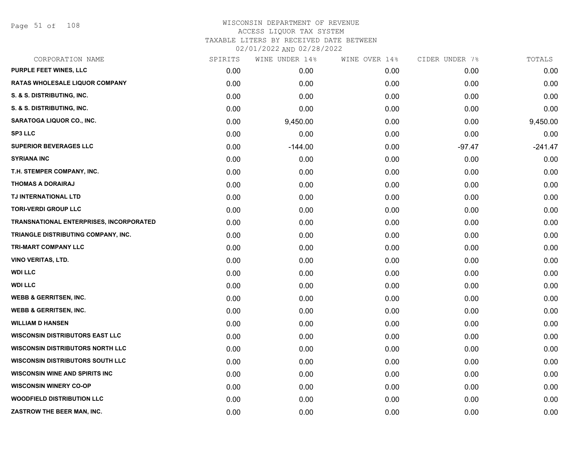Page 51 of 108

| CORPORATION NAME                        | SPIRITS | WINE UNDER 14% | WINE OVER 14% | CIDER UNDER 7% | TOTALS    |
|-----------------------------------------|---------|----------------|---------------|----------------|-----------|
| PURPLE FEET WINES, LLC                  | 0.00    | 0.00           | 0.00          | 0.00           | 0.00      |
| <b>RATAS WHOLESALE LIQUOR COMPANY</b>   | 0.00    | 0.00           | 0.00          | 0.00           | 0.00      |
| S. & S. DISTRIBUTING, INC.              | 0.00    | 0.00           | 0.00          | 0.00           | 0.00      |
| S. & S. DISTRIBUTING, INC.              | 0.00    | 0.00           | 0.00          | 0.00           | 0.00      |
| <b>SARATOGA LIQUOR CO., INC.</b>        | 0.00    | 9,450.00       | 0.00          | 0.00           | 9,450.00  |
| <b>SP3 LLC</b>                          | 0.00    | 0.00           | 0.00          | 0.00           | 0.00      |
| <b>SUPERIOR BEVERAGES LLC</b>           | 0.00    | $-144.00$      | 0.00          | $-97.47$       | $-241.47$ |
| <b>SYRIANA INC</b>                      | 0.00    | 0.00           | 0.00          | 0.00           | 0.00      |
| T.H. STEMPER COMPANY, INC.              | 0.00    | 0.00           | 0.00          | 0.00           | 0.00      |
| <b>THOMAS A DORAIRAJ</b>                | 0.00    | 0.00           | 0.00          | 0.00           | 0.00      |
| TJ INTERNATIONAL LTD                    | 0.00    | 0.00           | 0.00          | 0.00           | 0.00      |
| <b>TORI-VERDI GROUP LLC</b>             | 0.00    | 0.00           | 0.00          | 0.00           | 0.00      |
| TRANSNATIONAL ENTERPRISES, INCORPORATED | 0.00    | 0.00           | 0.00          | 0.00           | 0.00      |
| TRIANGLE DISTRIBUTING COMPANY, INC.     | 0.00    | 0.00           | 0.00          | 0.00           | 0.00      |
| TRI-MART COMPANY LLC                    | 0.00    | 0.00           | 0.00          | 0.00           | 0.00      |
| <b>VINO VERITAS, LTD.</b>               | 0.00    | 0.00           | 0.00          | 0.00           | 0.00      |
| <b>WDI LLC</b>                          | 0.00    | 0.00           | 0.00          | 0.00           | 0.00      |
| <b>WDI LLC</b>                          | 0.00    | 0.00           | 0.00          | 0.00           | 0.00      |
| <b>WEBB &amp; GERRITSEN, INC.</b>       | 0.00    | 0.00           | 0.00          | 0.00           | 0.00      |
| <b>WEBB &amp; GERRITSEN, INC.</b>       | 0.00    | 0.00           | 0.00          | 0.00           | 0.00      |
| <b>WILLIAM D HANSEN</b>                 | 0.00    | 0.00           | 0.00          | 0.00           | 0.00      |
| <b>WISCONSIN DISTRIBUTORS EAST LLC</b>  | 0.00    | 0.00           | 0.00          | 0.00           | 0.00      |
| <b>WISCONSIN DISTRIBUTORS NORTH LLC</b> | 0.00    | 0.00           | 0.00          | 0.00           | 0.00      |
| <b>WISCONSIN DISTRIBUTORS SOUTH LLC</b> | 0.00    | 0.00           | 0.00          | 0.00           | 0.00      |
| <b>WISCONSIN WINE AND SPIRITS INC</b>   | 0.00    | 0.00           | 0.00          | 0.00           | 0.00      |
| <b>WISCONSIN WINERY CO-OP</b>           | 0.00    | 0.00           | 0.00          | 0.00           | 0.00      |
| <b>WOODFIELD DISTRIBUTION LLC</b>       | 0.00    | 0.00           | 0.00          | 0.00           | 0.00      |
| ZASTROW THE BEER MAN, INC.              | 0.00    | 0.00           | 0.00          | 0.00           | 0.00      |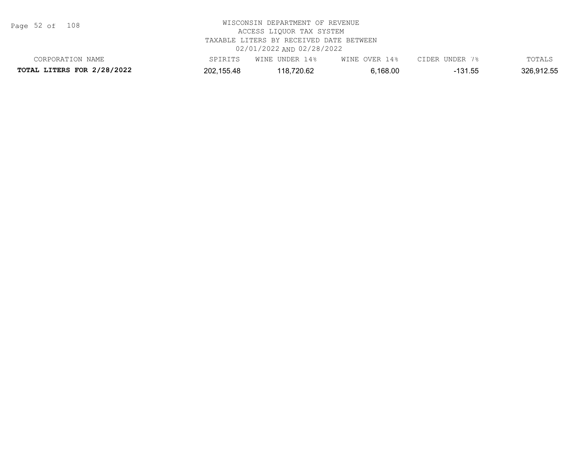Page 52 of 108

|                            |            | _______           |                  |             |            |
|----------------------------|------------|-------------------|------------------|-------------|------------|
| CORPORATION NAME           |            | INDER 14%<br>WINE | WINE OVER<br>14% | CIDER UNDER | TOTAL.     |
| TOTAL LITERS FOR 2/28/2022 | 202,155.48 | 118,720.62        | 5,168.00         | 131.55      | 326.912.55 |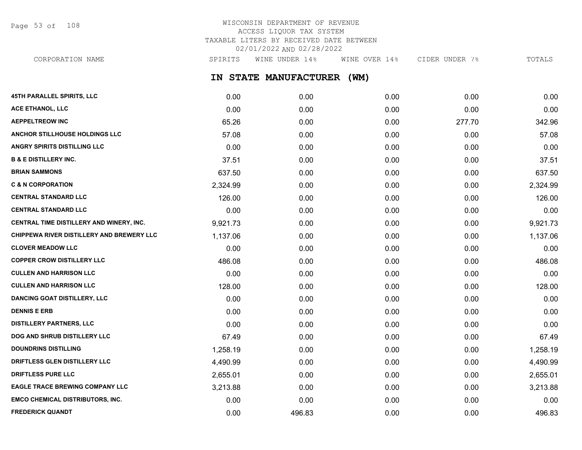Page 53 of 108

# WISCONSIN DEPARTMENT OF REVENUE ACCESS LIQUOR TAX SYSTEM TAXABLE LITERS BY RECEIVED DATE BETWEEN 02/01/2022 AND 02/28/2022

**IN STATE MANUFACTURER (WM) 45TH PARALLEL SPIRITS, LLC** 0.00 0.00 0.00 0.00 0.00 **ACE ETHANOL, LLC** 0.00 0.00 0.00 0.00 0.00 **AEPPELTREOW INC** 65.26 0.00 0.00 277.70 342.96 **ANCHOR STILLHOUSE HOLDINGS LLC** 57.08 0.00 0.00 0.00 57.08 **ANGRY SPIRITS DISTILLING LLC** 0.00 0.00 0.00 0.00 0.00 **B & E DISTILLERY INC.** 37.51 0.00 0.00 0.00 37.51 **BRIAN SAMMONS** 637.50 0.00 0.00 0.00 637.50 **C & N CORPORATION** 2,324.99 0.00 0.00 0.00 2,324.99 CORPORATION NAME SPIRITS WINE UNDER 14% WINE OVER 14% CIDER UNDER 7% TOTALS

|                                                  | 2,027.00 | v.vv   | v.vv | v.vv | 2,027.00 |
|--------------------------------------------------|----------|--------|------|------|----------|
| <b>CENTRAL STANDARD LLC</b>                      | 126.00   | 0.00   | 0.00 | 0.00 | 126.00   |
| <b>CENTRAL STANDARD LLC</b>                      | 0.00     | 0.00   | 0.00 | 0.00 | 0.00     |
| CENTRAL TIME DISTILLERY AND WINERY, INC.         | 9,921.73 | 0.00   | 0.00 | 0.00 | 9,921.73 |
| <b>CHIPPEWA RIVER DISTILLERY AND BREWERY LLC</b> | 1,137.06 | 0.00   | 0.00 | 0.00 | 1,137.06 |
| <b>CLOVER MEADOW LLC</b>                         | 0.00     | 0.00   | 0.00 | 0.00 | 0.00     |
| <b>COPPER CROW DISTILLERY LLC</b>                | 486.08   | 0.00   | 0.00 | 0.00 | 486.08   |
| <b>CULLEN AND HARRISON LLC</b>                   | 0.00     | 0.00   | 0.00 | 0.00 | 0.00     |
| <b>CULLEN AND HARRISON LLC</b>                   | 128.00   | 0.00   | 0.00 | 0.00 | 128.00   |
| <b>DANCING GOAT DISTILLERY, LLC</b>              | 0.00     | 0.00   | 0.00 | 0.00 | 0.00     |
| <b>DENNIS E ERB</b>                              | 0.00     | 0.00   | 0.00 | 0.00 | 0.00     |
| <b>DISTILLERY PARTNERS, LLC</b>                  | 0.00     | 0.00   | 0.00 | 0.00 | 0.00     |
| <b>DOG AND SHRUB DISTILLERY LLC</b>              | 67.49    | 0.00   | 0.00 | 0.00 | 67.49    |
| <b>DOUNDRINS DISTILLING</b>                      | 1,258.19 | 0.00   | 0.00 | 0.00 | 1,258.19 |
| DRIFTLESS GLEN DISTILLERY LLC                    | 4,490.99 | 0.00   | 0.00 | 0.00 | 4,490.99 |
| <b>DRIFTLESS PURE LLC</b>                        | 2,655.01 | 0.00   | 0.00 | 0.00 | 2,655.01 |
| <b>EAGLE TRACE BREWING COMPANY LLC</b>           | 3,213.88 | 0.00   | 0.00 | 0.00 | 3,213.88 |
| <b>EMCO CHEMICAL DISTRIBUTORS, INC.</b>          | 0.00     | 0.00   | 0.00 | 0.00 | 0.00     |
| <b>FREDERICK QUANDT</b>                          | 0.00     | 496.83 | 0.00 | 0.00 | 496.83   |
|                                                  |          |        |      |      |          |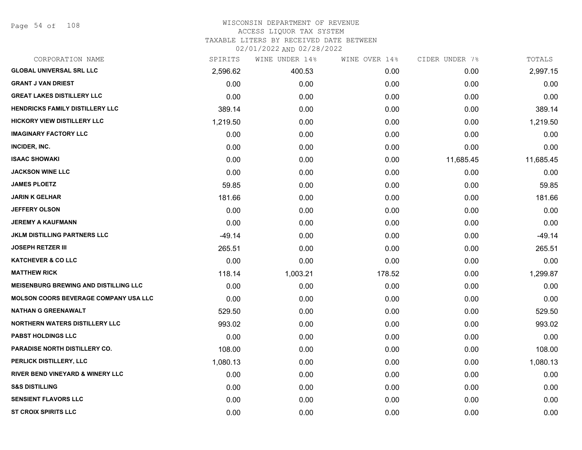Page 54 of 108

| CORPORATION NAME                             | SPIRITS  | WINE UNDER 14% | WINE OVER 14% | CIDER UNDER 7% | TOTALS    |
|----------------------------------------------|----------|----------------|---------------|----------------|-----------|
| <b>GLOBAL UNIVERSAL SRL LLC</b>              | 2,596.62 | 400.53         | 0.00          | 0.00           | 2,997.15  |
| <b>GRANT J VAN DRIEST</b>                    | 0.00     | 0.00           | 0.00          | 0.00           | 0.00      |
| <b>GREAT LAKES DISTILLERY LLC</b>            | 0.00     | 0.00           | 0.00          | 0.00           | 0.00      |
| <b>HENDRICKS FAMILY DISTILLERY LLC</b>       | 389.14   | 0.00           | 0.00          | 0.00           | 389.14    |
| <b>HICKORY VIEW DISTILLERY LLC</b>           | 1,219.50 | 0.00           | 0.00          | 0.00           | 1,219.50  |
| <b>IMAGINARY FACTORY LLC</b>                 | 0.00     | 0.00           | 0.00          | 0.00           | 0.00      |
| INCIDER, INC.                                | 0.00     | 0.00           | 0.00          | 0.00           | 0.00      |
| <b>ISAAC SHOWAKI</b>                         | 0.00     | 0.00           | 0.00          | 11,685.45      | 11,685.45 |
| <b>JACKSON WINE LLC</b>                      | 0.00     | 0.00           | 0.00          | 0.00           | 0.00      |
| <b>JAMES PLOETZ</b>                          | 59.85    | 0.00           | 0.00          | 0.00           | 59.85     |
| <b>JARIN K GELHAR</b>                        | 181.66   | 0.00           | 0.00          | 0.00           | 181.66    |
| <b>JEFFERY OLSON</b>                         | 0.00     | 0.00           | 0.00          | 0.00           | 0.00      |
| <b>JEREMY A KAUFMANN</b>                     | 0.00     | 0.00           | 0.00          | 0.00           | 0.00      |
| <b>JKLM DISTILLING PARTNERS LLC</b>          | $-49.14$ | 0.00           | 0.00          | 0.00           | $-49.14$  |
| <b>JOSEPH RETZER III</b>                     | 265.51   | 0.00           | 0.00          | 0.00           | 265.51    |
| <b>KATCHEVER &amp; CO LLC</b>                | 0.00     | 0.00           | 0.00          | 0.00           | 0.00      |
| <b>MATTHEW RICK</b>                          | 118.14   | 1,003.21       | 178.52        | 0.00           | 1,299.87  |
| <b>MEISENBURG BREWING AND DISTILLING LLC</b> | 0.00     | 0.00           | 0.00          | 0.00           | 0.00      |
| <b>MOLSON COORS BEVERAGE COMPANY USA LLC</b> | 0.00     | 0.00           | 0.00          | 0.00           | 0.00      |
| <b>NATHAN G GREENAWALT</b>                   | 529.50   | 0.00           | 0.00          | 0.00           | 529.50    |
| <b>NORTHERN WATERS DISTILLERY LLC</b>        | 993.02   | 0.00           | 0.00          | 0.00           | 993.02    |
| <b>PABST HOLDINGS LLC</b>                    | 0.00     | 0.00           | 0.00          | 0.00           | 0.00      |
| PARADISE NORTH DISTILLERY CO.                | 108.00   | 0.00           | 0.00          | 0.00           | 108.00    |
| PERLICK DISTILLERY, LLC                      | 1,080.13 | 0.00           | 0.00          | 0.00           | 1,080.13  |
| RIVER BEND VINEYARD & WINERY LLC             | 0.00     | 0.00           | 0.00          | 0.00           | 0.00      |
| <b>S&amp;S DISTILLING</b>                    | 0.00     | 0.00           | 0.00          | 0.00           | 0.00      |
| <b>SENSIENT FLAVORS LLC</b>                  | 0.00     | 0.00           | 0.00          | 0.00           | 0.00      |
| <b>ST CROIX SPIRITS LLC</b>                  | 0.00     | 0.00           | 0.00          | 0.00           | 0.00      |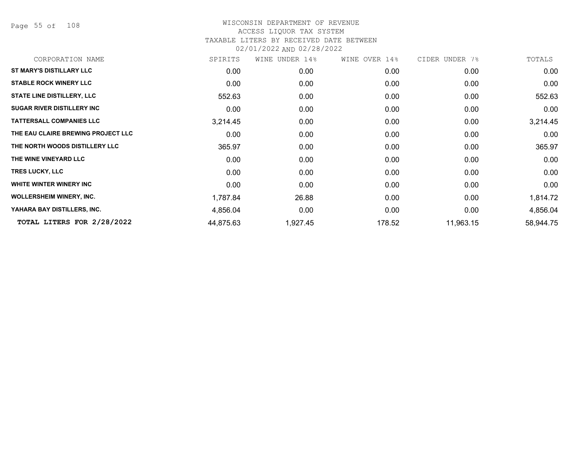Page 55 of 108

| CORPORATION NAME                   | SPIRITS   | WINE<br>UNDER 14% | WINE OVER 14% | CIDER UNDER 7% | TOTALS    |
|------------------------------------|-----------|-------------------|---------------|----------------|-----------|
| <b>ST MARY'S DISTILLARY LLC</b>    | 0.00      | 0.00              | 0.00          | 0.00           | 0.00      |
| <b>STABLE ROCK WINERY LLC</b>      | 0.00      | 0.00              | 0.00          | 0.00           | 0.00      |
| <b>STATE LINE DISTILLERY, LLC</b>  | 552.63    | 0.00              | 0.00          | 0.00           | 552.63    |
| <b>SUGAR RIVER DISTILLERY INC</b>  | 0.00      | 0.00              | 0.00          | 0.00           | 0.00      |
| <b>TATTERSALL COMPANIES LLC</b>    | 3,214.45  | 0.00              | 0.00          | 0.00           | 3,214.45  |
| THE EAU CLAIRE BREWING PROJECT LLC | 0.00      | 0.00              | 0.00          | 0.00           | 0.00      |
| THE NORTH WOODS DISTILLERY LLC     | 365.97    | 0.00              | 0.00          | 0.00           | 365.97    |
| THE WINE VINEYARD LLC              | 0.00      | 0.00              | 0.00          | 0.00           | 0.00      |
| <b>TRES LUCKY, LLC</b>             | 0.00      | 0.00              | 0.00          | 0.00           | 0.00      |
| WHITE WINTER WINERY INC            | 0.00      | 0.00              | 0.00          | 0.00           | 0.00      |
| <b>WOLLERSHEIM WINERY, INC.</b>    | 1,787.84  | 26.88             | 0.00          | 0.00           | 1,814.72  |
| YAHARA BAY DISTILLERS, INC.        | 4,856.04  | 0.00              | 0.00          | 0.00           | 4,856.04  |
| TOTAL LITERS FOR 2/28/2022         | 44,875.63 | 1,927.45          | 178.52        | 11,963.15      | 58,944.75 |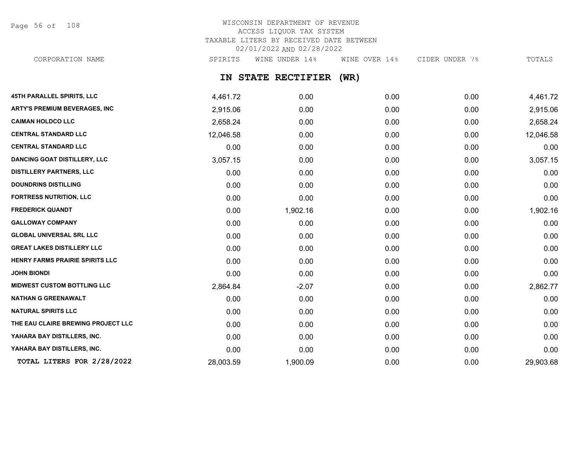Page 56 of 108

# WISCONSIN DEPARTMENT OF REVENUE ACCESS LIQUOR TAX SYSTEM TAXABLE LITERS BY RECEIVED DATE BETWEEN 02/01/2022 AND 02/28/2022

CORPORATION NAME SPIRITS WINE UNDER 14% WINE OVER 14% CIDER UNDER 7% TOTALS

# **IN STATE RECTIFIER (WR)**

| 45TH PARALLEL SPIRITS, LLC           | 4,461.72  | 0.00     | 0.00 | 0.00 | 4,461.72  |
|--------------------------------------|-----------|----------|------|------|-----------|
| <b>ARTY'S PREMIUM BEVERAGES, INC</b> | 2,915.06  | 0.00     | 0.00 | 0.00 | 2,915.06  |
| <b>CAIMAN HOLDCO LLC</b>             | 2,658.24  | 0.00     | 0.00 | 0.00 | 2,658.24  |
| <b>CENTRAL STANDARD LLC</b>          | 12,046.58 | 0.00     | 0.00 | 0.00 | 12,046.58 |
| <b>CENTRAL STANDARD LLC</b>          | 0.00      | 0.00     | 0.00 | 0.00 | 0.00      |
| <b>DANCING GOAT DISTILLERY, LLC</b>  | 3,057.15  | 0.00     | 0.00 | 0.00 | 3,057.15  |
| <b>DISTILLERY PARTNERS, LLC</b>      | 0.00      | 0.00     | 0.00 | 0.00 | 0.00      |
| <b>DOUNDRINS DISTILLING</b>          | 0.00      | 0.00     | 0.00 | 0.00 | 0.00      |
| <b>FORTRESS NUTRITION, LLC</b>       | 0.00      | 0.00     | 0.00 | 0.00 | 0.00      |
| <b>FREDERICK QUANDT</b>              | 0.00      | 1,902.16 | 0.00 | 0.00 | 1,902.16  |
| <b>GALLOWAY COMPANY</b>              | 0.00      | 0.00     | 0.00 | 0.00 | 0.00      |
| <b>GLOBAL UNIVERSAL SRL LLC</b>      | 0.00      | 0.00     | 0.00 | 0.00 | 0.00      |
| <b>GREAT LAKES DISTILLERY LLC</b>    | 0.00      | 0.00     | 0.00 | 0.00 | 0.00      |
| HENRY FARMS PRAIRIE SPIRITS LLC      | 0.00      | 0.00     | 0.00 | 0.00 | 0.00      |
| <b>JOHN BIONDI</b>                   | 0.00      | 0.00     | 0.00 | 0.00 | 0.00      |
| <b>MIDWEST CUSTOM BOTTLING LLC</b>   | 2,864.84  | $-2.07$  | 0.00 | 0.00 | 2,862.77  |
| <b>NATHAN G GREENAWALT</b>           | 0.00      | 0.00     | 0.00 | 0.00 | 0.00      |
| <b>NATURAL SPIRITS LLC</b>           | 0.00      | 0.00     | 0.00 | 0.00 | 0.00      |
| THE EAU CLAIRE BREWING PROJECT LLC   | 0.00      | 0.00     | 0.00 | 0.00 | 0.00      |
| YAHARA BAY DISTILLERS, INC.          | 0.00      | 0.00     | 0.00 | 0.00 | 0.00      |
| YAHARA BAY DISTILLERS, INC.          | 0.00      | 0.00     | 0.00 | 0.00 | 0.00      |
| TOTAL LITERS FOR 2/28/2022           | 28,003.59 | 1,900.09 | 0.00 | 0.00 | 29,903.68 |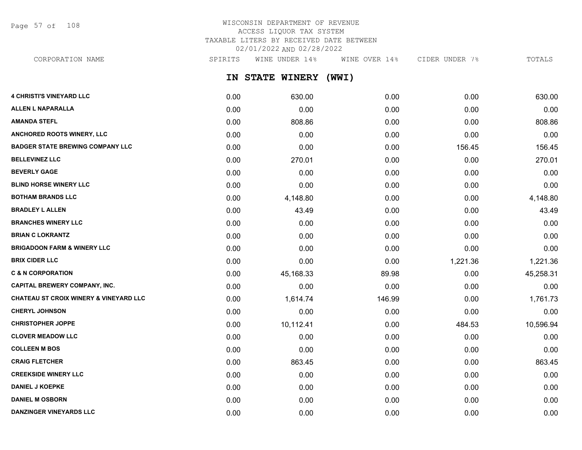Page 57 of 108

# WISCONSIN DEPARTMENT OF REVENUE ACCESS LIQUOR TAX SYSTEM TAXABLE LITERS BY RECEIVED DATE BETWEEN 02/01/2022 AND 02/28/2022

CORPORATION NAME SPIRITS WINE UNDER 14% WINE OVER 14% CIDER UNDER 7% TOTALS

**IN STATE WINERY (WWI)**

| <b>4 CHRISTI'S VINEYARD LLC</b>                   | 0.00 | 630.00    | 0.00   | 0.00     | 630.00    |
|---------------------------------------------------|------|-----------|--------|----------|-----------|
| <b>ALLEN L NAPARALLA</b>                          | 0.00 | 0.00      | 0.00   | 0.00     | 0.00      |
| <b>AMANDA STEFL</b>                               | 0.00 | 808.86    | 0.00   | 0.00     | 808.86    |
| ANCHORED ROOTS WINERY, LLC                        | 0.00 | 0.00      | 0.00   | 0.00     | 0.00      |
| <b>BADGER STATE BREWING COMPANY LLC</b>           | 0.00 | 0.00      | 0.00   | 156.45   | 156.45    |
| <b>BELLEVINEZ LLC</b>                             | 0.00 | 270.01    | 0.00   | 0.00     | 270.01    |
| <b>BEVERLY GAGE</b>                               | 0.00 | 0.00      | 0.00   | 0.00     | 0.00      |
| <b>BLIND HORSE WINERY LLC</b>                     | 0.00 | 0.00      | 0.00   | 0.00     | 0.00      |
| <b>BOTHAM BRANDS LLC</b>                          | 0.00 | 4,148.80  | 0.00   | 0.00     | 4,148.80  |
| <b>BRADLEY L ALLEN</b>                            | 0.00 | 43.49     | 0.00   | 0.00     | 43.49     |
| <b>BRANCHES WINERY LLC</b>                        | 0.00 | 0.00      | 0.00   | 0.00     | 0.00      |
| <b>BRIAN C LOKRANTZ</b>                           | 0.00 | 0.00      | 0.00   | 0.00     | 0.00      |
| <b>BRIGADOON FARM &amp; WINERY LLC</b>            | 0.00 | 0.00      | 0.00   | 0.00     | 0.00      |
| <b>BRIX CIDER LLC</b>                             | 0.00 | 0.00      | 0.00   | 1,221.36 | 1,221.36  |
| <b>C &amp; N CORPORATION</b>                      | 0.00 | 45,168.33 | 89.98  | 0.00     | 45,258.31 |
| <b>CAPITAL BREWERY COMPANY, INC.</b>              | 0.00 | 0.00      | 0.00   | 0.00     | 0.00      |
| <b>CHATEAU ST CROIX WINERY &amp; VINEYARD LLC</b> | 0.00 | 1,614.74  | 146.99 | 0.00     | 1,761.73  |
| <b>CHERYL JOHNSON</b>                             | 0.00 | 0.00      | 0.00   | 0.00     | 0.00      |
| <b>CHRISTOPHER JOPPE</b>                          | 0.00 | 10,112.41 | 0.00   | 484.53   | 10,596.94 |
| <b>CLOVER MEADOW LLC</b>                          | 0.00 | 0.00      | 0.00   | 0.00     | 0.00      |
| <b>COLLEEN M BOS</b>                              | 0.00 | 0.00      | 0.00   | 0.00     | 0.00      |
| <b>CRAIG FLETCHER</b>                             | 0.00 | 863.45    | 0.00   | 0.00     | 863.45    |
| <b>CREEKSIDE WINERY LLC</b>                       | 0.00 | 0.00      | 0.00   | 0.00     | 0.00      |
| <b>DANIEL J KOEPKE</b>                            | 0.00 | 0.00      | 0.00   | 0.00     | 0.00      |
| <b>DANIEL M OSBORN</b>                            | 0.00 | 0.00      | 0.00   | 0.00     | 0.00      |
| DANZINGER VINEYARDS LLC                           | 0.00 | 0.00      | 0.00   | 0.00     | 0.00      |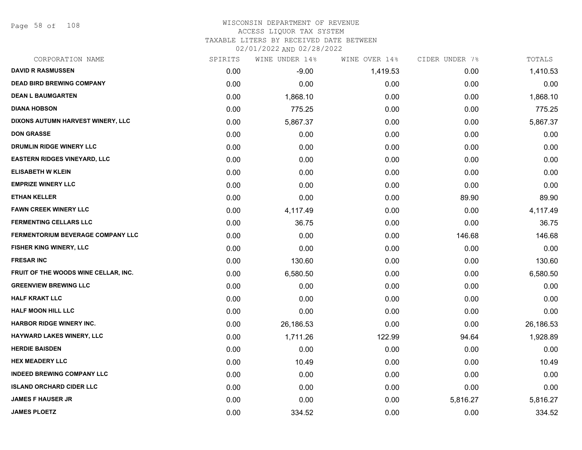Page 58 of 108

| CORPORATION NAME                         | SPIRITS | WINE UNDER 14% | WINE OVER 14% | CIDER UNDER 7% | TOTALS    |
|------------------------------------------|---------|----------------|---------------|----------------|-----------|
| <b>DAVID R RASMUSSEN</b>                 | 0.00    | $-9.00$        | 1,419.53      | 0.00           | 1,410.53  |
| <b>DEAD BIRD BREWING COMPANY</b>         | 0.00    | 0.00           | 0.00          | 0.00           | 0.00      |
| <b>DEAN L BAUMGARTEN</b>                 | 0.00    | 1,868.10       | 0.00          | 0.00           | 1,868.10  |
| <b>DIANA HOBSON</b>                      | 0.00    | 775.25         | 0.00          | 0.00           | 775.25    |
| DIXONS AUTUMN HARVEST WINERY, LLC        | 0.00    | 5,867.37       | 0.00          | 0.00           | 5,867.37  |
| <b>DON GRASSE</b>                        | 0.00    | 0.00           | 0.00          | 0.00           | 0.00      |
| DRUMLIN RIDGE WINERY LLC                 | 0.00    | 0.00           | 0.00          | 0.00           | 0.00      |
| <b>EASTERN RIDGES VINEYARD, LLC</b>      | 0.00    | 0.00           | 0.00          | 0.00           | 0.00      |
| <b>ELISABETH W KLEIN</b>                 | 0.00    | 0.00           | 0.00          | 0.00           | 0.00      |
| <b>EMPRIZE WINERY LLC</b>                | 0.00    | 0.00           | 0.00          | 0.00           | 0.00      |
| <b>ETHAN KELLER</b>                      | 0.00    | 0.00           | 0.00          | 89.90          | 89.90     |
| <b>FAWN CREEK WINERY LLC</b>             | 0.00    | 4,117.49       | 0.00          | 0.00           | 4,117.49  |
| <b>FERMENTING CELLARS LLC</b>            | 0.00    | 36.75          | 0.00          | 0.00           | 36.75     |
| <b>FERMENTORIUM BEVERAGE COMPANY LLC</b> | 0.00    | 0.00           | 0.00          | 146.68         | 146.68    |
| FISHER KING WINERY, LLC                  | 0.00    | 0.00           | 0.00          | 0.00           | 0.00      |
| <b>FRESAR INC</b>                        | 0.00    | 130.60         | 0.00          | 0.00           | 130.60    |
| FRUIT OF THE WOODS WINE CELLAR, INC.     | 0.00    | 6,580.50       | 0.00          | 0.00           | 6,580.50  |
| <b>GREENVIEW BREWING LLC</b>             | 0.00    | 0.00           | 0.00          | 0.00           | 0.00      |
| <b>HALF KRAKT LLC</b>                    | 0.00    | 0.00           | 0.00          | 0.00           | 0.00      |
| <b>HALF MOON HILL LLC</b>                | 0.00    | 0.00           | 0.00          | 0.00           | 0.00      |
| <b>HARBOR RIDGE WINERY INC.</b>          | 0.00    | 26,186.53      | 0.00          | 0.00           | 26,186.53 |
| <b>HAYWARD LAKES WINERY, LLC</b>         | 0.00    | 1,711.26       | 122.99        | 94.64          | 1,928.89  |
| <b>HERDIE BAISDEN</b>                    | 0.00    | 0.00           | 0.00          | 0.00           | 0.00      |
| <b>HEX MEADERY LLC</b>                   | 0.00    | 10.49          | 0.00          | 0.00           | 10.49     |
| <b>INDEED BREWING COMPANY LLC</b>        | 0.00    | 0.00           | 0.00          | 0.00           | 0.00      |
| <b>ISLAND ORCHARD CIDER LLC</b>          | 0.00    | 0.00           | 0.00          | 0.00           | 0.00      |
| <b>JAMES F HAUSER JR</b>                 | 0.00    | 0.00           | 0.00          | 5,816.27       | 5,816.27  |
| <b>JAMES PLOETZ</b>                      | 0.00    | 334.52         | 0.00          | 0.00           | 334.52    |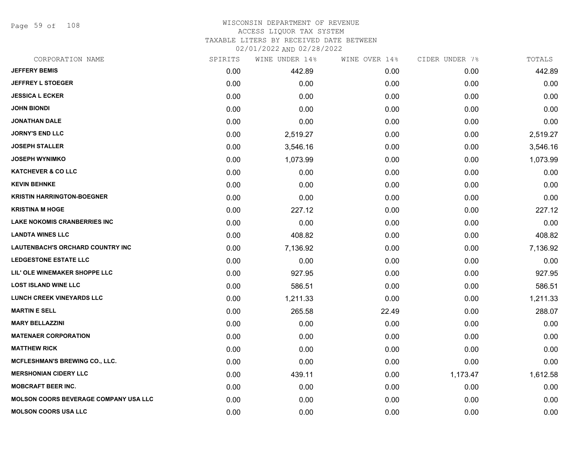Page 59 of 108

# WISCONSIN DEPARTMENT OF REVENUE ACCESS LIQUOR TAX SYSTEM

TAXABLE LITERS BY RECEIVED DATE BETWEEN

02/01/2022 AND 02/28/2022

| CORPORATION NAME                             | SPIRITS | WINE UNDER 14% | WINE OVER 14% | CIDER UNDER 7% | TOTALS   |
|----------------------------------------------|---------|----------------|---------------|----------------|----------|
| <b>JEFFERY BEMIS</b>                         | 0.00    | 442.89         | 0.00          | 0.00           | 442.89   |
| <b>JEFFREY L STOEGER</b>                     | 0.00    | 0.00           | 0.00          | 0.00           | 0.00     |
| <b>JESSICA L ECKER</b>                       | 0.00    | 0.00           | 0.00          | 0.00           | 0.00     |
| <b>JOHN BIONDI</b>                           | 0.00    | 0.00           | 0.00          | 0.00           | 0.00     |
| <b>JONATHAN DALE</b>                         | 0.00    | 0.00           | 0.00          | 0.00           | 0.00     |
| <b>JORNY'S END LLC</b>                       | 0.00    | 2,519.27       | 0.00          | 0.00           | 2,519.27 |
| <b>JOSEPH STALLER</b>                        | 0.00    | 3,546.16       | 0.00          | 0.00           | 3,546.16 |
| <b>JOSEPH WYNIMKO</b>                        | 0.00    | 1,073.99       | 0.00          | 0.00           | 1,073.99 |
| <b>KATCHEVER &amp; CO LLC</b>                | 0.00    | 0.00           | 0.00          | 0.00           | 0.00     |
| <b>KEVIN BEHNKE</b>                          | 0.00    | 0.00           | 0.00          | 0.00           | 0.00     |
| <b>KRISTIN HARRINGTON-BOEGNER</b>            | 0.00    | 0.00           | 0.00          | 0.00           | 0.00     |
| <b>KRISTINA M HOGE</b>                       | 0.00    | 227.12         | 0.00          | 0.00           | 227.12   |
| LAKE NOKOMIS CRANBERRIES INC                 | 0.00    | 0.00           | 0.00          | 0.00           | 0.00     |
| <b>LANDTA WINES LLC</b>                      | 0.00    | 408.82         | 0.00          | 0.00           | 408.82   |
| LAUTENBACH'S ORCHARD COUNTRY INC             | 0.00    | 7,136.92       | 0.00          | 0.00           | 7,136.92 |
| <b>LEDGESTONE ESTATE LLC</b>                 | 0.00    | 0.00           | 0.00          | 0.00           | 0.00     |
| LIL' OLE WINEMAKER SHOPPE LLC                | 0.00    | 927.95         | 0.00          | 0.00           | 927.95   |
| <b>LOST ISLAND WINE LLC</b>                  | 0.00    | 586.51         | 0.00          | 0.00           | 586.51   |
| <b>LUNCH CREEK VINEYARDS LLC</b>             | 0.00    | 1,211.33       | 0.00          | 0.00           | 1,211.33 |
| <b>MARTIN E SELL</b>                         | 0.00    | 265.58         | 22.49         | 0.00           | 288.07   |
| <b>MARY BELLAZZINI</b>                       | 0.00    | 0.00           | 0.00          | 0.00           | 0.00     |
| <b>MATENAER CORPORATION</b>                  | 0.00    | 0.00           | 0.00          | 0.00           | 0.00     |
| <b>MATTHEW RICK</b>                          | 0.00    | 0.00           | 0.00          | 0.00           | 0.00     |
| MCFLESHMAN'S BREWING CO., LLC.               | 0.00    | 0.00           | 0.00          | 0.00           | 0.00     |
| <b>MERSHONIAN CIDERY LLC</b>                 | 0.00    | 439.11         | 0.00          | 1,173.47       | 1,612.58 |
| <b>MOBCRAFT BEER INC.</b>                    | 0.00    | 0.00           | 0.00          | 0.00           | 0.00     |
| <b>MOLSON COORS BEVERAGE COMPANY USA LLC</b> | 0.00    | 0.00           | 0.00          | 0.00           | 0.00     |
| <b>MOLSON COORS USA LLC</b>                  | 0.00    | 0.00           | 0.00          | 0.00           | 0.00     |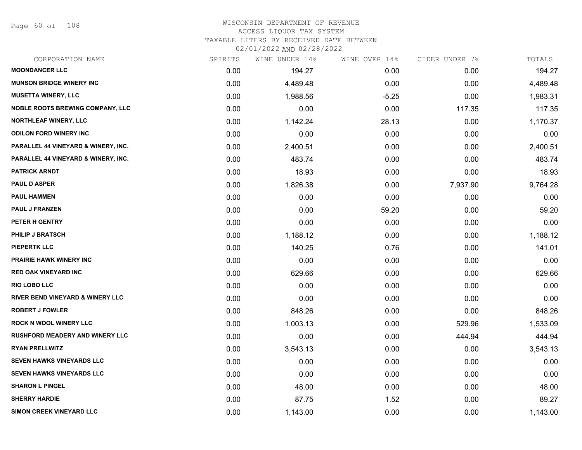Page 60 of 108

#### WISCONSIN DEPARTMENT OF REVENUE ACCESS LIQUOR TAX SYSTEM TAXABLE LITERS BY RECEIVED DATE BETWEEN

02/01/2022 AND 02/28/2022

| CORPORATION NAME                        | SPIRITS | WINE UNDER 14% | WINE OVER 14% | CIDER UNDER 7% | TOTALS   |
|-----------------------------------------|---------|----------------|---------------|----------------|----------|
| <b>MOONDANCER LLC</b>                   | 0.00    | 194.27         | 0.00          | 0.00           | 194.27   |
| <b>MUNSON BRIDGE WINERY INC</b>         | 0.00    | 4,489.48       | 0.00          | 0.00           | 4,489.48 |
| <b>MUSETTA WINERY, LLC</b>              | 0.00    | 1,988.56       | $-5.25$       | 0.00           | 1,983.31 |
| <b>NOBLE ROOTS BREWING COMPANY, LLC</b> | 0.00    | 0.00           | 0.00          | 117.35         | 117.35   |
| <b>NORTHLEAF WINERY, LLC</b>            | 0.00    | 1,142.24       | 28.13         | 0.00           | 1,170.37 |
| <b>ODILON FORD WINERY INC</b>           | 0.00    | 0.00           | 0.00          | 0.00           | 0.00     |
| PARALLEL 44 VINEYARD & WINERY, INC.     | 0.00    | 2,400.51       | 0.00          | 0.00           | 2,400.51 |
| PARALLEL 44 VINEYARD & WINERY, INC.     | 0.00    | 483.74         | 0.00          | 0.00           | 483.74   |
| <b>PATRICK ARNDT</b>                    | 0.00    | 18.93          | 0.00          | 0.00           | 18.93    |
| <b>PAUL D ASPER</b>                     | 0.00    | 1,826.38       | 0.00          | 7,937.90       | 9,764.28 |
| <b>PAUL HAMMEN</b>                      | 0.00    | 0.00           | 0.00          | 0.00           | 0.00     |
| <b>PAUL J FRANZEN</b>                   | 0.00    | 0.00           | 59.20         | 0.00           | 59.20    |
| PETER H GENTRY                          | 0.00    | 0.00           | 0.00          | 0.00           | 0.00     |
| <b>PHILIP J BRATSCH</b>                 | 0.00    | 1,188.12       | 0.00          | 0.00           | 1,188.12 |
| PIEPERTK LLC                            | 0.00    | 140.25         | 0.76          | 0.00           | 141.01   |
| <b>PRAIRIE HAWK WINERY INC</b>          | 0.00    | 0.00           | 0.00          | 0.00           | 0.00     |
| <b>RED OAK VINEYARD INC</b>             | 0.00    | 629.66         | 0.00          | 0.00           | 629.66   |
| <b>RIO LOBO LLC</b>                     | 0.00    | 0.00           | 0.00          | 0.00           | 0.00     |
| RIVER BEND VINEYARD & WINERY LLC        | 0.00    | 0.00           | 0.00          | 0.00           | 0.00     |
| <b>ROBERT J FOWLER</b>                  | 0.00    | 848.26         | 0.00          | 0.00           | 848.26   |
| <b>ROCK N WOOL WINERY LLC</b>           | 0.00    | 1,003.13       | 0.00          | 529.96         | 1,533.09 |
| <b>RUSHFORD MEADERY AND WINERY LLC</b>  | 0.00    | 0.00           | 0.00          | 444.94         | 444.94   |
| <b>RYAN PRELLWITZ</b>                   | 0.00    | 3,543.13       | 0.00          | 0.00           | 3,543.13 |
| SEVEN HAWKS VINEYARDS LLC               | 0.00    | 0.00           | 0.00          | 0.00           | 0.00     |
| <b>SEVEN HAWKS VINEYARDS LLC</b>        | 0.00    | 0.00           | 0.00          | 0.00           | 0.00     |
| <b>SHARON L PINGEL</b>                  | 0.00    | 48.00          | 0.00          | 0.00           | 48.00    |
| <b>SHERRY HARDIE</b>                    | 0.00    | 87.75          | 1.52          | 0.00           | 89.27    |
| <b>SIMON CREEK VINEYARD LLC</b>         | 0.00    | 1,143.00       | 0.00          | 0.00           | 1,143.00 |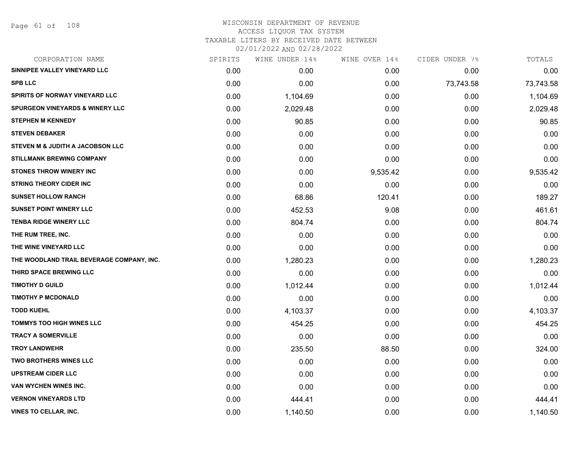| CORPORATION NAME                           | SPIRITS | WINE UNDER 14% | WINE OVER 14%     | CIDER UNDER 7% | TOTALS    |
|--------------------------------------------|---------|----------------|-------------------|----------------|-----------|
| SINNIPEE VALLEY VINEYARD LLC               | 0.00    | 0.00           | 0.00 <sub>1</sub> | 0.00           | 0.00      |
| <b>SPB LLC</b>                             | 0.00    | 0.00           | 0.00              | 73,743.58      | 73,743.58 |
| SPIRITS OF NORWAY VINEYARD LLC             | 0.00    | 1,104.69       | 0.00              | 0.00           | 1,104.69  |
| <b>SPURGEON VINEYARDS &amp; WINERY LLC</b> | 0.00    | 2,029.48       | 0.00              | 0.00           | 2,029.48  |
| <b>STEPHEN M KENNEDY</b>                   | 0.00    | 90.85          | 0.00              | 0.00           | 90.85     |
| <b>STEVEN DEBAKER</b>                      | 0.00    | 0.00           | 0.00              | 0.00           | 0.00      |
| STEVEN M & JUDITH A JACOBSON LLC           | 0.00    | 0.00           | 0.00              | 0.00           | 0.00      |
| <b>STILLMANK BREWING COMPANY</b>           | 0.00    | 0.00           | 0.00              | 0.00           | 0.00      |
| <b>STONES THROW WINERY INC</b>             | 0.00    | 0.00           | 9,535.42          | 0.00           | 9,535.42  |
| <b>STRING THEORY CIDER INC</b>             | 0.00    | 0.00           | 0.00              | 0.00           | 0.00      |
| <b>SUNSET HOLLOW RANCH</b>                 | 0.00    | 68.86          | 120.41            | 0.00           | 189.27    |
| <b>SUNSET POINT WINERY LLC</b>             | 0.00    | 452.53         | 9.08              | 0.00           | 461.61    |
| <b>TENBA RIDGE WINERY LLC</b>              | 0.00    | 804.74         | 0.00              | 0.00           | 804.74    |
| THE RUM TREE, INC.                         | 0.00    | 0.00           | 0.00              | 0.00           | 0.00      |
| THE WINE VINEYARD LLC                      | 0.00    | 0.00           | 0.00              | 0.00           | 0.00      |
| THE WOODLAND TRAIL BEVERAGE COMPANY, INC.  | 0.00    | 1,280.23       | 0.00              | 0.00           | 1,280.23  |
| THIRD SPACE BREWING LLC                    | 0.00    | 0.00           | 0.00              | 0.00           | 0.00      |
| <b>TIMOTHY D GUILD</b>                     | 0.00    | 1,012.44       | 0.00              | 0.00           | 1,012.44  |
| <b>TIMOTHY P MCDONALD</b>                  | 0.00    | 0.00           | 0.00              | 0.00           | 0.00      |
| <b>TODD KUEHL</b>                          | 0.00    | 4,103.37       | 0.00              | 0.00           | 4,103.37  |
| <b>TOMMYS TOO HIGH WINES LLC</b>           | 0.00    | 454.25         | 0.00              | 0.00           | 454.25    |
| <b>TRACY A SOMERVILLE</b>                  | 0.00    | 0.00           | 0.00              | 0.00           | 0.00      |
| <b>TROY LANDWEHR</b>                       | 0.00    | 235.50         | 88.50             | 0.00           | 324.00    |
| <b>TWO BROTHERS WINES LLC</b>              | 0.00    | 0.00           | 0.00              | 0.00           | 0.00      |
| <b>UPSTREAM CIDER LLC</b>                  | 0.00    | 0.00           | 0.00              | 0.00           | 0.00      |
| VAN WYCHEN WINES INC.                      | 0.00    | 0.00           | 0.00              | 0.00           | 0.00      |
| <b>VERNON VINEYARDS LTD</b>                | 0.00    | 444.41         | 0.00              | 0.00           | 444.41    |
| <b>VINES TO CELLAR, INC.</b>               | 0.00    | 1,140.50       | 0.00              | 0.00           | 1,140.50  |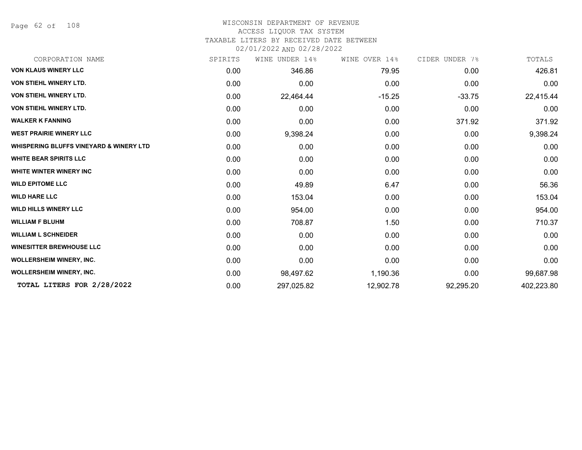Page 62 of 108

#### WISCONSIN DEPARTMENT OF REVENUE ACCESS LIQUOR TAX SYSTEM

TAXABLE LITERS BY RECEIVED DATE BETWEEN

02/01/2022 AND 02/28/2022

| CORPORATION NAME                                   | SPIRITS | WINE UNDER 14% | WINE OVER 14% | CIDER UNDER 7% | TOTALS     |
|----------------------------------------------------|---------|----------------|---------------|----------------|------------|
| <b>VON KLAUS WINERY LLC</b>                        | 0.00    | 346.86         | 79.95         | 0.00           | 426.81     |
| <b>VON STIEHL WINERY LTD.</b>                      | 0.00    | 0.00           | 0.00          | 0.00           | 0.00       |
| <b>VON STIEHL WINERY LTD.</b>                      | 0.00    | 22,464.44      | $-15.25$      | $-33.75$       | 22,415.44  |
| <b>VON STIEHL WINERY LTD.</b>                      | 0.00    | 0.00           | 0.00          | 0.00           | 0.00       |
| <b>WALKER K FANNING</b>                            | 0.00    | 0.00           | 0.00          | 371.92         | 371.92     |
| <b>WEST PRAIRIE WINERY LLC</b>                     | 0.00    | 9,398.24       | 0.00          | 0.00           | 9,398.24   |
| <b>WHISPERING BLUFFS VINEYARD &amp; WINERY LTD</b> | 0.00    | 0.00           | 0.00          | 0.00           | 0.00       |
| <b>WHITE BEAR SPIRITS LLC</b>                      | 0.00    | 0.00           | 0.00          | 0.00           | 0.00       |
| <b>WHITE WINTER WINERY INC</b>                     | 0.00    | 0.00           | 0.00          | 0.00           | 0.00       |
| <b>WILD EPITOME LLC</b>                            | 0.00    | 49.89          | 6.47          | 0.00           | 56.36      |
| <b>WILD HARE LLC</b>                               | 0.00    | 153.04         | 0.00          | 0.00           | 153.04     |
| <b>WILD HILLS WINERY LLC</b>                       | 0.00    | 954.00         | 0.00          | 0.00           | 954.00     |
| <b>WILLIAM F BLUHM</b>                             | 0.00    | 708.87         | 1.50          | 0.00           | 710.37     |
| <b>WILLIAM L SCHNEIDER</b>                         | 0.00    | 0.00           | 0.00          | 0.00           | 0.00       |
| <b>WINESITTER BREWHOUSE LLC</b>                    | 0.00    | 0.00           | 0.00          | 0.00           | 0.00       |
| WOLLERSHEIM WINERY, INC.                           | 0.00    | 0.00           | 0.00          | 0.00           | 0.00       |
| <b>WOLLERSHEIM WINERY, INC.</b>                    | 0.00    | 98,497.62      | 1,190.36      | 0.00           | 99,687.98  |
| TOTAL LITERS FOR 2/28/2022                         | 0.00    | 297,025.82     | 12,902.78     | 92,295.20      | 402,223.80 |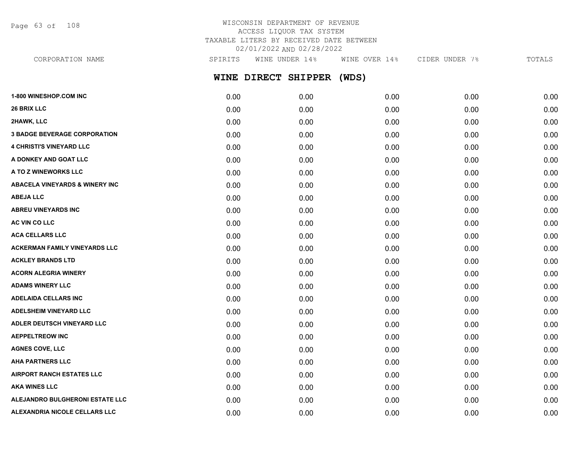Page 63 of 108

# WISCONSIN DEPARTMENT OF REVENUE ACCESS LIQUOR TAX SYSTEM TAXABLE LITERS BY RECEIVED DATE BETWEEN 02/01/2022 AND 02/28/2022

**WINE DIRECT SHIPPER (WDS) 1-800 WINESHOP.COM INC** 0.00 0.00 0.00 0.00 0.00 **26 BRIX LLC** 0.00 0.00 0.00 0.00 0.00 **2HAWK, LLC** 0.00 0.00 0.00 0.00 0.00 **3 BADGE BEVERAGE CORPORATION** 0.00 0.00 0.00 0.00 0.00 **4 CHRISTI'S VINEYARD LLC** 0.00 0.00 0.00 0.00 0.00 CORPORATION NAME SPIRITS WINE UNDER 14% WINE OVER 14% CIDER UNDER 7% TOTALS

**A DONKEY AND GOAT LLC** 0.00 0.00 0.00 0.00 0.00 **A TO Z WINEWORKS LLC** 0.00 0.00 0.00 0.00 0.00 **ABACELA VINEYARDS & WINERY INC** 0.00 0.00 0.00 0.00 0.00 **ABEJA LLC** 0.00 0.00 0.00 0.00 0.00 **ABREU VINEYARDS INC** 0.00 0.00 0.00 0.00 0.00 **AC VIN CO LLC** 0.00 0.00 0.00 0.00 0.00 **ACA CELLARS LLC** 0.00 0.00 0.00 0.00 0.00 **ACKERMAN FAMILY VINEYARDS LLC** 0.00 0.00 0.00 0.00 0.00 **ACKLEY BRANDS LTD** 0.00 0.00 0.00 0.00 0.00 **ACORN ALEGRIA WINERY** 0.00 0.00 0.00 0.00 0.00 **ADAMS WINERY LLC** 0.00 0.00 0.00 0.00 0.00 **ADELAIDA CELLARS INC** 0.00 0.00 0.00 0.00 0.00 **ADELSHEIM VINEYARD LLC** 0.00 0.00 0.00 0.00 0.00 **ADLER DEUTSCH VINEYARD LLC** 0.00 0.00 0.00 0.00 0.00 **AEPPELTREOW INC** 0.00 0.00 0.00 0.00 0.00

**AGNES COVE, LLC** 0.00 0.00 0.00 0.00 0.00 **AHA PARTNERS LLC** 0.00 0.00 0.00 0.00 0.00 **AIRPORT RANCH ESTATES LLC** 0.00 0.00 0.00 0.00 0.00 **AKA WINES LLC** 0.00 0.00 0.00 0.00 0.00 **ALEJANDRO BULGHERONI ESTATE LLC** 0.00 0.00 0.00 0.00 0.00 **ALEXANDRIA NICOLE CELLARS LLC** 0.00 0.00 0.00 0.00 0.00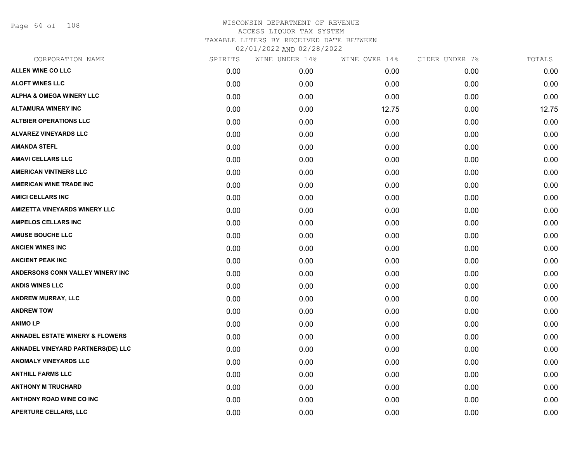Page 64 of 108

| CORPORATION NAME                           | SPIRITS | WINE UNDER 14% | WINE OVER 14% | CIDER UNDER 7% | TOTALS |
|--------------------------------------------|---------|----------------|---------------|----------------|--------|
| <b>ALLEN WINE CO LLC</b>                   | 0.00    | 0.00           | 0.00          | 0.00           | 0.00   |
| <b>ALOFT WINES LLC</b>                     | 0.00    | 0.00           | 0.00          | 0.00           | 0.00   |
| ALPHA & OMEGA WINERY LLC                   | 0.00    | 0.00           | 0.00          | 0.00           | 0.00   |
| <b>ALTAMURA WINERY INC</b>                 | 0.00    | 0.00           | 12.75         | 0.00           | 12.75  |
| <b>ALTBIER OPERATIONS LLC</b>              | 0.00    | 0.00           | 0.00          | 0.00           | 0.00   |
| <b>ALVAREZ VINEYARDS LLC</b>               | 0.00    | 0.00           | 0.00          | 0.00           | 0.00   |
| <b>AMANDA STEFL</b>                        | 0.00    | 0.00           | 0.00          | 0.00           | 0.00   |
| <b>AMAVI CELLARS LLC</b>                   | 0.00    | 0.00           | 0.00          | 0.00           | 0.00   |
| <b>AMERICAN VINTNERS LLC</b>               | 0.00    | 0.00           | 0.00          | 0.00           | 0.00   |
| <b>AMERICAN WINE TRADE INC</b>             | 0.00    | 0.00           | 0.00          | 0.00           | 0.00   |
| <b>AMICI CELLARS INC</b>                   | 0.00    | 0.00           | 0.00          | 0.00           | 0.00   |
| <b>AMIZETTA VINEYARDS WINERY LLC</b>       | 0.00    | 0.00           | 0.00          | 0.00           | 0.00   |
| <b>AMPELOS CELLARS INC</b>                 | 0.00    | 0.00           | 0.00          | 0.00           | 0.00   |
| <b>AMUSE BOUCHE LLC</b>                    | 0.00    | 0.00           | 0.00          | 0.00           | 0.00   |
| <b>ANCIEN WINES INC</b>                    | 0.00    | 0.00           | 0.00          | 0.00           | 0.00   |
| <b>ANCIENT PEAK INC</b>                    | 0.00    | 0.00           | 0.00          | 0.00           | 0.00   |
| ANDERSONS CONN VALLEY WINERY INC           | 0.00    | 0.00           | 0.00          | 0.00           | 0.00   |
| <b>ANDIS WINES LLC</b>                     | 0.00    | 0.00           | 0.00          | 0.00           | 0.00   |
| ANDREW MURRAY, LLC                         | 0.00    | 0.00           | 0.00          | 0.00           | 0.00   |
| <b>ANDREW TOW</b>                          | 0.00    | 0.00           | 0.00          | 0.00           | 0.00   |
| <b>ANIMOLP</b>                             | 0.00    | 0.00           | 0.00          | 0.00           | 0.00   |
| <b>ANNADEL ESTATE WINERY &amp; FLOWERS</b> | 0.00    | 0.00           | 0.00          | 0.00           | 0.00   |
| ANNADEL VINEYARD PARTNERS(DE) LLC          | 0.00    | 0.00           | 0.00          | 0.00           | 0.00   |
| <b>ANOMALY VINEYARDS LLC</b>               | 0.00    | 0.00           | 0.00          | 0.00           | 0.00   |
| <b>ANTHILL FARMS LLC</b>                   | 0.00    | 0.00           | 0.00          | 0.00           | 0.00   |
| <b>ANTHONY M TRUCHARD</b>                  | 0.00    | 0.00           | 0.00          | 0.00           | 0.00   |
| <b>ANTHONY ROAD WINE CO INC</b>            | 0.00    | 0.00           | 0.00          | 0.00           | 0.00   |
| APERTURE CELLARS, LLC                      | 0.00    | 0.00           | 0.00          | 0.00           | 0.00   |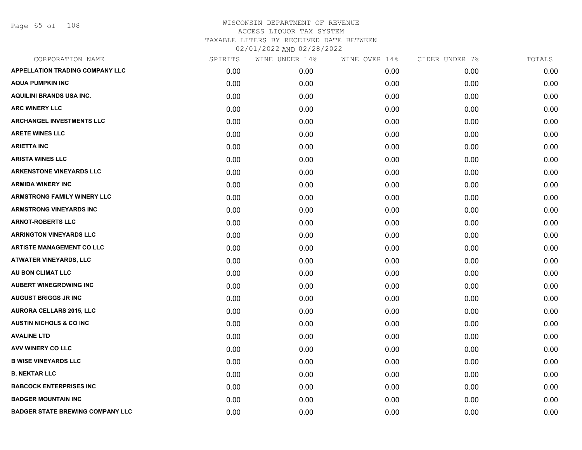Page 65 of 108

| CORPORATION NAME                        | SPIRITS | WINE UNDER 14% | WINE OVER 14% | CIDER UNDER 7% | TOTALS |
|-----------------------------------------|---------|----------------|---------------|----------------|--------|
| <b>APPELLATION TRADING COMPANY LLC</b>  | 0.00    | 0.00           | 0.00          | 0.00           | 0.00   |
| <b>AQUA PUMPKIN INC</b>                 | 0.00    | 0.00           | 0.00          | 0.00           | 0.00   |
| <b>AQUILINI BRANDS USA INC.</b>         | 0.00    | 0.00           | 0.00          | 0.00           | 0.00   |
| <b>ARC WINERY LLC</b>                   | 0.00    | 0.00           | 0.00          | 0.00           | 0.00   |
| <b>ARCHANGEL INVESTMENTS LLC</b>        | 0.00    | 0.00           | 0.00          | 0.00           | 0.00   |
| <b>ARETE WINES LLC</b>                  | 0.00    | 0.00           | 0.00          | 0.00           | 0.00   |
| <b>ARIETTA INC</b>                      | 0.00    | 0.00           | 0.00          | 0.00           | 0.00   |
| <b>ARISTA WINES LLC</b>                 | 0.00    | 0.00           | 0.00          | 0.00           | 0.00   |
| <b>ARKENSTONE VINEYARDS LLC</b>         | 0.00    | 0.00           | 0.00          | 0.00           | 0.00   |
| <b>ARMIDA WINERY INC</b>                | 0.00    | 0.00           | 0.00          | 0.00           | 0.00   |
| <b>ARMSTRONG FAMILY WINERY LLC</b>      | 0.00    | 0.00           | 0.00          | 0.00           | 0.00   |
| <b>ARMSTRONG VINEYARDS INC</b>          | 0.00    | 0.00           | 0.00          | 0.00           | 0.00   |
| <b>ARNOT-ROBERTS LLC</b>                | 0.00    | 0.00           | 0.00          | 0.00           | 0.00   |
| <b>ARRINGTON VINEYARDS LLC</b>          | 0.00    | 0.00           | 0.00          | 0.00           | 0.00   |
| <b>ARTISTE MANAGEMENT CO LLC</b>        | 0.00    | 0.00           | 0.00          | 0.00           | 0.00   |
| ATWATER VINEYARDS, LLC                  | 0.00    | 0.00           | 0.00          | 0.00           | 0.00   |
| AU BON CLIMAT LLC                       | 0.00    | 0.00           | 0.00          | 0.00           | 0.00   |
| <b>AUBERT WINEGROWING INC</b>           | 0.00    | 0.00           | 0.00          | 0.00           | 0.00   |
| <b>AUGUST BRIGGS JR INC</b>             | 0.00    | 0.00           | 0.00          | 0.00           | 0.00   |
| <b>AURORA CELLARS 2015, LLC</b>         | 0.00    | 0.00           | 0.00          | 0.00           | 0.00   |
| <b>AUSTIN NICHOLS &amp; CO INC</b>      | 0.00    | 0.00           | 0.00          | 0.00           | 0.00   |
| <b>AVALINE LTD</b>                      | 0.00    | 0.00           | 0.00          | 0.00           | 0.00   |
| <b>AVV WINERY CO LLC</b>                | 0.00    | 0.00           | 0.00          | 0.00           | 0.00   |
| <b>B WISE VINEYARDS LLC</b>             | 0.00    | 0.00           | 0.00          | 0.00           | 0.00   |
| <b>B. NEKTAR LLC</b>                    | 0.00    | 0.00           | 0.00          | 0.00           | 0.00   |
| <b>BABCOCK ENTERPRISES INC</b>          | 0.00    | 0.00           | 0.00          | 0.00           | 0.00   |
| <b>BADGER MOUNTAIN INC</b>              | 0.00    | 0.00           | 0.00          | 0.00           | 0.00   |
| <b>BADGER STATE BREWING COMPANY LLC</b> | 0.00    | 0.00           | 0.00          | 0.00           | 0.00   |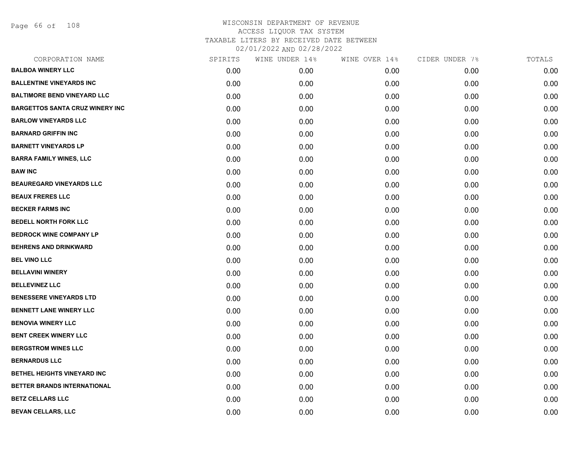Page 66 of 108

| CORPORATION NAME                       | SPIRITS | WINE UNDER 14% | WINE OVER 14% | CIDER UNDER 7% | TOTALS |
|----------------------------------------|---------|----------------|---------------|----------------|--------|
| <b>BALBOA WINERY LLC</b>               | 0.00    | 0.00           | 0.00          | 0.00           | 0.00   |
| <b>BALLENTINE VINEYARDS INC</b>        | 0.00    | 0.00           | 0.00          | 0.00           | 0.00   |
| <b>BALTIMORE BEND VINEYARD LLC</b>     | 0.00    | 0.00           | 0.00          | 0.00           | 0.00   |
| <b>BARGETTOS SANTA CRUZ WINERY INC</b> | 0.00    | 0.00           | 0.00          | 0.00           | 0.00   |
| <b>BARLOW VINEYARDS LLC</b>            | 0.00    | 0.00           | 0.00          | 0.00           | 0.00   |
| <b>BARNARD GRIFFIN INC</b>             | 0.00    | 0.00           | 0.00          | 0.00           | 0.00   |
| <b>BARNETT VINEYARDS LP</b>            | 0.00    | 0.00           | 0.00          | 0.00           | 0.00   |
| <b>BARRA FAMILY WINES, LLC</b>         | 0.00    | 0.00           | 0.00          | 0.00           | 0.00   |
| <b>BAW INC</b>                         | 0.00    | 0.00           | 0.00          | 0.00           | 0.00   |
| <b>BEAUREGARD VINEYARDS LLC</b>        | 0.00    | 0.00           | 0.00          | 0.00           | 0.00   |
| <b>BEAUX FRERES LLC</b>                | 0.00    | 0.00           | 0.00          | 0.00           | 0.00   |
| <b>BECKER FARMS INC</b>                | 0.00    | 0.00           | 0.00          | 0.00           | 0.00   |
| <b>BEDELL NORTH FORK LLC</b>           | 0.00    | 0.00           | 0.00          | 0.00           | 0.00   |
| <b>BEDROCK WINE COMPANY LP</b>         | 0.00    | 0.00           | 0.00          | 0.00           | 0.00   |
| <b>BEHRENS AND DRINKWARD</b>           | 0.00    | 0.00           | 0.00          | 0.00           | 0.00   |
| <b>BEL VINO LLC</b>                    | 0.00    | 0.00           | 0.00          | 0.00           | 0.00   |
| <b>BELLAVINI WINERY</b>                | 0.00    | 0.00           | 0.00          | 0.00           | 0.00   |
| <b>BELLEVINEZ LLC</b>                  | 0.00    | 0.00           | 0.00          | 0.00           | 0.00   |
| <b>BENESSERE VINEYARDS LTD</b>         | 0.00    | 0.00           | 0.00          | 0.00           | 0.00   |
| <b>BENNETT LANE WINERY LLC</b>         | 0.00    | 0.00           | 0.00          | 0.00           | 0.00   |
| <b>BENOVIA WINERY LLC</b>              | 0.00    | 0.00           | 0.00          | 0.00           | 0.00   |
| BENT CREEK WINERY LLC                  | 0.00    | 0.00           | 0.00          | 0.00           | 0.00   |
| <b>BERGSTROM WINES LLC</b>             | 0.00    | 0.00           | 0.00          | 0.00           | 0.00   |
| <b>BERNARDUS LLC</b>                   | 0.00    | 0.00           | 0.00          | 0.00           | 0.00   |
| BETHEL HEIGHTS VINEYARD INC            | 0.00    | 0.00           | 0.00          | 0.00           | 0.00   |
| BETTER BRANDS INTERNATIONAL            | 0.00    | 0.00           | 0.00          | 0.00           | 0.00   |
| <b>BETZ CELLARS LLC</b>                | 0.00    | 0.00           | 0.00          | 0.00           | 0.00   |
| BEVAN CELLARS, LLC                     | 0.00    | 0.00           | 0.00          | 0.00           | 0.00   |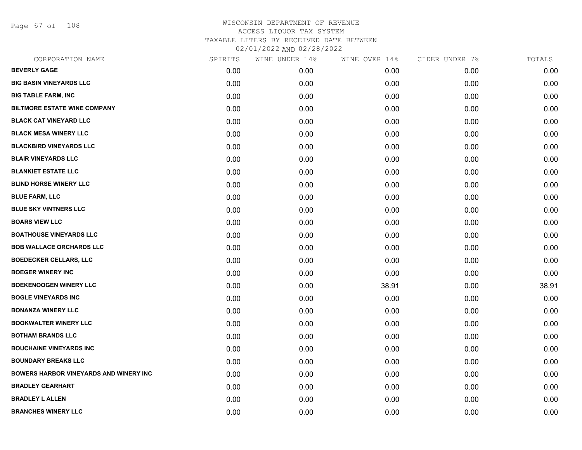Page 67 of 108

| CORPORATION NAME                              | SPIRITS | WINE UNDER 14% | WINE OVER 14% | CIDER UNDER 7% | TOTALS |
|-----------------------------------------------|---------|----------------|---------------|----------------|--------|
| <b>BEVERLY GAGE</b>                           | 0.00    | 0.00           | 0.00          | 0.00           | 0.00   |
| <b>BIG BASIN VINEYARDS LLC</b>                | 0.00    | 0.00           | 0.00          | 0.00           | 0.00   |
| <b>BIG TABLE FARM, INC</b>                    | 0.00    | 0.00           | 0.00          | 0.00           | 0.00   |
| <b>BILTMORE ESTATE WINE COMPANY</b>           | 0.00    | 0.00           | 0.00          | 0.00           | 0.00   |
| <b>BLACK CAT VINEYARD LLC</b>                 | 0.00    | 0.00           | 0.00          | 0.00           | 0.00   |
| <b>BLACK MESA WINERY LLC</b>                  | 0.00    | 0.00           | 0.00          | 0.00           | 0.00   |
| <b>BLACKBIRD VINEYARDS LLC</b>                | 0.00    | 0.00           | 0.00          | 0.00           | 0.00   |
| <b>BLAIR VINEYARDS LLC</b>                    | 0.00    | 0.00           | 0.00          | 0.00           | 0.00   |
| <b>BLANKIET ESTATE LLC</b>                    | 0.00    | 0.00           | 0.00          | 0.00           | 0.00   |
| <b>BLIND HORSE WINERY LLC</b>                 | 0.00    | 0.00           | 0.00          | 0.00           | 0.00   |
| <b>BLUE FARM, LLC</b>                         | 0.00    | 0.00           | 0.00          | 0.00           | 0.00   |
| <b>BLUE SKY VINTNERS LLC</b>                  | 0.00    | 0.00           | 0.00          | 0.00           | 0.00   |
| <b>BOARS VIEW LLC</b>                         | 0.00    | 0.00           | 0.00          | 0.00           | 0.00   |
| <b>BOATHOUSE VINEYARDS LLC</b>                | 0.00    | 0.00           | 0.00          | 0.00           | 0.00   |
| <b>BOB WALLACE ORCHARDS LLC</b>               | 0.00    | 0.00           | 0.00          | 0.00           | 0.00   |
| <b>BOEDECKER CELLARS, LLC</b>                 | 0.00    | 0.00           | 0.00          | 0.00           | 0.00   |
| <b>BOEGER WINERY INC</b>                      | 0.00    | 0.00           | 0.00          | 0.00           | 0.00   |
| <b>BOEKENOOGEN WINERY LLC</b>                 | 0.00    | 0.00           | 38.91         | 0.00           | 38.91  |
| <b>BOGLE VINEYARDS INC</b>                    | 0.00    | 0.00           | 0.00          | 0.00           | 0.00   |
| <b>BONANZA WINERY LLC</b>                     | 0.00    | 0.00           | 0.00          | 0.00           | 0.00   |
| <b>BOOKWALTER WINERY LLC</b>                  | 0.00    | 0.00           | 0.00          | 0.00           | 0.00   |
| <b>BOTHAM BRANDS LLC</b>                      | 0.00    | 0.00           | 0.00          | 0.00           | 0.00   |
| <b>BOUCHAINE VINEYARDS INC</b>                | 0.00    | 0.00           | 0.00          | 0.00           | 0.00   |
| <b>BOUNDARY BREAKS LLC</b>                    | 0.00    | 0.00           | 0.00          | 0.00           | 0.00   |
| <b>BOWERS HARBOR VINEYARDS AND WINERY INC</b> | 0.00    | 0.00           | 0.00          | 0.00           | 0.00   |
| <b>BRADLEY GEARHART</b>                       | 0.00    | 0.00           | 0.00          | 0.00           | 0.00   |
| <b>BRADLEY L ALLEN</b>                        | 0.00    | 0.00           | 0.00          | 0.00           | 0.00   |
| <b>BRANCHES WINERY LLC</b>                    | 0.00    | 0.00           | 0.00          | 0.00           | 0.00   |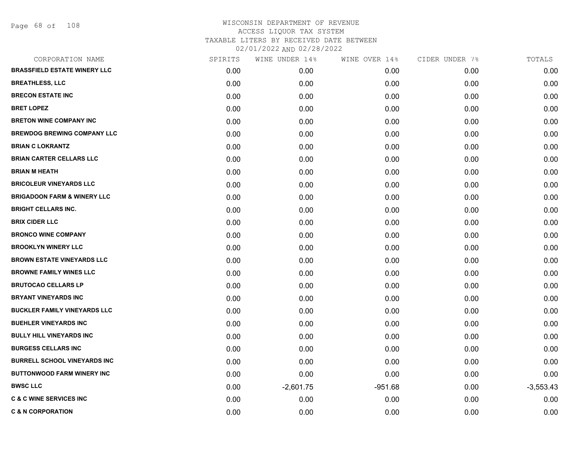| SPIRITS | WINE UNDER 14% | WINE OVER 14% | CIDER UNDER 7% | TOTALS      |
|---------|----------------|---------------|----------------|-------------|
| 0.00    | 0.00           | 0.00          | 0.00           | 0.00        |
| 0.00    | 0.00           | 0.00          | 0.00           | 0.00        |
| 0.00    | 0.00           | 0.00          | 0.00           | 0.00        |
| 0.00    | 0.00           | 0.00          | 0.00           | 0.00        |
| 0.00    | 0.00           | 0.00          | 0.00           | 0.00        |
| 0.00    | 0.00           | 0.00          | 0.00           | 0.00        |
| 0.00    | 0.00           | 0.00          | 0.00           | 0.00        |
| 0.00    | 0.00           | 0.00          | 0.00           | 0.00        |
| 0.00    | 0.00           | 0.00          | 0.00           | 0.00        |
| 0.00    | 0.00           | 0.00          | 0.00           | 0.00        |
| 0.00    | 0.00           | 0.00          | 0.00           | 0.00        |
| 0.00    | 0.00           | 0.00          | 0.00           | 0.00        |
| 0.00    | 0.00           | 0.00          | 0.00           | 0.00        |
| 0.00    | 0.00           | 0.00          | 0.00           | 0.00        |
| 0.00    | 0.00           | 0.00          | 0.00           | 0.00        |
| 0.00    | 0.00           | 0.00          | 0.00           | 0.00        |
| 0.00    | 0.00           | 0.00          | 0.00           | 0.00        |
| 0.00    | 0.00           | 0.00          | 0.00           | 0.00        |
| 0.00    | 0.00           | 0.00          | 0.00           | 0.00        |
| 0.00    | 0.00           | 0.00          | 0.00           | 0.00        |
| 0.00    | 0.00           | 0.00          | 0.00           | 0.00        |
| 0.00    | 0.00           | 0.00          | 0.00           | 0.00        |
| 0.00    | 0.00           | 0.00          | 0.00           | 0.00        |
| 0.00    | 0.00           | 0.00          | 0.00           | 0.00        |
| 0.00    | 0.00           | 0.00          | 0.00           | 0.00        |
| 0.00    | $-2,601.75$    | $-951.68$     | 0.00           | $-3,553.43$ |
| 0.00    | 0.00           | 0.00          | 0.00           | 0.00        |
| 0.00    | 0.00           | 0.00          | 0.00           | 0.00        |
|         |                |               |                |             |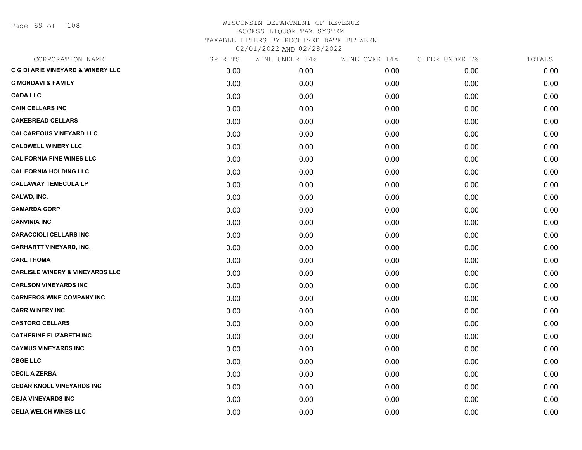Page 69 of 108

| CORPORATION NAME                             | SPIRITS | WINE UNDER 14% | WINE OVER 14% | CIDER UNDER 7% | TOTALS |
|----------------------------------------------|---------|----------------|---------------|----------------|--------|
| <b>C G DI ARIE VINEYARD &amp; WINERY LLC</b> | 0.00    | 0.00           | 0.00          | 0.00           | 0.00   |
| <b>C MONDAVI &amp; FAMILY</b>                | 0.00    | 0.00           | 0.00          | 0.00           | 0.00   |
| <b>CADA LLC</b>                              | 0.00    | 0.00           | 0.00          | 0.00           | 0.00   |
| <b>CAIN CELLARS INC</b>                      | 0.00    | 0.00           | 0.00          | 0.00           | 0.00   |
| <b>CAKEBREAD CELLARS</b>                     | 0.00    | 0.00           | 0.00          | 0.00           | 0.00   |
| <b>CALCAREOUS VINEYARD LLC</b>               | 0.00    | 0.00           | 0.00          | 0.00           | 0.00   |
| <b>CALDWELL WINERY LLC</b>                   | 0.00    | 0.00           | 0.00          | 0.00           | 0.00   |
| <b>CALIFORNIA FINE WINES LLC</b>             | 0.00    | 0.00           | 0.00          | 0.00           | 0.00   |
| <b>CALIFORNIA HOLDING LLC</b>                | 0.00    | 0.00           | 0.00          | 0.00           | 0.00   |
| <b>CALLAWAY TEMECULA LP</b>                  | 0.00    | 0.00           | 0.00          | 0.00           | 0.00   |
| CALWD, INC.                                  | 0.00    | 0.00           | 0.00          | 0.00           | 0.00   |
| <b>CAMARDA CORP</b>                          | 0.00    | 0.00           | 0.00          | 0.00           | 0.00   |
| <b>CANVINIA INC</b>                          | 0.00    | 0.00           | 0.00          | 0.00           | 0.00   |
| <b>CARACCIOLI CELLARS INC</b>                | 0.00    | 0.00           | 0.00          | 0.00           | 0.00   |
| <b>CARHARTT VINEYARD, INC.</b>               | 0.00    | 0.00           | 0.00          | 0.00           | 0.00   |
| <b>CARL THOMA</b>                            | 0.00    | 0.00           | 0.00          | 0.00           | 0.00   |
| <b>CARLISLE WINERY &amp; VINEYARDS LLC</b>   | 0.00    | 0.00           | 0.00          | 0.00           | 0.00   |
| <b>CARLSON VINEYARDS INC</b>                 | 0.00    | 0.00           | 0.00          | 0.00           | 0.00   |
| <b>CARNEROS WINE COMPANY INC</b>             | 0.00    | 0.00           | 0.00          | 0.00           | 0.00   |
| <b>CARR WINERY INC</b>                       | 0.00    | 0.00           | 0.00          | 0.00           | 0.00   |
| <b>CASTORO CELLARS</b>                       | 0.00    | 0.00           | 0.00          | 0.00           | 0.00   |
| <b>CATHERINE ELIZABETH INC</b>               | 0.00    | 0.00           | 0.00          | 0.00           | 0.00   |
| <b>CAYMUS VINEYARDS INC</b>                  | 0.00    | 0.00           | 0.00          | 0.00           | 0.00   |
| <b>CBGE LLC</b>                              | 0.00    | 0.00           | 0.00          | 0.00           | 0.00   |
| <b>CECIL A ZERBA</b>                         | 0.00    | 0.00           | 0.00          | 0.00           | 0.00   |
| <b>CEDAR KNOLL VINEYARDS INC</b>             | 0.00    | 0.00           | 0.00          | 0.00           | 0.00   |
| <b>CEJA VINEYARDS INC</b>                    | 0.00    | 0.00           | 0.00          | 0.00           | 0.00   |
| <b>CELIA WELCH WINES LLC</b>                 | 0.00    | 0.00           | 0.00          | 0.00           | 0.00   |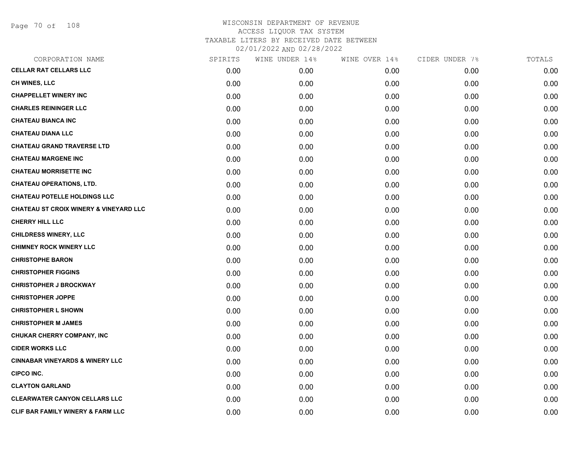Page 70 of 108

| CORPORATION NAME                                  | SPIRITS | WINE UNDER 14% | WINE OVER 14% | CIDER UNDER 7% | TOTALS |
|---------------------------------------------------|---------|----------------|---------------|----------------|--------|
| <b>CELLAR RAT CELLARS LLC</b>                     | 0.00    | 0.00           | 0.00          | 0.00           | 0.00   |
| CH WINES, LLC                                     | 0.00    | 0.00           | 0.00          | 0.00           | 0.00   |
| <b>CHAPPELLET WINERY INC</b>                      | 0.00    | 0.00           | 0.00          | 0.00           | 0.00   |
| <b>CHARLES REININGER LLC</b>                      | 0.00    | 0.00           | 0.00          | 0.00           | 0.00   |
| <b>CHATEAU BIANCA INC</b>                         | 0.00    | 0.00           | 0.00          | 0.00           | 0.00   |
| <b>CHATEAU DIANA LLC</b>                          | 0.00    | 0.00           | 0.00          | 0.00           | 0.00   |
| <b>CHATEAU GRAND TRAVERSE LTD</b>                 | 0.00    | 0.00           | 0.00          | 0.00           | 0.00   |
| <b>CHATEAU MARGENE INC</b>                        | 0.00    | 0.00           | 0.00          | 0.00           | 0.00   |
| <b>CHATEAU MORRISETTE INC</b>                     | 0.00    | 0.00           | 0.00          | 0.00           | 0.00   |
| <b>CHATEAU OPERATIONS, LTD.</b>                   | 0.00    | 0.00           | 0.00          | 0.00           | 0.00   |
| <b>CHATEAU POTELLE HOLDINGS LLC</b>               | 0.00    | 0.00           | 0.00          | 0.00           | 0.00   |
| <b>CHATEAU ST CROIX WINERY &amp; VINEYARD LLC</b> | 0.00    | 0.00           | 0.00          | 0.00           | 0.00   |
| <b>CHERRY HILL LLC</b>                            | 0.00    | 0.00           | 0.00          | 0.00           | 0.00   |
| <b>CHILDRESS WINERY, LLC</b>                      | 0.00    | 0.00           | 0.00          | 0.00           | 0.00   |
| <b>CHIMNEY ROCK WINERY LLC</b>                    | 0.00    | 0.00           | 0.00          | 0.00           | 0.00   |
| <b>CHRISTOPHE BARON</b>                           | 0.00    | 0.00           | 0.00          | 0.00           | 0.00   |
| <b>CHRISTOPHER FIGGINS</b>                        | 0.00    | 0.00           | 0.00          | 0.00           | 0.00   |
| <b>CHRISTOPHER J BROCKWAY</b>                     | 0.00    | 0.00           | 0.00          | 0.00           | 0.00   |
| <b>CHRISTOPHER JOPPE</b>                          | 0.00    | 0.00           | 0.00          | 0.00           | 0.00   |
| <b>CHRISTOPHER L SHOWN</b>                        | 0.00    | 0.00           | 0.00          | 0.00           | 0.00   |
| <b>CHRISTOPHER M JAMES</b>                        | 0.00    | 0.00           | 0.00          | 0.00           | 0.00   |
| CHUKAR CHERRY COMPANY, INC                        | 0.00    | 0.00           | 0.00          | 0.00           | 0.00   |
| <b>CIDER WORKS LLC</b>                            | 0.00    | 0.00           | 0.00          | 0.00           | 0.00   |
| <b>CINNABAR VINEYARDS &amp; WINERY LLC</b>        | 0.00    | 0.00           | 0.00          | 0.00           | 0.00   |
| <b>CIPCO INC.</b>                                 | 0.00    | 0.00           | 0.00          | 0.00           | 0.00   |
| <b>CLAYTON GARLAND</b>                            | 0.00    | 0.00           | 0.00          | 0.00           | 0.00   |
| <b>CLEARWATER CANYON CELLARS LLC</b>              | 0.00    | 0.00           | 0.00          | 0.00           | 0.00   |
| <b>CLIF BAR FAMILY WINERY &amp; FARM LLC</b>      | 0.00    | 0.00           | 0.00          | 0.00           | 0.00   |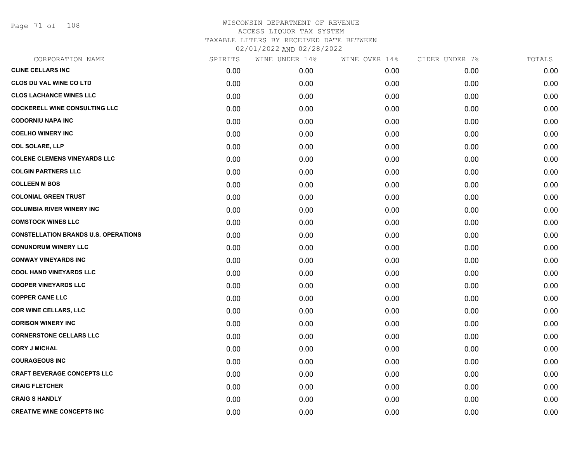Page 71 of 108

| CORPORATION NAME                            | SPIRITS | WINE UNDER 14% | WINE OVER 14% | CIDER UNDER 7% | TOTALS |
|---------------------------------------------|---------|----------------|---------------|----------------|--------|
| <b>CLINE CELLARS INC</b>                    | 0.00    | 0.00           | 0.00          | 0.00           | 0.00   |
| <b>CLOS DU VAL WINE CO LTD</b>              | 0.00    | 0.00           | 0.00          | 0.00           | 0.00   |
| <b>CLOS LACHANCE WINES LLC</b>              | 0.00    | 0.00           | 0.00          | 0.00           | 0.00   |
| <b>COCKERELL WINE CONSULTING LLC</b>        | 0.00    | 0.00           | 0.00          | 0.00           | 0.00   |
| <b>CODORNIU NAPA INC</b>                    | 0.00    | 0.00           | 0.00          | 0.00           | 0.00   |
| <b>COELHO WINERY INC</b>                    | 0.00    | 0.00           | 0.00          | 0.00           | 0.00   |
| <b>COL SOLARE, LLP</b>                      | 0.00    | 0.00           | 0.00          | 0.00           | 0.00   |
| <b>COLENE CLEMENS VINEYARDS LLC</b>         | 0.00    | 0.00           | 0.00          | 0.00           | 0.00   |
| <b>COLGIN PARTNERS LLC</b>                  | 0.00    | 0.00           | 0.00          | 0.00           | 0.00   |
| <b>COLLEEN M BOS</b>                        | 0.00    | 0.00           | 0.00          | 0.00           | 0.00   |
| <b>COLONIAL GREEN TRUST</b>                 | 0.00    | 0.00           | 0.00          | 0.00           | 0.00   |
| <b>COLUMBIA RIVER WINERY INC</b>            | 0.00    | 0.00           | 0.00          | 0.00           | 0.00   |
| <b>COMSTOCK WINES LLC</b>                   | 0.00    | 0.00           | 0.00          | 0.00           | 0.00   |
| <b>CONSTELLATION BRANDS U.S. OPERATIONS</b> | 0.00    | 0.00           | 0.00          | 0.00           | 0.00   |
| <b>CONUNDRUM WINERY LLC</b>                 | 0.00    | 0.00           | 0.00          | 0.00           | 0.00   |
| <b>CONWAY VINEYARDS INC</b>                 | 0.00    | 0.00           | 0.00          | 0.00           | 0.00   |
| <b>COOL HAND VINEYARDS LLC</b>              | 0.00    | 0.00           | 0.00          | 0.00           | 0.00   |
| <b>COOPER VINEYARDS LLC</b>                 | 0.00    | 0.00           | 0.00          | 0.00           | 0.00   |
| <b>COPPER CANE LLC</b>                      | 0.00    | 0.00           | 0.00          | 0.00           | 0.00   |
| <b>COR WINE CELLARS, LLC</b>                | 0.00    | 0.00           | 0.00          | 0.00           | 0.00   |
| <b>CORISON WINERY INC</b>                   | 0.00    | 0.00           | 0.00          | 0.00           | 0.00   |
| <b>CORNERSTONE CELLARS LLC</b>              | 0.00    | 0.00           | 0.00          | 0.00           | 0.00   |
| <b>CORY J MICHAL</b>                        | 0.00    | 0.00           | 0.00          | 0.00           | 0.00   |
| <b>COURAGEOUS INC</b>                       | 0.00    | 0.00           | 0.00          | 0.00           | 0.00   |
| <b>CRAFT BEVERAGE CONCEPTS LLC</b>          | 0.00    | 0.00           | 0.00          | 0.00           | 0.00   |
| <b>CRAIG FLETCHER</b>                       | 0.00    | 0.00           | 0.00          | 0.00           | 0.00   |
| <b>CRAIG S HANDLY</b>                       | 0.00    | 0.00           | 0.00          | 0.00           | 0.00   |
| <b>CREATIVE WINE CONCEPTS INC</b>           | 0.00    | 0.00           | 0.00          | 0.00           | 0.00   |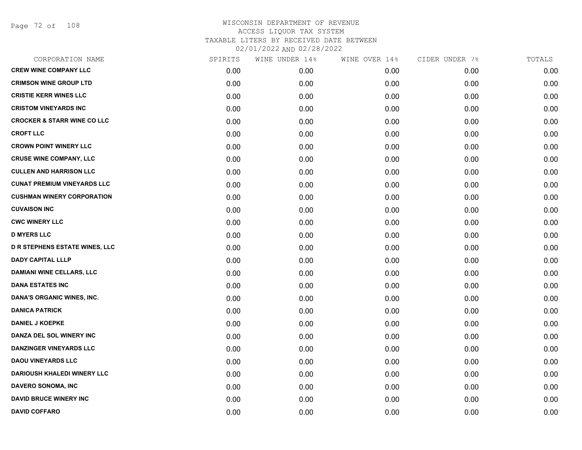Page 72 of 108

| CORPORATION NAME                       | SPIRITS | WINE UNDER 14% | WINE OVER 14% | CIDER UNDER 7% | TOTALS |
|----------------------------------------|---------|----------------|---------------|----------------|--------|
| <b>CREW WINE COMPANY LLC</b>           | 0.00    | 0.00           | 0.00          | 0.00           | 0.00   |
| <b>CRIMSON WINE GROUP LTD</b>          | 0.00    | 0.00           | 0.00          | 0.00           | 0.00   |
| <b>CRISTIE KERR WINES LLC</b>          | 0.00    | 0.00           | 0.00          | 0.00           | 0.00   |
| <b>CRISTOM VINEYARDS INC</b>           | 0.00    | 0.00           | 0.00          | 0.00           | 0.00   |
| <b>CROCKER &amp; STARR WINE CO LLC</b> | 0.00    | 0.00           | 0.00          | 0.00           | 0.00   |
| <b>CROFT LLC</b>                       | 0.00    | 0.00           | 0.00          | 0.00           | 0.00   |
| <b>CROWN POINT WINERY LLC</b>          | 0.00    | 0.00           | 0.00          | 0.00           | 0.00   |
| <b>CRUSE WINE COMPANY, LLC</b>         | 0.00    | 0.00           | 0.00          | 0.00           | 0.00   |
| <b>CULLEN AND HARRISON LLC</b>         | 0.00    | 0.00           | 0.00          | 0.00           | 0.00   |
| <b>CUNAT PREMIUM VINEYARDS LLC</b>     | 0.00    | 0.00           | 0.00          | 0.00           | 0.00   |
| <b>CUSHMAN WINERY CORPORATION</b>      | 0.00    | 0.00           | 0.00          | 0.00           | 0.00   |
| <b>CUVAISON INC</b>                    | 0.00    | 0.00           | 0.00          | 0.00           | 0.00   |
| <b>CWC WINERY LLC</b>                  | 0.00    | 0.00           | 0.00          | 0.00           | 0.00   |
| <b>D MYERS LLC</b>                     | 0.00    | 0.00           | 0.00          | 0.00           | 0.00   |
| <b>D R STEPHENS ESTATE WINES, LLC</b>  | 0.00    | 0.00           | 0.00          | 0.00           | 0.00   |
| <b>DADY CAPITAL LLLP</b>               | 0.00    | 0.00           | 0.00          | 0.00           | 0.00   |
| <b>DAMIANI WINE CELLARS, LLC</b>       | 0.00    | 0.00           | 0.00          | 0.00           | 0.00   |
| <b>DANA ESTATES INC</b>                | 0.00    | 0.00           | 0.00          | 0.00           | 0.00   |
| DANA'S ORGANIC WINES, INC.             | 0.00    | 0.00           | 0.00          | 0.00           | 0.00   |
| <b>DANICA PATRICK</b>                  | 0.00    | 0.00           | 0.00          | 0.00           | 0.00   |
| <b>DANIEL J KOEPKE</b>                 | 0.00    | 0.00           | 0.00          | 0.00           | 0.00   |
| DANZA DEL SOL WINERY INC               | 0.00    | 0.00           | 0.00          | 0.00           | 0.00   |
| <b>DANZINGER VINEYARDS LLC</b>         | 0.00    | 0.00           | 0.00          | 0.00           | 0.00   |
| <b>DAOU VINEYARDS LLC</b>              | 0.00    | 0.00           | 0.00          | 0.00           | 0.00   |
| <b>DARIOUSH KHALEDI WINERY LLC</b>     | 0.00    | 0.00           | 0.00          | 0.00           | 0.00   |
| DAVERO SONOMA, INC                     | 0.00    | 0.00           | 0.00          | 0.00           | 0.00   |
| <b>DAVID BRUCE WINERY INC</b>          | 0.00    | 0.00           | 0.00          | 0.00           | 0.00   |
| <b>DAVID COFFARO</b>                   | 0.00    | 0.00           | 0.00          | 0.00           | 0.00   |
|                                        |         |                |               |                |        |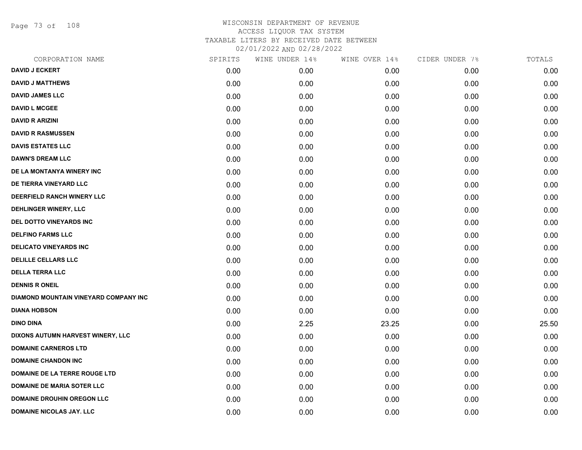Page 73 of 108

| CORPORATION NAME                      | SPIRITS | WINE UNDER 14% | WINE OVER 14% | CIDER UNDER 7% | TOTALS |
|---------------------------------------|---------|----------------|---------------|----------------|--------|
| <b>DAVID J ECKERT</b>                 | 0.00    | 0.00           | 0.00          | 0.00           | 0.00   |
| <b>DAVID J MATTHEWS</b>               | 0.00    | 0.00           | 0.00          | 0.00           | 0.00   |
| <b>DAVID JAMES LLC</b>                | 0.00    | 0.00           | 0.00          | 0.00           | 0.00   |
| <b>DAVID L MCGEE</b>                  | 0.00    | 0.00           | 0.00          | 0.00           | 0.00   |
| <b>DAVID R ARIZINI</b>                | 0.00    | 0.00           | 0.00          | 0.00           | 0.00   |
| <b>DAVID R RASMUSSEN</b>              | 0.00    | 0.00           | 0.00          | 0.00           | 0.00   |
| <b>DAVIS ESTATES LLC</b>              | 0.00    | 0.00           | 0.00          | 0.00           | 0.00   |
| <b>DAWN'S DREAM LLC</b>               | 0.00    | 0.00           | 0.00          | 0.00           | 0.00   |
| DE LA MONTANYA WINERY INC             | 0.00    | 0.00           | 0.00          | 0.00           | 0.00   |
| DE TIERRA VINEYARD LLC                | 0.00    | 0.00           | 0.00          | 0.00           | 0.00   |
| DEERFIELD RANCH WINERY LLC            | 0.00    | 0.00           | 0.00          | 0.00           | 0.00   |
| DEHLINGER WINERY, LLC                 | 0.00    | 0.00           | 0.00          | 0.00           | 0.00   |
| DEL DOTTO VINEYARDS INC               | 0.00    | 0.00           | 0.00          | 0.00           | 0.00   |
| <b>DELFINO FARMS LLC</b>              | 0.00    | 0.00           | 0.00          | 0.00           | 0.00   |
| <b>DELICATO VINEYARDS INC</b>         | 0.00    | 0.00           | 0.00          | 0.00           | 0.00   |
| <b>DELILLE CELLARS LLC</b>            | 0.00    | 0.00           | 0.00          | 0.00           | 0.00   |
| <b>DELLA TERRA LLC</b>                | 0.00    | 0.00           | 0.00          | 0.00           | 0.00   |
| <b>DENNIS R ONEIL</b>                 | 0.00    | 0.00           | 0.00          | 0.00           | 0.00   |
| DIAMOND MOUNTAIN VINEYARD COMPANY INC | 0.00    | 0.00           | 0.00          | 0.00           | 0.00   |
| <b>DIANA HOBSON</b>                   | 0.00    | 0.00           | 0.00          | 0.00           | 0.00   |
| <b>DINO DINA</b>                      | 0.00    | 2.25           | 23.25         | 0.00           | 25.50  |
| DIXONS AUTUMN HARVEST WINERY, LLC     | 0.00    | 0.00           | 0.00          | 0.00           | 0.00   |
| <b>DOMAINE CARNEROS LTD</b>           | 0.00    | 0.00           | 0.00          | 0.00           | 0.00   |
| <b>DOMAINE CHANDON INC</b>            | 0.00    | 0.00           | 0.00          | 0.00           | 0.00   |
| DOMAINE DE LA TERRE ROUGE LTD         | 0.00    | 0.00           | 0.00          | 0.00           | 0.00   |
| <b>DOMAINE DE MARIA SOTER LLC</b>     | 0.00    | 0.00           | 0.00          | 0.00           | 0.00   |
| <b>DOMAINE DROUHIN OREGON LLC</b>     | 0.00    | 0.00           | 0.00          | 0.00           | 0.00   |
| <b>DOMAINE NICOLAS JAY. LLC</b>       | 0.00    | 0.00           | 0.00          | 0.00           | 0.00   |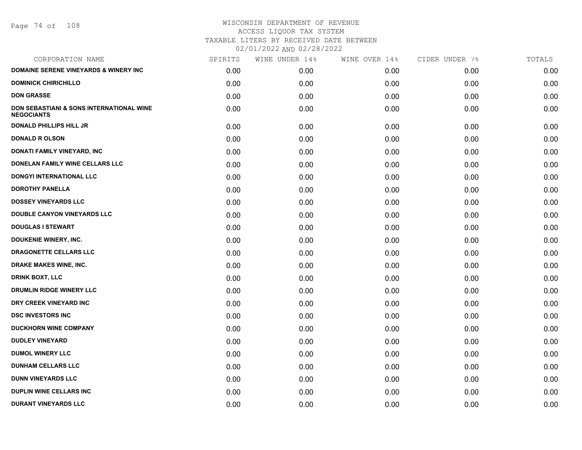Page 74 of 108

| <b>DOMAINE SERENE VINEYARDS &amp; WINERY INC</b><br>0.00<br>0.00<br>0.00<br>0.00<br><b>DOMINICK CHIRICHILLO</b><br>0.00<br>0.00<br>0.00<br>0.00<br><b>DON GRASSE</b><br>0.00<br>0.00<br>0.00<br>0.00<br><b>DON SEBASTIANI &amp; SONS INTERNATIONAL WINE</b><br>0.00<br>0.00<br>0.00<br>0.00<br><b>NEGOCIANTS</b><br><b>DONALD PHILLIPS HILL JR</b><br>0.00<br>0.00<br>0.00<br>0.00<br><b>DONALD R OLSON</b><br>0.00<br>0.00<br>0.00<br>0.00<br>DONATI FAMILY VINEYARD, INC<br>0.00<br>0.00<br>0.00<br>0.00<br>DONELAN FAMILY WINE CELLARS LLC<br>0.00<br>0.00<br>0.00<br>0.00<br><b>DONGYI INTERNATIONAL LLC</b><br>0.00<br>0.00<br>0.00<br>0.00<br><b>DOROTHY PANELLA</b><br>0.00<br>0.00<br>0.00<br>0.00<br><b>DOSSEY VINEYARDS LLC</b><br>0.00<br>0.00<br>0.00<br>0.00<br>DOUBLE CANYON VINEYARDS LLC<br>0.00<br>0.00<br>0.00<br>0.00<br><b>DOUGLAS I STEWART</b><br>0.00<br>0.00<br>0.00<br>0.00<br><b>DOUKENIE WINERY, INC.</b><br>0.00<br>0.00<br>0.00<br>0.00<br>DRAGONETTE CELLARS LLC<br>0.00<br>0.00<br>0.00<br>0.00<br>DRAKE MAKES WINE, INC.<br>0.00<br>0.00<br>0.00<br>0.00<br><b>DRINK BOXT, LLC</b><br>0.00<br>0.00<br>0.00<br>0.00<br>DRUMLIN RIDGE WINERY LLC<br>0.00<br>0.00<br>0.00<br>0.00<br>DRY CREEK VINEYARD INC<br>0.00<br>0.00<br>0.00<br>0.00<br><b>DSC INVESTORS INC</b><br>0.00<br>0.00<br>0.00<br>0.00<br><b>DUCKHORN WINE COMPANY</b><br>0.00<br>0.00<br>0.00<br>0.00<br><b>DUDLEY VINEYARD</b><br>0.00<br>0.00<br>0.00<br>0.00<br><b>DUMOL WINERY LLC</b><br>0.00<br>0.00<br>0.00<br>0.00<br><b>DUNHAM CELLARS LLC</b><br>0.00<br>0.00<br>0.00<br>0.00<br><b>DUNN VINEYARDS LLC</b><br>0.00<br>0.00<br>0.00<br>0.00<br><b>DUPLIN WINE CELLARS INC.</b><br>0.00<br>0.00<br>0.00<br>0.00<br><b>DURANT VINEYARDS LLC</b><br>0.00<br>0.00<br>0.00<br>0.00 | CORPORATION NAME | SPIRITS | WINE UNDER 14% | WINE OVER 14% | CIDER UNDER 7% | TOTALS |
|---------------------------------------------------------------------------------------------------------------------------------------------------------------------------------------------------------------------------------------------------------------------------------------------------------------------------------------------------------------------------------------------------------------------------------------------------------------------------------------------------------------------------------------------------------------------------------------------------------------------------------------------------------------------------------------------------------------------------------------------------------------------------------------------------------------------------------------------------------------------------------------------------------------------------------------------------------------------------------------------------------------------------------------------------------------------------------------------------------------------------------------------------------------------------------------------------------------------------------------------------------------------------------------------------------------------------------------------------------------------------------------------------------------------------------------------------------------------------------------------------------------------------------------------------------------------------------------------------------------------------------------------------------------------------------------------------------------------------------------------------------------------------------------|------------------|---------|----------------|---------------|----------------|--------|
|                                                                                                                                                                                                                                                                                                                                                                                                                                                                                                                                                                                                                                                                                                                                                                                                                                                                                                                                                                                                                                                                                                                                                                                                                                                                                                                                                                                                                                                                                                                                                                                                                                                                                                                                                                                       |                  |         |                |               |                | 0.00   |
|                                                                                                                                                                                                                                                                                                                                                                                                                                                                                                                                                                                                                                                                                                                                                                                                                                                                                                                                                                                                                                                                                                                                                                                                                                                                                                                                                                                                                                                                                                                                                                                                                                                                                                                                                                                       |                  |         |                |               |                | 0.00   |
|                                                                                                                                                                                                                                                                                                                                                                                                                                                                                                                                                                                                                                                                                                                                                                                                                                                                                                                                                                                                                                                                                                                                                                                                                                                                                                                                                                                                                                                                                                                                                                                                                                                                                                                                                                                       |                  |         |                |               |                | 0.00   |
|                                                                                                                                                                                                                                                                                                                                                                                                                                                                                                                                                                                                                                                                                                                                                                                                                                                                                                                                                                                                                                                                                                                                                                                                                                                                                                                                                                                                                                                                                                                                                                                                                                                                                                                                                                                       |                  |         |                |               |                | 0.00   |
|                                                                                                                                                                                                                                                                                                                                                                                                                                                                                                                                                                                                                                                                                                                                                                                                                                                                                                                                                                                                                                                                                                                                                                                                                                                                                                                                                                                                                                                                                                                                                                                                                                                                                                                                                                                       |                  |         |                |               |                | 0.00   |
|                                                                                                                                                                                                                                                                                                                                                                                                                                                                                                                                                                                                                                                                                                                                                                                                                                                                                                                                                                                                                                                                                                                                                                                                                                                                                                                                                                                                                                                                                                                                                                                                                                                                                                                                                                                       |                  |         |                |               |                | 0.00   |
|                                                                                                                                                                                                                                                                                                                                                                                                                                                                                                                                                                                                                                                                                                                                                                                                                                                                                                                                                                                                                                                                                                                                                                                                                                                                                                                                                                                                                                                                                                                                                                                                                                                                                                                                                                                       |                  |         |                |               |                | 0.00   |
|                                                                                                                                                                                                                                                                                                                                                                                                                                                                                                                                                                                                                                                                                                                                                                                                                                                                                                                                                                                                                                                                                                                                                                                                                                                                                                                                                                                                                                                                                                                                                                                                                                                                                                                                                                                       |                  |         |                |               |                | 0.00   |
|                                                                                                                                                                                                                                                                                                                                                                                                                                                                                                                                                                                                                                                                                                                                                                                                                                                                                                                                                                                                                                                                                                                                                                                                                                                                                                                                                                                                                                                                                                                                                                                                                                                                                                                                                                                       |                  |         |                |               |                | 0.00   |
|                                                                                                                                                                                                                                                                                                                                                                                                                                                                                                                                                                                                                                                                                                                                                                                                                                                                                                                                                                                                                                                                                                                                                                                                                                                                                                                                                                                                                                                                                                                                                                                                                                                                                                                                                                                       |                  |         |                |               |                | 0.00   |
|                                                                                                                                                                                                                                                                                                                                                                                                                                                                                                                                                                                                                                                                                                                                                                                                                                                                                                                                                                                                                                                                                                                                                                                                                                                                                                                                                                                                                                                                                                                                                                                                                                                                                                                                                                                       |                  |         |                |               |                | 0.00   |
|                                                                                                                                                                                                                                                                                                                                                                                                                                                                                                                                                                                                                                                                                                                                                                                                                                                                                                                                                                                                                                                                                                                                                                                                                                                                                                                                                                                                                                                                                                                                                                                                                                                                                                                                                                                       |                  |         |                |               |                | 0.00   |
|                                                                                                                                                                                                                                                                                                                                                                                                                                                                                                                                                                                                                                                                                                                                                                                                                                                                                                                                                                                                                                                                                                                                                                                                                                                                                                                                                                                                                                                                                                                                                                                                                                                                                                                                                                                       |                  |         |                |               |                | 0.00   |
|                                                                                                                                                                                                                                                                                                                                                                                                                                                                                                                                                                                                                                                                                                                                                                                                                                                                                                                                                                                                                                                                                                                                                                                                                                                                                                                                                                                                                                                                                                                                                                                                                                                                                                                                                                                       |                  |         |                |               |                | 0.00   |
|                                                                                                                                                                                                                                                                                                                                                                                                                                                                                                                                                                                                                                                                                                                                                                                                                                                                                                                                                                                                                                                                                                                                                                                                                                                                                                                                                                                                                                                                                                                                                                                                                                                                                                                                                                                       |                  |         |                |               |                | 0.00   |
|                                                                                                                                                                                                                                                                                                                                                                                                                                                                                                                                                                                                                                                                                                                                                                                                                                                                                                                                                                                                                                                                                                                                                                                                                                                                                                                                                                                                                                                                                                                                                                                                                                                                                                                                                                                       |                  |         |                |               |                | 0.00   |
|                                                                                                                                                                                                                                                                                                                                                                                                                                                                                                                                                                                                                                                                                                                                                                                                                                                                                                                                                                                                                                                                                                                                                                                                                                                                                                                                                                                                                                                                                                                                                                                                                                                                                                                                                                                       |                  |         |                |               |                | 0.00   |
|                                                                                                                                                                                                                                                                                                                                                                                                                                                                                                                                                                                                                                                                                                                                                                                                                                                                                                                                                                                                                                                                                                                                                                                                                                                                                                                                                                                                                                                                                                                                                                                                                                                                                                                                                                                       |                  |         |                |               |                | 0.00   |
|                                                                                                                                                                                                                                                                                                                                                                                                                                                                                                                                                                                                                                                                                                                                                                                                                                                                                                                                                                                                                                                                                                                                                                                                                                                                                                                                                                                                                                                                                                                                                                                                                                                                                                                                                                                       |                  |         |                |               |                | 0.00   |
|                                                                                                                                                                                                                                                                                                                                                                                                                                                                                                                                                                                                                                                                                                                                                                                                                                                                                                                                                                                                                                                                                                                                                                                                                                                                                                                                                                                                                                                                                                                                                                                                                                                                                                                                                                                       |                  |         |                |               |                | 0.00   |
|                                                                                                                                                                                                                                                                                                                                                                                                                                                                                                                                                                                                                                                                                                                                                                                                                                                                                                                                                                                                                                                                                                                                                                                                                                                                                                                                                                                                                                                                                                                                                                                                                                                                                                                                                                                       |                  |         |                |               |                | 0.00   |
|                                                                                                                                                                                                                                                                                                                                                                                                                                                                                                                                                                                                                                                                                                                                                                                                                                                                                                                                                                                                                                                                                                                                                                                                                                                                                                                                                                                                                                                                                                                                                                                                                                                                                                                                                                                       |                  |         |                |               |                | 0.00   |
|                                                                                                                                                                                                                                                                                                                                                                                                                                                                                                                                                                                                                                                                                                                                                                                                                                                                                                                                                                                                                                                                                                                                                                                                                                                                                                                                                                                                                                                                                                                                                                                                                                                                                                                                                                                       |                  |         |                |               |                | 0.00   |
|                                                                                                                                                                                                                                                                                                                                                                                                                                                                                                                                                                                                                                                                                                                                                                                                                                                                                                                                                                                                                                                                                                                                                                                                                                                                                                                                                                                                                                                                                                                                                                                                                                                                                                                                                                                       |                  |         |                |               |                | 0.00   |
|                                                                                                                                                                                                                                                                                                                                                                                                                                                                                                                                                                                                                                                                                                                                                                                                                                                                                                                                                                                                                                                                                                                                                                                                                                                                                                                                                                                                                                                                                                                                                                                                                                                                                                                                                                                       |                  |         |                |               |                | 0.00   |
|                                                                                                                                                                                                                                                                                                                                                                                                                                                                                                                                                                                                                                                                                                                                                                                                                                                                                                                                                                                                                                                                                                                                                                                                                                                                                                                                                                                                                                                                                                                                                                                                                                                                                                                                                                                       |                  |         |                |               |                | 0.00   |
|                                                                                                                                                                                                                                                                                                                                                                                                                                                                                                                                                                                                                                                                                                                                                                                                                                                                                                                                                                                                                                                                                                                                                                                                                                                                                                                                                                                                                                                                                                                                                                                                                                                                                                                                                                                       |                  |         |                |               |                | 0.00   |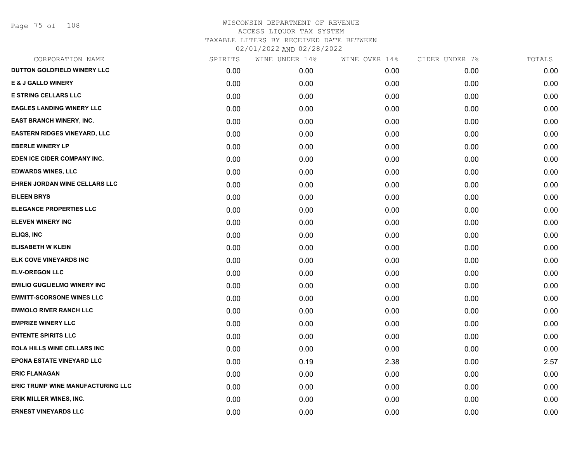|      | WINE UNDER 14% | WINE OVER 14% | CIDER UNDER 7% | TOTALS |
|------|----------------|---------------|----------------|--------|
| 0.00 | 0.00           | 0.00          | 0.00           | 0.00   |
| 0.00 | 0.00           | 0.00          | 0.00           | 0.00   |
| 0.00 | 0.00           | 0.00          | 0.00           | 0.00   |
| 0.00 | 0.00           | 0.00          | 0.00           | 0.00   |
| 0.00 | 0.00           | 0.00          | 0.00           | 0.00   |
| 0.00 | 0.00           | 0.00          | 0.00           | 0.00   |
| 0.00 | 0.00           | 0.00          | 0.00           | 0.00   |
| 0.00 | 0.00           | 0.00          | 0.00           | 0.00   |
| 0.00 | 0.00           | 0.00          | 0.00           | 0.00   |
| 0.00 | 0.00           | 0.00          | 0.00           | 0.00   |
| 0.00 | 0.00           | 0.00          | 0.00           | 0.00   |
| 0.00 | 0.00           | 0.00          | 0.00           | 0.00   |
| 0.00 | 0.00           | 0.00          | 0.00           | 0.00   |
| 0.00 | 0.00           | 0.00          | 0.00           | 0.00   |
| 0.00 | 0.00           | 0.00          | 0.00           | 0.00   |
| 0.00 | 0.00           | 0.00          | 0.00           | 0.00   |
| 0.00 | 0.00           | 0.00          | 0.00           | 0.00   |
| 0.00 | 0.00           | 0.00          | 0.00           | 0.00   |
| 0.00 | 0.00           | 0.00          | 0.00           | 0.00   |
| 0.00 | 0.00           | 0.00          | 0.00           | 0.00   |
| 0.00 | 0.00           | 0.00          | 0.00           | 0.00   |
| 0.00 | 0.00           | 0.00          | 0.00           | 0.00   |
| 0.00 | 0.00           | 0.00          | 0.00           | 0.00   |
| 0.00 | 0.19           | 2.38          | 0.00           | 2.57   |
| 0.00 | 0.00           | 0.00          | 0.00           | 0.00   |
| 0.00 | 0.00           | 0.00          | 0.00           | 0.00   |
| 0.00 | 0.00           | 0.00          | 0.00           | 0.00   |
| 0.00 | 0.00           | 0.00          | 0.00           | 0.00   |
|      | SPIRITS        |               |                |        |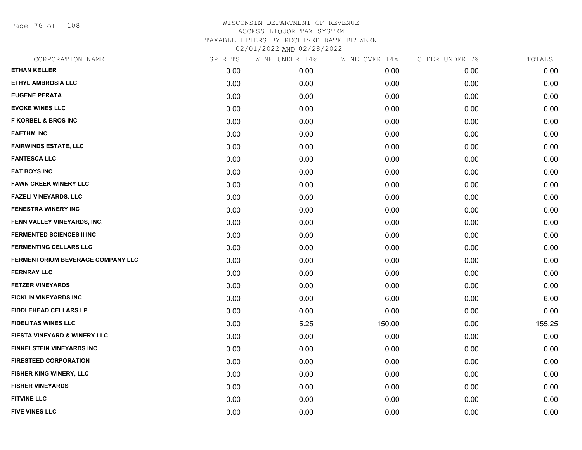Page 76 of 108

| CORPORATION NAME                  | SPIRITS | WINE UNDER 14% | WINE OVER 14% | CIDER UNDER 7% | TOTALS |
|-----------------------------------|---------|----------------|---------------|----------------|--------|
| <b>ETHAN KELLER</b>               | 0.00    | 0.00           | 0.00          | 0.00           | 0.00   |
| <b>ETHYL AMBROSIA LLC</b>         | 0.00    | 0.00           | 0.00          | 0.00           | 0.00   |
| <b>EUGENE PERATA</b>              | 0.00    | 0.00           | 0.00          | 0.00           | 0.00   |
| <b>EVOKE WINES LLC</b>            | 0.00    | 0.00           | 0.00          | 0.00           | 0.00   |
| <b>F KORBEL &amp; BROS INC</b>    | 0.00    | 0.00           | 0.00          | 0.00           | 0.00   |
| <b>FAETHM INC</b>                 | 0.00    | 0.00           | 0.00          | 0.00           | 0.00   |
| <b>FAIRWINDS ESTATE, LLC</b>      | 0.00    | 0.00           | 0.00          | 0.00           | 0.00   |
| <b>FANTESCA LLC</b>               | 0.00    | 0.00           | 0.00          | 0.00           | 0.00   |
| <b>FAT BOYS INC</b>               | 0.00    | 0.00           | 0.00          | 0.00           | 0.00   |
| <b>FAWN CREEK WINERY LLC</b>      | 0.00    | 0.00           | 0.00          | 0.00           | 0.00   |
| <b>FAZELI VINEYARDS, LLC</b>      | 0.00    | 0.00           | 0.00          | 0.00           | 0.00   |
| <b>FENESTRA WINERY INC</b>        | 0.00    | 0.00           | 0.00          | 0.00           | 0.00   |
| FENN VALLEY VINEYARDS, INC.       | 0.00    | 0.00           | 0.00          | 0.00           | 0.00   |
| <b>FERMENTED SCIENCES II INC</b>  | 0.00    | 0.00           | 0.00          | 0.00           | 0.00   |
| <b>FERMENTING CELLARS LLC</b>     | 0.00    | 0.00           | 0.00          | 0.00           | 0.00   |
| FERMENTORIUM BEVERAGE COMPANY LLC | 0.00    | 0.00           | 0.00          | 0.00           | 0.00   |
| <b>FERNRAY LLC</b>                | 0.00    | 0.00           | 0.00          | 0.00           | 0.00   |
| <b>FETZER VINEYARDS</b>           | 0.00    | 0.00           | 0.00          | 0.00           | 0.00   |
| <b>FICKLIN VINEYARDS INC</b>      | 0.00    | 0.00           | 6.00          | 0.00           | 6.00   |
| FIDDLEHEAD CELLARS LP             | 0.00    | 0.00           | 0.00          | 0.00           | 0.00   |
| <b>FIDELITAS WINES LLC</b>        | 0.00    | 5.25           | 150.00        | 0.00           | 155.25 |
| FIESTA VINEYARD & WINERY LLC      | 0.00    | 0.00           | 0.00          | 0.00           | 0.00   |
| <b>FINKELSTEIN VINEYARDS INC</b>  | 0.00    | 0.00           | 0.00          | 0.00           | 0.00   |
| <b>FIRESTEED CORPORATION</b>      | 0.00    | 0.00           | 0.00          | 0.00           | 0.00   |
| FISHER KING WINERY, LLC           | 0.00    | 0.00           | 0.00          | 0.00           | 0.00   |
| <b>FISHER VINEYARDS</b>           | 0.00    | 0.00           | 0.00          | 0.00           | 0.00   |
| <b>FITVINE LLC</b>                | 0.00    | 0.00           | 0.00          | 0.00           | 0.00   |
| <b>FIVE VINES LLC</b>             | 0.00    | 0.00           | 0.00          | 0.00           | 0.00   |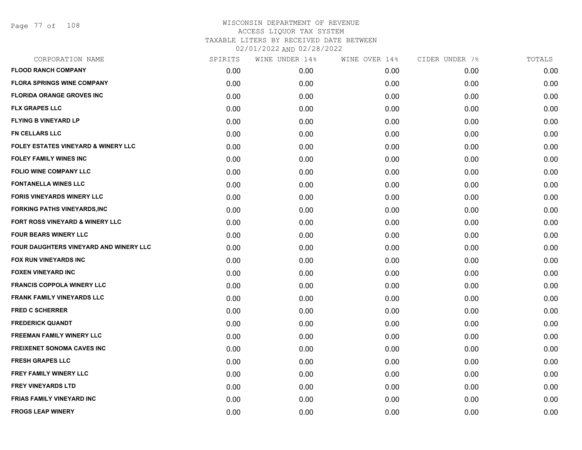Page 77 of 108

| CORPORATION NAME                       | SPIRITS | WINE UNDER 14% | WINE OVER 14% | CIDER UNDER 7% | TOTALS |
|----------------------------------------|---------|----------------|---------------|----------------|--------|
| <b>FLOOD RANCH COMPANY</b>             | 0.00    | 0.00           | 0.00          | 0.00           | 0.00   |
| <b>FLORA SPRINGS WINE COMPANY</b>      | 0.00    | 0.00           | 0.00          | 0.00           | 0.00   |
| <b>FLORIDA ORANGE GROVES INC</b>       | 0.00    | 0.00           | 0.00          | 0.00           | 0.00   |
| <b>FLX GRAPES LLC</b>                  | 0.00    | 0.00           | 0.00          | 0.00           | 0.00   |
| <b>FLYING B VINEYARD LP</b>            | 0.00    | 0.00           | 0.00          | 0.00           | 0.00   |
| <b>FN CELLARS LLC</b>                  | 0.00    | 0.00           | 0.00          | 0.00           | 0.00   |
| FOLEY ESTATES VINEYARD & WINERY LLC    | 0.00    | 0.00           | 0.00          | 0.00           | 0.00   |
| <b>FOLEY FAMILY WINES INC</b>          | 0.00    | 0.00           | 0.00          | 0.00           | 0.00   |
| <b>FOLIO WINE COMPANY LLC</b>          | 0.00    | 0.00           | 0.00          | 0.00           | 0.00   |
| <b>FONTANELLA WINES LLC</b>            | 0.00    | 0.00           | 0.00          | 0.00           | 0.00   |
| <b>FORIS VINEYARDS WINERY LLC</b>      | 0.00    | 0.00           | 0.00          | 0.00           | 0.00   |
| <b>FORKING PATHS VINEYARDS,INC</b>     | 0.00    | 0.00           | 0.00          | 0.00           | 0.00   |
| FORT ROSS VINEYARD & WINERY LLC        | 0.00    | 0.00           | 0.00          | 0.00           | 0.00   |
| <b>FOUR BEARS WINERY LLC</b>           | 0.00    | 0.00           | 0.00          | 0.00           | 0.00   |
| FOUR DAUGHTERS VINEYARD AND WINERY LLC | 0.00    | 0.00           | 0.00          | 0.00           | 0.00   |
| <b>FOX RUN VINEYARDS INC</b>           | 0.00    | 0.00           | 0.00          | 0.00           | 0.00   |
| <b>FOXEN VINEYARD INC</b>              | 0.00    | 0.00           | 0.00          | 0.00           | 0.00   |
| <b>FRANCIS COPPOLA WINERY LLC</b>      | 0.00    | 0.00           | 0.00          | 0.00           | 0.00   |
| <b>FRANK FAMILY VINEYARDS LLC</b>      | 0.00    | 0.00           | 0.00          | 0.00           | 0.00   |
| <b>FRED C SCHERRER</b>                 | 0.00    | 0.00           | 0.00          | 0.00           | 0.00   |
| <b>FREDERICK QUANDT</b>                | 0.00    | 0.00           | 0.00          | 0.00           | 0.00   |
| <b>FREEMAN FAMILY WINERY LLC</b>       | 0.00    | 0.00           | 0.00          | 0.00           | 0.00   |
| <b>FREIXENET SONOMA CAVES INC</b>      | 0.00    | 0.00           | 0.00          | 0.00           | 0.00   |
| <b>FRESH GRAPES LLC</b>                | 0.00    | 0.00           | 0.00          | 0.00           | 0.00   |
| <b>FREY FAMILY WINERY LLC</b>          | 0.00    | 0.00           | 0.00          | 0.00           | 0.00   |
| <b>FREY VINEYARDS LTD</b>              | 0.00    | 0.00           | 0.00          | 0.00           | 0.00   |
| <b>FRIAS FAMILY VINEYARD INC</b>       | 0.00    | 0.00           | 0.00          | 0.00           | 0.00   |
| <b>FROGS LEAP WINERY</b>               | 0.00    | 0.00           | 0.00          | 0.00           | 0.00   |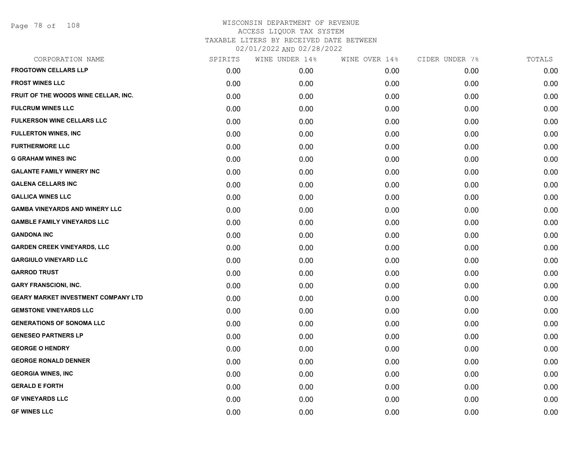Page 78 of 108

| CORPORATION NAME                           | SPIRITS | WINE UNDER 14% | WINE OVER 14% | CIDER UNDER 7% | TOTALS |
|--------------------------------------------|---------|----------------|---------------|----------------|--------|
| <b>FROGTOWN CELLARS LLP</b>                | 0.00    | 0.00           | 0.00          | 0.00           | 0.00   |
| <b>FROST WINES LLC</b>                     | 0.00    | 0.00           | 0.00          | 0.00           | 0.00   |
| FRUIT OF THE WOODS WINE CELLAR, INC.       | 0.00    | 0.00           | 0.00          | 0.00           | 0.00   |
| <b>FULCRUM WINES LLC</b>                   | 0.00    | 0.00           | 0.00          | 0.00           | 0.00   |
| <b>FULKERSON WINE CELLARS LLC</b>          | 0.00    | 0.00           | 0.00          | 0.00           | 0.00   |
| <b>FULLERTON WINES, INC</b>                | 0.00    | 0.00           | 0.00          | 0.00           | 0.00   |
| <b>FURTHERMORE LLC</b>                     | 0.00    | 0.00           | 0.00          | 0.00           | 0.00   |
| <b>G GRAHAM WINES INC</b>                  | 0.00    | 0.00           | 0.00          | 0.00           | 0.00   |
| <b>GALANTE FAMILY WINERY INC</b>           | 0.00    | 0.00           | 0.00          | 0.00           | 0.00   |
| <b>GALENA CELLARS INC</b>                  | 0.00    | 0.00           | 0.00          | 0.00           | 0.00   |
| <b>GALLICA WINES LLC</b>                   | 0.00    | 0.00           | 0.00          | 0.00           | 0.00   |
| <b>GAMBA VINEYARDS AND WINERY LLC</b>      | 0.00    | 0.00           | 0.00          | 0.00           | 0.00   |
| <b>GAMBLE FAMILY VINEYARDS LLC</b>         | 0.00    | 0.00           | 0.00          | 0.00           | 0.00   |
| <b>GANDONA INC</b>                         | 0.00    | 0.00           | 0.00          | 0.00           | 0.00   |
| <b>GARDEN CREEK VINEYARDS, LLC</b>         | 0.00    | 0.00           | 0.00          | 0.00           | 0.00   |
| <b>GARGIULO VINEYARD LLC</b>               | 0.00    | 0.00           | 0.00          | 0.00           | 0.00   |
| <b>GARROD TRUST</b>                        | 0.00    | 0.00           | 0.00          | 0.00           | 0.00   |
| <b>GARY FRANSCIONI, INC.</b>               | 0.00    | 0.00           | 0.00          | 0.00           | 0.00   |
| <b>GEARY MARKET INVESTMENT COMPANY LTD</b> | 0.00    | 0.00           | 0.00          | 0.00           | 0.00   |
| <b>GEMSTONE VINEYARDS LLC</b>              | 0.00    | 0.00           | 0.00          | 0.00           | 0.00   |
| <b>GENERATIONS OF SONOMA LLC</b>           | 0.00    | 0.00           | 0.00          | 0.00           | 0.00   |
| <b>GENESEO PARTNERS LP</b>                 | 0.00    | 0.00           | 0.00          | 0.00           | 0.00   |
| <b>GEORGE O HENDRY</b>                     | 0.00    | 0.00           | 0.00          | 0.00           | 0.00   |
| <b>GEORGE RONALD DENNER</b>                | 0.00    | 0.00           | 0.00          | 0.00           | 0.00   |
| <b>GEORGIA WINES, INC</b>                  | 0.00    | 0.00           | 0.00          | 0.00           | 0.00   |
| <b>GERALD E FORTH</b>                      | 0.00    | 0.00           | 0.00          | 0.00           | 0.00   |
| <b>GF VINEYARDS LLC</b>                    | 0.00    | 0.00           | 0.00          | 0.00           | 0.00   |
| <b>GF WINES LLC</b>                        | 0.00    | 0.00           | 0.00          | 0.00           | 0.00   |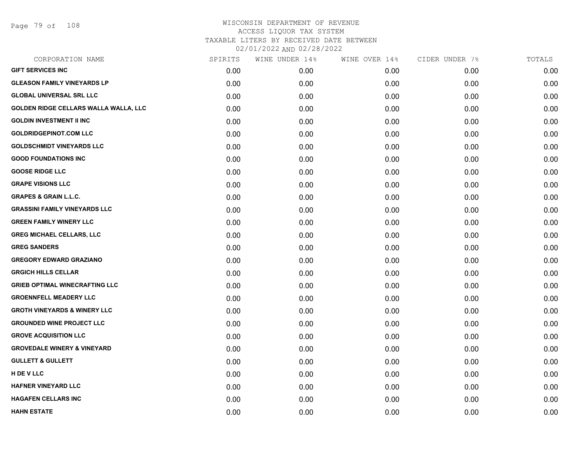Page 79 of 108

| CORPORATION NAME                        | SPIRITS | WINE UNDER 14% | WINE OVER 14% | CIDER UNDER 7% | TOTALS |
|-----------------------------------------|---------|----------------|---------------|----------------|--------|
| <b>GIFT SERVICES INC</b>                | 0.00    | 0.00           | 0.00          | 0.00           | 0.00   |
| <b>GLEASON FAMILY VINEYARDS LP</b>      | 0.00    | 0.00           | 0.00          | 0.00           | 0.00   |
| <b>GLOBAL UNIVERSAL SRL LLC</b>         | 0.00    | 0.00           | 0.00          | 0.00           | 0.00   |
| GOLDEN RIDGE CELLARS WALLA WALLA, LLC   | 0.00    | 0.00           | 0.00          | 0.00           | 0.00   |
| <b>GOLDIN INVESTMENT II INC</b>         | 0.00    | 0.00           | 0.00          | 0.00           | 0.00   |
| <b>GOLDRIDGEPINOT.COM LLC</b>           | 0.00    | 0.00           | 0.00          | 0.00           | 0.00   |
| <b>GOLDSCHMIDT VINEYARDS LLC</b>        | 0.00    | 0.00           | 0.00          | 0.00           | 0.00   |
| <b>GOOD FOUNDATIONS INC</b>             | 0.00    | 0.00           | 0.00          | 0.00           | 0.00   |
| <b>GOOSE RIDGE LLC</b>                  | 0.00    | 0.00           | 0.00          | 0.00           | 0.00   |
| <b>GRAPE VISIONS LLC</b>                | 0.00    | 0.00           | 0.00          | 0.00           | 0.00   |
| <b>GRAPES &amp; GRAIN L.L.C.</b>        | 0.00    | 0.00           | 0.00          | 0.00           | 0.00   |
| <b>GRASSINI FAMILY VINEYARDS LLC</b>    | 0.00    | 0.00           | 0.00          | 0.00           | 0.00   |
| <b>GREEN FAMILY WINERY LLC</b>          | 0.00    | 0.00           | 0.00          | 0.00           | 0.00   |
| <b>GREG MICHAEL CELLARS, LLC</b>        | 0.00    | 0.00           | 0.00          | 0.00           | 0.00   |
| <b>GREG SANDERS</b>                     | 0.00    | 0.00           | 0.00          | 0.00           | 0.00   |
| <b>GREGORY EDWARD GRAZIANO</b>          | 0.00    | 0.00           | 0.00          | 0.00           | 0.00   |
| <b>GRGICH HILLS CELLAR</b>              | 0.00    | 0.00           | 0.00          | 0.00           | 0.00   |
| <b>GRIEB OPTIMAL WINECRAFTING LLC</b>   | 0.00    | 0.00           | 0.00          | 0.00           | 0.00   |
| <b>GROENNFELL MEADERY LLC</b>           | 0.00    | 0.00           | 0.00          | 0.00           | 0.00   |
| <b>GROTH VINEYARDS &amp; WINERY LLC</b> | 0.00    | 0.00           | 0.00          | 0.00           | 0.00   |
| <b>GROUNDED WINE PROJECT LLC</b>        | 0.00    | 0.00           | 0.00          | 0.00           | 0.00   |
| <b>GROVE ACQUISITION LLC</b>            | 0.00    | 0.00           | 0.00          | 0.00           | 0.00   |
| <b>GROVEDALE WINERY &amp; VINEYARD</b>  | 0.00    | 0.00           | 0.00          | 0.00           | 0.00   |
| <b>GULLETT &amp; GULLETT</b>            | 0.00    | 0.00           | 0.00          | 0.00           | 0.00   |
| H DE V LLC                              | 0.00    | 0.00           | 0.00          | 0.00           | 0.00   |
| <b>HAFNER VINEYARD LLC</b>              | 0.00    | 0.00           | 0.00          | 0.00           | 0.00   |
| <b>HAGAFEN CELLARS INC</b>              | 0.00    | 0.00           | 0.00          | 0.00           | 0.00   |
| <b>HAHN ESTATE</b>                      | 0.00    | 0.00           | 0.00          | 0.00           | 0.00   |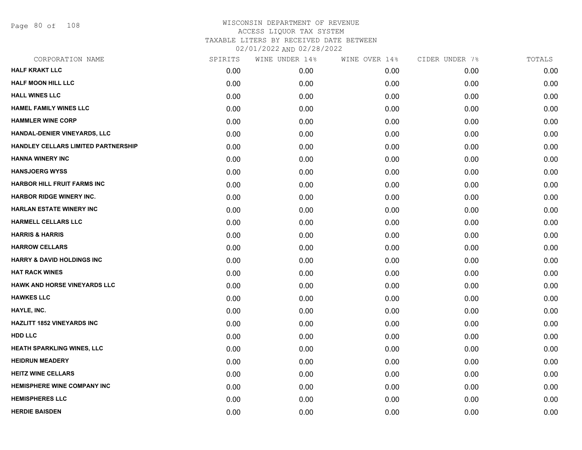Page 80 of 108

| <b>HALF KRAKT LLC</b><br>0.00<br>0.00<br>0.00<br>0.00<br><b>HALF MOON HILL LLC</b><br>0.00<br>0.00<br>0.00<br>0.00<br><b>HALL WINES LLC</b><br>0.00<br>0.00<br>0.00<br>0.00<br><b>HAMEL FAMILY WINES LLC</b><br>0.00<br>0.00<br>0.00<br>0.00<br><b>HAMMLER WINE CORP</b><br>0.00<br>0.00<br>0.00<br>0.00<br>HANDAL-DENIER VINEYARDS, LLC<br>0.00<br>0.00<br>0.00<br>0.00<br>HANDLEY CELLARS LIMITED PARTNERSHIP<br>0.00<br>0.00<br>0.00<br>0.00<br><b>HANNA WINERY INC</b><br>0.00<br>0.00<br>0.00<br>0.00<br><b>HANSJOERG WYSS</b><br>0.00<br>0.00<br>0.00<br>0.00<br><b>HARBOR HILL FRUIT FARMS INC</b><br>0.00<br>0.00<br>0.00<br>0.00<br>HARBOR RIDGE WINERY INC.<br>0.00<br>0.00<br>0.00<br>0.00<br><b>HARLAN ESTATE WINERY INC</b><br>0.00<br>0.00<br>0.00<br>0.00<br><b>HARMELL CELLARS LLC</b><br>0.00<br>0.00<br>0.00<br>0.00<br><b>HARRIS &amp; HARRIS</b><br>0.00<br>0.00<br>0.00<br>0.00<br><b>HARROW CELLARS</b><br>0.00<br>0.00<br>0.00<br>0.00<br><b>HARRY &amp; DAVID HOLDINGS INC</b><br>0.00<br>0.00<br>0.00<br>0.00<br><b>HAT RACK WINES</b><br>0.00<br>0.00<br>0.00<br>0.00<br><b>HAWK AND HORSE VINEYARDS LLC</b><br>0.00<br>0.00<br>0.00<br>0.00<br><b>HAWKES LLC</b><br>0.00<br>0.00<br>0.00<br>0.00<br>HAYLE, INC.<br>0.00<br>0.00<br>0.00<br>0.00<br><b>HAZLITT 1852 VINEYARDS INC</b><br>0.00<br>0.00<br>0.00<br>0.00<br><b>HDD LLC</b><br>0.00<br>0.00<br>0.00<br>0.00<br>HEATH SPARKLING WINES, LLC<br>0.00<br>0.00<br>0.00<br>0.00<br><b>HEIDRUN MEADERY</b><br>0.00<br>0.00<br>0.00<br>0.00<br><b>HEITZ WINE CELLARS</b><br>0.00<br>0.00<br>0.00<br>0.00<br><b>HEMISPHERE WINE COMPANY INC</b><br>0.00<br>0.00<br>0.00<br>0.00<br><b>HEMISPHERES LLC</b><br>0.00<br>0.00<br>0.00<br>0.00<br><b>HERDIE BAISDEN</b><br>0.00<br>0.00<br>0.00<br>0.00 | CORPORATION NAME | SPIRITS | WINE UNDER 14% | WINE OVER 14% | CIDER UNDER 7% | TOTALS |
|---------------------------------------------------------------------------------------------------------------------------------------------------------------------------------------------------------------------------------------------------------------------------------------------------------------------------------------------------------------------------------------------------------------------------------------------------------------------------------------------------------------------------------------------------------------------------------------------------------------------------------------------------------------------------------------------------------------------------------------------------------------------------------------------------------------------------------------------------------------------------------------------------------------------------------------------------------------------------------------------------------------------------------------------------------------------------------------------------------------------------------------------------------------------------------------------------------------------------------------------------------------------------------------------------------------------------------------------------------------------------------------------------------------------------------------------------------------------------------------------------------------------------------------------------------------------------------------------------------------------------------------------------------------------------------------------------------------------------------------------------------------------------------|------------------|---------|----------------|---------------|----------------|--------|
|                                                                                                                                                                                                                                                                                                                                                                                                                                                                                                                                                                                                                                                                                                                                                                                                                                                                                                                                                                                                                                                                                                                                                                                                                                                                                                                                                                                                                                                                                                                                                                                                                                                                                                                                                                                 |                  |         |                |               |                | 0.00   |
|                                                                                                                                                                                                                                                                                                                                                                                                                                                                                                                                                                                                                                                                                                                                                                                                                                                                                                                                                                                                                                                                                                                                                                                                                                                                                                                                                                                                                                                                                                                                                                                                                                                                                                                                                                                 |                  |         |                |               |                | 0.00   |
|                                                                                                                                                                                                                                                                                                                                                                                                                                                                                                                                                                                                                                                                                                                                                                                                                                                                                                                                                                                                                                                                                                                                                                                                                                                                                                                                                                                                                                                                                                                                                                                                                                                                                                                                                                                 |                  |         |                |               |                | 0.00   |
|                                                                                                                                                                                                                                                                                                                                                                                                                                                                                                                                                                                                                                                                                                                                                                                                                                                                                                                                                                                                                                                                                                                                                                                                                                                                                                                                                                                                                                                                                                                                                                                                                                                                                                                                                                                 |                  |         |                |               |                | 0.00   |
|                                                                                                                                                                                                                                                                                                                                                                                                                                                                                                                                                                                                                                                                                                                                                                                                                                                                                                                                                                                                                                                                                                                                                                                                                                                                                                                                                                                                                                                                                                                                                                                                                                                                                                                                                                                 |                  |         |                |               |                | 0.00   |
|                                                                                                                                                                                                                                                                                                                                                                                                                                                                                                                                                                                                                                                                                                                                                                                                                                                                                                                                                                                                                                                                                                                                                                                                                                                                                                                                                                                                                                                                                                                                                                                                                                                                                                                                                                                 |                  |         |                |               |                | 0.00   |
|                                                                                                                                                                                                                                                                                                                                                                                                                                                                                                                                                                                                                                                                                                                                                                                                                                                                                                                                                                                                                                                                                                                                                                                                                                                                                                                                                                                                                                                                                                                                                                                                                                                                                                                                                                                 |                  |         |                |               |                | 0.00   |
|                                                                                                                                                                                                                                                                                                                                                                                                                                                                                                                                                                                                                                                                                                                                                                                                                                                                                                                                                                                                                                                                                                                                                                                                                                                                                                                                                                                                                                                                                                                                                                                                                                                                                                                                                                                 |                  |         |                |               |                | 0.00   |
|                                                                                                                                                                                                                                                                                                                                                                                                                                                                                                                                                                                                                                                                                                                                                                                                                                                                                                                                                                                                                                                                                                                                                                                                                                                                                                                                                                                                                                                                                                                                                                                                                                                                                                                                                                                 |                  |         |                |               |                | 0.00   |
|                                                                                                                                                                                                                                                                                                                                                                                                                                                                                                                                                                                                                                                                                                                                                                                                                                                                                                                                                                                                                                                                                                                                                                                                                                                                                                                                                                                                                                                                                                                                                                                                                                                                                                                                                                                 |                  |         |                |               |                | 0.00   |
|                                                                                                                                                                                                                                                                                                                                                                                                                                                                                                                                                                                                                                                                                                                                                                                                                                                                                                                                                                                                                                                                                                                                                                                                                                                                                                                                                                                                                                                                                                                                                                                                                                                                                                                                                                                 |                  |         |                |               |                | 0.00   |
|                                                                                                                                                                                                                                                                                                                                                                                                                                                                                                                                                                                                                                                                                                                                                                                                                                                                                                                                                                                                                                                                                                                                                                                                                                                                                                                                                                                                                                                                                                                                                                                                                                                                                                                                                                                 |                  |         |                |               |                | 0.00   |
|                                                                                                                                                                                                                                                                                                                                                                                                                                                                                                                                                                                                                                                                                                                                                                                                                                                                                                                                                                                                                                                                                                                                                                                                                                                                                                                                                                                                                                                                                                                                                                                                                                                                                                                                                                                 |                  |         |                |               |                | 0.00   |
|                                                                                                                                                                                                                                                                                                                                                                                                                                                                                                                                                                                                                                                                                                                                                                                                                                                                                                                                                                                                                                                                                                                                                                                                                                                                                                                                                                                                                                                                                                                                                                                                                                                                                                                                                                                 |                  |         |                |               |                | 0.00   |
|                                                                                                                                                                                                                                                                                                                                                                                                                                                                                                                                                                                                                                                                                                                                                                                                                                                                                                                                                                                                                                                                                                                                                                                                                                                                                                                                                                                                                                                                                                                                                                                                                                                                                                                                                                                 |                  |         |                |               |                | 0.00   |
|                                                                                                                                                                                                                                                                                                                                                                                                                                                                                                                                                                                                                                                                                                                                                                                                                                                                                                                                                                                                                                                                                                                                                                                                                                                                                                                                                                                                                                                                                                                                                                                                                                                                                                                                                                                 |                  |         |                |               |                | 0.00   |
|                                                                                                                                                                                                                                                                                                                                                                                                                                                                                                                                                                                                                                                                                                                                                                                                                                                                                                                                                                                                                                                                                                                                                                                                                                                                                                                                                                                                                                                                                                                                                                                                                                                                                                                                                                                 |                  |         |                |               |                | 0.00   |
|                                                                                                                                                                                                                                                                                                                                                                                                                                                                                                                                                                                                                                                                                                                                                                                                                                                                                                                                                                                                                                                                                                                                                                                                                                                                                                                                                                                                                                                                                                                                                                                                                                                                                                                                                                                 |                  |         |                |               |                | 0.00   |
|                                                                                                                                                                                                                                                                                                                                                                                                                                                                                                                                                                                                                                                                                                                                                                                                                                                                                                                                                                                                                                                                                                                                                                                                                                                                                                                                                                                                                                                                                                                                                                                                                                                                                                                                                                                 |                  |         |                |               |                | 0.00   |
|                                                                                                                                                                                                                                                                                                                                                                                                                                                                                                                                                                                                                                                                                                                                                                                                                                                                                                                                                                                                                                                                                                                                                                                                                                                                                                                                                                                                                                                                                                                                                                                                                                                                                                                                                                                 |                  |         |                |               |                | 0.00   |
|                                                                                                                                                                                                                                                                                                                                                                                                                                                                                                                                                                                                                                                                                                                                                                                                                                                                                                                                                                                                                                                                                                                                                                                                                                                                                                                                                                                                                                                                                                                                                                                                                                                                                                                                                                                 |                  |         |                |               |                | 0.00   |
|                                                                                                                                                                                                                                                                                                                                                                                                                                                                                                                                                                                                                                                                                                                                                                                                                                                                                                                                                                                                                                                                                                                                                                                                                                                                                                                                                                                                                                                                                                                                                                                                                                                                                                                                                                                 |                  |         |                |               |                | 0.00   |
|                                                                                                                                                                                                                                                                                                                                                                                                                                                                                                                                                                                                                                                                                                                                                                                                                                                                                                                                                                                                                                                                                                                                                                                                                                                                                                                                                                                                                                                                                                                                                                                                                                                                                                                                                                                 |                  |         |                |               |                | 0.00   |
|                                                                                                                                                                                                                                                                                                                                                                                                                                                                                                                                                                                                                                                                                                                                                                                                                                                                                                                                                                                                                                                                                                                                                                                                                                                                                                                                                                                                                                                                                                                                                                                                                                                                                                                                                                                 |                  |         |                |               |                | 0.00   |
|                                                                                                                                                                                                                                                                                                                                                                                                                                                                                                                                                                                                                                                                                                                                                                                                                                                                                                                                                                                                                                                                                                                                                                                                                                                                                                                                                                                                                                                                                                                                                                                                                                                                                                                                                                                 |                  |         |                |               |                | 0.00   |
|                                                                                                                                                                                                                                                                                                                                                                                                                                                                                                                                                                                                                                                                                                                                                                                                                                                                                                                                                                                                                                                                                                                                                                                                                                                                                                                                                                                                                                                                                                                                                                                                                                                                                                                                                                                 |                  |         |                |               |                | 0.00   |
|                                                                                                                                                                                                                                                                                                                                                                                                                                                                                                                                                                                                                                                                                                                                                                                                                                                                                                                                                                                                                                                                                                                                                                                                                                                                                                                                                                                                                                                                                                                                                                                                                                                                                                                                                                                 |                  |         |                |               |                | 0.00   |
|                                                                                                                                                                                                                                                                                                                                                                                                                                                                                                                                                                                                                                                                                                                                                                                                                                                                                                                                                                                                                                                                                                                                                                                                                                                                                                                                                                                                                                                                                                                                                                                                                                                                                                                                                                                 |                  |         |                |               |                | 0.00   |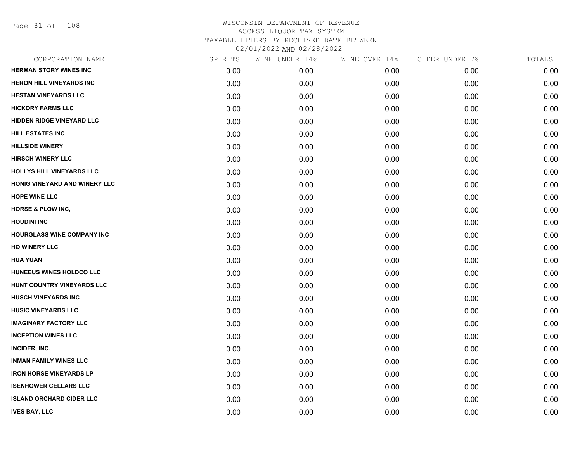Page 81 of 108

| CORPORATION NAME                 | SPIRITS | WINE UNDER 14% | WINE OVER 14% | CIDER UNDER 7% | TOTALS |
|----------------------------------|---------|----------------|---------------|----------------|--------|
| <b>HERMAN STORY WINES INC</b>    | 0.00    | 0.00           | 0.00          | 0.00           | 0.00   |
| HERON HILL VINEYARDS INC         | 0.00    | 0.00           | 0.00          | 0.00           | 0.00   |
| <b>HESTAN VINEYARDS LLC</b>      | 0.00    | 0.00           | 0.00          | 0.00           | 0.00   |
| <b>HICKORY FARMS LLC</b>         | 0.00    | 0.00           | 0.00          | 0.00           | 0.00   |
| <b>HIDDEN RIDGE VINEYARD LLC</b> | 0.00    | 0.00           | 0.00          | 0.00           | 0.00   |
| HILL ESTATES INC                 | 0.00    | 0.00           | 0.00          | 0.00           | 0.00   |
| <b>HILLSIDE WINERY</b>           | 0.00    | 0.00           | 0.00          | 0.00           | 0.00   |
| <b>HIRSCH WINERY LLC</b>         | 0.00    | 0.00           | 0.00          | 0.00           | 0.00   |
| HOLLYS HILL VINEYARDS LLC        | 0.00    | 0.00           | 0.00          | 0.00           | 0.00   |
| HONIG VINEYARD AND WINERY LLC    | 0.00    | 0.00           | 0.00          | 0.00           | 0.00   |
| <b>HOPE WINE LLC</b>             | 0.00    | 0.00           | 0.00          | 0.00           | 0.00   |
| <b>HORSE &amp; PLOW INC,</b>     | 0.00    | 0.00           | 0.00          | 0.00           | 0.00   |
| <b>HOUDINI INC</b>               | 0.00    | 0.00           | 0.00          | 0.00           | 0.00   |
| HOURGLASS WINE COMPANY INC       | 0.00    | 0.00           | 0.00          | 0.00           | 0.00   |
| <b>HQ WINERY LLC</b>             | 0.00    | 0.00           | 0.00          | 0.00           | 0.00   |
| <b>HUA YUAN</b>                  | 0.00    | 0.00           | 0.00          | 0.00           | 0.00   |
| HUNEEUS WINES HOLDCO LLC         | 0.00    | 0.00           | 0.00          | 0.00           | 0.00   |
| HUNT COUNTRY VINEYARDS LLC       | 0.00    | 0.00           | 0.00          | 0.00           | 0.00   |
| <b>HUSCH VINEYARDS INC</b>       | 0.00    | 0.00           | 0.00          | 0.00           | 0.00   |
| <b>HUSIC VINEYARDS LLC</b>       | 0.00    | 0.00           | 0.00          | 0.00           | 0.00   |
| <b>IMAGINARY FACTORY LLC</b>     | 0.00    | 0.00           | 0.00          | 0.00           | 0.00   |
| <b>INCEPTION WINES LLC</b>       | 0.00    | 0.00           | 0.00          | 0.00           | 0.00   |
| INCIDER, INC.                    | 0.00    | 0.00           | 0.00          | 0.00           | 0.00   |
| <b>INMAN FAMILY WINES LLC</b>    | 0.00    | 0.00           | 0.00          | 0.00           | 0.00   |
| <b>IRON HORSE VINEYARDS LP</b>   | 0.00    | 0.00           | 0.00          | 0.00           | 0.00   |
| <b>ISENHOWER CELLARS LLC</b>     | 0.00    | 0.00           | 0.00          | 0.00           | 0.00   |
| <b>ISLAND ORCHARD CIDER LLC</b>  | 0.00    | 0.00           | 0.00          | 0.00           | 0.00   |
| <b>IVES BAY, LLC</b>             | 0.00    | 0.00           | 0.00          | 0.00           | 0.00   |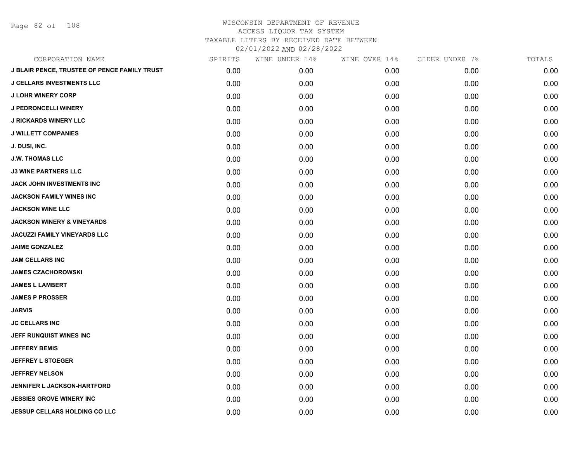Page 82 of 108

| CORPORATION NAME                                    | SPIRITS | WINE UNDER 14% | WINE OVER 14% | CIDER UNDER 7% | TOTALS |
|-----------------------------------------------------|---------|----------------|---------------|----------------|--------|
| <b>J BLAIR PENCE, TRUSTEE OF PENCE FAMILY TRUST</b> | 0.00    | 0.00           | 0.00          | 0.00           | 0.00   |
| <b>J CELLARS INVESTMENTS LLC</b>                    | 0.00    | 0.00           | 0.00          | 0.00           | 0.00   |
| <b>J LOHR WINERY CORP</b>                           | 0.00    | 0.00           | 0.00          | 0.00           | 0.00   |
| <b>J PEDRONCELLI WINERY</b>                         | 0.00    | 0.00           | 0.00          | 0.00           | 0.00   |
| <b>J RICKARDS WINERY LLC</b>                        | 0.00    | 0.00           | 0.00          | 0.00           | 0.00   |
| <b>J WILLETT COMPANIES</b>                          | 0.00    | 0.00           | 0.00          | 0.00           | 0.00   |
| J. DUSI, INC.                                       | 0.00    | 0.00           | 0.00          | 0.00           | 0.00   |
| <b>J.W. THOMAS LLC</b>                              | 0.00    | 0.00           | 0.00          | 0.00           | 0.00   |
| <b>J3 WINE PARTNERS LLC</b>                         | 0.00    | 0.00           | 0.00          | 0.00           | 0.00   |
| <b>JACK JOHN INVESTMENTS INC</b>                    | 0.00    | 0.00           | 0.00          | 0.00           | 0.00   |
| <b>JACKSON FAMILY WINES INC</b>                     | 0.00    | 0.00           | 0.00          | 0.00           | 0.00   |
| <b>JACKSON WINE LLC</b>                             | 0.00    | 0.00           | 0.00          | 0.00           | 0.00   |
| <b>JACKSON WINERY &amp; VINEYARDS</b>               | 0.00    | 0.00           | 0.00          | 0.00           | 0.00   |
| <b>JACUZZI FAMILY VINEYARDS LLC</b>                 | 0.00    | 0.00           | 0.00          | 0.00           | 0.00   |
| <b>JAIME GONZALEZ</b>                               | 0.00    | 0.00           | 0.00          | 0.00           | 0.00   |
| <b>JAM CELLARS INC</b>                              | 0.00    | 0.00           | 0.00          | 0.00           | 0.00   |
| <b>JAMES CZACHOROWSKI</b>                           | 0.00    | 0.00           | 0.00          | 0.00           | 0.00   |
| <b>JAMES L LAMBERT</b>                              | 0.00    | 0.00           | 0.00          | 0.00           | 0.00   |
| <b>JAMES P PROSSER</b>                              | 0.00    | 0.00           | 0.00          | 0.00           | 0.00   |
| <b>JARVIS</b>                                       | 0.00    | 0.00           | 0.00          | 0.00           | 0.00   |
| <b>JC CELLARS INC</b>                               | 0.00    | 0.00           | 0.00          | 0.00           | 0.00   |
| JEFF RUNQUIST WINES INC                             | 0.00    | 0.00           | 0.00          | 0.00           | 0.00   |
| <b>JEFFERY BEMIS</b>                                | 0.00    | 0.00           | 0.00          | 0.00           | 0.00   |
| <b>JEFFREY L STOEGER</b>                            | 0.00    | 0.00           | 0.00          | 0.00           | 0.00   |
| <b>JEFFREY NELSON</b>                               | 0.00    | 0.00           | 0.00          | 0.00           | 0.00   |
| <b>JENNIFER L JACKSON-HARTFORD</b>                  | 0.00    | 0.00           | 0.00          | 0.00           | 0.00   |
| <b>JESSIES GROVE WINERY INC</b>                     | 0.00    | 0.00           | 0.00          | 0.00           | 0.00   |
| <b>JESSUP CELLARS HOLDING CO LLC</b>                | 0.00    | 0.00           | 0.00          | 0.00           | 0.00   |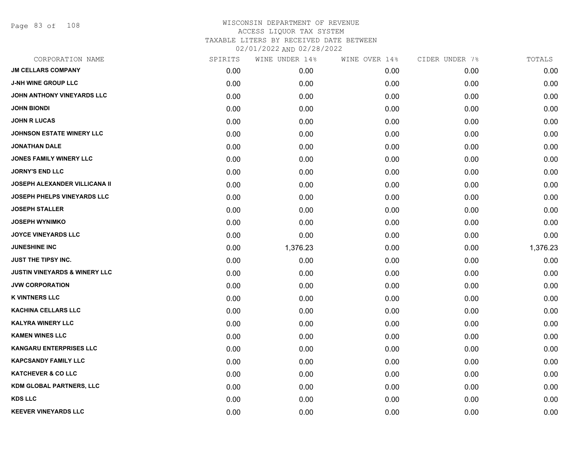Page 83 of 108

| CORPORATION NAME                         | SPIRITS | WINE UNDER 14% | WINE OVER 14% | CIDER UNDER 7% | TOTALS   |
|------------------------------------------|---------|----------------|---------------|----------------|----------|
| <b>JM CELLARS COMPANY</b>                | 0.00    | 0.00           | 0.00          | 0.00           | 0.00     |
| <b>J-NH WINE GROUP LLC</b>               | 0.00    | 0.00           | 0.00          | 0.00           | 0.00     |
| JOHN ANTHONY VINEYARDS LLC               | 0.00    | 0.00           | 0.00          | 0.00           | 0.00     |
| <b>JOHN BIONDI</b>                       | 0.00    | 0.00           | 0.00          | 0.00           | 0.00     |
| <b>JOHN R LUCAS</b>                      | 0.00    | 0.00           | 0.00          | 0.00           | 0.00     |
| <b>JOHNSON ESTATE WINERY LLC</b>         | 0.00    | 0.00           | 0.00          | 0.00           | 0.00     |
| <b>JONATHAN DALE</b>                     | 0.00    | 0.00           | 0.00          | 0.00           | 0.00     |
| <b>JONES FAMILY WINERY LLC</b>           | 0.00    | 0.00           | 0.00          | 0.00           | 0.00     |
| <b>JORNY'S END LLC</b>                   | 0.00    | 0.00           | 0.00          | 0.00           | 0.00     |
| <b>JOSEPH ALEXANDER VILLICANA II</b>     | 0.00    | 0.00           | 0.00          | 0.00           | 0.00     |
| <b>JOSEPH PHELPS VINEYARDS LLC</b>       | 0.00    | 0.00           | 0.00          | 0.00           | 0.00     |
| <b>JOSEPH STALLER</b>                    | 0.00    | 0.00           | 0.00          | 0.00           | 0.00     |
| <b>JOSEPH WYNIMKO</b>                    | 0.00    | 0.00           | 0.00          | 0.00           | 0.00     |
| <b>JOYCE VINEYARDS LLC</b>               | 0.00    | 0.00           | 0.00          | 0.00           | 0.00     |
| <b>JUNESHINE INC</b>                     | 0.00    | 1,376.23       | 0.00          | 0.00           | 1,376.23 |
| <b>JUST THE TIPSY INC.</b>               | 0.00    | 0.00           | 0.00          | 0.00           | 0.00     |
| <b>JUSTIN VINEYARDS &amp; WINERY LLC</b> | 0.00    | 0.00           | 0.00          | 0.00           | 0.00     |
| <b>JVW CORPORATION</b>                   | 0.00    | 0.00           | 0.00          | 0.00           | 0.00     |
| <b>K VINTNERS LLC</b>                    | 0.00    | 0.00           | 0.00          | 0.00           | 0.00     |
| <b>KACHINA CELLARS LLC</b>               | 0.00    | 0.00           | 0.00          | 0.00           | 0.00     |
| <b>KALYRA WINERY LLC</b>                 | 0.00    | 0.00           | 0.00          | 0.00           | 0.00     |
| <b>KAMEN WINES LLC</b>                   | 0.00    | 0.00           | 0.00          | 0.00           | 0.00     |
| <b>KANGARU ENTERPRISES LLC</b>           | 0.00    | 0.00           | 0.00          | 0.00           | 0.00     |
| <b>KAPCSANDY FAMILY LLC</b>              | 0.00    | 0.00           | 0.00          | 0.00           | 0.00     |
| <b>KATCHEVER &amp; CO LLC</b>            | 0.00    | 0.00           | 0.00          | 0.00           | 0.00     |
| KDM GLOBAL PARTNERS, LLC                 | 0.00    | 0.00           | 0.00          | 0.00           | 0.00     |
| <b>KDS LLC</b>                           | 0.00    | 0.00           | 0.00          | 0.00           | 0.00     |
| <b>KEEVER VINEYARDS LLC</b>              | 0.00    | 0.00           | 0.00          | 0.00           | 0.00     |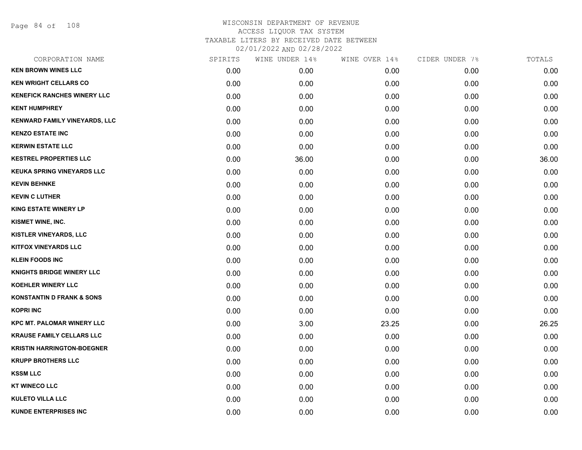Page 84 of 108

| CORPORATION NAME                     | SPIRITS | WINE UNDER 14% | WINE OVER 14% | CIDER UNDER 7% | TOTALS |
|--------------------------------------|---------|----------------|---------------|----------------|--------|
| <b>KEN BROWN WINES LLC</b>           | 0.00    | 0.00           | 0.00          | 0.00           | 0.00   |
| <b>KEN WRIGHT CELLARS CO</b>         | 0.00    | 0.00           | 0.00          | 0.00           | 0.00   |
| <b>KENEFICK RANCHES WINERY LLC</b>   | 0.00    | 0.00           | 0.00          | 0.00           | 0.00   |
| <b>KENT HUMPHREY</b>                 | 0.00    | 0.00           | 0.00          | 0.00           | 0.00   |
| KENWARD FAMILY VINEYARDS, LLC        | 0.00    | 0.00           | 0.00          | 0.00           | 0.00   |
| <b>KENZO ESTATE INC</b>              | 0.00    | 0.00           | 0.00          | 0.00           | 0.00   |
| <b>KERWIN ESTATE LLC</b>             | 0.00    | 0.00           | 0.00          | 0.00           | 0.00   |
| <b>KESTREL PROPERTIES LLC</b>        | 0.00    | 36.00          | 0.00          | 0.00           | 36.00  |
| <b>KEUKA SPRING VINEYARDS LLC</b>    | 0.00    | 0.00           | 0.00          | 0.00           | 0.00   |
| <b>KEVIN BEHNKE</b>                  | 0.00    | 0.00           | 0.00          | 0.00           | 0.00   |
| <b>KEVIN C LUTHER</b>                | 0.00    | 0.00           | 0.00          | 0.00           | 0.00   |
| <b>KING ESTATE WINERY LP</b>         | 0.00    | 0.00           | 0.00          | 0.00           | 0.00   |
| KISMET WINE, INC.                    | 0.00    | 0.00           | 0.00          | 0.00           | 0.00   |
| <b>KISTLER VINEYARDS, LLC</b>        | 0.00    | 0.00           | 0.00          | 0.00           | 0.00   |
| <b>KITFOX VINEYARDS LLC</b>          | 0.00    | 0.00           | 0.00          | 0.00           | 0.00   |
| <b>KLEIN FOODS INC</b>               | 0.00    | 0.00           | 0.00          | 0.00           | 0.00   |
| <b>KNIGHTS BRIDGE WINERY LLC</b>     | 0.00    | 0.00           | 0.00          | 0.00           | 0.00   |
| <b>KOEHLER WINERY LLC</b>            | 0.00    | 0.00           | 0.00          | 0.00           | 0.00   |
| <b>KONSTANTIN D FRANK &amp; SONS</b> | 0.00    | 0.00           | 0.00          | 0.00           | 0.00   |
| <b>KOPRI INC</b>                     | 0.00    | 0.00           | 0.00          | 0.00           | 0.00   |
| <b>KPC MT. PALOMAR WINERY LLC</b>    | 0.00    | 3.00           | 23.25         | 0.00           | 26.25  |
| <b>KRAUSE FAMILY CELLARS LLC</b>     | 0.00    | 0.00           | 0.00          | 0.00           | 0.00   |
| <b>KRISTIN HARRINGTON-BOEGNER</b>    | 0.00    | 0.00           | 0.00          | 0.00           | 0.00   |
| <b>KRUPP BROTHERS LLC</b>            | 0.00    | 0.00           | 0.00          | 0.00           | 0.00   |
| <b>KSSM LLC</b>                      | 0.00    | 0.00           | 0.00          | 0.00           | 0.00   |
| <b>KT WINECO LLC</b>                 | 0.00    | 0.00           | 0.00          | 0.00           | 0.00   |
| <b>KULETO VILLA LLC</b>              | 0.00    | 0.00           | 0.00          | 0.00           | 0.00   |
| <b>KUNDE ENTERPRISES INC</b>         | 0.00    | 0.00           | 0.00          | 0.00           | 0.00   |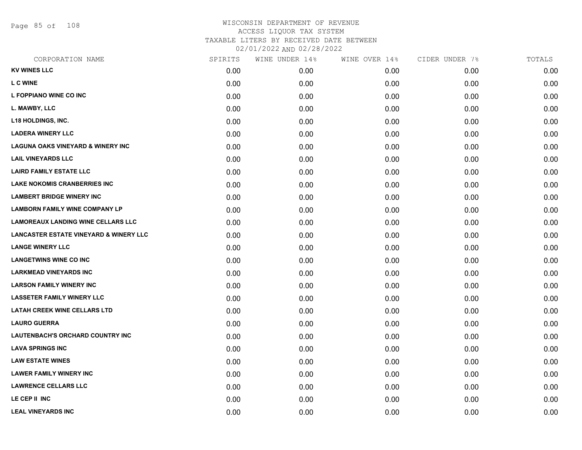Page 85 of 108

| CORPORATION NAME                                  | SPIRITS | WINE UNDER 14% | WINE OVER 14% | CIDER UNDER 7% | TOTALS |
|---------------------------------------------------|---------|----------------|---------------|----------------|--------|
| <b>KV WINES LLC</b>                               | 0.00    | 0.00           | 0.00          | 0.00           | 0.00   |
| <b>L C WINE</b>                                   | 0.00    | 0.00           | 0.00          | 0.00           | 0.00   |
| L FOPPIANO WINE CO INC                            | 0.00    | 0.00           | 0.00          | 0.00           | 0.00   |
| L. MAWBY, LLC                                     | 0.00    | 0.00           | 0.00          | 0.00           | 0.00   |
| <b>L18 HOLDINGS, INC.</b>                         | 0.00    | 0.00           | 0.00          | 0.00           | 0.00   |
| <b>LADERA WINERY LLC</b>                          | 0.00    | 0.00           | 0.00          | 0.00           | 0.00   |
| <b>LAGUNA OAKS VINEYARD &amp; WINERY INC</b>      | 0.00    | 0.00           | 0.00          | 0.00           | 0.00   |
| <b>LAIL VINEYARDS LLC</b>                         | 0.00    | 0.00           | 0.00          | 0.00           | 0.00   |
| <b>LAIRD FAMILY ESTATE LLC</b>                    | 0.00    | 0.00           | 0.00          | 0.00           | 0.00   |
| <b>LAKE NOKOMIS CRANBERRIES INC</b>               | 0.00    | 0.00           | 0.00          | 0.00           | 0.00   |
| <b>LAMBERT BRIDGE WINERY INC</b>                  | 0.00    | 0.00           | 0.00          | 0.00           | 0.00   |
| <b>LAMBORN FAMILY WINE COMPANY LP</b>             | 0.00    | 0.00           | 0.00          | 0.00           | 0.00   |
| <b>LAMOREAUX LANDING WINE CELLARS LLC</b>         | 0.00    | 0.00           | 0.00          | 0.00           | 0.00   |
| <b>LANCASTER ESTATE VINEYARD &amp; WINERY LLC</b> | 0.00    | 0.00           | 0.00          | 0.00           | 0.00   |
| <b>LANGE WINERY LLC</b>                           | 0.00    | 0.00           | 0.00          | 0.00           | 0.00   |
| <b>LANGETWINS WINE CO INC</b>                     | 0.00    | 0.00           | 0.00          | 0.00           | 0.00   |
| <b>LARKMEAD VINEYARDS INC</b>                     | 0.00    | 0.00           | 0.00          | 0.00           | 0.00   |
| <b>LARSON FAMILY WINERY INC</b>                   | 0.00    | 0.00           | 0.00          | 0.00           | 0.00   |
| <b>LASSETER FAMILY WINERY LLC</b>                 | 0.00    | 0.00           | 0.00          | 0.00           | 0.00   |
| <b>LATAH CREEK WINE CELLARS LTD</b>               | 0.00    | 0.00           | 0.00          | 0.00           | 0.00   |
| <b>LAURO GUERRA</b>                               | 0.00    | 0.00           | 0.00          | 0.00           | 0.00   |
| <b>LAUTENBACH'S ORCHARD COUNTRY INC</b>           | 0.00    | 0.00           | 0.00          | 0.00           | 0.00   |
| <b>LAVA SPRINGS INC</b>                           | 0.00    | 0.00           | 0.00          | 0.00           | 0.00   |
| <b>LAW ESTATE WINES</b>                           | 0.00    | 0.00           | 0.00          | 0.00           | 0.00   |
| <b>LAWER FAMILY WINERY INC</b>                    | 0.00    | 0.00           | 0.00          | 0.00           | 0.00   |
| <b>LAWRENCE CELLARS LLC</b>                       | 0.00    | 0.00           | 0.00          | 0.00           | 0.00   |
| LE CEP II INC                                     | 0.00    | 0.00           | 0.00          | 0.00           | 0.00   |
| <b>LEAL VINEYARDS INC</b>                         | 0.00    | 0.00           | 0.00          | 0.00           | 0.00   |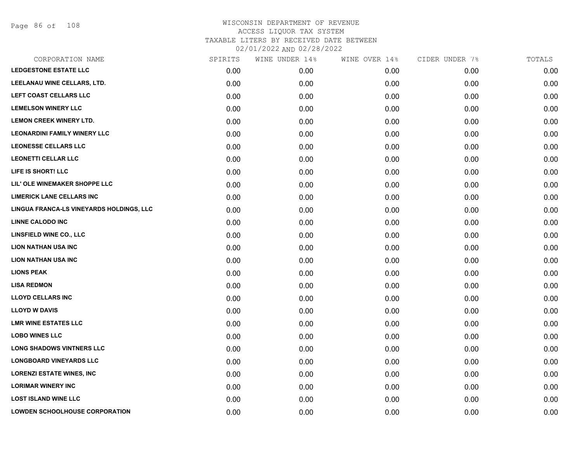Page 86 of 108

| CORPORATION NAME                         | SPIRITS | WINE UNDER 14% | WINE OVER 14% | CIDER UNDER 7% | TOTALS |
|------------------------------------------|---------|----------------|---------------|----------------|--------|
| <b>LEDGESTONE ESTATE LLC</b>             | 0.00    | 0.00           | 0.00          | 0.00           | 0.00   |
| LEELANAU WINE CELLARS, LTD.              | 0.00    | 0.00           | 0.00          | 0.00           | 0.00   |
| LEFT COAST CELLARS LLC                   | 0.00    | 0.00           | 0.00          | 0.00           | 0.00   |
| <b>LEMELSON WINERY LLC</b>               | 0.00    | 0.00           | 0.00          | 0.00           | 0.00   |
| <b>LEMON CREEK WINERY LTD.</b>           | 0.00    | 0.00           | 0.00          | 0.00           | 0.00   |
| <b>LEONARDINI FAMILY WINERY LLC</b>      | 0.00    | 0.00           | 0.00          | 0.00           | 0.00   |
| <b>LEONESSE CELLARS LLC</b>              | 0.00    | 0.00           | 0.00          | 0.00           | 0.00   |
| <b>LEONETTI CELLAR LLC</b>               | 0.00    | 0.00           | 0.00          | 0.00           | 0.00   |
| LIFE IS SHORT! LLC                       | 0.00    | 0.00           | 0.00          | 0.00           | 0.00   |
| LIL' OLE WINEMAKER SHOPPE LLC            | 0.00    | 0.00           | 0.00          | 0.00           | 0.00   |
| <b>LIMERICK LANE CELLARS INC</b>         | 0.00    | 0.00           | 0.00          | 0.00           | 0.00   |
| LINGUA FRANCA-LS VINEYARDS HOLDINGS, LLC | 0.00    | 0.00           | 0.00          | 0.00           | 0.00   |
| <b>LINNE CALODO INC</b>                  | 0.00    | 0.00           | 0.00          | 0.00           | 0.00   |
| <b>LINSFIELD WINE CO., LLC</b>           | 0.00    | 0.00           | 0.00          | 0.00           | 0.00   |
| <b>LION NATHAN USA INC</b>               | 0.00    | 0.00           | 0.00          | 0.00           | 0.00   |
| <b>LION NATHAN USA INC</b>               | 0.00    | 0.00           | 0.00          | 0.00           | 0.00   |
| <b>LIONS PEAK</b>                        | 0.00    | 0.00           | 0.00          | 0.00           | 0.00   |
| <b>LISA REDMON</b>                       | 0.00    | 0.00           | 0.00          | 0.00           | 0.00   |
| <b>LLOYD CELLARS INC</b>                 | 0.00    | 0.00           | 0.00          | 0.00           | 0.00   |
| <b>LLOYD W DAVIS</b>                     | 0.00    | 0.00           | 0.00          | 0.00           | 0.00   |
| <b>LMR WINE ESTATES LLC</b>              | 0.00    | 0.00           | 0.00          | 0.00           | 0.00   |
| <b>LOBO WINES LLC</b>                    | 0.00    | 0.00           | 0.00          | 0.00           | 0.00   |
| <b>LONG SHADOWS VINTNERS LLC</b>         | 0.00    | 0.00           | 0.00          | 0.00           | 0.00   |
| <b>LONGBOARD VINEYARDS LLC</b>           | 0.00    | 0.00           | 0.00          | 0.00           | 0.00   |
| <b>LORENZI ESTATE WINES, INC</b>         | 0.00    | 0.00           | 0.00          | 0.00           | 0.00   |
| <b>LORIMAR WINERY INC</b>                | 0.00    | 0.00           | 0.00          | 0.00           | 0.00   |
| <b>LOST ISLAND WINE LLC</b>              | 0.00    | 0.00           | 0.00          | 0.00           | 0.00   |
| <b>LOWDEN SCHOOLHOUSE CORPORATION</b>    | 0.00    | 0.00           | 0.00          | 0.00           | 0.00   |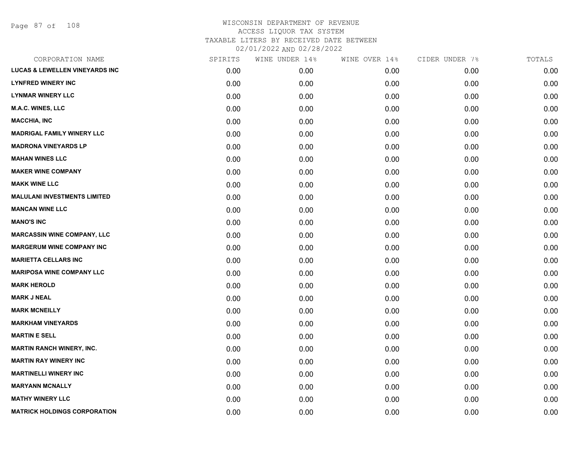Page 87 of 108

| CORPORATION NAME                          | SPIRITS | WINE UNDER 14% | WINE OVER 14% | CIDER UNDER 7% | TOTALS |
|-------------------------------------------|---------|----------------|---------------|----------------|--------|
| <b>LUCAS &amp; LEWELLEN VINEYARDS INC</b> | 0.00    | 0.00           | 0.00          | 0.00           | 0.00   |
| <b>LYNFRED WINERY INC</b>                 | 0.00    | 0.00           | 0.00          | 0.00           | 0.00   |
| <b>LYNMAR WINERY LLC</b>                  | 0.00    | 0.00           | 0.00          | 0.00           | 0.00   |
| <b>M.A.C. WINES, LLC</b>                  | 0.00    | 0.00           | 0.00          | 0.00           | 0.00   |
| <b>MACCHIA, INC</b>                       | 0.00    | 0.00           | 0.00          | 0.00           | 0.00   |
| <b>MADRIGAL FAMILY WINERY LLC</b>         | 0.00    | 0.00           | 0.00          | 0.00           | 0.00   |
| <b>MADRONA VINEYARDS LP</b>               | 0.00    | 0.00           | 0.00          | 0.00           | 0.00   |
| <b>MAHAN WINES LLC</b>                    | 0.00    | 0.00           | 0.00          | 0.00           | 0.00   |
| <b>MAKER WINE COMPANY</b>                 | 0.00    | 0.00           | 0.00          | 0.00           | 0.00   |
| <b>MAKK WINE LLC</b>                      | 0.00    | 0.00           | 0.00          | 0.00           | 0.00   |
| <b>MALULANI INVESTMENTS LIMITED</b>       | 0.00    | 0.00           | 0.00          | 0.00           | 0.00   |
| <b>MANCAN WINE LLC</b>                    | 0.00    | 0.00           | 0.00          | 0.00           | 0.00   |
| <b>MANO'S INC</b>                         | 0.00    | 0.00           | 0.00          | 0.00           | 0.00   |
| <b>MARCASSIN WINE COMPANY, LLC</b>        | 0.00    | 0.00           | 0.00          | 0.00           | 0.00   |
| <b>MARGERUM WINE COMPANY INC</b>          | 0.00    | 0.00           | 0.00          | 0.00           | 0.00   |
| <b>MARIETTA CELLARS INC</b>               | 0.00    | 0.00           | 0.00          | 0.00           | 0.00   |
| <b>MARIPOSA WINE COMPANY LLC</b>          | 0.00    | 0.00           | 0.00          | 0.00           | 0.00   |
| <b>MARK HEROLD</b>                        | 0.00    | 0.00           | 0.00          | 0.00           | 0.00   |
| <b>MARK J NEAL</b>                        | 0.00    | 0.00           | 0.00          | 0.00           | 0.00   |
| <b>MARK MCNEILLY</b>                      | 0.00    | 0.00           | 0.00          | 0.00           | 0.00   |
| <b>MARKHAM VINEYARDS</b>                  | 0.00    | 0.00           | 0.00          | 0.00           | 0.00   |
| <b>MARTIN E SELL</b>                      | 0.00    | 0.00           | 0.00          | 0.00           | 0.00   |
| <b>MARTIN RANCH WINERY, INC.</b>          | 0.00    | 0.00           | 0.00          | 0.00           | 0.00   |
| <b>MARTIN RAY WINERY INC</b>              | 0.00    | 0.00           | 0.00          | 0.00           | 0.00   |
| <b>MARTINELLI WINERY INC</b>              | 0.00    | 0.00           | 0.00          | 0.00           | 0.00   |
| <b>MARYANN MCNALLY</b>                    | 0.00    | 0.00           | 0.00          | 0.00           | 0.00   |
| <b>MATHY WINERY LLC</b>                   | 0.00    | 0.00           | 0.00          | 0.00           | 0.00   |
| <b>MATRICK HOLDINGS CORPORATION</b>       | 0.00    | 0.00           | 0.00          | 0.00           | 0.00   |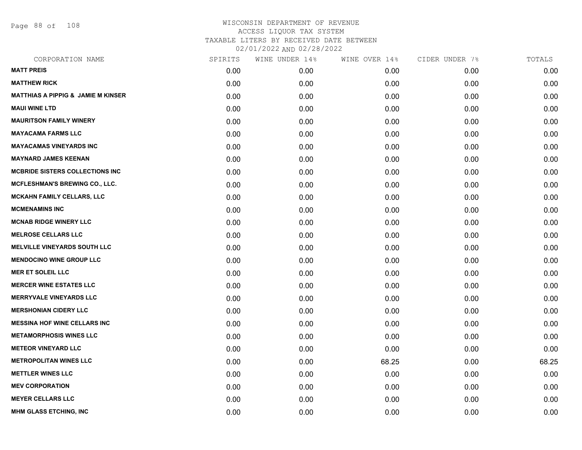Page 88 of 108

| CORPORATION NAME                              | SPIRITS | WINE UNDER 14% | WINE OVER 14% | CIDER UNDER 7% | TOTALS |
|-----------------------------------------------|---------|----------------|---------------|----------------|--------|
| <b>MATT PREIS</b>                             | 0.00    | 0.00           | 0.00          | 0.00           | 0.00   |
| <b>MATTHEW RICK</b>                           | 0.00    | 0.00           | 0.00          | 0.00           | 0.00   |
| <b>MATTHIAS A PIPPIG &amp; JAMIE M KINSER</b> | 0.00    | 0.00           | 0.00          | 0.00           | 0.00   |
| <b>MAUI WINE LTD</b>                          | 0.00    | 0.00           | 0.00          | 0.00           | 0.00   |
| <b>MAURITSON FAMILY WINERY</b>                | 0.00    | 0.00           | 0.00          | 0.00           | 0.00   |
| <b>MAYACAMA FARMS LLC</b>                     | 0.00    | 0.00           | 0.00          | 0.00           | 0.00   |
| <b>MAYACAMAS VINEYARDS INC</b>                | 0.00    | 0.00           | 0.00          | 0.00           | 0.00   |
| <b>MAYNARD JAMES KEENAN</b>                   | 0.00    | 0.00           | 0.00          | 0.00           | 0.00   |
| <b>MCBRIDE SISTERS COLLECTIONS INC</b>        | 0.00    | 0.00           | 0.00          | 0.00           | 0.00   |
| <b>MCFLESHMAN'S BREWING CO., LLC.</b>         | 0.00    | 0.00           | 0.00          | 0.00           | 0.00   |
| <b>MCKAHN FAMILY CELLARS, LLC</b>             | 0.00    | 0.00           | 0.00          | 0.00           | 0.00   |
| <b>MCMENAMINS INC</b>                         | 0.00    | 0.00           | 0.00          | 0.00           | 0.00   |
| <b>MCNAB RIDGE WINERY LLC</b>                 | 0.00    | 0.00           | 0.00          | 0.00           | 0.00   |
| <b>MELROSE CELLARS LLC</b>                    | 0.00    | 0.00           | 0.00          | 0.00           | 0.00   |
| <b>MELVILLE VINEYARDS SOUTH LLC</b>           | 0.00    | 0.00           | 0.00          | 0.00           | 0.00   |
| <b>MENDOCINO WINE GROUP LLC</b>               | 0.00    | 0.00           | 0.00          | 0.00           | 0.00   |
| <b>MER ET SOLEIL LLC</b>                      | 0.00    | 0.00           | 0.00          | 0.00           | 0.00   |
| <b>MERCER WINE ESTATES LLC</b>                | 0.00    | 0.00           | 0.00          | 0.00           | 0.00   |
| <b>MERRYVALE VINEYARDS LLC</b>                | 0.00    | 0.00           | 0.00          | 0.00           | 0.00   |
| <b>MERSHONIAN CIDERY LLC</b>                  | 0.00    | 0.00           | 0.00          | 0.00           | 0.00   |
| <b>MESSINA HOF WINE CELLARS INC</b>           | 0.00    | 0.00           | 0.00          | 0.00           | 0.00   |
| <b>METAMORPHOSIS WINES LLC</b>                | 0.00    | 0.00           | 0.00          | 0.00           | 0.00   |
| <b>METEOR VINEYARD LLC</b>                    | 0.00    | 0.00           | 0.00          | 0.00           | 0.00   |
| <b>METROPOLITAN WINES LLC</b>                 | 0.00    | 0.00           | 68.25         | 0.00           | 68.25  |
| <b>METTLER WINES LLC</b>                      | 0.00    | 0.00           | 0.00          | 0.00           | 0.00   |
| <b>MEV CORPORATION</b>                        | 0.00    | 0.00           | 0.00          | 0.00           | 0.00   |
| <b>MEYER CELLARS LLC</b>                      | 0.00    | 0.00           | 0.00          | 0.00           | 0.00   |
| MHM GLASS ETCHING, INC                        | 0.00    | 0.00           | 0.00          | 0.00           | 0.00   |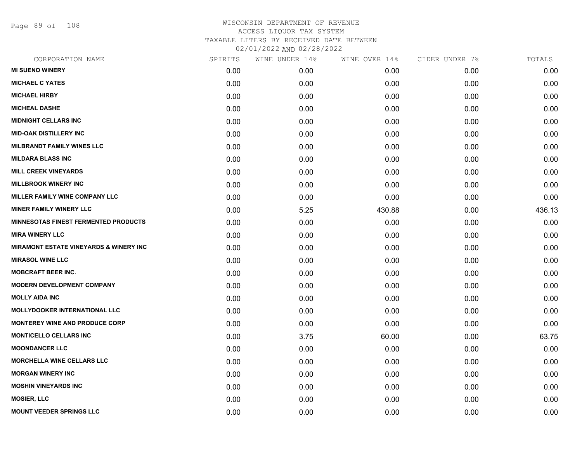Page 89 of 108

| CORPORATION NAME                                  | SPIRITS | WINE UNDER 14% | WINE OVER 14% | CIDER UNDER 7% | TOTALS |
|---------------------------------------------------|---------|----------------|---------------|----------------|--------|
| <b>MI SUENO WINERY</b>                            | 0.00    | 0.00           | 0.00          | 0.00           | 0.00   |
| <b>MICHAEL C YATES</b>                            | 0.00    | 0.00           | 0.00          | 0.00           | 0.00   |
| <b>MICHAEL HIRBY</b>                              | 0.00    | 0.00           | 0.00          | 0.00           | 0.00   |
| <b>MICHEAL DASHE</b>                              | 0.00    | 0.00           | 0.00          | 0.00           | 0.00   |
| <b>MIDNIGHT CELLARS INC</b>                       | 0.00    | 0.00           | 0.00          | 0.00           | 0.00   |
| <b>MID-OAK DISTILLERY INC</b>                     | 0.00    | 0.00           | 0.00          | 0.00           | 0.00   |
| <b>MILBRANDT FAMILY WINES LLC</b>                 | 0.00    | 0.00           | 0.00          | 0.00           | 0.00   |
| <b>MILDARA BLASS INC</b>                          | 0.00    | 0.00           | 0.00          | 0.00           | 0.00   |
| <b>MILL CREEK VINEYARDS</b>                       | 0.00    | 0.00           | 0.00          | 0.00           | 0.00   |
| <b>MILLBROOK WINERY INC</b>                       | 0.00    | 0.00           | 0.00          | 0.00           | 0.00   |
| <b>MILLER FAMILY WINE COMPANY LLC</b>             | 0.00    | 0.00           | 0.00          | 0.00           | 0.00   |
| <b>MINER FAMILY WINERY LLC</b>                    | 0.00    | 5.25           | 430.88        | 0.00           | 436.13 |
| <b>MINNESOTAS FINEST FERMENTED PRODUCTS</b>       | 0.00    | 0.00           | 0.00          | 0.00           | 0.00   |
| <b>MIRA WINERY LLC</b>                            | 0.00    | 0.00           | 0.00          | 0.00           | 0.00   |
| <b>MIRAMONT ESTATE VINEYARDS &amp; WINERY INC</b> | 0.00    | 0.00           | 0.00          | 0.00           | 0.00   |
| <b>MIRASOL WINE LLC</b>                           | 0.00    | 0.00           | 0.00          | 0.00           | 0.00   |
| <b>MOBCRAFT BEER INC.</b>                         | 0.00    | 0.00           | 0.00          | 0.00           | 0.00   |
| <b>MODERN DEVELOPMENT COMPANY</b>                 | 0.00    | 0.00           | 0.00          | 0.00           | 0.00   |
| <b>MOLLY AIDA INC</b>                             | 0.00    | 0.00           | 0.00          | 0.00           | 0.00   |
| <b>MOLLYDOOKER INTERNATIONAL LLC</b>              | 0.00    | 0.00           | 0.00          | 0.00           | 0.00   |
| <b>MONTEREY WINE AND PRODUCE CORP</b>             | 0.00    | 0.00           | 0.00          | 0.00           | 0.00   |
| <b>MONTICELLO CELLARS INC</b>                     | 0.00    | 3.75           | 60.00         | 0.00           | 63.75  |
| <b>MOONDANCER LLC</b>                             | 0.00    | 0.00           | 0.00          | 0.00           | 0.00   |
| <b>MORCHELLA WINE CELLARS LLC</b>                 | 0.00    | 0.00           | 0.00          | 0.00           | 0.00   |
| <b>MORGAN WINERY INC</b>                          | 0.00    | 0.00           | 0.00          | 0.00           | 0.00   |
| <b>MOSHIN VINEYARDS INC</b>                       | 0.00    | 0.00           | 0.00          | 0.00           | 0.00   |
| <b>MOSIER, LLC</b>                                | 0.00    | 0.00           | 0.00          | 0.00           | 0.00   |
| <b>MOUNT VEEDER SPRINGS LLC</b>                   | 0.00    | 0.00           | 0.00          | 0.00           | 0.00   |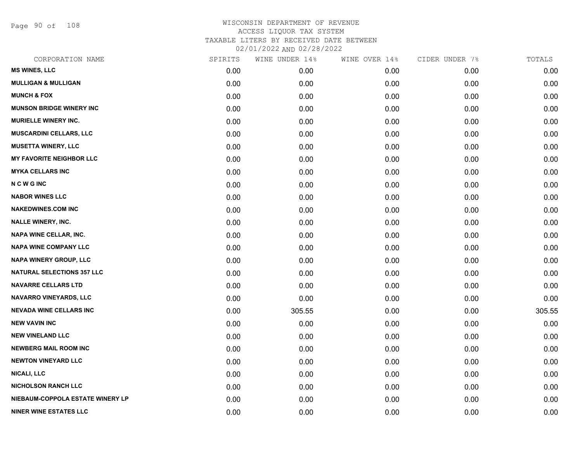Page 90 of 108

| CORPORATION NAME                  | SPIRITS | WINE UNDER 14% | WINE OVER 14% | CIDER UNDER 7% | TOTALS |
|-----------------------------------|---------|----------------|---------------|----------------|--------|
| <b>MS WINES, LLC</b>              | 0.00    | 0.00           | 0.00          | 0.00           | 0.00   |
| <b>MULLIGAN &amp; MULLIGAN</b>    | 0.00    | 0.00           | 0.00          | 0.00           | 0.00   |
| <b>MUNCH &amp; FOX</b>            | 0.00    | 0.00           | 0.00          | 0.00           | 0.00   |
| <b>MUNSON BRIDGE WINERY INC</b>   | 0.00    | 0.00           | 0.00          | 0.00           | 0.00   |
| <b>MURIELLE WINERY INC.</b>       | 0.00    | 0.00           | 0.00          | 0.00           | 0.00   |
| <b>MUSCARDINI CELLARS, LLC</b>    | 0.00    | 0.00           | 0.00          | 0.00           | 0.00   |
| <b>MUSETTA WINERY, LLC</b>        | 0.00    | 0.00           | 0.00          | 0.00           | 0.00   |
| <b>MY FAVORITE NEIGHBOR LLC</b>   | 0.00    | 0.00           | 0.00          | 0.00           | 0.00   |
| <b>MYKA CELLARS INC</b>           | 0.00    | 0.00           | 0.00          | 0.00           | 0.00   |
| <b>NCWGINC</b>                    | 0.00    | 0.00           | 0.00          | 0.00           | 0.00   |
| <b>NABOR WINES LLC</b>            | 0.00    | 0.00           | 0.00          | 0.00           | 0.00   |
| <b>NAKEDWINES.COM INC</b>         | 0.00    | 0.00           | 0.00          | 0.00           | 0.00   |
| <b>NALLE WINERY, INC.</b>         | 0.00    | 0.00           | 0.00          | 0.00           | 0.00   |
| <b>NAPA WINE CELLAR, INC.</b>     | 0.00    | 0.00           | 0.00          | 0.00           | 0.00   |
| <b>NAPA WINE COMPANY LLC</b>      | 0.00    | 0.00           | 0.00          | 0.00           | 0.00   |
| NAPA WINERY GROUP, LLC            | 0.00    | 0.00           | 0.00          | 0.00           | 0.00   |
| <b>NATURAL SELECTIONS 357 LLC</b> | 0.00    | 0.00           | 0.00          | 0.00           | 0.00   |
| <b>NAVARRE CELLARS LTD</b>        | 0.00    | 0.00           | 0.00          | 0.00           | 0.00   |
| <b>NAVARRO VINEYARDS, LLC</b>     | 0.00    | 0.00           | 0.00          | 0.00           | 0.00   |
| <b>NEVADA WINE CELLARS INC</b>    | 0.00    | 305.55         | 0.00          | 0.00           | 305.55 |
| <b>NEW VAVIN INC</b>              | 0.00    | 0.00           | 0.00          | 0.00           | 0.00   |
| <b>NEW VINELAND LLC</b>           | 0.00    | 0.00           | 0.00          | 0.00           | 0.00   |
| <b>NEWBERG MAIL ROOM INC</b>      | 0.00    | 0.00           | 0.00          | 0.00           | 0.00   |
| <b>NEWTON VINEYARD LLC</b>        | 0.00    | 0.00           | 0.00          | 0.00           | 0.00   |
| <b>NICALI, LLC</b>                | 0.00    | 0.00           | 0.00          | 0.00           | 0.00   |
| <b>NICHOLSON RANCH LLC</b>        | 0.00    | 0.00           | 0.00          | 0.00           | 0.00   |
| NIEBAUM-COPPOLA ESTATE WINERY LP  | 0.00    | 0.00           | 0.00          | 0.00           | 0.00   |
| <b>NINER WINE ESTATES LLC</b>     | 0.00    | 0.00           | 0.00          | 0.00           | 0.00   |
|                                   |         |                |               |                |        |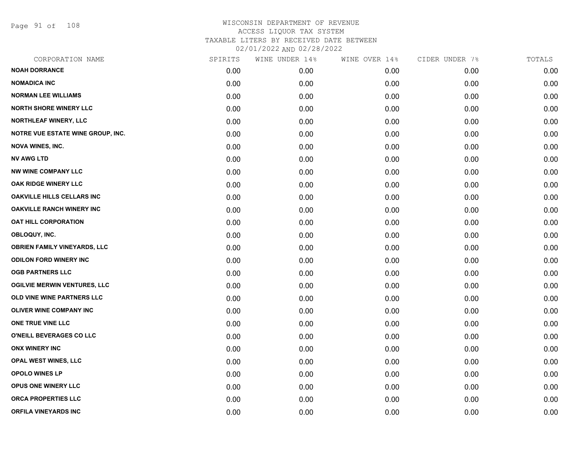Page 91 of 108

|      | WINE UNDER 14% | WINE OVER 14% | CIDER UNDER 7% | TOTALS |
|------|----------------|---------------|----------------|--------|
| 0.00 | 0.00           | 0.00          | 0.00           | 0.00   |
| 0.00 | 0.00           | 0.00          | 0.00           | 0.00   |
| 0.00 | 0.00           | 0.00          | 0.00           | 0.00   |
| 0.00 | 0.00           | 0.00          | 0.00           | 0.00   |
| 0.00 | 0.00           | 0.00          | 0.00           | 0.00   |
| 0.00 | 0.00           | 0.00          | 0.00           | 0.00   |
| 0.00 | 0.00           | 0.00          | 0.00           | 0.00   |
| 0.00 | 0.00           | 0.00          | 0.00           | 0.00   |
| 0.00 | 0.00           | 0.00          | 0.00           | 0.00   |
| 0.00 | 0.00           | 0.00          | 0.00           | 0.00   |
| 0.00 | 0.00           | 0.00          | 0.00           | 0.00   |
| 0.00 | 0.00           | 0.00          | 0.00           | 0.00   |
| 0.00 | 0.00           | 0.00          | 0.00           | 0.00   |
| 0.00 | 0.00           | 0.00          | 0.00           | 0.00   |
| 0.00 | 0.00           | 0.00          | 0.00           | 0.00   |
| 0.00 | 0.00           | 0.00          | 0.00           | 0.00   |
| 0.00 | 0.00           | 0.00          | 0.00           | 0.00   |
| 0.00 | 0.00           | 0.00          | 0.00           | 0.00   |
| 0.00 | 0.00           | 0.00          | 0.00           | 0.00   |
| 0.00 | 0.00           | 0.00          | 0.00           | 0.00   |
| 0.00 | 0.00           | 0.00          | 0.00           | 0.00   |
| 0.00 | 0.00           | 0.00          | 0.00           | 0.00   |
| 0.00 | 0.00           | 0.00          | 0.00           | 0.00   |
| 0.00 | 0.00           | 0.00          | 0.00           | 0.00   |
| 0.00 | 0.00           | 0.00          | 0.00           | 0.00   |
| 0.00 | 0.00           | 0.00          | 0.00           | 0.00   |
| 0.00 | 0.00           | 0.00          | 0.00           | 0.00   |
| 0.00 | 0.00           | 0.00          | 0.00           | 0.00   |
|      | SPIRITS        |               |                |        |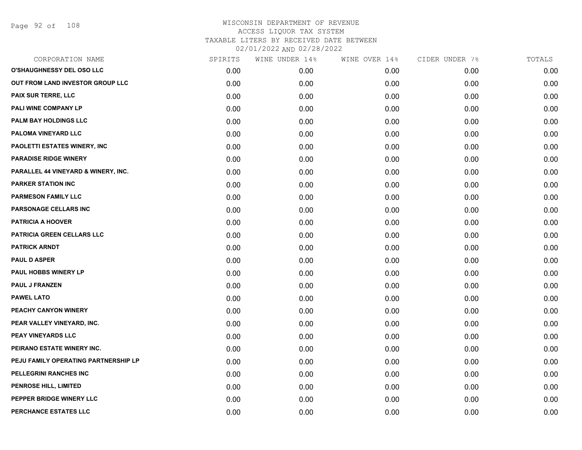Page 92 of 108

| CORPORATION NAME                     | SPIRITS | WINE UNDER 14% | WINE OVER 14% | CIDER UNDER 7% | TOTALS |
|--------------------------------------|---------|----------------|---------------|----------------|--------|
| O'SHAUGHNESSY DEL OSO LLC            | 0.00    | 0.00           | 0.00          | 0.00           | 0.00   |
| OUT FROM LAND INVESTOR GROUP LLC     | 0.00    | 0.00           | 0.00          | 0.00           | 0.00   |
| PAIX SUR TERRE, LLC                  | 0.00    | 0.00           | 0.00          | 0.00           | 0.00   |
| PALI WINE COMPANY LP                 | 0.00    | 0.00           | 0.00          | 0.00           | 0.00   |
| PALM BAY HOLDINGS LLC                | 0.00    | 0.00           | 0.00          | 0.00           | 0.00   |
| PALOMA VINEYARD LLC                  | 0.00    | 0.00           | 0.00          | 0.00           | 0.00   |
| PAOLETTI ESTATES WINERY, INC         | 0.00    | 0.00           | 0.00          | 0.00           | 0.00   |
| <b>PARADISE RIDGE WINERY</b>         | 0.00    | 0.00           | 0.00          | 0.00           | 0.00   |
| PARALLEL 44 VINEYARD & WINERY, INC.  | 0.00    | 0.00           | 0.00          | 0.00           | 0.00   |
| <b>PARKER STATION INC</b>            | 0.00    | 0.00           | 0.00          | 0.00           | 0.00   |
| <b>PARMESON FAMILY LLC</b>           | 0.00    | 0.00           | 0.00          | 0.00           | 0.00   |
| PARSONAGE CELLARS INC                | 0.00    | 0.00           | 0.00          | 0.00           | 0.00   |
| PATRICIA A HOOVER                    | 0.00    | 0.00           | 0.00          | 0.00           | 0.00   |
| PATRICIA GREEN CELLARS LLC           | 0.00    | 0.00           | 0.00          | 0.00           | 0.00   |
| <b>PATRICK ARNDT</b>                 | 0.00    | 0.00           | 0.00          | 0.00           | 0.00   |
| <b>PAUL D ASPER</b>                  | 0.00    | 0.00           | 0.00          | 0.00           | 0.00   |
| PAUL HOBBS WINERY LP                 | 0.00    | 0.00           | 0.00          | 0.00           | 0.00   |
| <b>PAUL J FRANZEN</b>                | 0.00    | 0.00           | 0.00          | 0.00           | 0.00   |
| <b>PAWEL LATO</b>                    | 0.00    | 0.00           | 0.00          | 0.00           | 0.00   |
| PEACHY CANYON WINERY                 | 0.00    | 0.00           | 0.00          | 0.00           | 0.00   |
| PEAR VALLEY VINEYARD, INC.           | 0.00    | 0.00           | 0.00          | 0.00           | 0.00   |
| PEAY VINEYARDS LLC                   | 0.00    | 0.00           | 0.00          | 0.00           | 0.00   |
| PEIRANO ESTATE WINERY INC.           | 0.00    | 0.00           | 0.00          | 0.00           | 0.00   |
| PEJU FAMILY OPERATING PARTNERSHIP LP | 0.00    | 0.00           | 0.00          | 0.00           | 0.00   |
| PELLEGRINI RANCHES INC               | 0.00    | 0.00           | 0.00          | 0.00           | 0.00   |
| PENROSE HILL, LIMITED                | 0.00    | 0.00           | 0.00          | 0.00           | 0.00   |
| PEPPER BRIDGE WINERY LLC             | 0.00    | 0.00           | 0.00          | 0.00           | 0.00   |
| PERCHANCE ESTATES LLC                | 0.00    | 0.00           | 0.00          | 0.00           | 0.00   |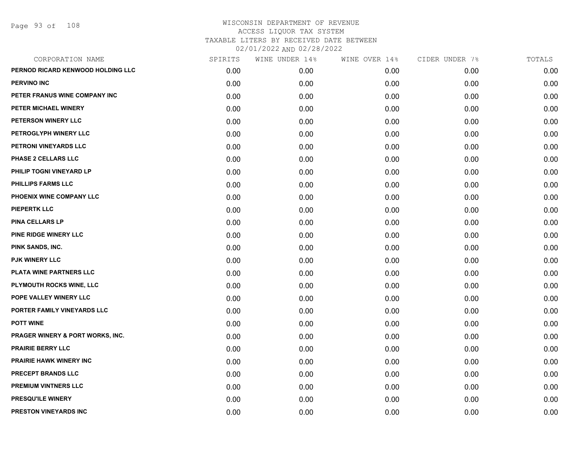Page 93 of 108

| CORPORATION NAME                  | SPIRITS | WINE UNDER 14% | WINE OVER 14% | CIDER UNDER 7% | TOTALS |
|-----------------------------------|---------|----------------|---------------|----------------|--------|
| PERNOD RICARD KENWOOD HOLDING LLC | 0.00    | 0.00           | 0.00          | 0.00           | 0.00   |
| <b>PERVINO INC</b>                | 0.00    | 0.00           | 0.00          | 0.00           | 0.00   |
| PETER FRANUS WINE COMPANY INC     | 0.00    | 0.00           | 0.00          | 0.00           | 0.00   |
| PETER MICHAEL WINERY              | 0.00    | 0.00           | 0.00          | 0.00           | 0.00   |
| PETERSON WINERY LLC               | 0.00    | 0.00           | 0.00          | 0.00           | 0.00   |
| PETROGLYPH WINERY LLC             | 0.00    | 0.00           | 0.00          | 0.00           | 0.00   |
| PETRONI VINEYARDS LLC             | 0.00    | 0.00           | 0.00          | 0.00           | 0.00   |
| PHASE 2 CELLARS LLC               | 0.00    | 0.00           | 0.00          | 0.00           | 0.00   |
| PHILIP TOGNI VINEYARD LP          | 0.00    | 0.00           | 0.00          | 0.00           | 0.00   |
| <b>PHILLIPS FARMS LLC</b>         | 0.00    | 0.00           | 0.00          | 0.00           | 0.00   |
| PHOENIX WINE COMPANY LLC          | 0.00    | 0.00           | 0.00          | 0.00           | 0.00   |
| <b>PIEPERTK LLC</b>               | 0.00    | 0.00           | 0.00          | 0.00           | 0.00   |
| <b>PINA CELLARS LP</b>            | 0.00    | 0.00           | 0.00          | 0.00           | 0.00   |
| PINE RIDGE WINERY LLC             | 0.00    | 0.00           | 0.00          | 0.00           | 0.00   |
| PINK SANDS, INC.                  | 0.00    | 0.00           | 0.00          | 0.00           | 0.00   |
| <b>PJK WINERY LLC</b>             | 0.00    | 0.00           | 0.00          | 0.00           | 0.00   |
| PLATA WINE PARTNERS LLC           | 0.00    | 0.00           | 0.00          | 0.00           | 0.00   |
| PLYMOUTH ROCKS WINE, LLC          | 0.00    | 0.00           | 0.00          | 0.00           | 0.00   |
| POPE VALLEY WINERY LLC            | 0.00    | 0.00           | 0.00          | 0.00           | 0.00   |
| PORTER FAMILY VINEYARDS LLC       | 0.00    | 0.00           | 0.00          | 0.00           | 0.00   |
| <b>POTT WINE</b>                  | 0.00    | 0.00           | 0.00          | 0.00           | 0.00   |
| PRAGER WINERY & PORT WORKS, INC.  | 0.00    | 0.00           | 0.00          | 0.00           | 0.00   |
| <b>PRAIRIE BERRY LLC</b>          | 0.00    | 0.00           | 0.00          | 0.00           | 0.00   |
| <b>PRAIRIE HAWK WINERY INC</b>    | 0.00    | 0.00           | 0.00          | 0.00           | 0.00   |
| PRECEPT BRANDS LLC                | 0.00    | 0.00           | 0.00          | 0.00           | 0.00   |
| <b>PREMIUM VINTNERS LLC</b>       | 0.00    | 0.00           | 0.00          | 0.00           | 0.00   |
| <b>PRESQU'ILE WINERY</b>          | 0.00    | 0.00           | 0.00          | 0.00           | 0.00   |
| <b>PRESTON VINEYARDS INC</b>      | 0.00    | 0.00           | 0.00          | 0.00           | 0.00   |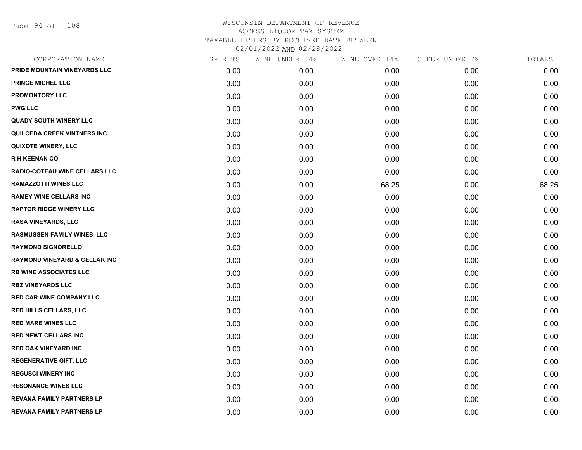| CORPORATION NAME                         | SPIRITS | WINE UNDER 14% | WINE OVER 14% | CIDER UNDER 7% | TOTALS |
|------------------------------------------|---------|----------------|---------------|----------------|--------|
| PRIDE MOUNTAIN VINEYARDS LLC             | 0.00    | 0.00           | 0.00          | 0.00           | 0.00   |
| <b>PRINCE MICHEL LLC</b>                 | 0.00    | 0.00           | 0.00          | 0.00           | 0.00   |
| <b>PROMONTORY LLC</b>                    | 0.00    | 0.00           | 0.00          | 0.00           | 0.00   |
| <b>PWG LLC</b>                           | 0.00    | 0.00           | 0.00          | 0.00           | 0.00   |
| <b>QUADY SOUTH WINERY LLC</b>            | 0.00    | 0.00           | 0.00          | 0.00           | 0.00   |
| <b>QUILCEDA CREEK VINTNERS INC</b>       | 0.00    | 0.00           | 0.00          | 0.00           | 0.00   |
| <b>QUIXOTE WINERY, LLC</b>               | 0.00    | 0.00           | 0.00          | 0.00           | 0.00   |
| <b>RH KEENAN CO</b>                      | 0.00    | 0.00           | 0.00          | 0.00           | 0.00   |
| RADIO-COTEAU WINE CELLARS LLC            | 0.00    | 0.00           | 0.00          | 0.00           | 0.00   |
| <b>RAMAZZOTTI WINES LLC</b>              | 0.00    | 0.00           | 68.25         | 0.00           | 68.25  |
| <b>RAMEY WINE CELLARS INC</b>            | 0.00    | 0.00           | 0.00          | 0.00           | 0.00   |
| <b>RAPTOR RIDGE WINERY LLC</b>           | 0.00    | 0.00           | 0.00          | 0.00           | 0.00   |
| <b>RASA VINEYARDS, LLC</b>               | 0.00    | 0.00           | 0.00          | 0.00           | 0.00   |
| <b>RASMUSSEN FAMILY WINES, LLC</b>       | 0.00    | 0.00           | 0.00          | 0.00           | 0.00   |
| <b>RAYMOND SIGNORELLO</b>                | 0.00    | 0.00           | 0.00          | 0.00           | 0.00   |
| <b>RAYMOND VINEYARD &amp; CELLAR INC</b> | 0.00    | 0.00           | 0.00          | 0.00           | 0.00   |
| <b>RB WINE ASSOCIATES LLC</b>            | 0.00    | 0.00           | 0.00          | 0.00           | 0.00   |
| <b>RBZ VINEYARDS LLC</b>                 | 0.00    | 0.00           | 0.00          | 0.00           | 0.00   |
| <b>RED CAR WINE COMPANY LLC</b>          | 0.00    | 0.00           | 0.00          | 0.00           | 0.00   |
| <b>RED HILLS CELLARS, LLC</b>            | 0.00    | 0.00           | 0.00          | 0.00           | 0.00   |
| <b>RED MARE WINES LLC</b>                | 0.00    | 0.00           | 0.00          | 0.00           | 0.00   |
| <b>RED NEWT CELLARS INC</b>              | 0.00    | 0.00           | 0.00          | 0.00           | 0.00   |
| <b>RED OAK VINEYARD INC</b>              | 0.00    | 0.00           | 0.00          | 0.00           | 0.00   |
| <b>REGENERATIVE GIFT, LLC</b>            | 0.00    | 0.00           | 0.00          | 0.00           | 0.00   |
| <b>REGUSCI WINERY INC</b>                | 0.00    | 0.00           | 0.00          | 0.00           | 0.00   |
| <b>RESONANCE WINES LLC</b>               | 0.00    | 0.00           | 0.00          | 0.00           | 0.00   |
| <b>REVANA FAMILY PARTNERS LP</b>         | 0.00    | 0.00           | 0.00          | 0.00           | 0.00   |
| REVANA FAMILY PARTNERS LP                | 0.00    | 0.00           | 0.00          | 0.00           | 0.00   |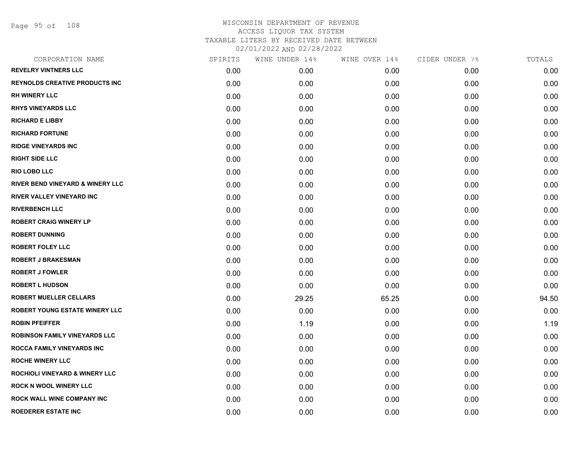Page 95 of 108

| SPIRITS | WINE UNDER 14% | WINE OVER 14% | CIDER UNDER 7% | TOTALS |
|---------|----------------|---------------|----------------|--------|
| 0.00    | 0.00           | 0.00          | 0.00           | 0.00   |
| 0.00    | 0.00           | 0.00          | 0.00           | 0.00   |
| 0.00    | 0.00           | 0.00          | 0.00           | 0.00   |
| 0.00    | 0.00           | 0.00          | 0.00           | 0.00   |
| 0.00    | 0.00           | 0.00          | 0.00           | 0.00   |
| 0.00    | 0.00           | 0.00          | 0.00           | 0.00   |
| 0.00    | 0.00           | 0.00          | 0.00           | 0.00   |
| 0.00    | 0.00           | 0.00          | 0.00           | 0.00   |
| 0.00    | 0.00           | 0.00          | 0.00           | 0.00   |
| 0.00    | 0.00           | 0.00          | 0.00           | 0.00   |
| 0.00    | 0.00           | 0.00          | 0.00           | 0.00   |
| 0.00    | 0.00           | 0.00          | 0.00           | 0.00   |
| 0.00    | 0.00           | 0.00          | 0.00           | 0.00   |
| 0.00    | 0.00           | 0.00          | 0.00           | 0.00   |
| 0.00    | 0.00           | 0.00          | 0.00           | 0.00   |
| 0.00    | 0.00           | 0.00          | 0.00           | 0.00   |
| 0.00    | 0.00           | 0.00          | 0.00           | 0.00   |
| 0.00    | 0.00           | 0.00          | 0.00           | 0.00   |
| 0.00    | 29.25          | 65.25         | 0.00           | 94.50  |
| 0.00    | 0.00           | 0.00          | 0.00           | 0.00   |
| 0.00    | 1.19           | 0.00          | 0.00           | 1.19   |
| 0.00    | 0.00           | 0.00          | 0.00           | 0.00   |
| 0.00    | 0.00           | 0.00          | 0.00           | 0.00   |
| 0.00    | 0.00           | 0.00          | 0.00           | 0.00   |
| 0.00    | 0.00           | 0.00          | 0.00           | 0.00   |
| 0.00    | 0.00           | 0.00          | 0.00           | 0.00   |
| 0.00    | 0.00           | 0.00          | 0.00           | 0.00   |
| 0.00    | 0.00           | 0.00          | 0.00           | 0.00   |
|         |                |               |                |        |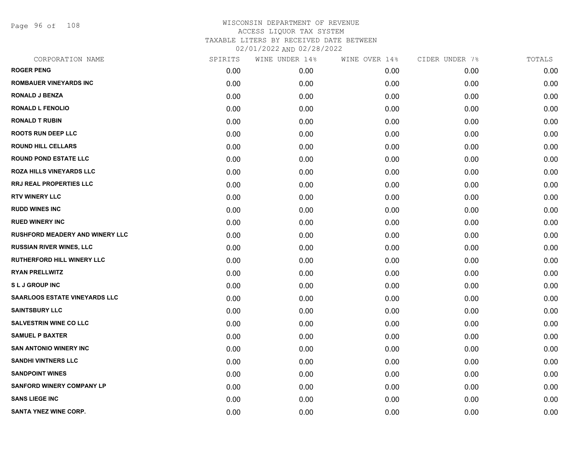Page 96 of 108

| CORPORATION NAME                       | SPIRITS | WINE UNDER 14% | WINE OVER 14% | CIDER UNDER 7% | TOTALS |
|----------------------------------------|---------|----------------|---------------|----------------|--------|
| <b>ROGER PENG</b>                      | 0.00    | 0.00           | 0.00          | 0.00           | 0.00   |
| <b>ROMBAUER VINEYARDS INC</b>          | 0.00    | 0.00           | 0.00          | 0.00           | 0.00   |
| <b>RONALD J BENZA</b>                  | 0.00    | 0.00           | 0.00          | 0.00           | 0.00   |
| <b>RONALD L FENOLIO</b>                | 0.00    | 0.00           | 0.00          | 0.00           | 0.00   |
| <b>RONALD T RUBIN</b>                  | 0.00    | 0.00           | 0.00          | 0.00           | 0.00   |
| <b>ROOTS RUN DEEP LLC</b>              | 0.00    | 0.00           | 0.00          | 0.00           | 0.00   |
| <b>ROUND HILL CELLARS</b>              | 0.00    | 0.00           | 0.00          | 0.00           | 0.00   |
| <b>ROUND POND ESTATE LLC</b>           | 0.00    | 0.00           | 0.00          | 0.00           | 0.00   |
| <b>ROZA HILLS VINEYARDS LLC</b>        | 0.00    | 0.00           | 0.00          | 0.00           | 0.00   |
| <b>RRJ REAL PROPERTIES LLC</b>         | 0.00    | 0.00           | 0.00          | 0.00           | 0.00   |
| <b>RTV WINERY LLC</b>                  | 0.00    | 0.00           | 0.00          | 0.00           | 0.00   |
| <b>RUDD WINES INC</b>                  | 0.00    | 0.00           | 0.00          | 0.00           | 0.00   |
| <b>RUED WINERY INC</b>                 | 0.00    | 0.00           | 0.00          | 0.00           | 0.00   |
| <b>RUSHFORD MEADERY AND WINERY LLC</b> | 0.00    | 0.00           | 0.00          | 0.00           | 0.00   |
| <b>RUSSIAN RIVER WINES, LLC</b>        | 0.00    | 0.00           | 0.00          | 0.00           | 0.00   |
| <b>RUTHERFORD HILL WINERY LLC</b>      | 0.00    | 0.00           | 0.00          | 0.00           | 0.00   |
| <b>RYAN PRELLWITZ</b>                  | 0.00    | 0.00           | 0.00          | 0.00           | 0.00   |
| <b>SLJGROUPINC</b>                     | 0.00    | 0.00           | 0.00          | 0.00           | 0.00   |
| <b>SAARLOOS ESTATE VINEYARDS LLC</b>   | 0.00    | 0.00           | 0.00          | 0.00           | 0.00   |
| <b>SAINTSBURY LLC</b>                  | 0.00    | 0.00           | 0.00          | 0.00           | 0.00   |
| <b>SALVESTRIN WINE CO LLC</b>          | 0.00    | 0.00           | 0.00          | 0.00           | 0.00   |
| <b>SAMUEL P BAXTER</b>                 | 0.00    | 0.00           | 0.00          | 0.00           | 0.00   |
| <b>SAN ANTONIO WINERY INC</b>          | 0.00    | 0.00           | 0.00          | 0.00           | 0.00   |
| <b>SANDHI VINTNERS LLC</b>             | 0.00    | 0.00           | 0.00          | 0.00           | 0.00   |
| <b>SANDPOINT WINES</b>                 | 0.00    | 0.00           | 0.00          | 0.00           | 0.00   |
| <b>SANFORD WINERY COMPANY LP</b>       | 0.00    | 0.00           | 0.00          | 0.00           | 0.00   |
| <b>SANS LIEGE INC</b>                  | 0.00    | 0.00           | 0.00          | 0.00           | 0.00   |
| <b>SANTA YNEZ WINE CORP.</b>           | 0.00    | 0.00           | 0.00          | 0.00           | 0.00   |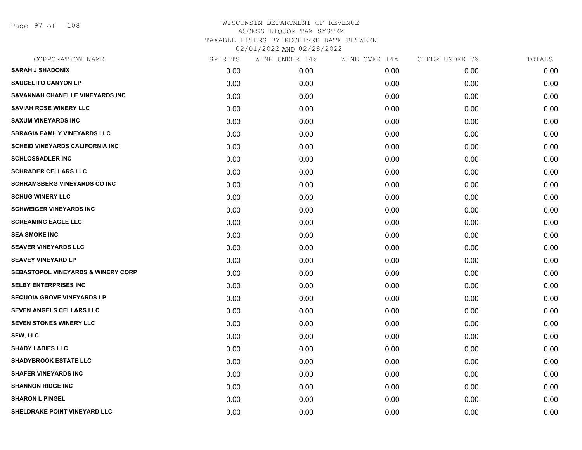Page 97 of 108

| CORPORATION NAME                              | SPIRITS | WINE UNDER 14% | WINE OVER 14% | CIDER UNDER 7% | TOTALS |
|-----------------------------------------------|---------|----------------|---------------|----------------|--------|
| <b>SARAH J SHADONIX</b>                       | 0.00    | 0.00           | 0.00          | 0.00           | 0.00   |
| <b>SAUCELITO CANYON LP</b>                    | 0.00    | 0.00           | 0.00          | 0.00           | 0.00   |
| SAVANNAH CHANELLE VINEYARDS INC               | 0.00    | 0.00           | 0.00          | 0.00           | 0.00   |
| <b>SAVIAH ROSE WINERY LLC</b>                 | 0.00    | 0.00           | 0.00          | 0.00           | 0.00   |
| <b>SAXUM VINEYARDS INC</b>                    | 0.00    | 0.00           | 0.00          | 0.00           | 0.00   |
| <b>SBRAGIA FAMILY VINEYARDS LLC</b>           | 0.00    | 0.00           | 0.00          | 0.00           | 0.00   |
| <b>SCHEID VINEYARDS CALIFORNIA INC</b>        | 0.00    | 0.00           | 0.00          | 0.00           | 0.00   |
| <b>SCHLOSSADLER INC</b>                       | 0.00    | 0.00           | 0.00          | 0.00           | 0.00   |
| <b>SCHRADER CELLARS LLC</b>                   | 0.00    | 0.00           | 0.00          | 0.00           | 0.00   |
| <b>SCHRAMSBERG VINEYARDS CO INC</b>           | 0.00    | 0.00           | 0.00          | 0.00           | 0.00   |
| <b>SCHUG WINERY LLC</b>                       | 0.00    | 0.00           | 0.00          | 0.00           | 0.00   |
| <b>SCHWEIGER VINEYARDS INC</b>                | 0.00    | 0.00           | 0.00          | 0.00           | 0.00   |
| <b>SCREAMING EAGLE LLC</b>                    | 0.00    | 0.00           | 0.00          | 0.00           | 0.00   |
| <b>SEA SMOKE INC</b>                          | 0.00    | 0.00           | 0.00          | 0.00           | 0.00   |
| <b>SEAVER VINEYARDS LLC</b>                   | 0.00    | 0.00           | 0.00          | 0.00           | 0.00   |
| <b>SEAVEY VINEYARD LP</b>                     | 0.00    | 0.00           | 0.00          | 0.00           | 0.00   |
| <b>SEBASTOPOL VINEYARDS &amp; WINERY CORP</b> | 0.00    | 0.00           | 0.00          | 0.00           | 0.00   |
| <b>SELBY ENTERPRISES INC</b>                  | 0.00    | 0.00           | 0.00          | 0.00           | 0.00   |
| <b>SEQUOIA GROVE VINEYARDS LP</b>             | 0.00    | 0.00           | 0.00          | 0.00           | 0.00   |
| SEVEN ANGELS CELLARS LLC                      | 0.00    | 0.00           | 0.00          | 0.00           | 0.00   |
| <b>SEVEN STONES WINERY LLC</b>                | 0.00    | 0.00           | 0.00          | 0.00           | 0.00   |
| <b>SFW, LLC</b>                               | 0.00    | 0.00           | 0.00          | 0.00           | 0.00   |
| <b>SHADY LADIES LLC</b>                       | 0.00    | 0.00           | 0.00          | 0.00           | 0.00   |
| <b>SHADYBROOK ESTATE LLC</b>                  | 0.00    | 0.00           | 0.00          | 0.00           | 0.00   |
| <b>SHAFER VINEYARDS INC</b>                   | 0.00    | 0.00           | 0.00          | 0.00           | 0.00   |
| <b>SHANNON RIDGE INC</b>                      | 0.00    | 0.00           | 0.00          | 0.00           | 0.00   |
| <b>SHARON L PINGEL</b>                        | 0.00    | 0.00           | 0.00          | 0.00           | 0.00   |
| SHELDRAKE POINT VINEYARD LLC                  | 0.00    | 0.00           | 0.00          | 0.00           | 0.00   |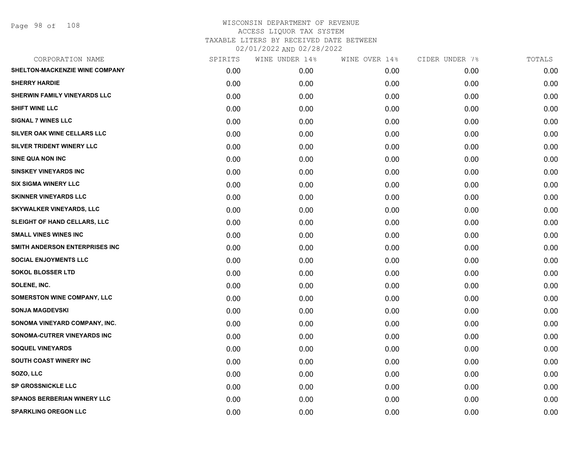Page 98 of 108

|      | WINE UNDER 14% | WINE OVER 14% | CIDER UNDER 7% | TOTALS |
|------|----------------|---------------|----------------|--------|
| 0.00 | 0.00           | 0.00          | 0.00           | 0.00   |
| 0.00 | 0.00           | 0.00          | 0.00           | 0.00   |
| 0.00 | 0.00           | 0.00          | 0.00           | 0.00   |
| 0.00 | 0.00           | 0.00          | 0.00           | 0.00   |
| 0.00 | 0.00           | 0.00          | 0.00           | 0.00   |
| 0.00 | 0.00           | 0.00          | 0.00           | 0.00   |
| 0.00 | 0.00           | 0.00          | 0.00           | 0.00   |
| 0.00 | 0.00           | 0.00          | 0.00           | 0.00   |
| 0.00 | 0.00           | 0.00          | 0.00           | 0.00   |
| 0.00 | 0.00           | 0.00          | 0.00           | 0.00   |
| 0.00 | 0.00           | 0.00          | 0.00           | 0.00   |
| 0.00 | 0.00           | 0.00          | 0.00           | 0.00   |
| 0.00 | 0.00           | 0.00          | 0.00           | 0.00   |
| 0.00 | 0.00           | 0.00          | 0.00           | 0.00   |
| 0.00 | 0.00           | 0.00          | 0.00           | 0.00   |
| 0.00 | 0.00           | 0.00          | 0.00           | 0.00   |
| 0.00 | 0.00           | 0.00          | 0.00           | 0.00   |
| 0.00 | 0.00           | 0.00          | 0.00           | 0.00   |
| 0.00 | 0.00           | 0.00          | 0.00           | 0.00   |
| 0.00 | 0.00           | 0.00          | 0.00           | 0.00   |
| 0.00 | 0.00           | 0.00          | 0.00           | 0.00   |
| 0.00 | 0.00           | 0.00          | 0.00           | 0.00   |
| 0.00 | 0.00           | 0.00          | 0.00           | 0.00   |
| 0.00 | 0.00           | 0.00          | 0.00           | 0.00   |
| 0.00 | 0.00           | 0.00          | 0.00           | 0.00   |
| 0.00 | 0.00           | 0.00          | 0.00           | 0.00   |
| 0.00 | 0.00           | 0.00          | 0.00           | 0.00   |
| 0.00 | 0.00           | 0.00          | 0.00           | 0.00   |
|      | SPIRITS        |               |                |        |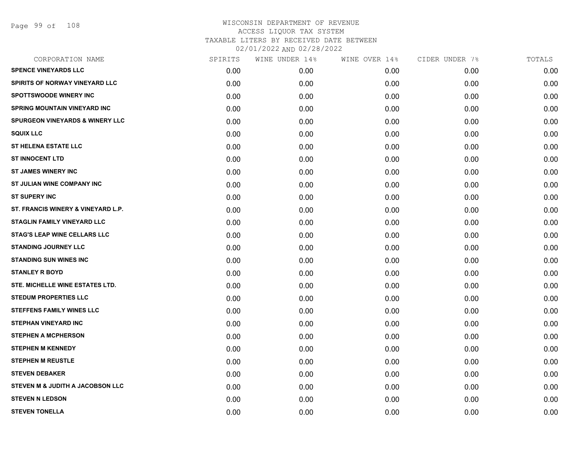Page 99 of 108

| SPIRITS | WINE UNDER 14% |      | CIDER UNDER 7% | TOTALS |
|---------|----------------|------|----------------|--------|
| 0.00    | 0.00           | 0.00 | 0.00           | 0.00   |
| 0.00    | 0.00           | 0.00 | 0.00           | 0.00   |
| 0.00    | 0.00           | 0.00 | 0.00           | 0.00   |
| 0.00    | 0.00           | 0.00 | 0.00           | 0.00   |
| 0.00    | 0.00           | 0.00 | 0.00           | 0.00   |
| 0.00    | 0.00           | 0.00 | 0.00           | 0.00   |
| 0.00    | 0.00           | 0.00 | 0.00           | 0.00   |
| 0.00    | 0.00           | 0.00 | 0.00           | 0.00   |
| 0.00    | 0.00           | 0.00 | 0.00           | 0.00   |
| 0.00    | 0.00           | 0.00 | 0.00           | 0.00   |
| 0.00    | 0.00           | 0.00 | 0.00           | 0.00   |
| 0.00    | 0.00           | 0.00 | 0.00           | 0.00   |
| 0.00    | 0.00           | 0.00 | 0.00           | 0.00   |
| 0.00    | 0.00           | 0.00 | 0.00           | 0.00   |
| 0.00    | 0.00           | 0.00 | 0.00           | 0.00   |
| 0.00    | 0.00           | 0.00 | 0.00           | 0.00   |
| 0.00    | 0.00           | 0.00 | 0.00           | 0.00   |
| 0.00    | 0.00           | 0.00 | 0.00           | 0.00   |
| 0.00    | 0.00           | 0.00 | 0.00           | 0.00   |
| 0.00    | 0.00           | 0.00 | 0.00           | 0.00   |
| 0.00    | 0.00           | 0.00 | 0.00           | 0.00   |
| 0.00    | 0.00           | 0.00 | 0.00           | 0.00   |
| 0.00    | 0.00           | 0.00 | 0.00           | 0.00   |
| 0.00    | 0.00           | 0.00 | 0.00           | 0.00   |
| 0.00    | 0.00           | 0.00 | 0.00           | 0.00   |
| 0.00    | 0.00           | 0.00 | 0.00           | 0.00   |
| 0.00    | 0.00           | 0.00 | 0.00           | 0.00   |
| 0.00    | 0.00           | 0.00 | 0.00           | 0.00   |
|         |                |      | WINE OVER 14%  |        |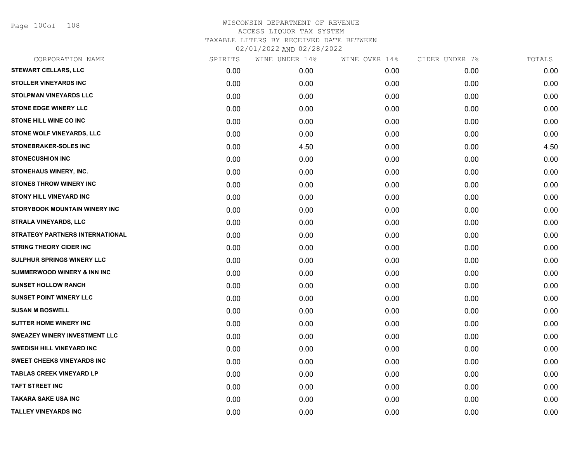Page 100of 108

| CORPORATION NAME                       | SPIRITS | WINE UNDER 14% | WINE OVER 14% | CIDER UNDER 7% | TOTALS |
|----------------------------------------|---------|----------------|---------------|----------------|--------|
| <b>STEWART CELLARS, LLC</b>            | 0.00    | 0.00           | 0.00          | 0.00           | 0.00   |
| <b>STOLLER VINEYARDS INC</b>           | 0.00    | 0.00           | 0.00          | 0.00           | 0.00   |
| <b>STOLPMAN VINEYARDS LLC</b>          | 0.00    | 0.00           | 0.00          | 0.00           | 0.00   |
| <b>STONE EDGE WINERY LLC</b>           | 0.00    | 0.00           | 0.00          | 0.00           | 0.00   |
| <b>STONE HILL WINE CO INC</b>          | 0.00    | 0.00           | 0.00          | 0.00           | 0.00   |
| STONE WOLF VINEYARDS, LLC              | 0.00    | 0.00           | 0.00          | 0.00           | 0.00   |
| <b>STONEBRAKER-SOLES INC</b>           | 0.00    | 4.50           | 0.00          | 0.00           | 4.50   |
| <b>STONECUSHION INC</b>                | 0.00    | 0.00           | 0.00          | 0.00           | 0.00   |
| STONEHAUS WINERY, INC.                 | 0.00    | 0.00           | 0.00          | 0.00           | 0.00   |
| <b>STONES THROW WINERY INC</b>         | 0.00    | 0.00           | 0.00          | 0.00           | 0.00   |
| <b>STONY HILL VINEYARD INC</b>         | 0.00    | 0.00           | 0.00          | 0.00           | 0.00   |
| STORYBOOK MOUNTAIN WINERY INC          | 0.00    | 0.00           | 0.00          | 0.00           | 0.00   |
| <b>STRALA VINEYARDS, LLC</b>           | 0.00    | 0.00           | 0.00          | 0.00           | 0.00   |
| <b>STRATEGY PARTNERS INTERNATIONAL</b> | 0.00    | 0.00           | 0.00          | 0.00           | 0.00   |
| <b>STRING THEORY CIDER INC</b>         | 0.00    | 0.00           | 0.00          | 0.00           | 0.00   |
| SULPHUR SPRINGS WINERY LLC             | 0.00    | 0.00           | 0.00          | 0.00           | 0.00   |
| <b>SUMMERWOOD WINERY &amp; INN INC</b> | 0.00    | 0.00           | 0.00          | 0.00           | 0.00   |
| <b>SUNSET HOLLOW RANCH</b>             | 0.00    | 0.00           | 0.00          | 0.00           | 0.00   |
| <b>SUNSET POINT WINERY LLC</b>         | 0.00    | 0.00           | 0.00          | 0.00           | 0.00   |
| <b>SUSAN M BOSWELL</b>                 | 0.00    | 0.00           | 0.00          | 0.00           | 0.00   |
| <b>SUTTER HOME WINERY INC</b>          | 0.00    | 0.00           | 0.00          | 0.00           | 0.00   |
| <b>SWEAZEY WINERY INVESTMENT LLC</b>   | 0.00    | 0.00           | 0.00          | 0.00           | 0.00   |
| <b>SWEDISH HILL VINEYARD INC</b>       | 0.00    | 0.00           | 0.00          | 0.00           | 0.00   |
| <b>SWEET CHEEKS VINEYARDS INC</b>      | 0.00    | 0.00           | 0.00          | 0.00           | 0.00   |
| <b>TABLAS CREEK VINEYARD LP</b>        | 0.00    | 0.00           | 0.00          | 0.00           | 0.00   |
| <b>TAFT STREET INC</b>                 | 0.00    | 0.00           | 0.00          | 0.00           | 0.00   |
| TAKARA SAKE USA INC                    | 0.00    | 0.00           | 0.00          | 0.00           | 0.00   |
| <b>TALLEY VINEYARDS INC</b>            | 0.00    | 0.00           | 0.00          | 0.00           | 0.00   |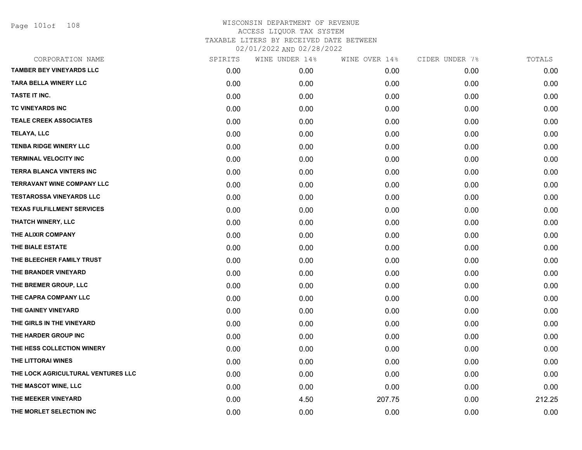Page 101of 108

| CORPORATION NAME                   | SPIRITS | WINE UNDER 14% | WINE OVER 14% | CIDER UNDER 7% | TOTALS |
|------------------------------------|---------|----------------|---------------|----------------|--------|
| <b>TAMBER BEY VINEYARDS LLC</b>    | 0.00    | 0.00           | 0.00          | 0.00           | 0.00   |
| <b>TARA BELLA WINERY LLC</b>       | 0.00    | 0.00           | 0.00          | 0.00           | 0.00   |
| TASTE IT INC.                      | 0.00    | 0.00           | 0.00          | 0.00           | 0.00   |
| TC VINEYARDS INC                   | 0.00    | 0.00           | 0.00          | 0.00           | 0.00   |
| <b>TEALE CREEK ASSOCIATES</b>      | 0.00    | 0.00           | 0.00          | 0.00           | 0.00   |
| TELAYA, LLC                        | 0.00    | 0.00           | 0.00          | 0.00           | 0.00   |
| <b>TENBA RIDGE WINERY LLC</b>      | 0.00    | 0.00           | 0.00          | 0.00           | 0.00   |
| <b>TERMINAL VELOCITY INC</b>       | 0.00    | 0.00           | 0.00          | 0.00           | 0.00   |
| <b>TERRA BLANCA VINTERS INC</b>    | 0.00    | 0.00           | 0.00          | 0.00           | 0.00   |
| <b>TERRAVANT WINE COMPANY LLC</b>  | 0.00    | 0.00           | 0.00          | 0.00           | 0.00   |
| <b>TESTAROSSA VINEYARDS LLC</b>    | 0.00    | 0.00           | 0.00          | 0.00           | 0.00   |
| <b>TEXAS FULFILLMENT SERVICES</b>  | 0.00    | 0.00           | 0.00          | 0.00           | 0.00   |
| THATCH WINERY, LLC                 | 0.00    | 0.00           | 0.00          | 0.00           | 0.00   |
| THE ALIXIR COMPANY                 | 0.00    | 0.00           | 0.00          | 0.00           | 0.00   |
| THE BIALE ESTATE                   | 0.00    | 0.00           | 0.00          | 0.00           | 0.00   |
| THE BLEECHER FAMILY TRUST          | 0.00    | 0.00           | 0.00          | 0.00           | 0.00   |
| THE BRANDER VINEYARD               | 0.00    | 0.00           | 0.00          | 0.00           | 0.00   |
| THE BREMER GROUP, LLC              | 0.00    | 0.00           | 0.00          | 0.00           | 0.00   |
| THE CAPRA COMPANY LLC              | 0.00    | 0.00           | 0.00          | 0.00           | 0.00   |
| THE GAINEY VINEYARD                | 0.00    | 0.00           | 0.00          | 0.00           | 0.00   |
| THE GIRLS IN THE VINEYARD          | 0.00    | 0.00           | 0.00          | 0.00           | 0.00   |
| THE HARDER GROUP INC               | 0.00    | 0.00           | 0.00          | 0.00           | 0.00   |
| THE HESS COLLECTION WINERY         | 0.00    | 0.00           | 0.00          | 0.00           | 0.00   |
| THE LITTORAI WINES                 | 0.00    | 0.00           | 0.00          | 0.00           | 0.00   |
| THE LOCK AGRICULTURAL VENTURES LLC | 0.00    | 0.00           | 0.00          | 0.00           | 0.00   |
| THE MASCOT WINE, LLC               | 0.00    | 0.00           | 0.00          | 0.00           | 0.00   |
| THE MEEKER VINEYARD                | 0.00    | 4.50           | 207.75        | 0.00           | 212.25 |
| THE MORLET SELECTION INC           | 0.00    | 0.00           | 0.00          | 0.00           | 0.00   |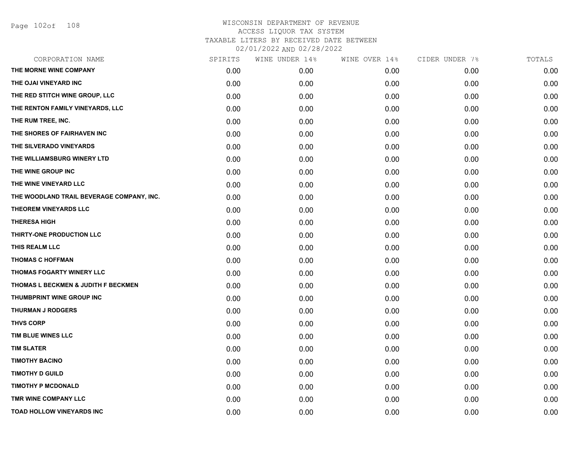| CORPORATION NAME                          | SPIRITS | WINE UNDER 14% | WINE OVER 14%     | CIDER UNDER 7% | TOTALS |
|-------------------------------------------|---------|----------------|-------------------|----------------|--------|
| THE MORNE WINE COMPANY                    | 0.00    | 0.00           | 0.00 <sub>1</sub> | 0.00           | 0.00   |
| THE OJAI VINEYARD INC                     | 0.00    | 0.00           | 0.00              | 0.00           | 0.00   |
| THE RED STITCH WINE GROUP, LLC            | 0.00    | 0.00           | 0.00              | 0.00           | 0.00   |
| THE RENTON FAMILY VINEYARDS, LLC          | 0.00    | 0.00           | 0.00              | 0.00           | 0.00   |
| THE RUM TREE, INC.                        | 0.00    | 0.00           | 0.00              | 0.00           | 0.00   |
| THE SHORES OF FAIRHAVEN INC               | 0.00    | 0.00           | 0.00              | 0.00           | 0.00   |
| THE SILVERADO VINEYARDS                   | 0.00    | 0.00           | 0.00              | 0.00           | 0.00   |
| THE WILLIAMSBURG WINERY LTD               | 0.00    | 0.00           | 0.00              | 0.00           | 0.00   |
| THE WINE GROUP INC                        | 0.00    | 0.00           | 0.00              | 0.00           | 0.00   |
| THE WINE VINEYARD LLC                     | 0.00    | 0.00           | 0.00              | 0.00           | 0.00   |
| THE WOODLAND TRAIL BEVERAGE COMPANY, INC. | 0.00    | 0.00           | 0.00              | 0.00           | 0.00   |
| <b>THEOREM VINEYARDS LLC</b>              | 0.00    | 0.00           | 0.00              | 0.00           | 0.00   |
| <b>THERESA HIGH</b>                       | 0.00    | 0.00           | 0.00              | 0.00           | 0.00   |
| THIRTY-ONE PRODUCTION LLC                 | 0.00    | 0.00           | 0.00              | 0.00           | 0.00   |
| THIS REALM LLC                            | 0.00    | 0.00           | 0.00              | 0.00           | 0.00   |
| <b>THOMAS C HOFFMAN</b>                   | 0.00    | 0.00           | 0.00              | 0.00           | 0.00   |
| THOMAS FOGARTY WINERY LLC                 | 0.00    | 0.00           | 0.00              | 0.00           | 0.00   |
| THOMAS L BECKMEN & JUDITH F BECKMEN       | 0.00    | 0.00           | 0.00              | 0.00           | 0.00   |
| THUMBPRINT WINE GROUP INC                 | 0.00    | 0.00           | 0.00              | 0.00           | 0.00   |
| <b>THURMAN J RODGERS</b>                  | 0.00    | 0.00           | 0.00              | 0.00           | 0.00   |
| <b>THVS CORP</b>                          | 0.00    | 0.00           | 0.00              | 0.00           | 0.00   |
| TIM BLUE WINES LLC                        | 0.00    | 0.00           | 0.00              | 0.00           | 0.00   |
| <b>TIM SLATER</b>                         | 0.00    | 0.00           | 0.00              | 0.00           | 0.00   |
| <b>TIMOTHY BACINO</b>                     | 0.00    | 0.00           | 0.00              | 0.00           | 0.00   |
| <b>TIMOTHY D GUILD</b>                    | 0.00    | 0.00           | 0.00              | 0.00           | 0.00   |
| <b>TIMOTHY P MCDONALD</b>                 | 0.00    | 0.00           | 0.00              | 0.00           | 0.00   |
| TMR WINE COMPANY LLC                      | 0.00    | 0.00           | 0.00              | 0.00           | 0.00   |
| <b>TOAD HOLLOW VINEYARDS INC</b>          | 0.00    | 0.00           | 0.00              | 0.00           | 0.00   |
|                                           |         |                |                   |                |        |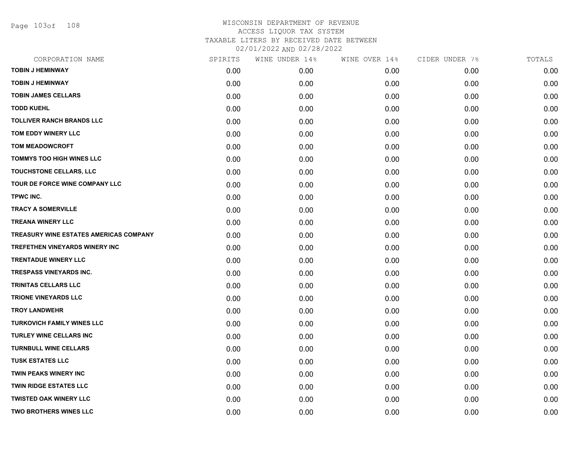Page 103of 108

| CORPORATION NAME                              | SPIRITS | WINE UNDER 14% | WINE OVER 14% | CIDER UNDER 7% | TOTALS |
|-----------------------------------------------|---------|----------------|---------------|----------------|--------|
| <b>TOBIN J HEMINWAY</b>                       | 0.00    | 0.00           | 0.00          | 0.00           | 0.00   |
| <b>TOBIN J HEMINWAY</b>                       | 0.00    | 0.00           | 0.00          | 0.00           | 0.00   |
| <b>TOBIN JAMES CELLARS</b>                    | 0.00    | 0.00           | 0.00          | 0.00           | 0.00   |
| <b>TODD KUEHL</b>                             | 0.00    | 0.00           | 0.00          | 0.00           | 0.00   |
| <b>TOLLIVER RANCH BRANDS LLC</b>              | 0.00    | 0.00           | 0.00          | 0.00           | 0.00   |
| TOM EDDY WINERY LLC                           | 0.00    | 0.00           | 0.00          | 0.00           | 0.00   |
| <b>TOM MEADOWCROFT</b>                        | 0.00    | 0.00           | 0.00          | 0.00           | 0.00   |
| <b>TOMMYS TOO HIGH WINES LLC</b>              | 0.00    | 0.00           | 0.00          | 0.00           | 0.00   |
| TOUCHSTONE CELLARS, LLC                       | 0.00    | 0.00           | 0.00          | 0.00           | 0.00   |
| TOUR DE FORCE WINE COMPANY LLC                | 0.00    | 0.00           | 0.00          | 0.00           | 0.00   |
| TPWC INC.                                     | 0.00    | 0.00           | 0.00          | 0.00           | 0.00   |
| <b>TRACY A SOMERVILLE</b>                     | 0.00    | 0.00           | 0.00          | 0.00           | 0.00   |
| <b>TREANA WINERY LLC</b>                      | 0.00    | 0.00           | 0.00          | 0.00           | 0.00   |
| <b>TREASURY WINE ESTATES AMERICAS COMPANY</b> | 0.00    | 0.00           | 0.00          | 0.00           | 0.00   |
| <b>TREFETHEN VINEYARDS WINERY INC</b>         | 0.00    | 0.00           | 0.00          | 0.00           | 0.00   |
| <b>TRENTADUE WINERY LLC</b>                   | 0.00    | 0.00           | 0.00          | 0.00           | 0.00   |
| <b>TRESPASS VINEYARDS INC.</b>                | 0.00    | 0.00           | 0.00          | 0.00           | 0.00   |
| <b>TRINITAS CELLARS LLC</b>                   | 0.00    | 0.00           | 0.00          | 0.00           | 0.00   |
| <b>TRIONE VINEYARDS LLC</b>                   | 0.00    | 0.00           | 0.00          | 0.00           | 0.00   |
| <b>TROY LANDWEHR</b>                          | 0.00    | 0.00           | 0.00          | 0.00           | 0.00   |
| <b>TURKOVICH FAMILY WINES LLC</b>             | 0.00    | 0.00           | 0.00          | 0.00           | 0.00   |
| <b>TURLEY WINE CELLARS INC</b>                | 0.00    | 0.00           | 0.00          | 0.00           | 0.00   |
| <b>TURNBULL WINE CELLARS</b>                  | 0.00    | 0.00           | 0.00          | 0.00           | 0.00   |
| <b>TUSK ESTATES LLC</b>                       | 0.00    | 0.00           | 0.00          | 0.00           | 0.00   |
| <b>TWIN PEAKS WINERY INC</b>                  | 0.00    | 0.00           | 0.00          | 0.00           | 0.00   |
| <b>TWIN RIDGE ESTATES LLC</b>                 | 0.00    | 0.00           | 0.00          | 0.00           | 0.00   |
| <b>TWISTED OAK WINERY LLC</b>                 | 0.00    | 0.00           | 0.00          | 0.00           | 0.00   |
| <b>TWO BROTHERS WINES LLC</b>                 | 0.00    | 0.00           | 0.00          | 0.00           | 0.00   |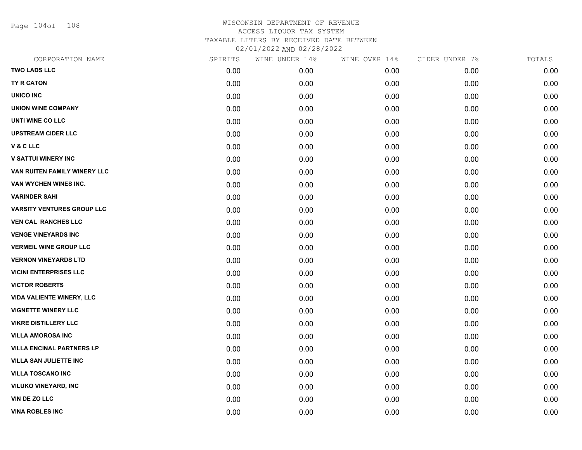Page 104of 108

| CORPORATION NAME                  | SPIRITS | WINE UNDER 14% | WINE OVER 14% | CIDER UNDER 7% | TOTALS |
|-----------------------------------|---------|----------------|---------------|----------------|--------|
| <b>TWO LADS LLC</b>               | 0.00    | 0.00           | 0.00          | 0.00           | 0.00   |
| <b>TY R CATON</b>                 | 0.00    | 0.00           | 0.00          | 0.00           | 0.00   |
| <b>UNICO INC</b>                  | 0.00    | 0.00           | 0.00          | 0.00           | 0.00   |
| <b>UNION WINE COMPANY</b>         | 0.00    | 0.00           | 0.00          | 0.00           | 0.00   |
| UNTI WINE CO LLC                  | 0.00    | 0.00           | 0.00          | 0.00           | 0.00   |
| <b>UPSTREAM CIDER LLC</b>         | 0.00    | 0.00           | 0.00          | 0.00           | 0.00   |
| V & C LLC                         | 0.00    | 0.00           | 0.00          | 0.00           | 0.00   |
| <b>V SATTUI WINERY INC</b>        | 0.00    | 0.00           | 0.00          | 0.00           | 0.00   |
| VAN RUITEN FAMILY WINERY LLC      | 0.00    | 0.00           | 0.00          | 0.00           | 0.00   |
| VAN WYCHEN WINES INC.             | 0.00    | 0.00           | 0.00          | 0.00           | 0.00   |
| <b>VARINDER SAHI</b>              | 0.00    | 0.00           | 0.00          | 0.00           | 0.00   |
| <b>VARSITY VENTURES GROUP LLC</b> | 0.00    | 0.00           | 0.00          | 0.00           | 0.00   |
| <b>VEN CAL RANCHES LLC</b>        | 0.00    | 0.00           | 0.00          | 0.00           | 0.00   |
| <b>VENGE VINEYARDS INC</b>        | 0.00    | 0.00           | 0.00          | 0.00           | 0.00   |
| <b>VERMEIL WINE GROUP LLC</b>     | 0.00    | 0.00           | 0.00          | 0.00           | 0.00   |
| <b>VERNON VINEYARDS LTD</b>       | 0.00    | 0.00           | 0.00          | 0.00           | 0.00   |
| <b>VICINI ENTERPRISES LLC</b>     | 0.00    | 0.00           | 0.00          | 0.00           | 0.00   |
| <b>VICTOR ROBERTS</b>             | 0.00    | 0.00           | 0.00          | 0.00           | 0.00   |
| <b>VIDA VALIENTE WINERY, LLC</b>  | 0.00    | 0.00           | 0.00          | 0.00           | 0.00   |
| <b>VIGNETTE WINERY LLC</b>        | 0.00    | 0.00           | 0.00          | 0.00           | 0.00   |
| <b>VIKRE DISTILLERY LLC</b>       | 0.00    | 0.00           | 0.00          | 0.00           | 0.00   |
| <b>VILLA AMOROSA INC</b>          | 0.00    | 0.00           | 0.00          | 0.00           | 0.00   |
| <b>VILLA ENCINAL PARTNERS LP</b>  | 0.00    | 0.00           | 0.00          | 0.00           | 0.00   |
| <b>VILLA SAN JULIETTE INC</b>     | 0.00    | 0.00           | 0.00          | 0.00           | 0.00   |
| <b>VILLA TOSCANO INC</b>          | 0.00    | 0.00           | 0.00          | 0.00           | 0.00   |
| <b>VILUKO VINEYARD, INC</b>       | 0.00    | 0.00           | 0.00          | 0.00           | 0.00   |
| VIN DE ZO LLC                     | 0.00    | 0.00           | 0.00          | 0.00           | 0.00   |
| <b>VINA ROBLES INC</b>            | 0.00    | 0.00           | 0.00          | 0.00           | 0.00   |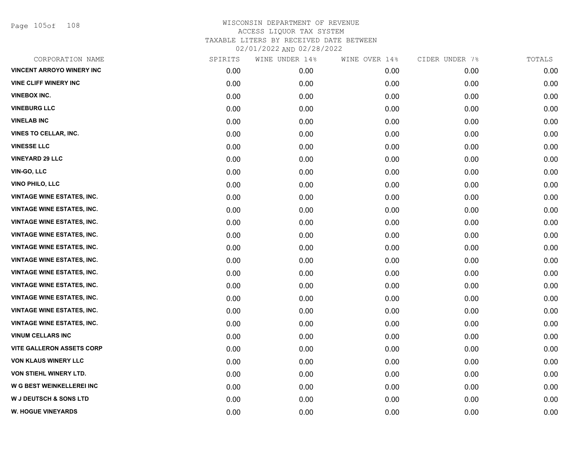Page 105of 108

| CORPORATION NAME                  | SPIRITS | WINE UNDER 14% | WINE OVER 14% | CIDER UNDER 7% | TOTALS |
|-----------------------------------|---------|----------------|---------------|----------------|--------|
| <b>VINCENT ARROYO WINERY INC</b>  | 0.00    | 0.00           | 0.00          | 0.00           | 0.00   |
| <b>VINE CLIFF WINERY INC</b>      | 0.00    | 0.00           | 0.00          | 0.00           | 0.00   |
| <b>VINEBOX INC.</b>               | 0.00    | 0.00           | 0.00          | 0.00           | 0.00   |
| <b>VINEBURG LLC</b>               | 0.00    | 0.00           | 0.00          | 0.00           | 0.00   |
| <b>VINELAB INC</b>                | 0.00    | 0.00           | 0.00          | 0.00           | 0.00   |
| <b>VINES TO CELLAR, INC.</b>      | 0.00    | 0.00           | 0.00          | 0.00           | 0.00   |
| <b>VINESSE LLC</b>                | 0.00    | 0.00           | 0.00          | 0.00           | 0.00   |
| <b>VINEYARD 29 LLC</b>            | 0.00    | 0.00           | 0.00          | 0.00           | 0.00   |
| VIN-GO, LLC                       | 0.00    | 0.00           | 0.00          | 0.00           | 0.00   |
| <b>VINO PHILO, LLC</b>            | 0.00    | 0.00           | 0.00          | 0.00           | 0.00   |
| <b>VINTAGE WINE ESTATES, INC.</b> | 0.00    | 0.00           | 0.00          | 0.00           | 0.00   |
| <b>VINTAGE WINE ESTATES, INC.</b> | 0.00    | 0.00           | 0.00          | 0.00           | 0.00   |
| <b>VINTAGE WINE ESTATES, INC.</b> | 0.00    | 0.00           | 0.00          | 0.00           | 0.00   |
| <b>VINTAGE WINE ESTATES, INC.</b> | 0.00    | 0.00           | 0.00          | 0.00           | 0.00   |
| <b>VINTAGE WINE ESTATES, INC.</b> | 0.00    | 0.00           | 0.00          | 0.00           | 0.00   |
| <b>VINTAGE WINE ESTATES, INC.</b> | 0.00    | 0.00           | 0.00          | 0.00           | 0.00   |
| <b>VINTAGE WINE ESTATES, INC.</b> | 0.00    | 0.00           | 0.00          | 0.00           | 0.00   |
| <b>VINTAGE WINE ESTATES, INC.</b> | 0.00    | 0.00           | 0.00          | 0.00           | 0.00   |
| <b>VINTAGE WINE ESTATES, INC.</b> | 0.00    | 0.00           | 0.00          | 0.00           | 0.00   |
| <b>VINTAGE WINE ESTATES, INC.</b> | 0.00    | 0.00           | 0.00          | 0.00           | 0.00   |
| <b>VINTAGE WINE ESTATES, INC.</b> | 0.00    | 0.00           | 0.00          | 0.00           | 0.00   |
| <b>VINUM CELLARS INC</b>          | 0.00    | 0.00           | 0.00          | 0.00           | 0.00   |
| <b>VITE GALLERON ASSETS CORP</b>  | 0.00    | 0.00           | 0.00          | 0.00           | 0.00   |
| <b>VON KLAUS WINERY LLC</b>       | 0.00    | 0.00           | 0.00          | 0.00           | 0.00   |
| VON STIEHL WINERY LTD.            | 0.00    | 0.00           | 0.00          | 0.00           | 0.00   |
| W G BEST WEINKELLEREI INC         | 0.00    | 0.00           | 0.00          | 0.00           | 0.00   |
| <b>W J DEUTSCH &amp; SONS LTD</b> | 0.00    | 0.00           | 0.00          | 0.00           | 0.00   |
| <b>W. HOGUE VINEYARDS</b>         | 0.00    | 0.00           | 0.00          | 0.00           | 0.00   |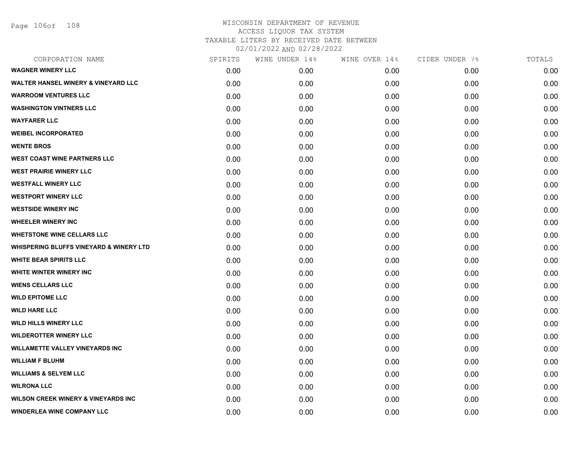Page 106of 108

| SPIRITS | WINE UNDER 14% | WINE OVER 14% | CIDER UNDER 7% | TOTALS |
|---------|----------------|---------------|----------------|--------|
| 0.00    | 0.00           | 0.00          | 0.00           | 0.00   |
| 0.00    | 0.00           | 0.00          | 0.00           | 0.00   |
| 0.00    | 0.00           | 0.00          | 0.00           | 0.00   |
| 0.00    | 0.00           | 0.00          | 0.00           | 0.00   |
| 0.00    | 0.00           | 0.00          | 0.00           | 0.00   |
| 0.00    | 0.00           | 0.00          | 0.00           | 0.00   |
| 0.00    | 0.00           | 0.00          | 0.00           | 0.00   |
| 0.00    | 0.00           | 0.00          | 0.00           | 0.00   |
| 0.00    | 0.00           | 0.00          | 0.00           | 0.00   |
| 0.00    | 0.00           | 0.00          | 0.00           | 0.00   |
| 0.00    | 0.00           | 0.00          | 0.00           | 0.00   |
| 0.00    | 0.00           | 0.00          | 0.00           | 0.00   |
| 0.00    | 0.00           | 0.00          | 0.00           | 0.00   |
| 0.00    | 0.00           | 0.00          | 0.00           | 0.00   |
| 0.00    | 0.00           | 0.00          | 0.00           | 0.00   |
| 0.00    | 0.00           | 0.00          | 0.00           | 0.00   |
| 0.00    | 0.00           | 0.00          | 0.00           | 0.00   |
| 0.00    | 0.00           | 0.00          | 0.00           | 0.00   |
| 0.00    | 0.00           | 0.00          | 0.00           | 0.00   |
| 0.00    | 0.00           | 0.00          | 0.00           | 0.00   |
| 0.00    | 0.00           | 0.00          | 0.00           | 0.00   |
| 0.00    | 0.00           | 0.00          | 0.00           | 0.00   |
| 0.00    | 0.00           | 0.00          | 0.00           | 0.00   |
| 0.00    | 0.00           | 0.00          | 0.00           | 0.00   |
| 0.00    | 0.00           | 0.00          | 0.00           | 0.00   |
| 0.00    | 0.00           | 0.00          | 0.00           | 0.00   |
| 0.00    | 0.00           | 0.00          | 0.00           | 0.00   |
| 0.00    | 0.00           | 0.00          | 0.00           | 0.00   |
|         |                |               |                |        |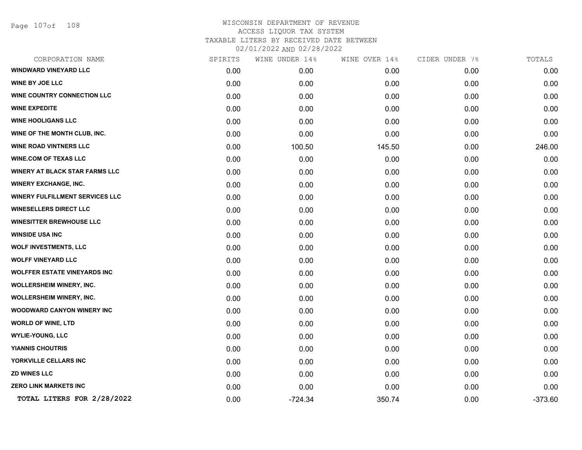Page 107of 108

| CORPORATION NAME                       | SPIRITS | WINE UNDER 14% | WINE OVER 14% | CIDER UNDER 7% | TOTALS    |
|----------------------------------------|---------|----------------|---------------|----------------|-----------|
| <b>WINDWARD VINEYARD LLC</b>           | 0.00    | 0.00           | 0.00          | 0.00           | 0.00      |
| <b>WINE BY JOE LLC</b>                 | 0.00    | 0.00           | 0.00          | 0.00           | 0.00      |
| WINE COUNTRY CONNECTION LLC            | 0.00    | 0.00           | 0.00          | 0.00           | 0.00      |
| <b>WINE EXPEDITE</b>                   | 0.00    | 0.00           | 0.00          | 0.00           | 0.00      |
| <b>WINE HOOLIGANS LLC</b>              | 0.00    | 0.00           | 0.00          | 0.00           | 0.00      |
| WINE OF THE MONTH CLUB, INC.           | 0.00    | 0.00           | 0.00          | 0.00           | 0.00      |
| <b>WINE ROAD VINTNERS LLC</b>          | 0.00    | 100.50         | 145.50        | 0.00           | 246.00    |
| <b>WINE.COM OF TEXAS LLC</b>           | 0.00    | 0.00           | 0.00          | 0.00           | 0.00      |
| WINERY AT BLACK STAR FARMS LLC         | 0.00    | 0.00           | 0.00          | 0.00           | 0.00      |
| <b>WINERY EXCHANGE, INC.</b>           | 0.00    | 0.00           | 0.00          | 0.00           | 0.00      |
| <b>WINERY FULFILLMENT SERVICES LLC</b> | 0.00    | 0.00           | 0.00          | 0.00           | 0.00      |
| <b>WINESELLERS DIRECT LLC</b>          | 0.00    | 0.00           | 0.00          | 0.00           | 0.00      |
| <b>WINESITTER BREWHOUSE LLC</b>        | 0.00    | 0.00           | 0.00          | 0.00           | 0.00      |
| <b>WINSIDE USA INC</b>                 | 0.00    | 0.00           | 0.00          | 0.00           | 0.00      |
| <b>WOLF INVESTMENTS, LLC</b>           | 0.00    | 0.00           | 0.00          | 0.00           | 0.00      |
| <b>WOLFF VINEYARD LLC</b>              | 0.00    | 0.00           | 0.00          | 0.00           | 0.00      |
| <b>WOLFFER ESTATE VINEYARDS INC</b>    | 0.00    | 0.00           | 0.00          | 0.00           | 0.00      |
| <b>WOLLERSHEIM WINERY, INC.</b>        | 0.00    | 0.00           | 0.00          | 0.00           | 0.00      |
| <b>WOLLERSHEIM WINERY, INC.</b>        | 0.00    | 0.00           | 0.00          | 0.00           | 0.00      |
| <b>WOODWARD CANYON WINERY INC</b>      | 0.00    | 0.00           | 0.00          | 0.00           | 0.00      |
| <b>WORLD OF WINE, LTD</b>              | 0.00    | 0.00           | 0.00          | 0.00           | 0.00      |
| <b>WYLIE-YOUNG, LLC</b>                | 0.00    | 0.00           | 0.00          | 0.00           | 0.00      |
| <b>YIANNIS CHOUTRIS</b>                | 0.00    | 0.00           | 0.00          | 0.00           | 0.00      |
| YORKVILLE CELLARS INC                  | 0.00    | 0.00           | 0.00          | 0.00           | 0.00      |
| <b>ZD WINES LLC</b>                    | 0.00    | 0.00           | 0.00          | 0.00           | 0.00      |
| <b>ZERO LINK MARKETS INC</b>           | 0.00    | 0.00           | 0.00          | 0.00           | 0.00      |
| TOTAL LITERS FOR 2/28/2022             | 0.00    | $-724.34$      | 350.74        | 0.00           | $-373.60$ |